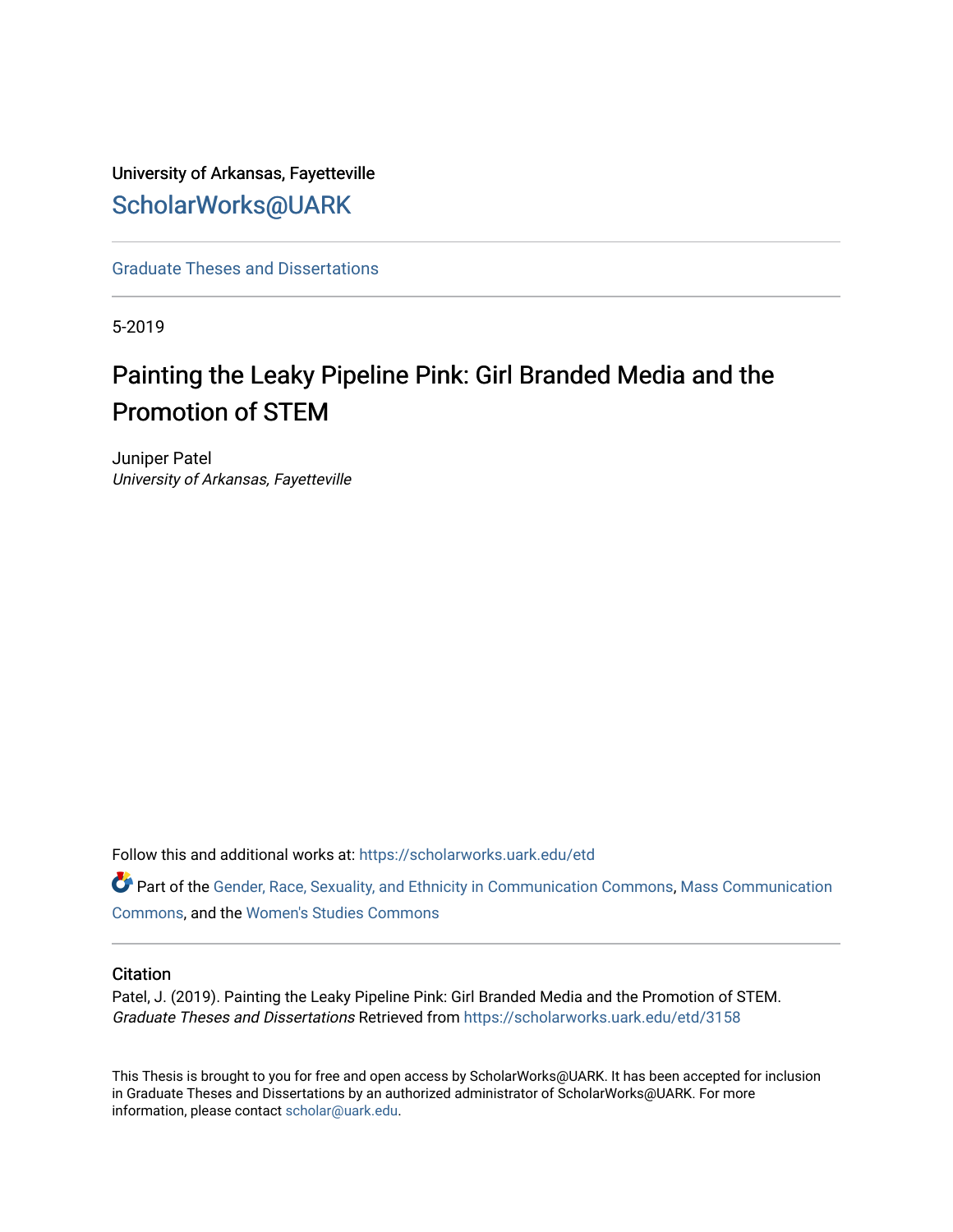# University of Arkansas, Fayetteville [ScholarWorks@UARK](https://scholarworks.uark.edu/)

[Graduate Theses and Dissertations](https://scholarworks.uark.edu/etd) 

5-2019

# Painting the Leaky Pipeline Pink: Girl Branded Media and the Promotion of STEM

Juniper Patel University of Arkansas, Fayetteville

Follow this and additional works at: [https://scholarworks.uark.edu/etd](https://scholarworks.uark.edu/etd?utm_source=scholarworks.uark.edu%2Fetd%2F3158&utm_medium=PDF&utm_campaign=PDFCoverPages)

Part of the [Gender, Race, Sexuality, and Ethnicity in Communication Commons,](http://network.bepress.com/hgg/discipline/329?utm_source=scholarworks.uark.edu%2Fetd%2F3158&utm_medium=PDF&utm_campaign=PDFCoverPages) [Mass Communication](http://network.bepress.com/hgg/discipline/334?utm_source=scholarworks.uark.edu%2Fetd%2F3158&utm_medium=PDF&utm_campaign=PDFCoverPages)  [Commons](http://network.bepress.com/hgg/discipline/334?utm_source=scholarworks.uark.edu%2Fetd%2F3158&utm_medium=PDF&utm_campaign=PDFCoverPages), and the [Women's Studies Commons](http://network.bepress.com/hgg/discipline/561?utm_source=scholarworks.uark.edu%2Fetd%2F3158&utm_medium=PDF&utm_campaign=PDFCoverPages)

# **Citation**

Patel, J. (2019). Painting the Leaky Pipeline Pink: Girl Branded Media and the Promotion of STEM. Graduate Theses and Dissertations Retrieved from [https://scholarworks.uark.edu/etd/3158](https://scholarworks.uark.edu/etd/3158?utm_source=scholarworks.uark.edu%2Fetd%2F3158&utm_medium=PDF&utm_campaign=PDFCoverPages)

This Thesis is brought to you for free and open access by ScholarWorks@UARK. It has been accepted for inclusion in Graduate Theses and Dissertations by an authorized administrator of ScholarWorks@UARK. For more information, please contact [scholar@uark.edu.](mailto:scholar@uark.edu)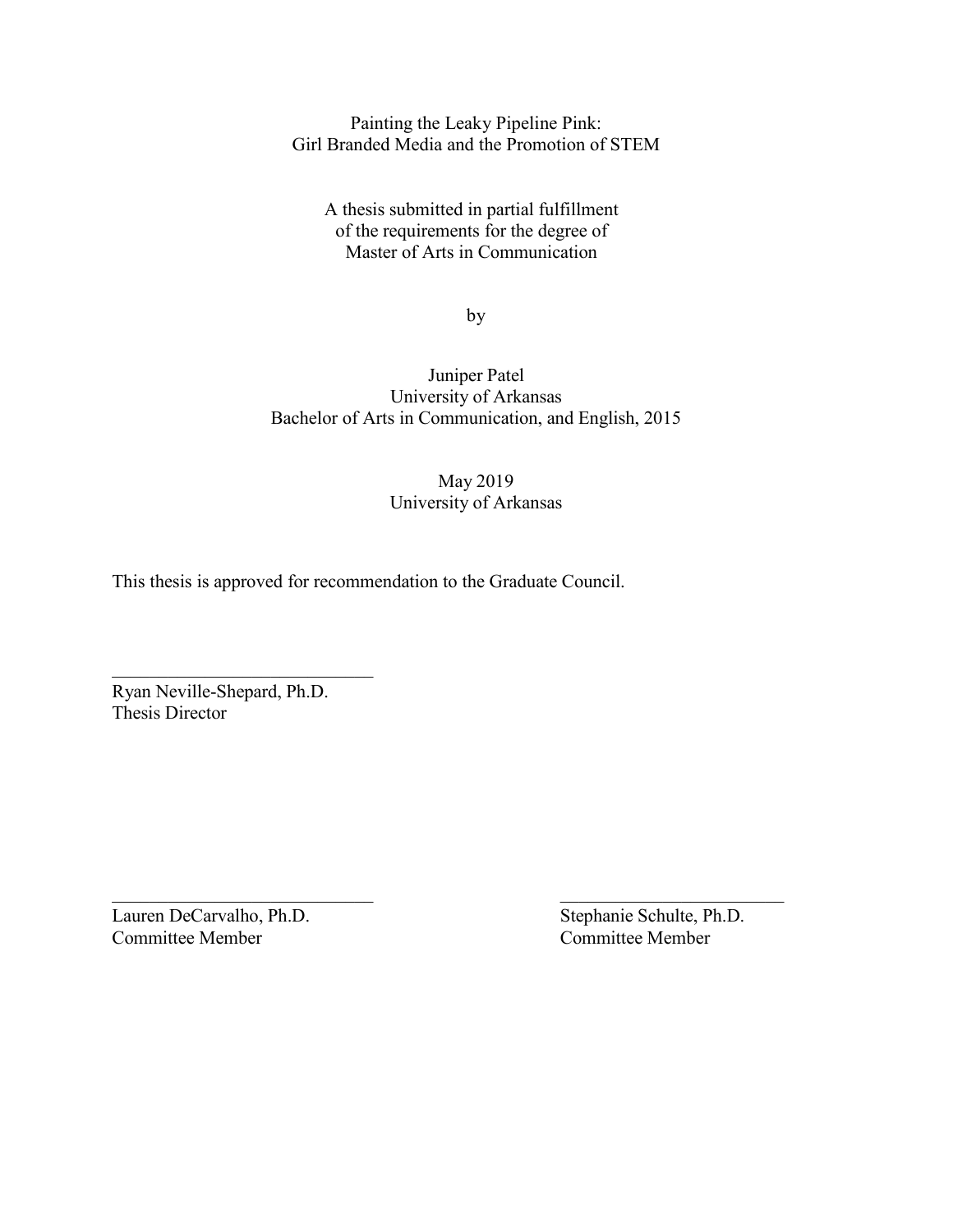Painting the Leaky Pipeline Pink: Girl Branded Media and the Promotion of STEM

A thesis submitted in partial fulfillment of the requirements for the degree of Master of Arts in Communication

by

Juniper Patel University of Arkansas Bachelor of Arts in Communication, and English, 2015

> May 2019 University of Arkansas

This thesis is approved for recommendation to the Graduate Council.

Ryan Neville-Shepard, Ph.D. Thesis Director

Lauren DeCarvalho, Ph.D. Stephanie Schulte, Ph.D. Committee Member Committee Member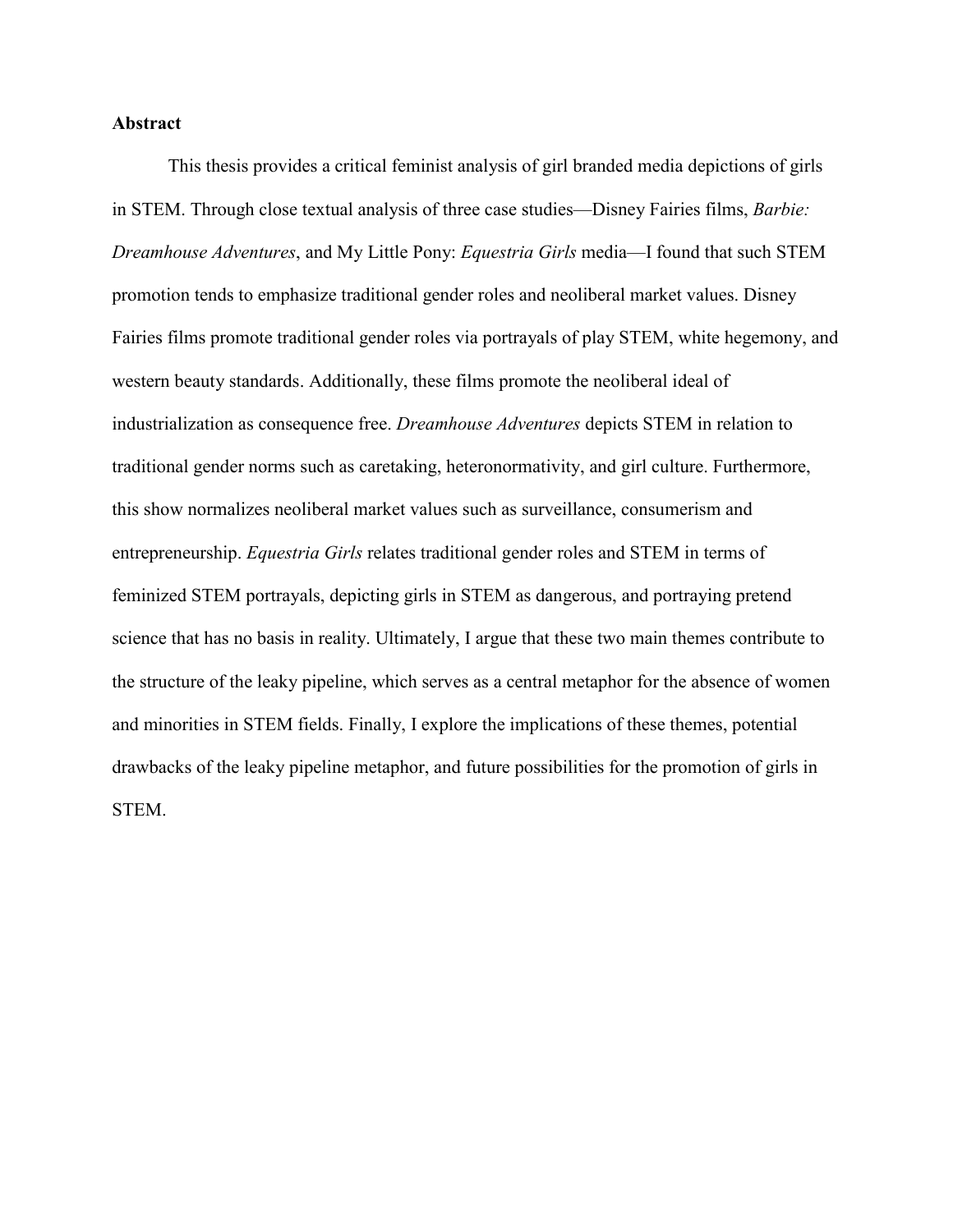# **Abstract**

This thesis provides a critical feminist analysis of girl branded media depictions of girls in STEM. Through close textual analysis of three case studies—Disney Fairies films, *Barbie: Dreamhouse Adventures*, and My Little Pony: *Equestria Girls* media—I found that such STEM promotion tends to emphasize traditional gender roles and neoliberal market values. Disney Fairies films promote traditional gender roles via portrayals of play STEM, white hegemony, and western beauty standards. Additionally, these films promote the neoliberal ideal of industrialization as consequence free. *Dreamhouse Adventures* depicts STEM in relation to traditional gender norms such as caretaking, heteronormativity, and girl culture. Furthermore, this show normalizes neoliberal market values such as surveillance, consumerism and entrepreneurship. *Equestria Girls* relates traditional gender roles and STEM in terms of feminized STEM portrayals, depicting girls in STEM as dangerous, and portraying pretend science that has no basis in reality. Ultimately, I argue that these two main themes contribute to the structure of the leaky pipeline, which serves as a central metaphor for the absence of women and minorities in STEM fields. Finally, I explore the implications of these themes, potential drawbacks of the leaky pipeline metaphor, and future possibilities for the promotion of girls in STEM.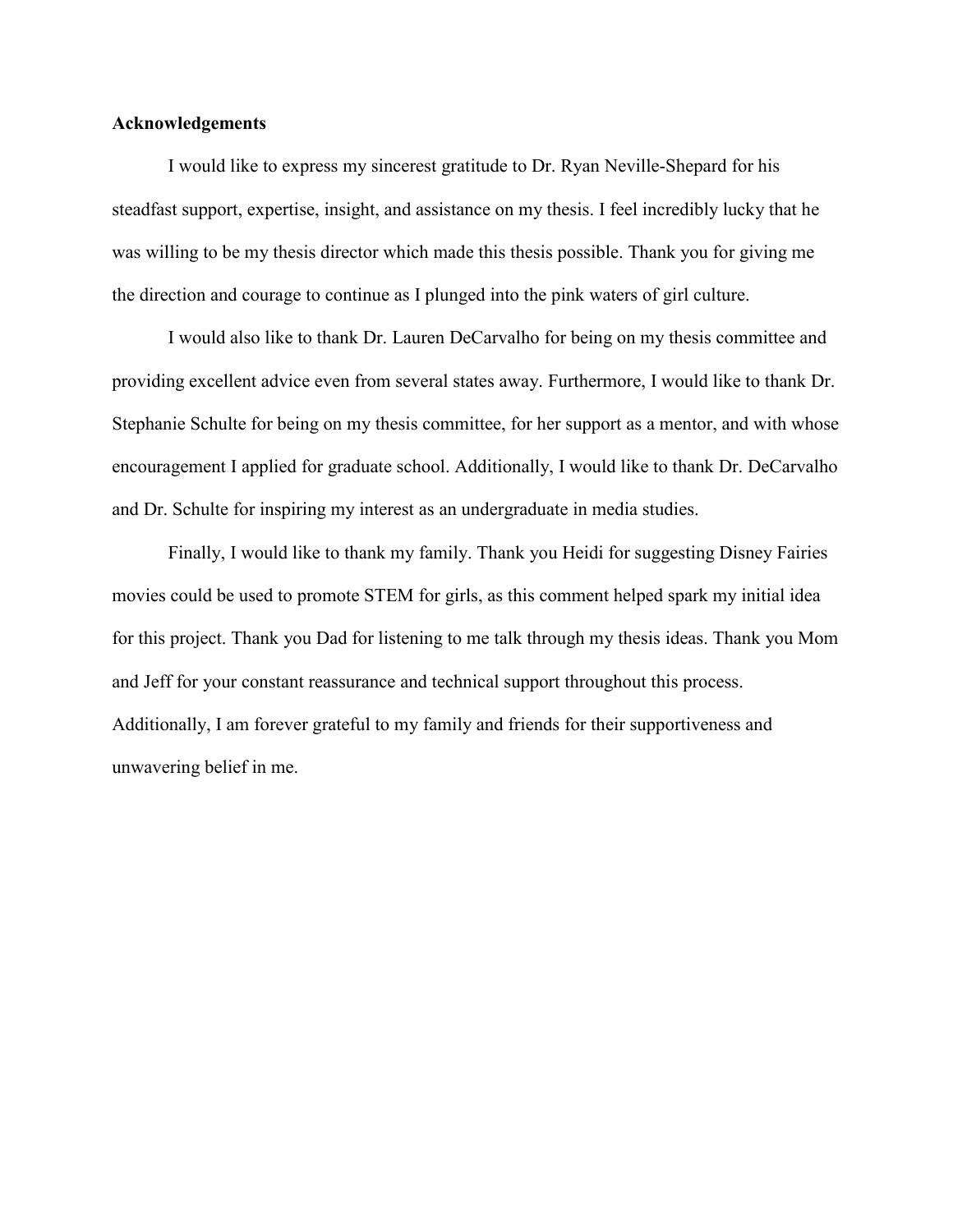# **Acknowledgements**

I would like to express my sincerest gratitude to Dr. Ryan Neville-Shepard for his steadfast support, expertise, insight, and assistance on my thesis. I feel incredibly lucky that he was willing to be my thesis director which made this thesis possible. Thank you for giving me the direction and courage to continue as I plunged into the pink waters of girl culture.

I would also like to thank Dr. Lauren DeCarvalho for being on my thesis committee and providing excellent advice even from several states away. Furthermore, I would like to thank Dr. Stephanie Schulte for being on my thesis committee, for her support as a mentor, and with whose encouragement I applied for graduate school. Additionally, I would like to thank Dr. DeCarvalho and Dr. Schulte for inspiring my interest as an undergraduate in media studies.

Finally, I would like to thank my family. Thank you Heidi for suggesting Disney Fairies movies could be used to promote STEM for girls, as this comment helped spark my initial idea for this project. Thank you Dad for listening to me talk through my thesis ideas. Thank you Mom and Jeff for your constant reassurance and technical support throughout this process. Additionally, I am forever grateful to my family and friends for their supportiveness and unwavering belief in me.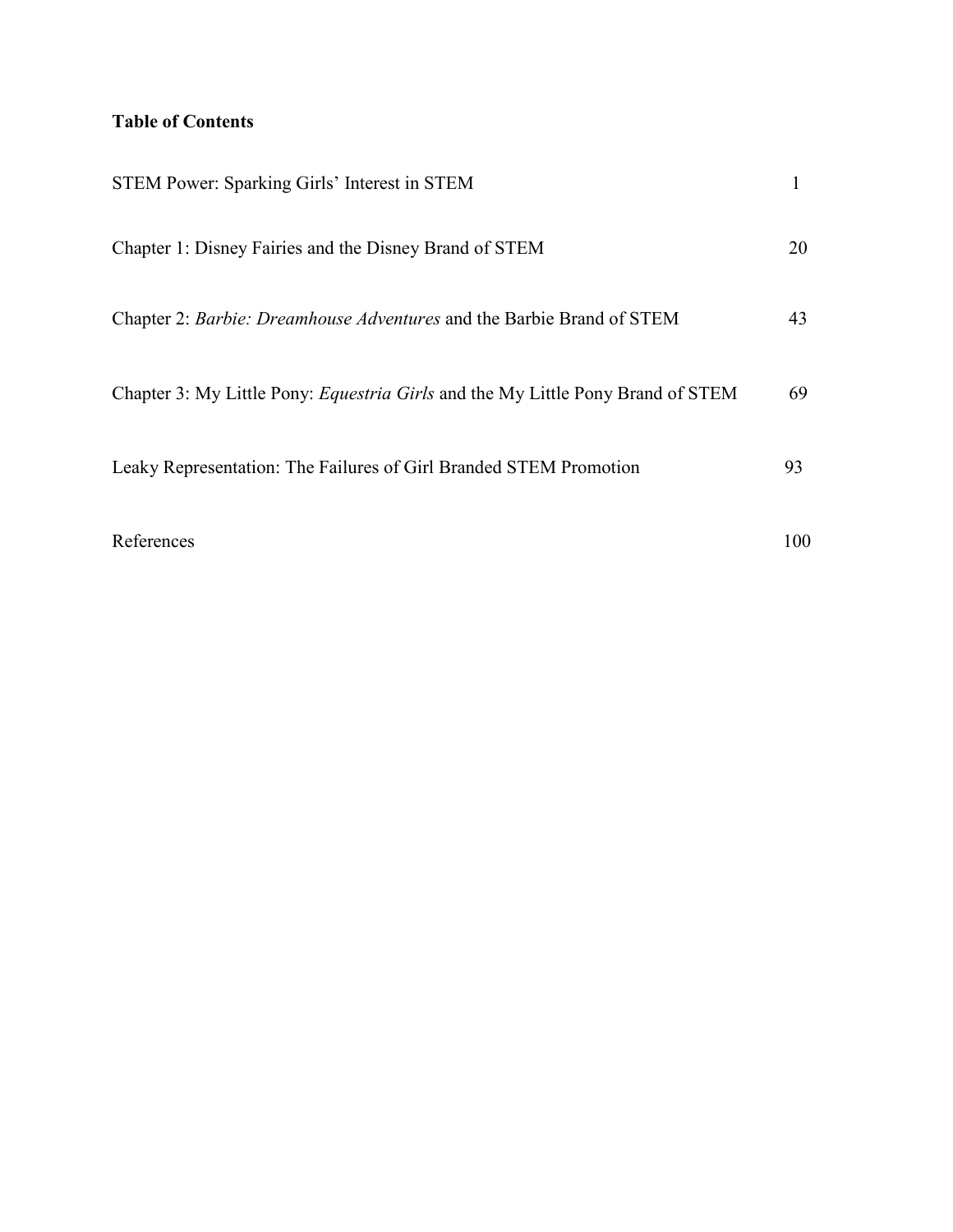# **Table of Contents**

| STEM Power: Sparking Girls' Interest in STEM                                           |     |
|----------------------------------------------------------------------------------------|-----|
| Chapter 1: Disney Fairies and the Disney Brand of STEM                                 | 20  |
| Chapter 2: Barbie: Dreamhouse Adventures and the Barbie Brand of STEM                  | 43  |
| Chapter 3: My Little Pony: <i>Equestria Girls</i> and the My Little Pony Brand of STEM | 69  |
| Leaky Representation: The Failures of Girl Branded STEM Promotion                      | 93  |
| References                                                                             | 100 |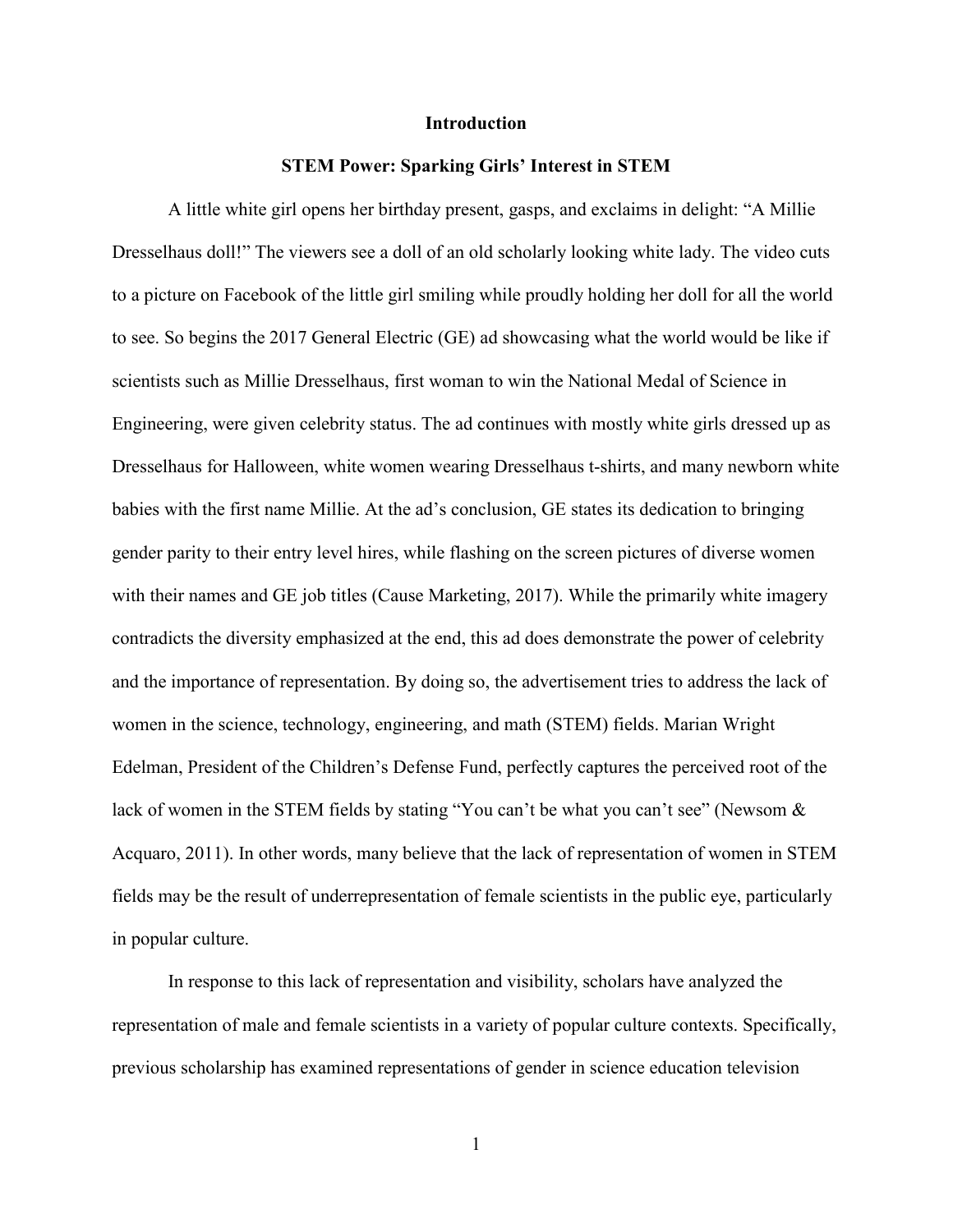#### **Introduction**

#### **STEM Power: Sparking Girls' Interest in STEM**

A little white girl opens her birthday present, gasps, and exclaims in delight: "A Millie Dresselhaus doll!" The viewers see a doll of an old scholarly looking white lady. The video cuts to a picture on Facebook of the little girl smiling while proudly holding her doll for all the world to see. So begins the 2017 General Electric (GE) ad showcasing what the world would be like if scientists such as Millie Dresselhaus, first woman to win the National Medal of Science in Engineering, were given celebrity status. The ad continues with mostly white girls dressed up as Dresselhaus for Halloween, white women wearing Dresselhaus t-shirts, and many newborn white babies with the first name Millie. At the ad's conclusion, GE states its dedication to bringing gender parity to their entry level hires, while flashing on the screen pictures of diverse women with their names and GE job titles (Cause Marketing, 2017). While the primarily white imagery contradicts the diversity emphasized at the end, this ad does demonstrate the power of celebrity and the importance of representation. By doing so, the advertisement tries to address the lack of women in the science, technology, engineering, and math (STEM) fields. Marian Wright Edelman, President of the Children's Defense Fund, perfectly captures the perceived root of the lack of women in the STEM fields by stating "You can't be what you can't see" (Newsom & Acquaro, 2011). In other words, many believe that the lack of representation of women in STEM fields may be the result of underrepresentation of female scientists in the public eye, particularly in popular culture.

In response to this lack of representation and visibility, scholars have analyzed the representation of male and female scientists in a variety of popular culture contexts. Specifically, previous scholarship has examined representations of gender in science education television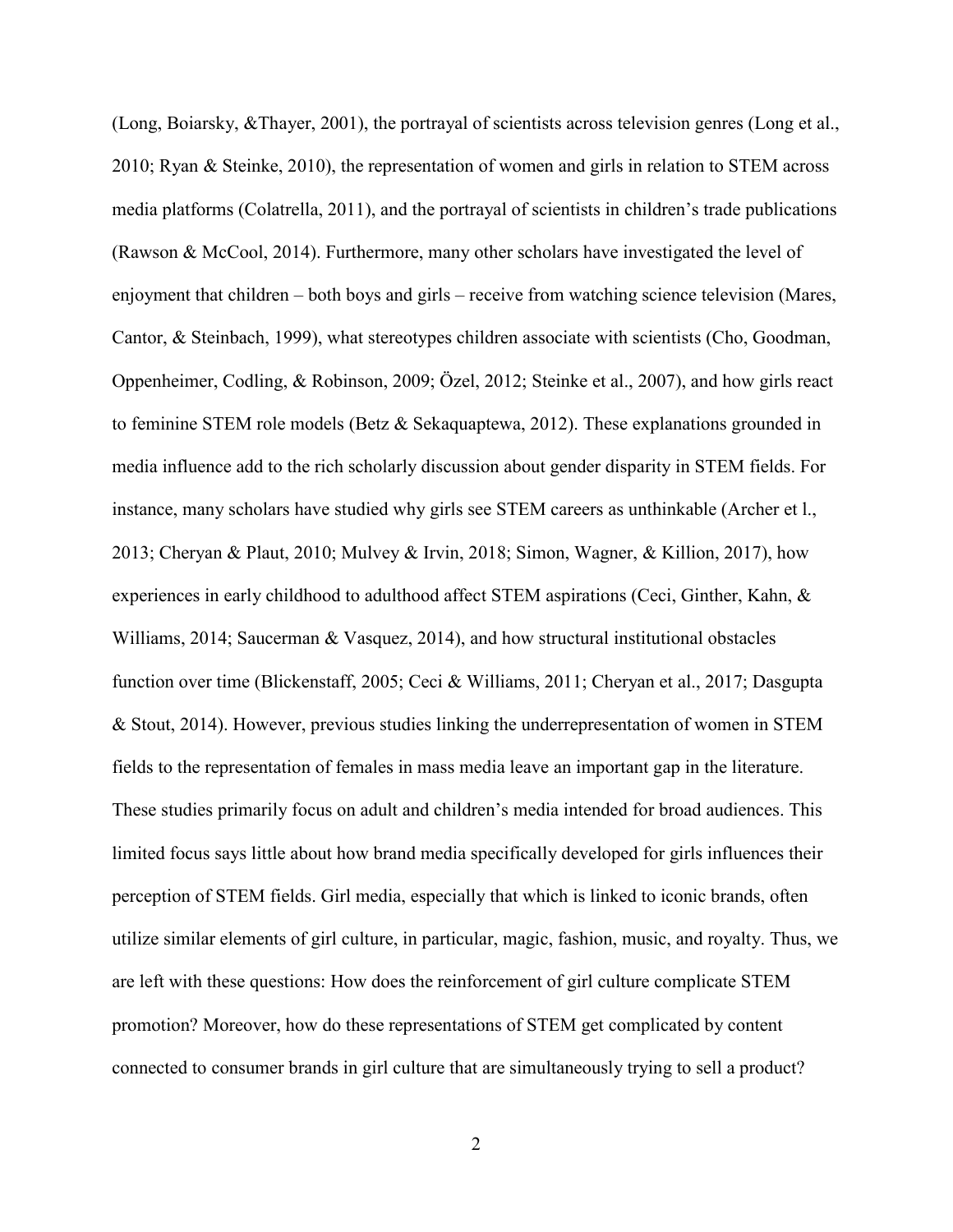(Long, Boiarsky, &Thayer, 2001), the portrayal of scientists across television genres (Long et al., 2010; Ryan & Steinke, 2010), the representation of women and girls in relation to STEM across media platforms (Colatrella, 2011), and the portrayal of scientists in children's trade publications (Rawson & McCool, 2014). Furthermore, many other scholars have investigated the level of enjoyment that children – both boys and girls – receive from watching science television (Mares, Cantor, & Steinbach, 1999), what stereotypes children associate with scientists (Cho, Goodman, Oppenheimer, Codling, & Robinson, 2009; Özel, 2012; Steinke et al., 2007), and how girls react to feminine STEM role models (Betz & Sekaquaptewa, 2012). These explanations grounded in media influence add to the rich scholarly discussion about gender disparity in STEM fields. For instance, many scholars have studied why girls see STEM careers as unthinkable (Archer et l., 2013; Cheryan & Plaut, 2010; Mulvey & Irvin, 2018; Simon, Wagner, & Killion, 2017), how experiences in early childhood to adulthood affect STEM aspirations (Ceci, Ginther, Kahn, & Williams, 2014; Saucerman & Vasquez, 2014), and how structural institutional obstacles function over time (Blickenstaff, 2005; Ceci & Williams, 2011; Cheryan et al., 2017; Dasgupta & Stout, 2014). However, previous studies linking the underrepresentation of women in STEM fields to the representation of females in mass media leave an important gap in the literature. These studies primarily focus on adult and children's media intended for broad audiences. This limited focus says little about how brand media specifically developed for girls influences their perception of STEM fields. Girl media, especially that which is linked to iconic brands, often utilize similar elements of girl culture, in particular, magic, fashion, music, and royalty. Thus, we are left with these questions: How does the reinforcement of girl culture complicate STEM promotion? Moreover, how do these representations of STEM get complicated by content connected to consumer brands in girl culture that are simultaneously trying to sell a product?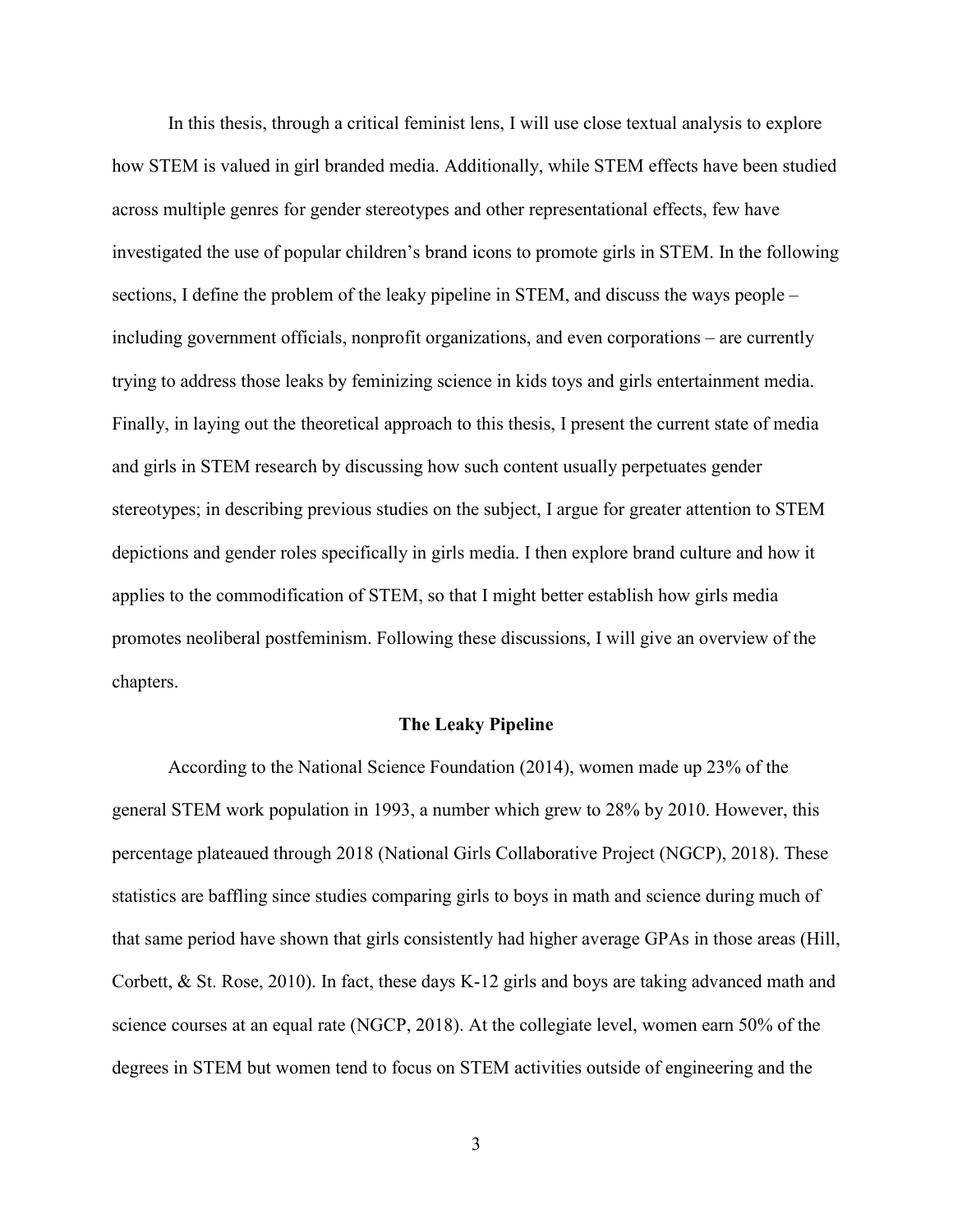In this thesis, through a critical feminist lens, I will use close textual analysis to explore how STEM is valued in girl branded media. Additionally, while STEM effects have been studied across multiple genres for gender stereotypes and other representational effects, few have investigated the use of popular children's brand icons to promote girls in STEM. In the following sections, I define the problem of the leaky pipeline in STEM, and discuss the ways people – including government officials, nonprofit organizations, and even corporations – are currently trying to address those leaks by feminizing science in kids toys and girls entertainment media. Finally, in laying out the theoretical approach to this thesis, I present the current state of media and girls in STEM research by discussing how such content usually perpetuates gender stereotypes; in describing previous studies on the subject, I argue for greater attention to STEM depictions and gender roles specifically in girls media. I then explore brand culture and how it applies to the commodification of STEM, so that I might better establish how girls media promotes neoliberal postfeminism. Following these discussions, I will give an overview of the chapters.

#### **The Leaky Pipeline**

According to the National Science Foundation (2014), women made up 23% of the general STEM work population in 1993, a number which grew to 28% by 2010. However, this percentage plateaued through 2018 (National Girls Collaborative Project (NGCP), 2018). These statistics are baffling since studies comparing girls to boys in math and science during much of that same period have shown that girls consistently had higher average GPAs in those areas (Hill, Corbett, & St. Rose, 2010). In fact, these days K-12 girls and boys are taking advanced math and science courses at an equal rate (NGCP, 2018). At the collegiate level, women earn 50% of the degrees in STEM but women tend to focus on STEM activities outside of engineering and the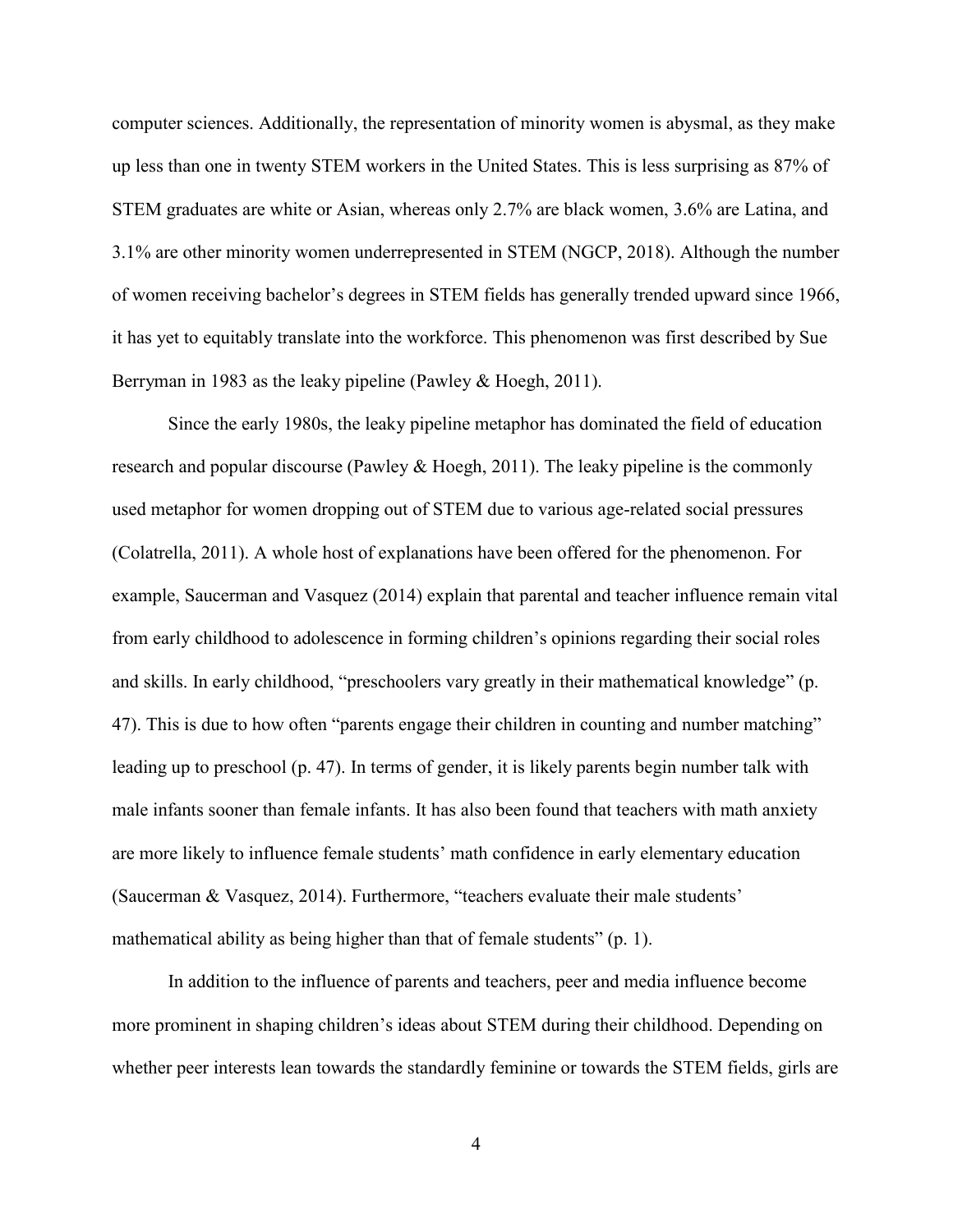computer sciences. Additionally, the representation of minority women is abysmal, as they make up less than one in twenty STEM workers in the United States. This is less surprising as 87% of STEM graduates are white or Asian, whereas only 2.7% are black women, 3.6% are Latina, and 3.1% are other minority women underrepresented in STEM (NGCP, 2018). Although the number of women receiving bachelor's degrees in STEM fields has generally trended upward since 1966, it has yet to equitably translate into the workforce. This phenomenon was first described by Sue Berryman in 1983 as the leaky pipeline (Pawley & Hoegh, 2011).

Since the early 1980s, the leaky pipeline metaphor has dominated the field of education research and popular discourse (Pawley & Hoegh, 2011). The leaky pipeline is the commonly used metaphor for women dropping out of STEM due to various age-related social pressures (Colatrella, 2011). A whole host of explanations have been offered for the phenomenon. For example, Saucerman and Vasquez (2014) explain that parental and teacher influence remain vital from early childhood to adolescence in forming children's opinions regarding their social roles and skills. In early childhood, "preschoolers vary greatly in their mathematical knowledge" (p. 47). This is due to how often "parents engage their children in counting and number matching" leading up to preschool (p. 47). In terms of gender, it is likely parents begin number talk with male infants sooner than female infants. It has also been found that teachers with math anxiety are more likely to influence female students' math confidence in early elementary education (Saucerman & Vasquez, 2014). Furthermore, "teachers evaluate their male students' mathematical ability as being higher than that of female students" (p. 1).

In addition to the influence of parents and teachers, peer and media influence become more prominent in shaping children's ideas about STEM during their childhood. Depending on whether peer interests lean towards the standardly feminine or towards the STEM fields, girls are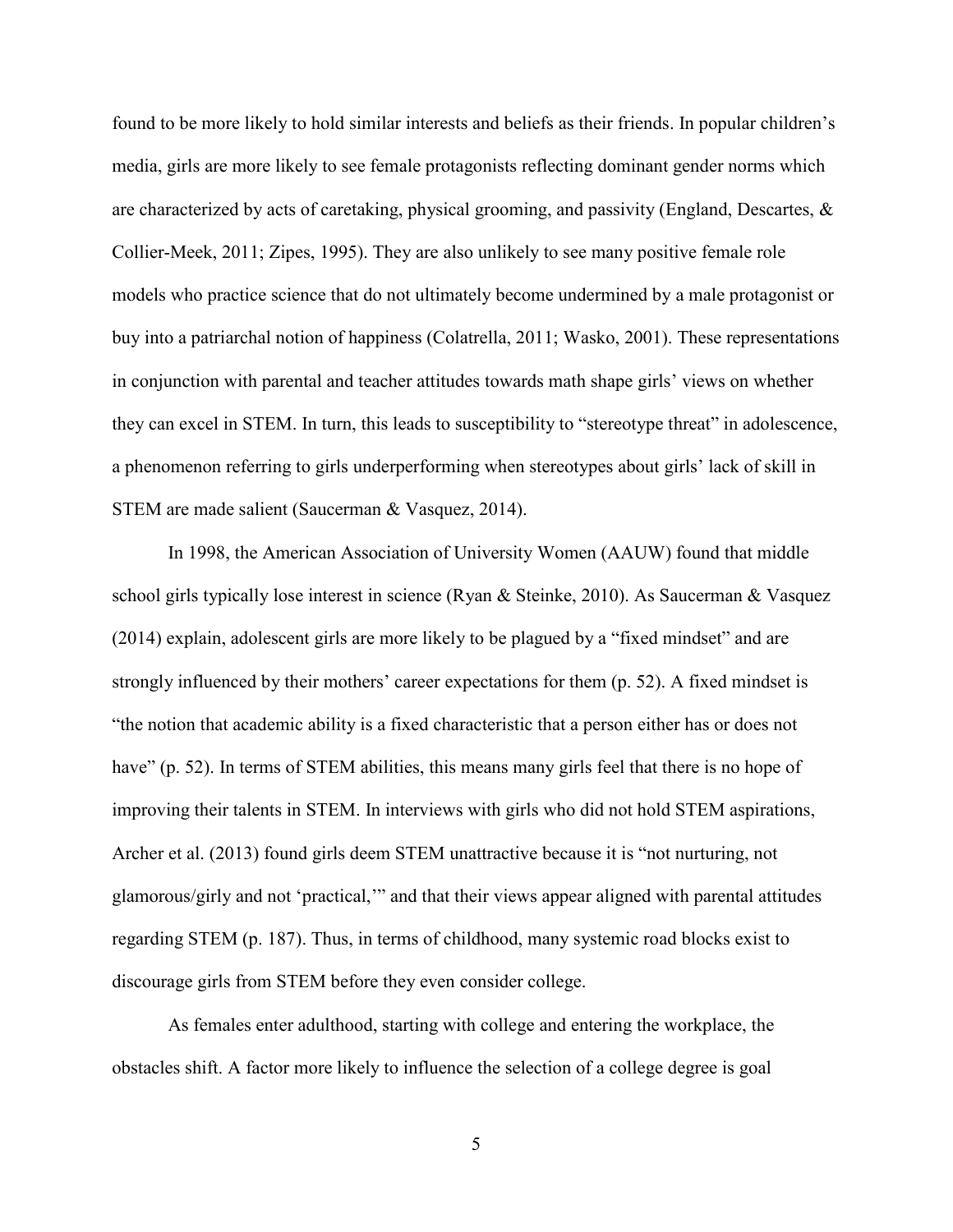found to be more likely to hold similar interests and beliefs as their friends. In popular children's media, girls are more likely to see female protagonists reflecting dominant gender norms which are characterized by acts of caretaking, physical grooming, and passivity (England, Descartes, & Collier-Meek, 2011; Zipes, 1995). They are also unlikely to see many positive female role models who practice science that do not ultimately become undermined by a male protagonist or buy into a patriarchal notion of happiness (Colatrella, 2011; Wasko, 2001). These representations in conjunction with parental and teacher attitudes towards math shape girls' views on whether they can excel in STEM. In turn, this leads to susceptibility to "stereotype threat" in adolescence, a phenomenon referring to girls underperforming when stereotypes about girls' lack of skill in STEM are made salient (Saucerman & Vasquez, 2014).

In 1998, the American Association of University Women (AAUW) found that middle school girls typically lose interest in science (Ryan & Steinke, 2010). As Saucerman & Vasquez (2014) explain, adolescent girls are more likely to be plagued by a "fixed mindset" and are strongly influenced by their mothers' career expectations for them (p. 52). A fixed mindset is "the notion that academic ability is a fixed characteristic that a person either has or does not have" (p. 52). In terms of STEM abilities, this means many girls feel that there is no hope of improving their talents in STEM. In interviews with girls who did not hold STEM aspirations, Archer et al. (2013) found girls deem STEM unattractive because it is "not nurturing, not glamorous/girly and not 'practical,'" and that their views appear aligned with parental attitudes regarding STEM (p. 187). Thus, in terms of childhood, many systemic road blocks exist to discourage girls from STEM before they even consider college.

As females enter adulthood, starting with college and entering the workplace, the obstacles shift. A factor more likely to influence the selection of a college degree is goal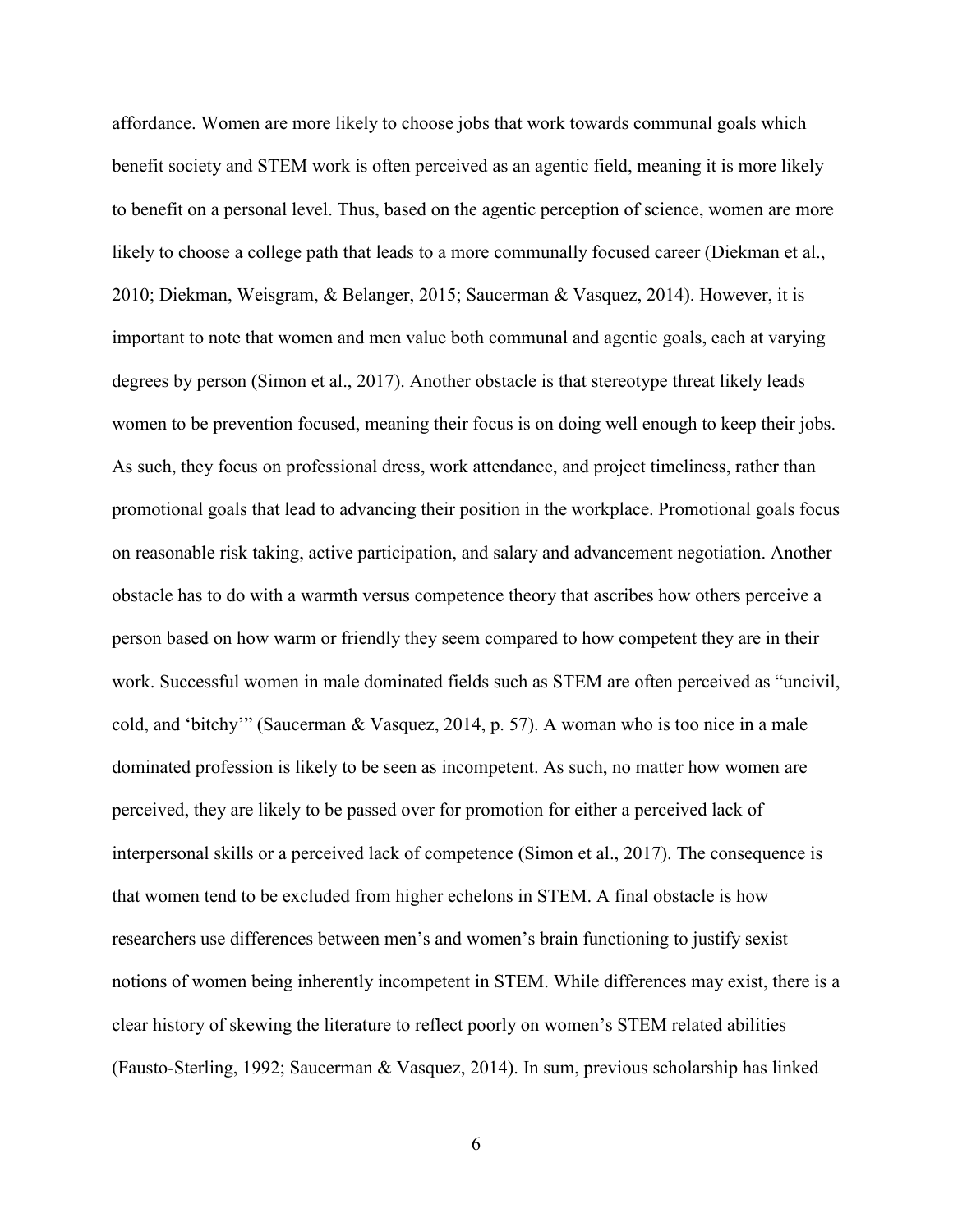affordance. Women are more likely to choose jobs that work towards communal goals which benefit society and STEM work is often perceived as an agentic field, meaning it is more likely to benefit on a personal level. Thus, based on the agentic perception of science, women are more likely to choose a college path that leads to a more communally focused career (Diekman et al., 2010; Diekman, Weisgram, & Belanger, 2015; Saucerman & Vasquez, 2014). However, it is important to note that women and men value both communal and agentic goals, each at varying degrees by person (Simon et al., 2017). Another obstacle is that stereotype threat likely leads women to be prevention focused, meaning their focus is on doing well enough to keep their jobs. As such, they focus on professional dress, work attendance, and project timeliness, rather than promotional goals that lead to advancing their position in the workplace. Promotional goals focus on reasonable risk taking, active participation, and salary and advancement negotiation. Another obstacle has to do with a warmth versus competence theory that ascribes how others perceive a person based on how warm or friendly they seem compared to how competent they are in their work. Successful women in male dominated fields such as STEM are often perceived as "uncivil, cold, and 'bitchy'" (Saucerman & Vasquez, 2014, p. 57). A woman who is too nice in a male dominated profession is likely to be seen as incompetent. As such, no matter how women are perceived, they are likely to be passed over for promotion for either a perceived lack of interpersonal skills or a perceived lack of competence (Simon et al., 2017). The consequence is that women tend to be excluded from higher echelons in STEM. A final obstacle is how researchers use differences between men's and women's brain functioning to justify sexist notions of women being inherently incompetent in STEM. While differences may exist, there is a clear history of skewing the literature to reflect poorly on women's STEM related abilities (Fausto-Sterling, 1992; Saucerman & Vasquez, 2014). In sum, previous scholarship has linked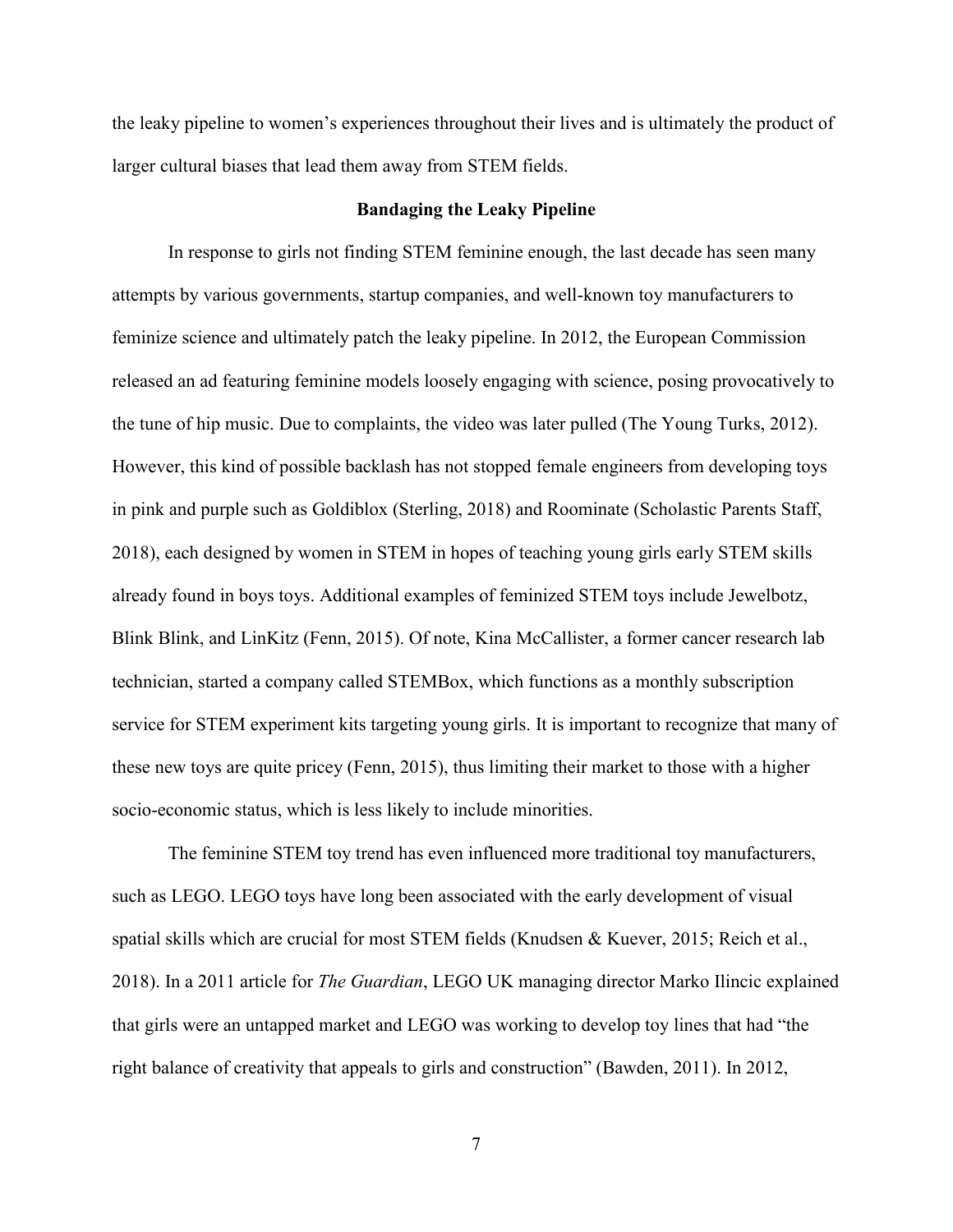the leaky pipeline to women's experiences throughout their lives and is ultimately the product of larger cultural biases that lead them away from STEM fields.

## **Bandaging the Leaky Pipeline**

In response to girls not finding STEM feminine enough, the last decade has seen many attempts by various governments, startup companies, and well-known toy manufacturers to feminize science and ultimately patch the leaky pipeline. In 2012, the European Commission released an ad featuring feminine models loosely engaging with science, posing provocatively to the tune of hip music. Due to complaints, the video was later pulled (The Young Turks, 2012). However, this kind of possible backlash has not stopped female engineers from developing toys in pink and purple such as Goldiblox (Sterling, 2018) and Roominate (Scholastic Parents Staff, 2018), each designed by women in STEM in hopes of teaching young girls early STEM skills already found in boys toys. Additional examples of feminized STEM toys include Jewelbotz, Blink Blink, and LinKitz (Fenn, 2015). Of note, Kina McCallister, a former cancer research lab technician, started a company called STEMBox, which functions as a monthly subscription service for STEM experiment kits targeting young girls. It is important to recognize that many of these new toys are quite pricey (Fenn, 2015), thus limiting their market to those with a higher socio-economic status, which is less likely to include minorities.

The feminine STEM toy trend has even influenced more traditional toy manufacturers, such as LEGO. LEGO toys have long been associated with the early development of visual spatial skills which are crucial for most STEM fields (Knudsen & Kuever, 2015; Reich et al., 2018). In a 2011 article for *The Guardian*, LEGO UK managing director Marko Ilincic explained that girls were an untapped market and LEGO was working to develop toy lines that had "the right balance of creativity that appeals to girls and construction" (Bawden, 2011). In 2012,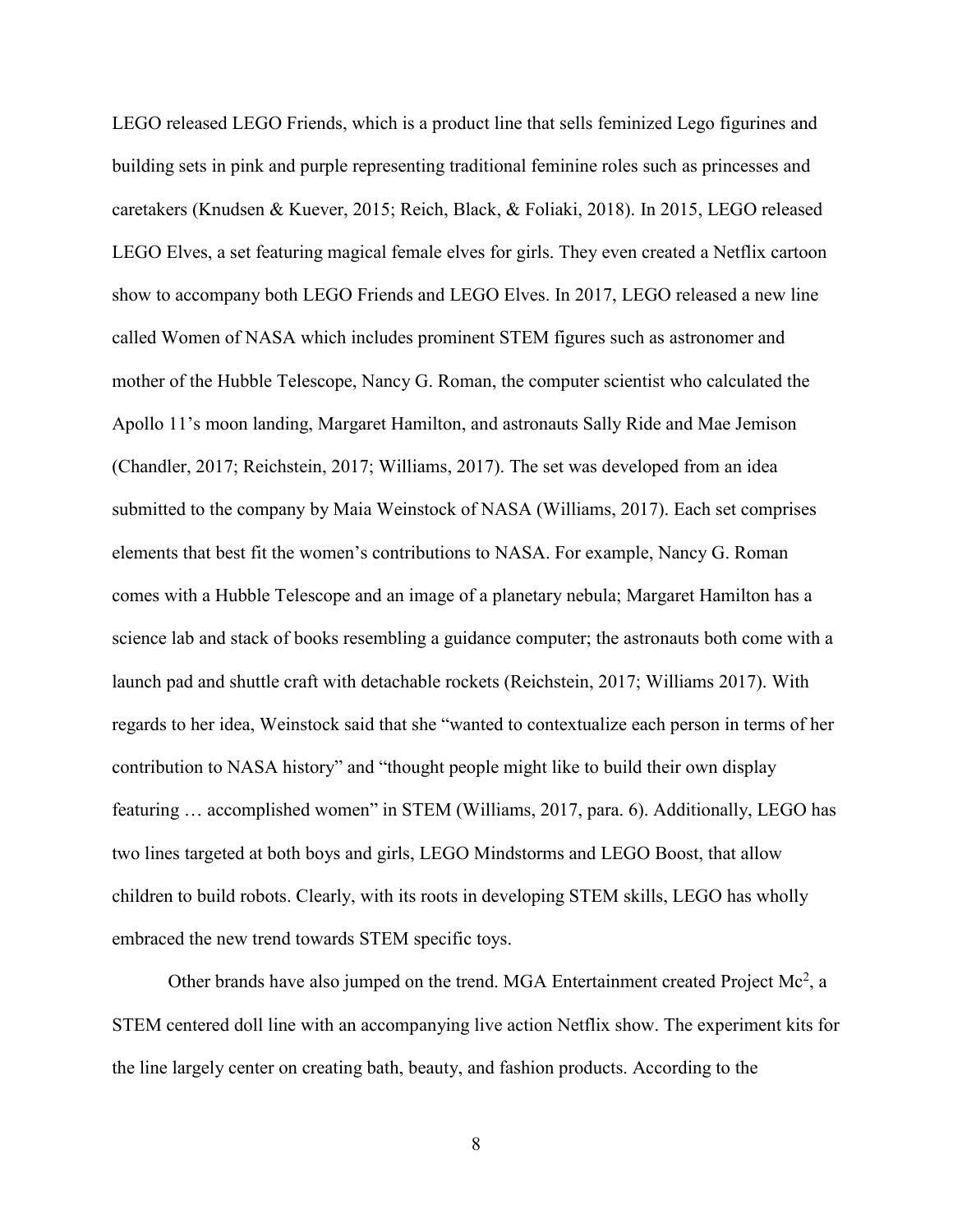LEGO released LEGO Friends, which is a product line that sells feminized Lego figurines and building sets in pink and purple representing traditional feminine roles such as princesses and caretakers (Knudsen & Kuever, 2015; Reich, Black, & Foliaki, 2018). In 2015, LEGO released LEGO Elves, a set featuring magical female elves for girls. They even created a Netflix cartoon show to accompany both LEGO Friends and LEGO Elves. In 2017, LEGO released a new line called Women of NASA which includes prominent STEM figures such as astronomer and mother of the Hubble Telescope, Nancy G. Roman, the computer scientist who calculated the Apollo 11's moon landing, Margaret Hamilton, and astronauts Sally Ride and Mae Jemison (Chandler, 2017; Reichstein, 2017; Williams, 2017). The set was developed from an idea submitted to the company by Maia Weinstock of NASA (Williams, 2017). Each set comprises elements that best fit the women's contributions to NASA. For example, Nancy G. Roman comes with a Hubble Telescope and an image of a planetary nebula; Margaret Hamilton has a science lab and stack of books resembling a guidance computer; the astronauts both come with a launch pad and shuttle craft with detachable rockets (Reichstein, 2017; Williams 2017). With regards to her idea, Weinstock said that she "wanted to contextualize each person in terms of her contribution to NASA history" and "thought people might like to build their own display featuring … accomplished women" in STEM (Williams, 2017, para. 6). Additionally, LEGO has two lines targeted at both boys and girls, LEGO Mindstorms and LEGO Boost, that allow children to build robots. Clearly, with its roots in developing STEM skills, LEGO has wholly embraced the new trend towards STEM specific toys.

Other brands have also jumped on the trend. MGA Entertainment created Project Mc<sup>2</sup>, a STEM centered doll line with an accompanying live action Netflix show. The experiment kits for the line largely center on creating bath, beauty, and fashion products. According to the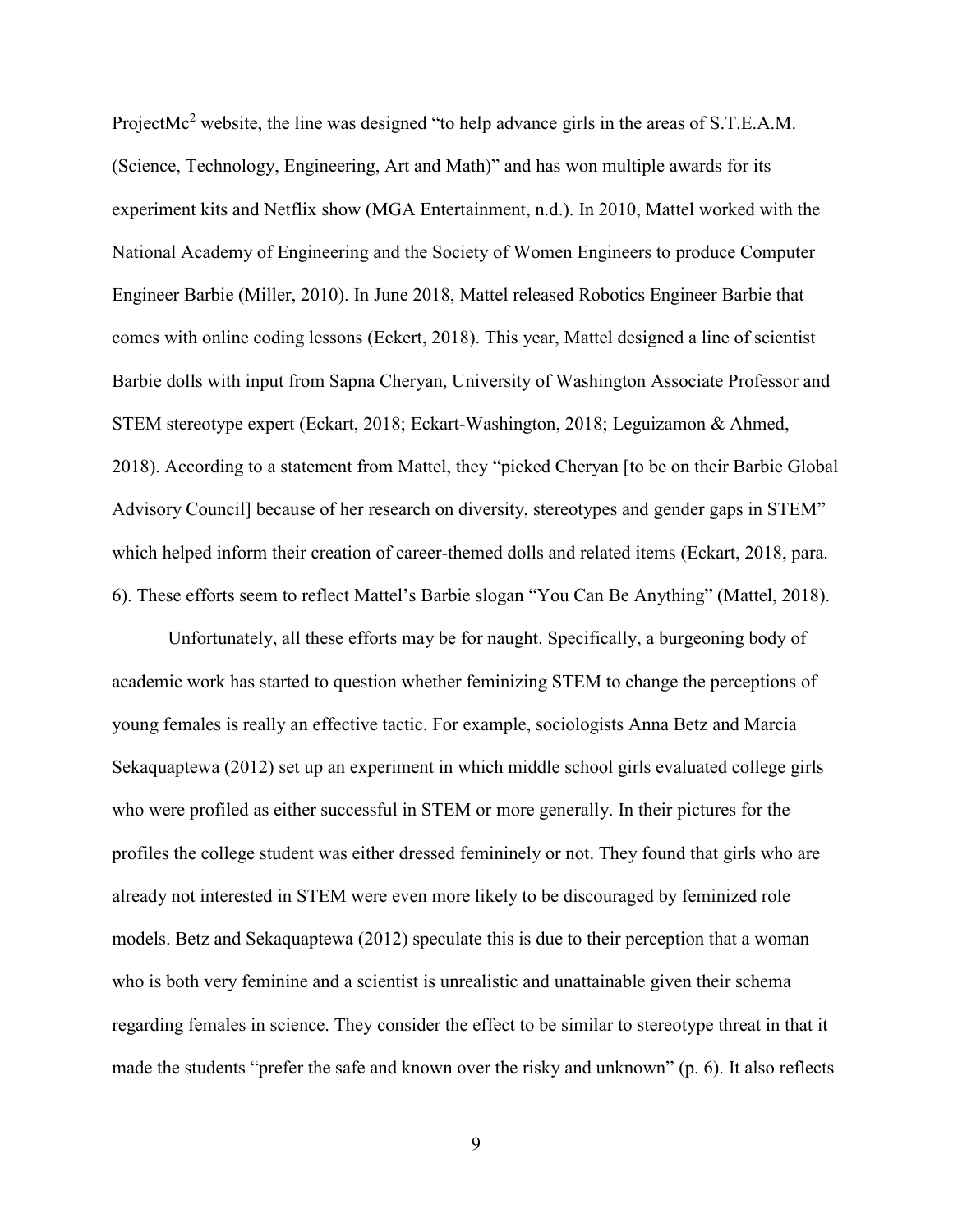ProjectMc<sup>2</sup> website, the line was designed "to help advance girls in the areas of S.T.E.A.M. (Science, Technology, Engineering, Art and Math)" and has won multiple awards for its experiment kits and Netflix show (MGA Entertainment, n.d.). In 2010, Mattel worked with the National Academy of Engineering and the Society of Women Engineers to produce Computer Engineer Barbie (Miller, 2010). In June 2018, Mattel released Robotics Engineer Barbie that comes with online coding lessons (Eckert, 2018). This year, Mattel designed a line of scientist Barbie dolls with input from Sapna Cheryan, University of Washington Associate Professor and STEM stereotype expert (Eckart, 2018; Eckart-Washington, 2018; Leguizamon & Ahmed, 2018). According to a statement from Mattel, they "picked Cheryan [to be on their Barbie Global Advisory Council] because of her research on diversity, stereotypes and gender gaps in STEM" which helped inform their creation of career-themed dolls and related items (Eckart, 2018, para. 6). These efforts seem to reflect Mattel's Barbie slogan "You Can Be Anything" (Mattel, 2018).

Unfortunately, all these efforts may be for naught. Specifically, a burgeoning body of academic work has started to question whether feminizing STEM to change the perceptions of young females is really an effective tactic. For example, sociologists Anna Betz and Marcia Sekaquaptewa (2012) set up an experiment in which middle school girls evaluated college girls who were profiled as either successful in STEM or more generally. In their pictures for the profiles the college student was either dressed femininely or not. They found that girls who are already not interested in STEM were even more likely to be discouraged by feminized role models. Betz and Sekaquaptewa (2012) speculate this is due to their perception that a woman who is both very feminine and a scientist is unrealistic and unattainable given their schema regarding females in science. They consider the effect to be similar to stereotype threat in that it made the students "prefer the safe and known over the risky and unknown" (p. 6). It also reflects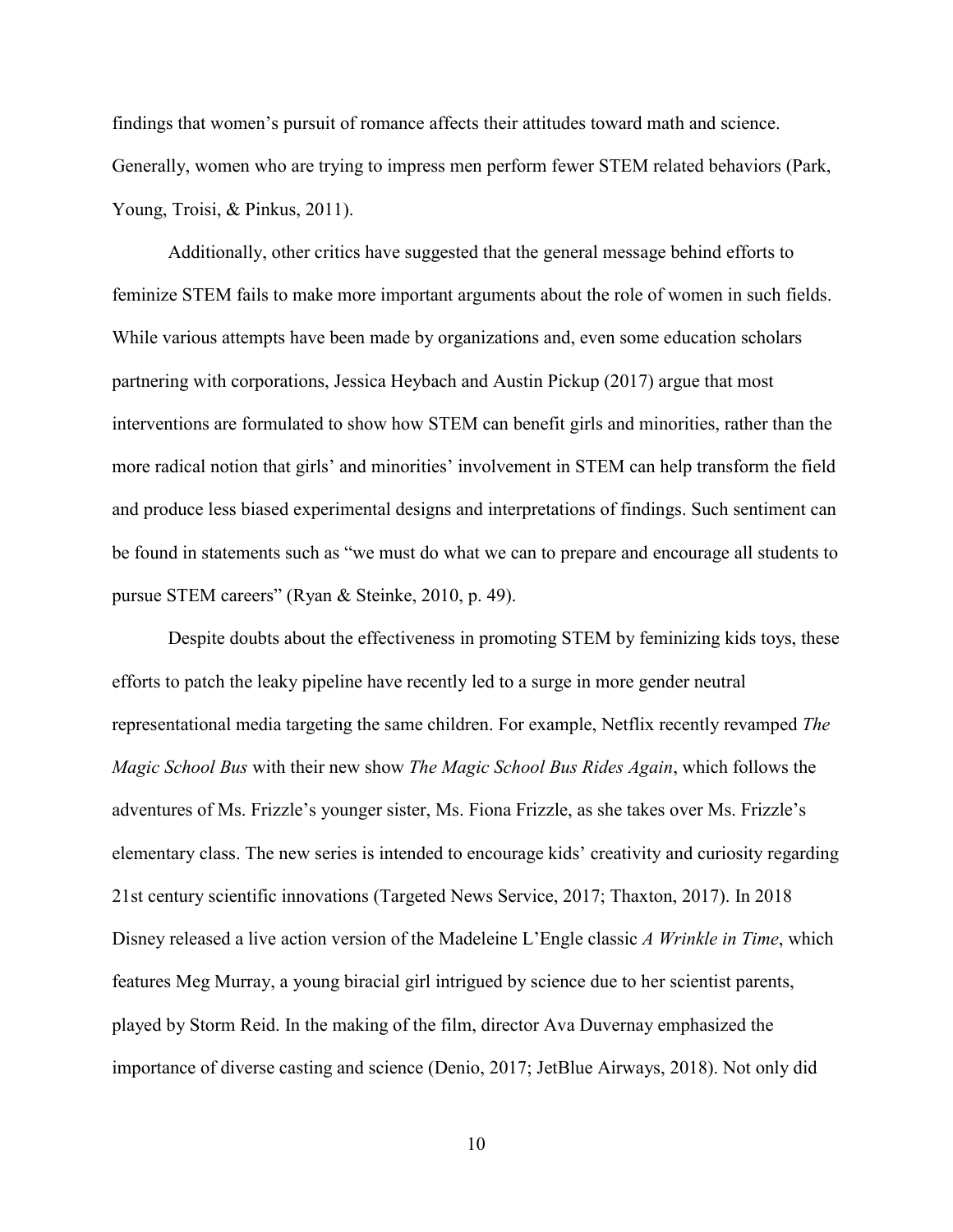findings that women's pursuit of romance affects their attitudes toward math and science. Generally, women who are trying to impress men perform fewer STEM related behaviors (Park, Young, Troisi, & Pinkus, 2011).

Additionally, other critics have suggested that the general message behind efforts to feminize STEM fails to make more important arguments about the role of women in such fields. While various attempts have been made by organizations and, even some education scholars partnering with corporations, Jessica Heybach and Austin Pickup (2017) argue that most interventions are formulated to show how STEM can benefit girls and minorities, rather than the more radical notion that girls' and minorities' involvement in STEM can help transform the field and produce less biased experimental designs and interpretations of findings. Such sentiment can be found in statements such as "we must do what we can to prepare and encourage all students to pursue STEM careers" (Ryan & Steinke, 2010, p. 49).

Despite doubts about the effectiveness in promoting STEM by feminizing kids toys, these efforts to patch the leaky pipeline have recently led to a surge in more gender neutral representational media targeting the same children. For example, Netflix recently revamped *The Magic School Bus* with their new show *The Magic School Bus Rides Again*, which follows the adventures of Ms. Frizzle's younger sister, Ms. Fiona Frizzle, as she takes over Ms. Frizzle's elementary class. The new series is intended to encourage kids' creativity and curiosity regarding 21st century scientific innovations (Targeted News Service, 2017; Thaxton, 2017). In 2018 Disney released a live action version of the Madeleine L'Engle classic *A Wrinkle in Time*, which features Meg Murray, a young biracial girl intrigued by science due to her scientist parents, played by Storm Reid. In the making of the film, director Ava Duvernay emphasized the importance of diverse casting and science (Denio, 2017; JetBlue Airways, 2018). Not only did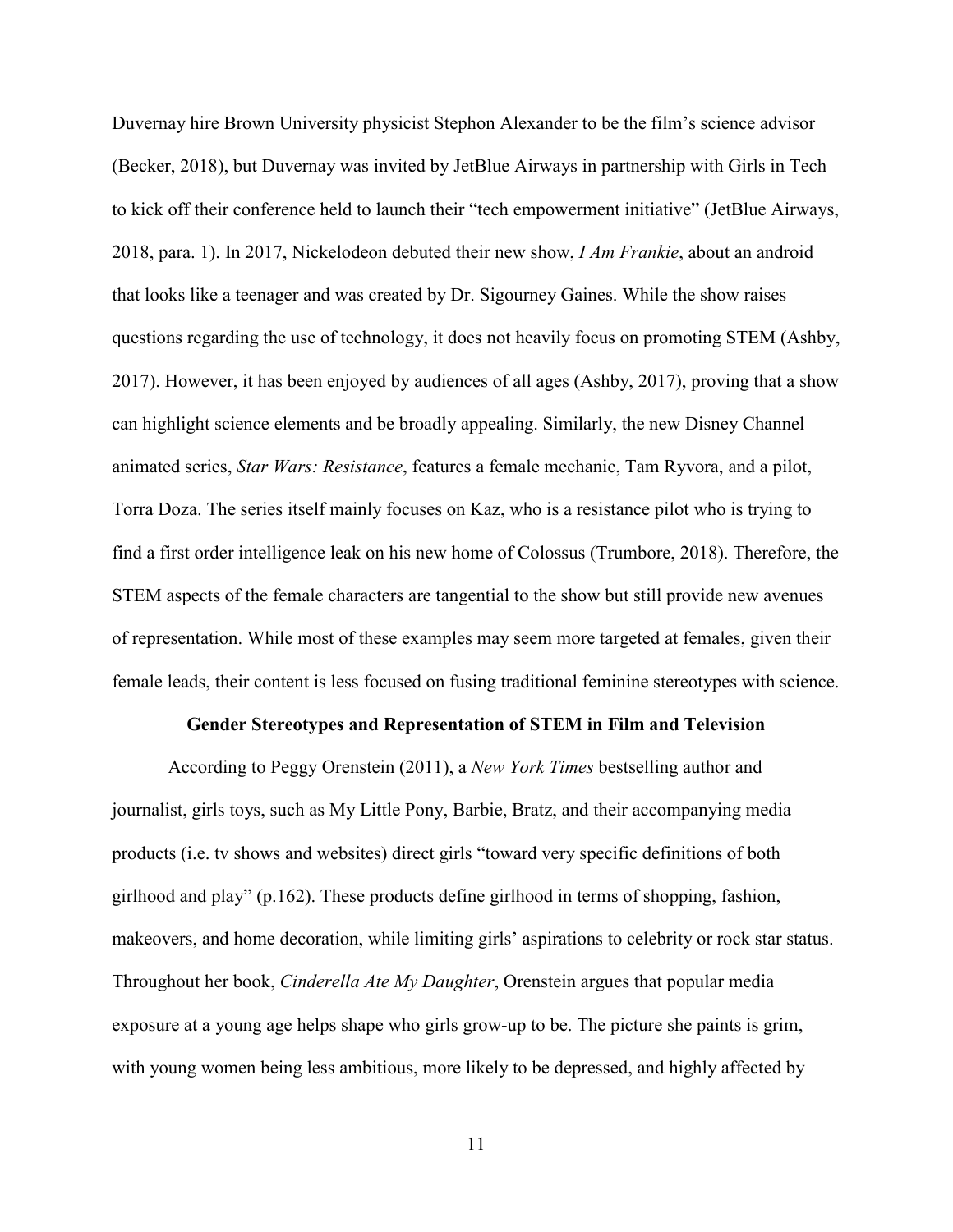Duvernay hire Brown University physicist Stephon Alexander to be the film's science advisor (Becker, 2018), but Duvernay was invited by JetBlue Airways in partnership with Girls in Tech to kick off their conference held to launch their "tech empowerment initiative" (JetBlue Airways, 2018, para. 1). In 2017, Nickelodeon debuted their new show, *I Am Frankie*, about an android that looks like a teenager and was created by Dr. Sigourney Gaines. While the show raises questions regarding the use of technology, it does not heavily focus on promoting STEM (Ashby, 2017). However, it has been enjoyed by audiences of all ages (Ashby, 2017), proving that a show can highlight science elements and be broadly appealing. Similarly, the new Disney Channel animated series, *Star Wars: Resistance*, features a female mechanic, Tam Ryvora, and a pilot, Torra Doza. The series itself mainly focuses on Kaz, who is a resistance pilot who is trying to find a first order intelligence leak on his new home of Colossus (Trumbore, 2018). Therefore, the STEM aspects of the female characters are tangential to the show but still provide new avenues of representation. While most of these examples may seem more targeted at females, given their female leads, their content is less focused on fusing traditional feminine stereotypes with science.

#### **Gender Stereotypes and Representation of STEM in Film and Television**

According to Peggy Orenstein (2011), a *New York Times* bestselling author and journalist, girls toys, such as My Little Pony, Barbie, Bratz, and their accompanying media products (i.e. tv shows and websites) direct girls "toward very specific definitions of both girlhood and play" (p.162). These products define girlhood in terms of shopping, fashion, makeovers, and home decoration, while limiting girls' aspirations to celebrity or rock star status. Throughout her book, *Cinderella Ate My Daughter*, Orenstein argues that popular media exposure at a young age helps shape who girls grow-up to be. The picture she paints is grim, with young women being less ambitious, more likely to be depressed, and highly affected by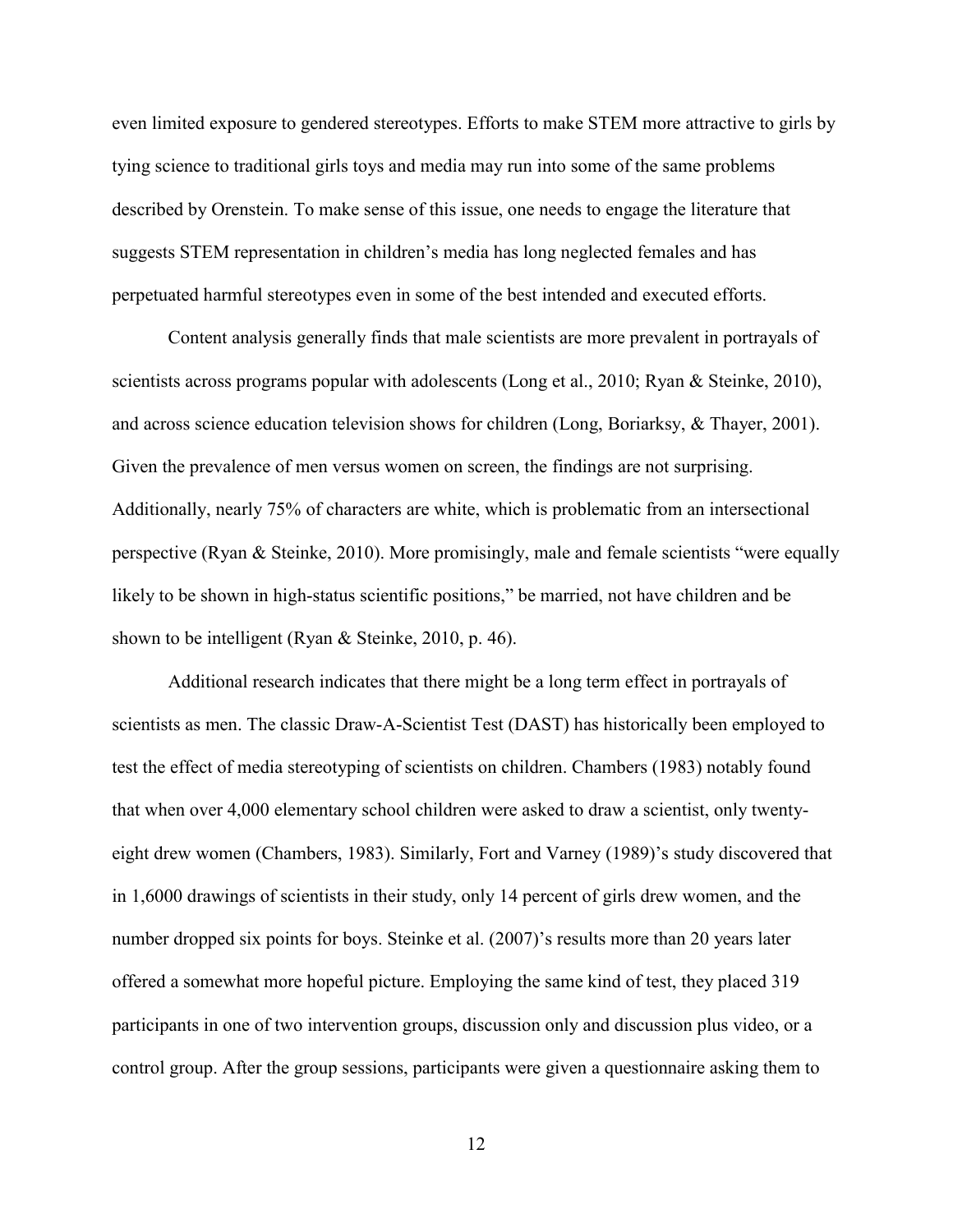even limited exposure to gendered stereotypes. Efforts to make STEM more attractive to girls by tying science to traditional girls toys and media may run into some of the same problems described by Orenstein. To make sense of this issue, one needs to engage the literature that suggests STEM representation in children's media has long neglected females and has perpetuated harmful stereotypes even in some of the best intended and executed efforts.

Content analysis generally finds that male scientists are more prevalent in portrayals of scientists across programs popular with adolescents (Long et al., 2010; Ryan & Steinke, 2010), and across science education television shows for children (Long, Boriarksy, & Thayer, 2001). Given the prevalence of men versus women on screen, the findings are not surprising. Additionally, nearly 75% of characters are white, which is problematic from an intersectional perspective (Ryan & Steinke, 2010). More promisingly, male and female scientists "were equally likely to be shown in high-status scientific positions," be married, not have children and be shown to be intelligent (Ryan & Steinke, 2010, p. 46).

Additional research indicates that there might be a long term effect in portrayals of scientists as men. The classic Draw-A-Scientist Test (DAST) has historically been employed to test the effect of media stereotyping of scientists on children. Chambers (1983) notably found that when over 4,000 elementary school children were asked to draw a scientist, only twentyeight drew women (Chambers, 1983). Similarly, Fort and Varney (1989)'s study discovered that in 1,6000 drawings of scientists in their study, only 14 percent of girls drew women, and the number dropped six points for boys. Steinke et al. (2007)'s results more than 20 years later offered a somewhat more hopeful picture. Employing the same kind of test, they placed 319 participants in one of two intervention groups, discussion only and discussion plus video, or a control group. After the group sessions, participants were given a questionnaire asking them to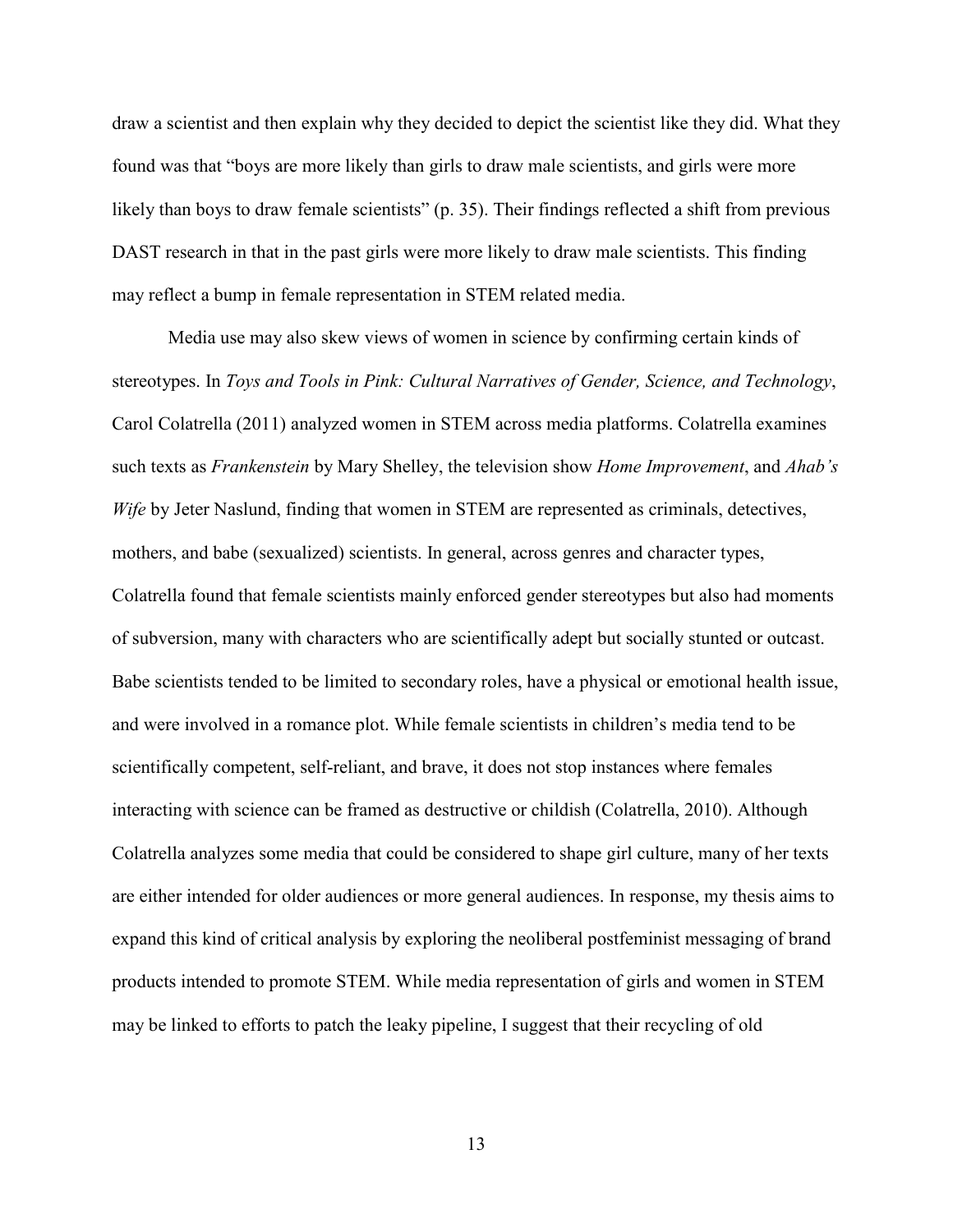draw a scientist and then explain why they decided to depict the scientist like they did. What they found was that "boys are more likely than girls to draw male scientists, and girls were more likely than boys to draw female scientists" (p. 35). Their findings reflected a shift from previous DAST research in that in the past girls were more likely to draw male scientists. This finding may reflect a bump in female representation in STEM related media.

Media use may also skew views of women in science by confirming certain kinds of stereotypes. In *Toys and Tools in Pink: Cultural Narratives of Gender, Science, and Technology*, Carol Colatrella (2011) analyzed women in STEM across media platforms. Colatrella examines such texts as *Frankenstein* by Mary Shelley, the television show *Home Improvement*, and *Ahab's Wife* by Jeter Naslund, finding that women in STEM are represented as criminals, detectives, mothers, and babe (sexualized) scientists. In general, across genres and character types, Colatrella found that female scientists mainly enforced gender stereotypes but also had moments of subversion, many with characters who are scientifically adept but socially stunted or outcast. Babe scientists tended to be limited to secondary roles, have a physical or emotional health issue, and were involved in a romance plot. While female scientists in children's media tend to be scientifically competent, self-reliant, and brave, it does not stop instances where females interacting with science can be framed as destructive or childish (Colatrella, 2010). Although Colatrella analyzes some media that could be considered to shape girl culture, many of her texts are either intended for older audiences or more general audiences. In response, my thesis aims to expand this kind of critical analysis by exploring the neoliberal postfeminist messaging of brand products intended to promote STEM. While media representation of girls and women in STEM may be linked to efforts to patch the leaky pipeline, I suggest that their recycling of old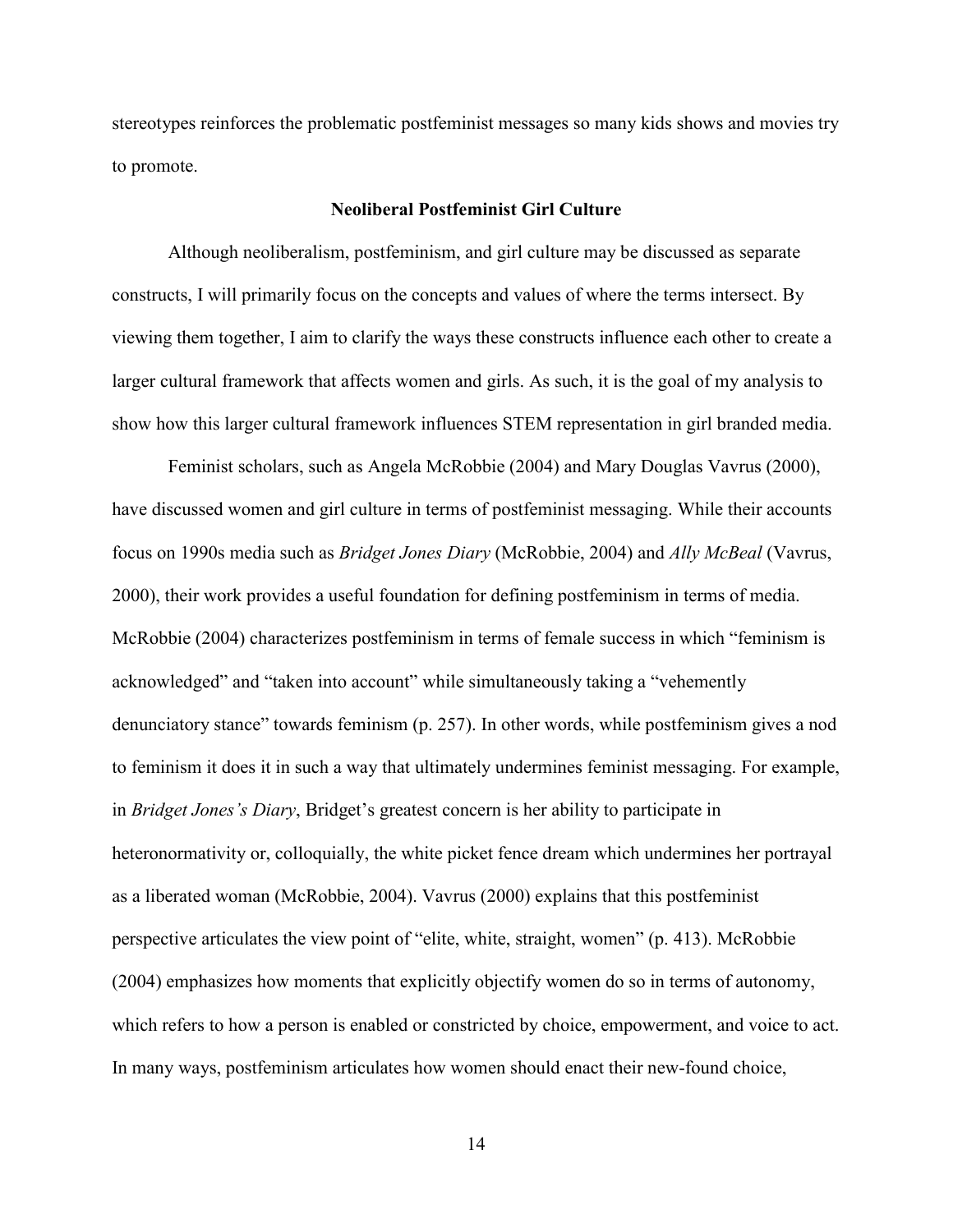stereotypes reinforces the problematic postfeminist messages so many kids shows and movies try to promote.

# **Neoliberal Postfeminist Girl Culture**

Although neoliberalism, postfeminism, and girl culture may be discussed as separate constructs, I will primarily focus on the concepts and values of where the terms intersect. By viewing them together, I aim to clarify the ways these constructs influence each other to create a larger cultural framework that affects women and girls. As such, it is the goal of my analysis to show how this larger cultural framework influences STEM representation in girl branded media.

Feminist scholars, such as Angela McRobbie (2004) and Mary Douglas Vavrus (2000), have discussed women and girl culture in terms of postfeminist messaging. While their accounts focus on 1990s media such as *Bridget Jones Diary* (McRobbie, 2004) and *Ally McBeal* (Vavrus, 2000), their work provides a useful foundation for defining postfeminism in terms of media. McRobbie (2004) characterizes postfeminism in terms of female success in which "feminism is acknowledged" and "taken into account" while simultaneously taking a "vehemently denunciatory stance" towards feminism (p. 257). In other words, while postfeminism gives a nod to feminism it does it in such a way that ultimately undermines feminist messaging. For example, in *Bridget Jones's Diary*, Bridget's greatest concern is her ability to participate in heteronormativity or, colloquially, the white picket fence dream which undermines her portrayal as a liberated woman (McRobbie, 2004). Vavrus (2000) explains that this postfeminist perspective articulates the view point of "elite, white, straight, women" (p. 413). McRobbie (2004) emphasizes how moments that explicitly objectify women do so in terms of autonomy, which refers to how a person is enabled or constricted by choice, empowerment, and voice to act. In many ways, postfeminism articulates how women should enact their new-found choice,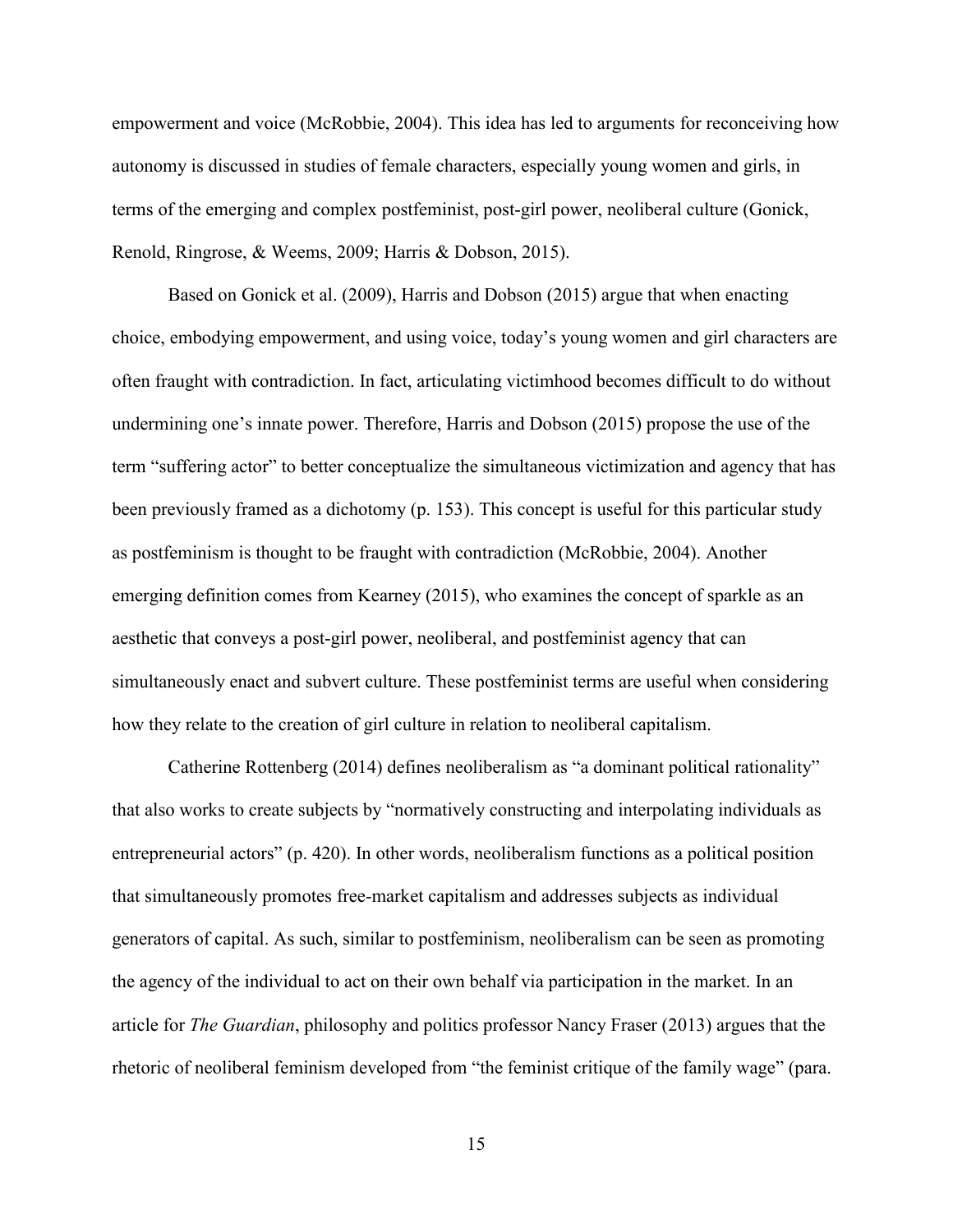empowerment and voice (McRobbie, 2004). This idea has led to arguments for reconceiving how autonomy is discussed in studies of female characters, especially young women and girls, in terms of the emerging and complex postfeminist, post-girl power, neoliberal culture (Gonick, Renold, Ringrose, & Weems, 2009; Harris & Dobson, 2015).

Based on Gonick et al. (2009), Harris and Dobson (2015) argue that when enacting choice, embodying empowerment, and using voice, today's young women and girl characters are often fraught with contradiction. In fact, articulating victimhood becomes difficult to do without undermining one's innate power. Therefore, Harris and Dobson (2015) propose the use of the term "suffering actor" to better conceptualize the simultaneous victimization and agency that has been previously framed as a dichotomy (p. 153). This concept is useful for this particular study as postfeminism is thought to be fraught with contradiction (McRobbie, 2004). Another emerging definition comes from Kearney (2015), who examines the concept of sparkle as an aesthetic that conveys a post-girl power, neoliberal, and postfeminist agency that can simultaneously enact and subvert culture. These postfeminist terms are useful when considering how they relate to the creation of girl culture in relation to neoliberal capitalism.

Catherine Rottenberg (2014) defines neoliberalism as "a dominant political rationality" that also works to create subjects by "normatively constructing and interpolating individuals as entrepreneurial actors" (p. 420). In other words, neoliberalism functions as a political position that simultaneously promotes free-market capitalism and addresses subjects as individual generators of capital. As such, similar to postfeminism, neoliberalism can be seen as promoting the agency of the individual to act on their own behalf via participation in the market. In an article for *The Guardian*, philosophy and politics professor Nancy Fraser (2013) argues that the rhetoric of neoliberal feminism developed from "the feminist critique of the family wage" (para.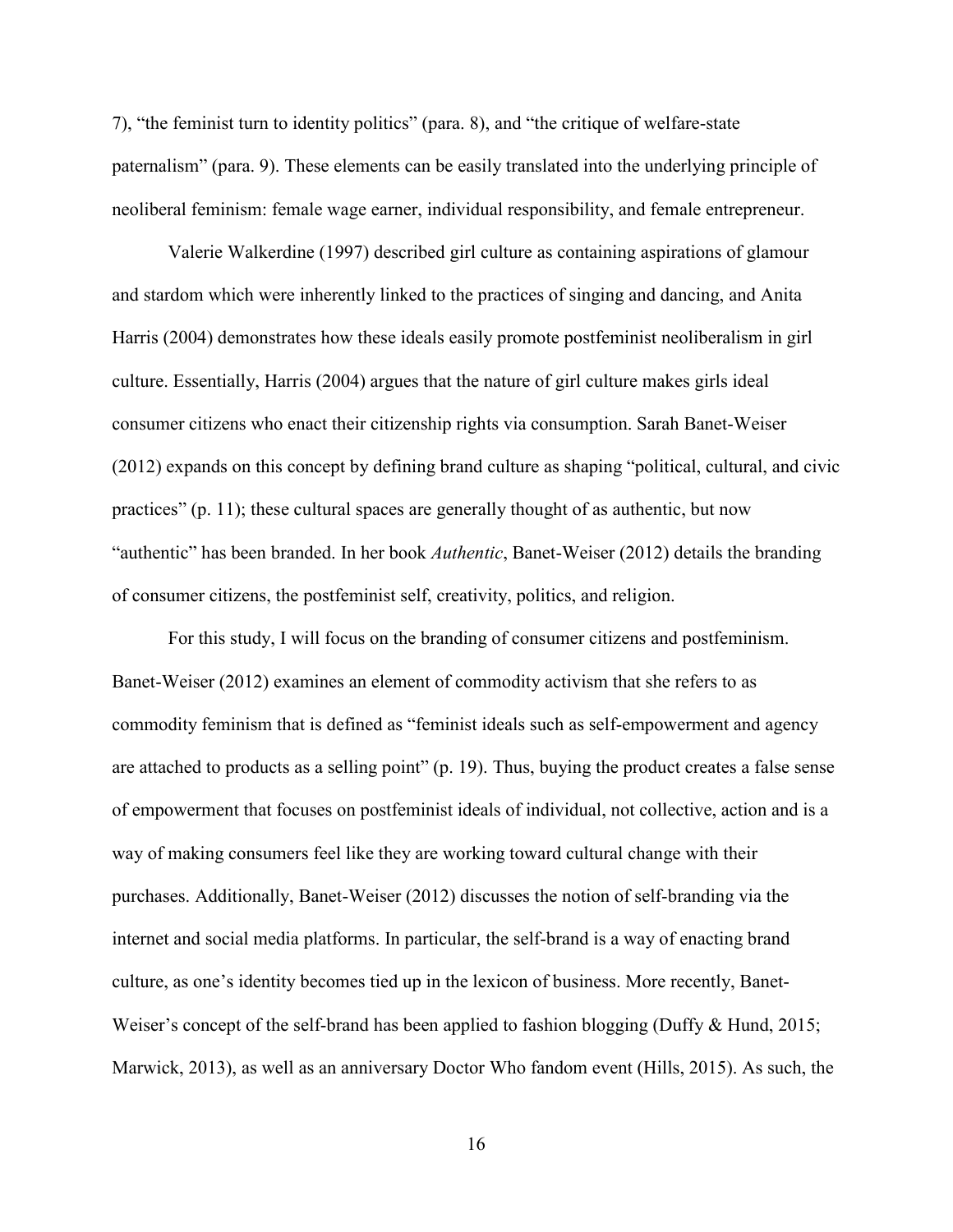7), "the feminist turn to identity politics" (para. 8), and "the critique of welfare-state paternalism" (para. 9). These elements can be easily translated into the underlying principle of neoliberal feminism: female wage earner, individual responsibility, and female entrepreneur.

Valerie Walkerdine (1997) described girl culture as containing aspirations of glamour and stardom which were inherently linked to the practices of singing and dancing, and Anita Harris (2004) demonstrates how these ideals easily promote postfeminist neoliberalism in girl culture. Essentially, Harris (2004) argues that the nature of girl culture makes girls ideal consumer citizens who enact their citizenship rights via consumption. Sarah Banet-Weiser (2012) expands on this concept by defining brand culture as shaping "political, cultural, and civic practices" (p. 11); these cultural spaces are generally thought of as authentic, but now "authentic" has been branded. In her book *Authentic*, Banet-Weiser (2012) details the branding of consumer citizens, the postfeminist self, creativity, politics, and religion.

For this study, I will focus on the branding of consumer citizens and postfeminism. Banet-Weiser (2012) examines an element of commodity activism that she refers to as commodity feminism that is defined as "feminist ideals such as self-empowerment and agency are attached to products as a selling point" (p. 19). Thus, buying the product creates a false sense of empowerment that focuses on postfeminist ideals of individual, not collective, action and is a way of making consumers feel like they are working toward cultural change with their purchases. Additionally, Banet-Weiser (2012) discusses the notion of self-branding via the internet and social media platforms. In particular, the self-brand is a way of enacting brand culture, as one's identity becomes tied up in the lexicon of business. More recently, Banet-Weiser's concept of the self-brand has been applied to fashion blogging (Duffy & Hund, 2015; Marwick, 2013), as well as an anniversary Doctor Who fandom event (Hills, 2015). As such, the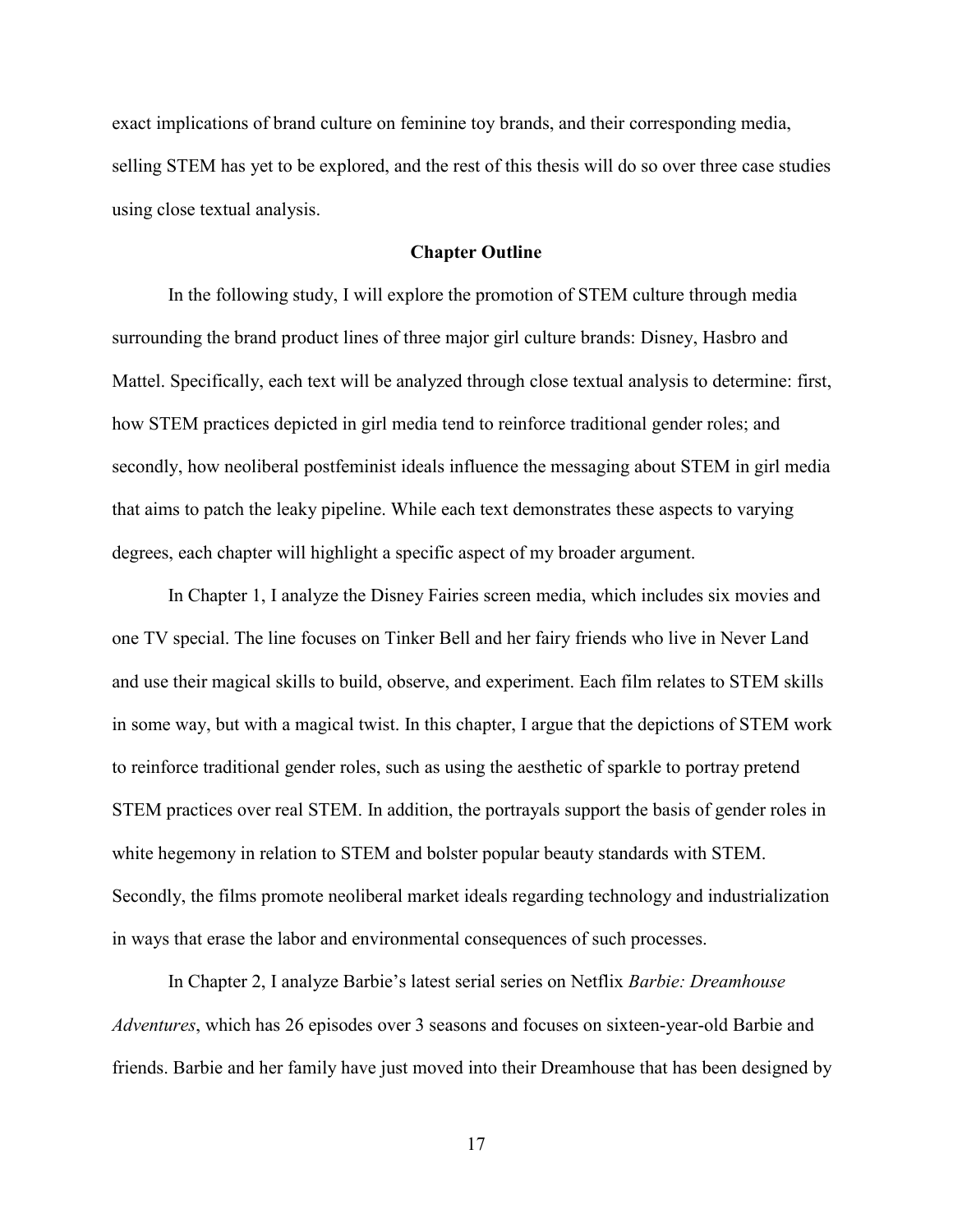exact implications of brand culture on feminine toy brands, and their corresponding media, selling STEM has yet to be explored, and the rest of this thesis will do so over three case studies using close textual analysis.

# **Chapter Outline**

In the following study, I will explore the promotion of STEM culture through media surrounding the brand product lines of three major girl culture brands: Disney, Hasbro and Mattel. Specifically, each text will be analyzed through close textual analysis to determine: first, how STEM practices depicted in girl media tend to reinforce traditional gender roles; and secondly, how neoliberal postfeminist ideals influence the messaging about STEM in girl media that aims to patch the leaky pipeline. While each text demonstrates these aspects to varying degrees, each chapter will highlight a specific aspect of my broader argument.

In Chapter 1, I analyze the Disney Fairies screen media, which includes six movies and one TV special. The line focuses on Tinker Bell and her fairy friends who live in Never Land and use their magical skills to build, observe, and experiment. Each film relates to STEM skills in some way, but with a magical twist. In this chapter, I argue that the depictions of STEM work to reinforce traditional gender roles, such as using the aesthetic of sparkle to portray pretend STEM practices over real STEM. In addition, the portrayals support the basis of gender roles in white hegemony in relation to STEM and bolster popular beauty standards with STEM. Secondly, the films promote neoliberal market ideals regarding technology and industrialization in ways that erase the labor and environmental consequences of such processes.

In Chapter 2, I analyze Barbie's latest serial series on Netflix *Barbie: Dreamhouse Adventures*, which has 26 episodes over 3 seasons and focuses on sixteen-year-old Barbie and friends. Barbie and her family have just moved into their Dreamhouse that has been designed by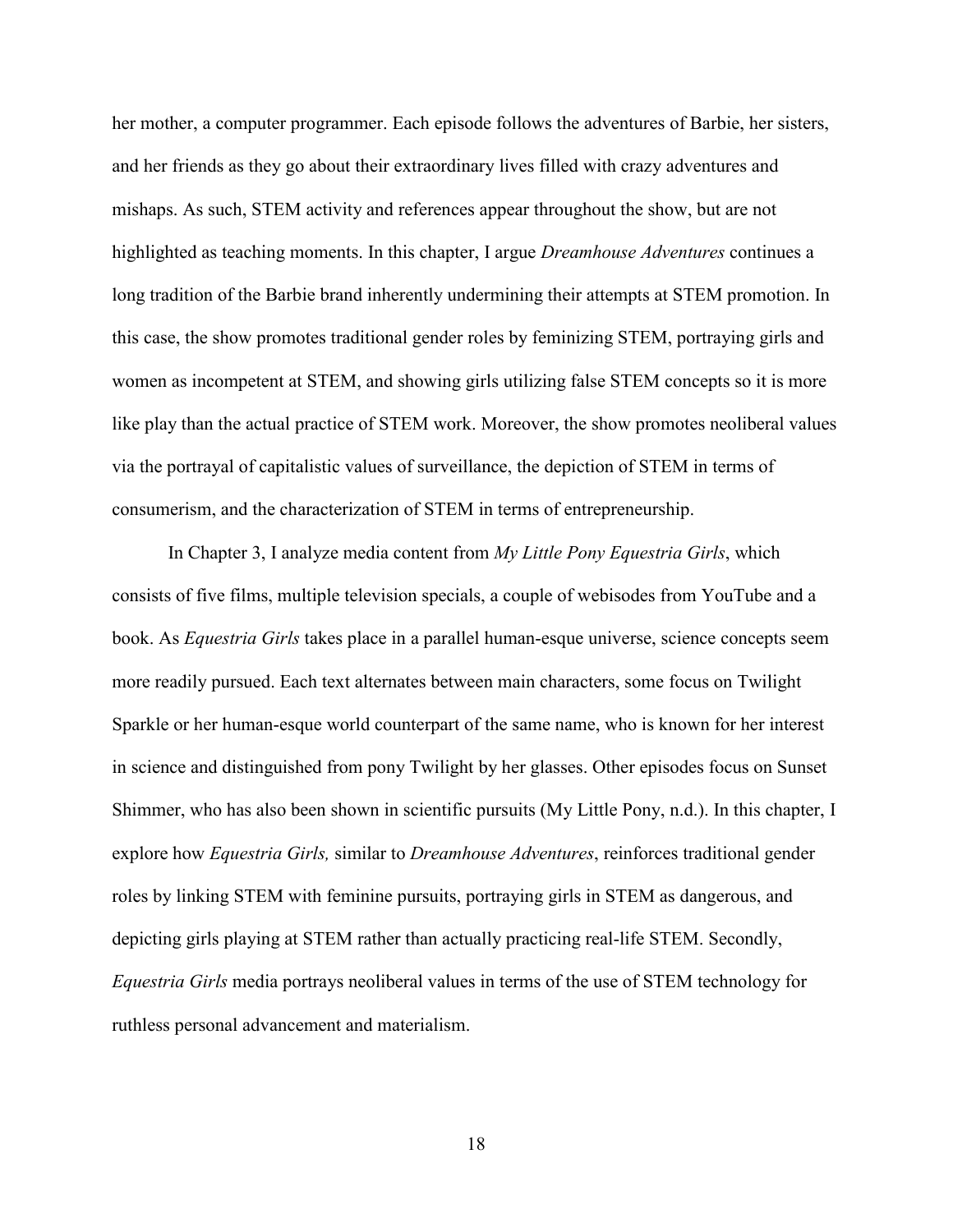her mother, a computer programmer. Each episode follows the adventures of Barbie, her sisters, and her friends as they go about their extraordinary lives filled with crazy adventures and mishaps. As such, STEM activity and references appear throughout the show, but are not highlighted as teaching moments. In this chapter, I argue *Dreamhouse Adventures* continues a long tradition of the Barbie brand inherently undermining their attempts at STEM promotion. In this case, the show promotes traditional gender roles by feminizing STEM, portraying girls and women as incompetent at STEM, and showing girls utilizing false STEM concepts so it is more like play than the actual practice of STEM work. Moreover, the show promotes neoliberal values via the portrayal of capitalistic values of surveillance, the depiction of STEM in terms of consumerism, and the characterization of STEM in terms of entrepreneurship.

In Chapter 3, I analyze media content from *My Little Pony Equestria Girls*, which consists of five films, multiple television specials, a couple of webisodes from YouTube and a book. As *Equestria Girls* takes place in a parallel human-esque universe, science concepts seem more readily pursued. Each text alternates between main characters, some focus on Twilight Sparkle or her human-esque world counterpart of the same name, who is known for her interest in science and distinguished from pony Twilight by her glasses. Other episodes focus on Sunset Shimmer, who has also been shown in scientific pursuits (My Little Pony, n.d.). In this chapter, I explore how *Equestria Girls,* similar to *Dreamhouse Adventures*, reinforces traditional gender roles by linking STEM with feminine pursuits, portraying girls in STEM as dangerous, and depicting girls playing at STEM rather than actually practicing real-life STEM. Secondly, *Equestria Girls* media portrays neoliberal values in terms of the use of STEM technology for ruthless personal advancement and materialism.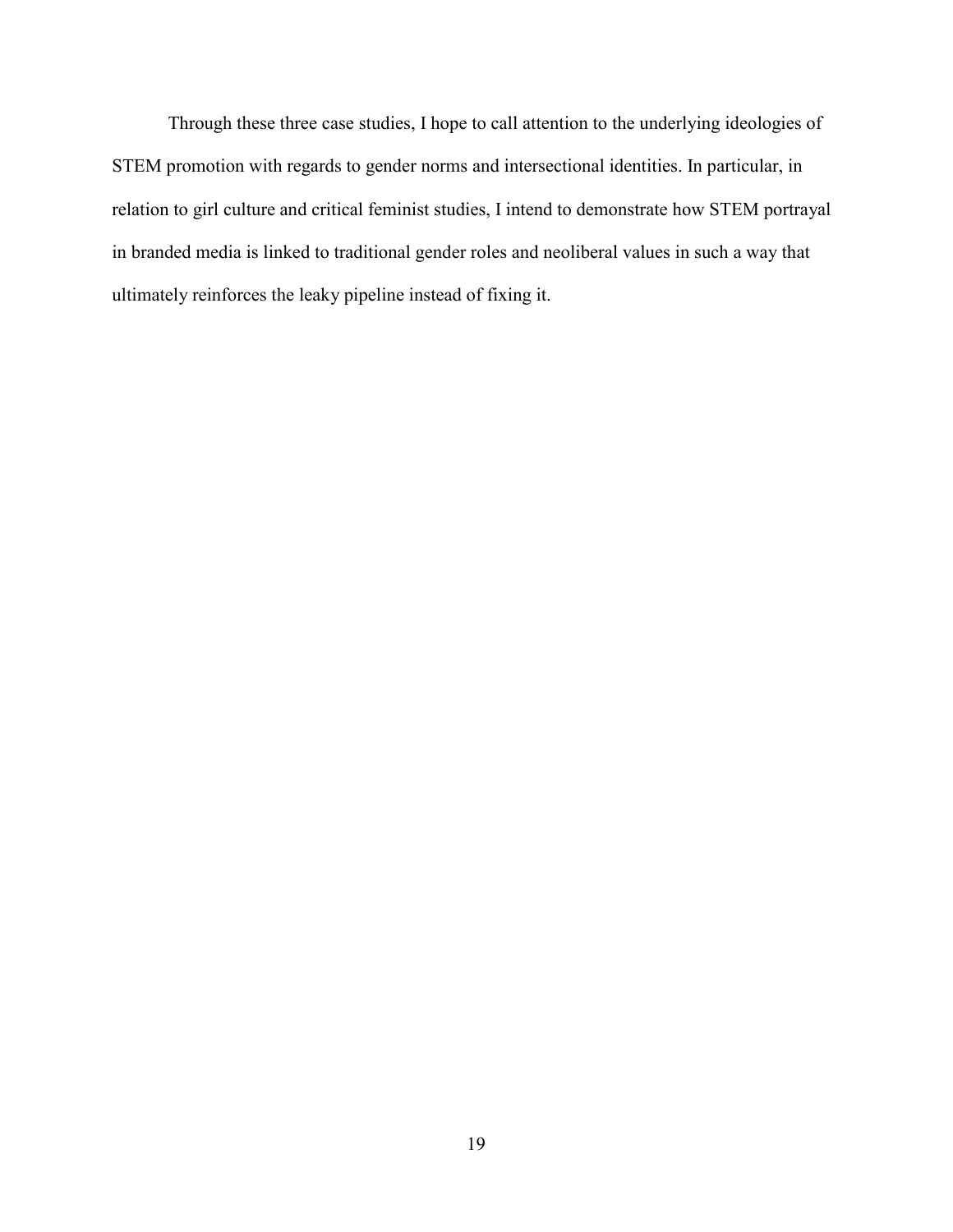Through these three case studies, I hope to call attention to the underlying ideologies of STEM promotion with regards to gender norms and intersectional identities. In particular, in relation to girl culture and critical feminist studies, I intend to demonstrate how STEM portrayal in branded media is linked to traditional gender roles and neoliberal values in such a way that ultimately reinforces the leaky pipeline instead of fixing it.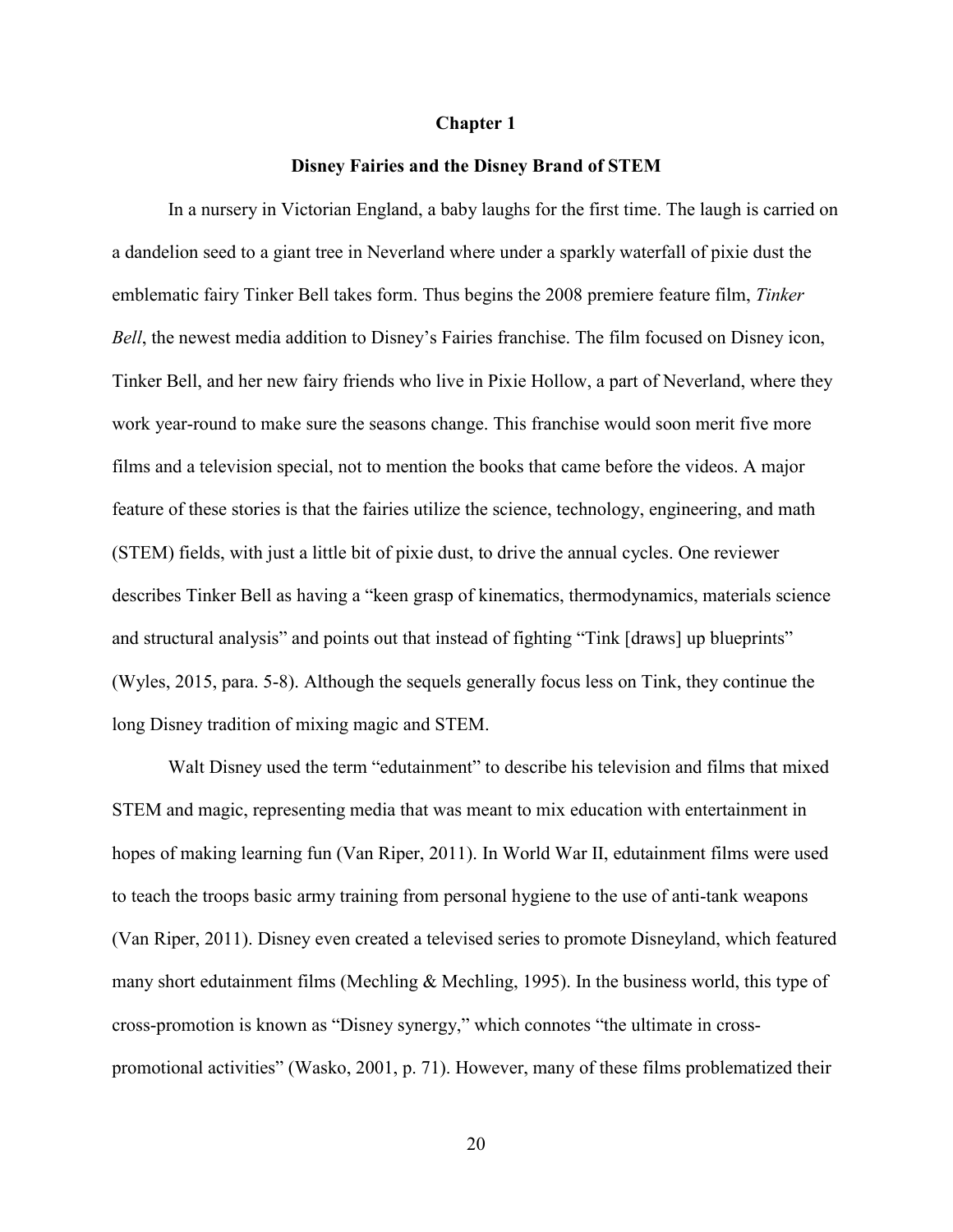#### **Chapter 1**

#### **Disney Fairies and the Disney Brand of STEM**

In a nursery in Victorian England, a baby laughs for the first time. The laugh is carried on a dandelion seed to a giant tree in Neverland where under a sparkly waterfall of pixie dust the emblematic fairy Tinker Bell takes form. Thus begins the 2008 premiere feature film, *Tinker Bell*, the newest media addition to Disney's Fairies franchise. The film focused on Disney icon, Tinker Bell, and her new fairy friends who live in Pixie Hollow, a part of Neverland, where they work year-round to make sure the seasons change. This franchise would soon merit five more films and a television special, not to mention the books that came before the videos. A major feature of these stories is that the fairies utilize the science, technology, engineering, and math (STEM) fields, with just a little bit of pixie dust, to drive the annual cycles. One reviewer describes Tinker Bell as having a "keen grasp of kinematics, thermodynamics, materials science and structural analysis" and points out that instead of fighting "Tink [draws] up blueprints" (Wyles, 2015, para. 5-8). Although the sequels generally focus less on Tink, they continue the long Disney tradition of mixing magic and STEM.

Walt Disney used the term "edutainment" to describe his television and films that mixed STEM and magic, representing media that was meant to mix education with entertainment in hopes of making learning fun (Van Riper, 2011). In World War II, edutainment films were used to teach the troops basic army training from personal hygiene to the use of anti-tank weapons (Van Riper, 2011). Disney even created a televised series to promote Disneyland, which featured many short edutainment films (Mechling & Mechling, 1995). In the business world, this type of cross-promotion is known as "Disney synergy," which connotes "the ultimate in crosspromotional activities" (Wasko, 2001, p. 71). However, many of these films problematized their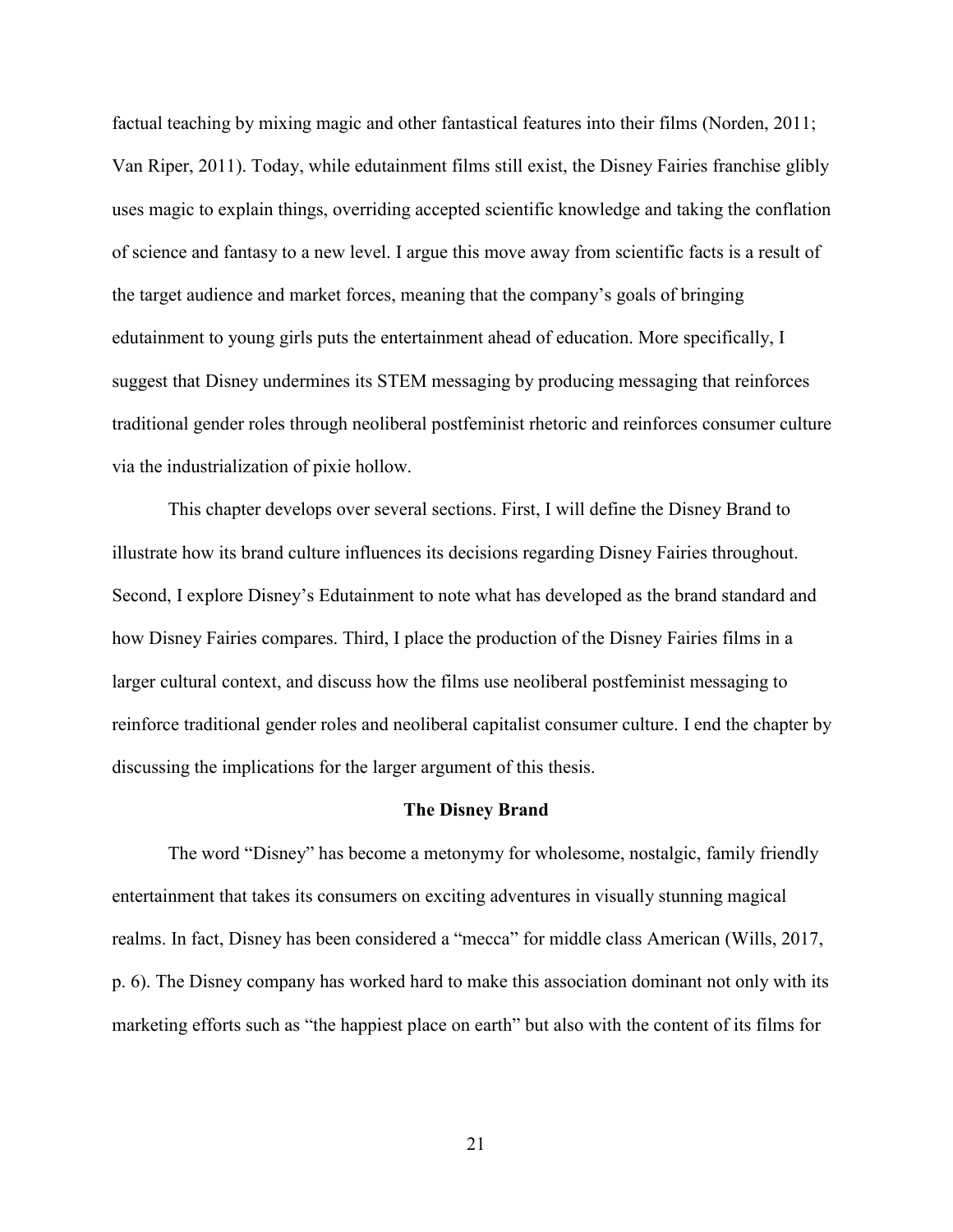factual teaching by mixing magic and other fantastical features into their films (Norden, 2011; Van Riper, 2011). Today, while edutainment films still exist, the Disney Fairies franchise glibly uses magic to explain things, overriding accepted scientific knowledge and taking the conflation of science and fantasy to a new level. I argue this move away from scientific facts is a result of the target audience and market forces, meaning that the company's goals of bringing edutainment to young girls puts the entertainment ahead of education. More specifically, I suggest that Disney undermines its STEM messaging by producing messaging that reinforces traditional gender roles through neoliberal postfeminist rhetoric and reinforces consumer culture via the industrialization of pixie hollow.

This chapter develops over several sections. First, I will define the Disney Brand to illustrate how its brand culture influences its decisions regarding Disney Fairies throughout. Second, I explore Disney's Edutainment to note what has developed as the brand standard and how Disney Fairies compares. Third, I place the production of the Disney Fairies films in a larger cultural context, and discuss how the films use neoliberal postfeminist messaging to reinforce traditional gender roles and neoliberal capitalist consumer culture. I end the chapter by discussing the implications for the larger argument of this thesis.

#### **The Disney Brand**

The word "Disney" has become a metonymy for wholesome, nostalgic, family friendly entertainment that takes its consumers on exciting adventures in visually stunning magical realms. In fact, Disney has been considered a "mecca" for middle class American (Wills, 2017, p. 6). The Disney company has worked hard to make this association dominant not only with its marketing efforts such as "the happiest place on earth" but also with the content of its films for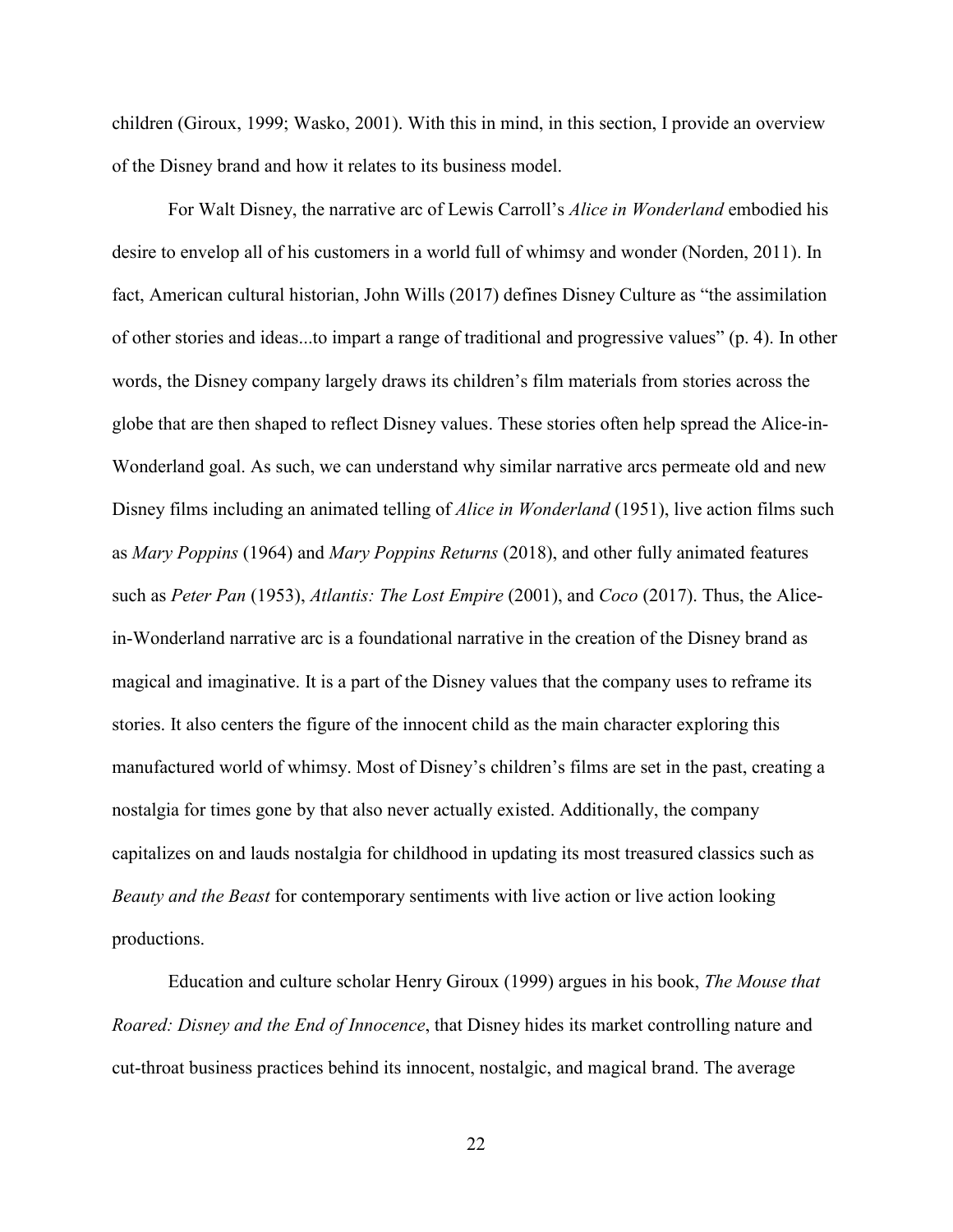children (Giroux, 1999; Wasko, 2001). With this in mind, in this section, I provide an overview of the Disney brand and how it relates to its business model.

For Walt Disney, the narrative arc of Lewis Carroll's *Alice in Wonderland* embodied his desire to envelop all of his customers in a world full of whimsy and wonder (Norden, 2011). In fact, American cultural historian, John Wills (2017) defines Disney Culture as "the assimilation of other stories and ideas...to impart a range of traditional and progressive values" (p. 4). In other words, the Disney company largely draws its children's film materials from stories across the globe that are then shaped to reflect Disney values. These stories often help spread the Alice-in-Wonderland goal. As such, we can understand why similar narrative arcs permeate old and new Disney films including an animated telling of *Alice in Wonderland* (1951), live action films such as *Mary Poppins* (1964) and *Mary Poppins Returns* (2018), and other fully animated features such as *Peter Pan* (1953), *Atlantis: The Lost Empire* (2001), and *Coco* (2017). Thus, the Alicein-Wonderland narrative arc is a foundational narrative in the creation of the Disney brand as magical and imaginative. It is a part of the Disney values that the company uses to reframe its stories. It also centers the figure of the innocent child as the main character exploring this manufactured world of whimsy. Most of Disney's children's films are set in the past, creating a nostalgia for times gone by that also never actually existed. Additionally, the company capitalizes on and lauds nostalgia for childhood in updating its most treasured classics such as *Beauty and the Beast* for contemporary sentiments with live action or live action looking productions.

Education and culture scholar Henry Giroux (1999) argues in his book, *The Mouse that Roared: Disney and the End of Innocence*, that Disney hides its market controlling nature and cut-throat business practices behind its innocent, nostalgic, and magical brand. The average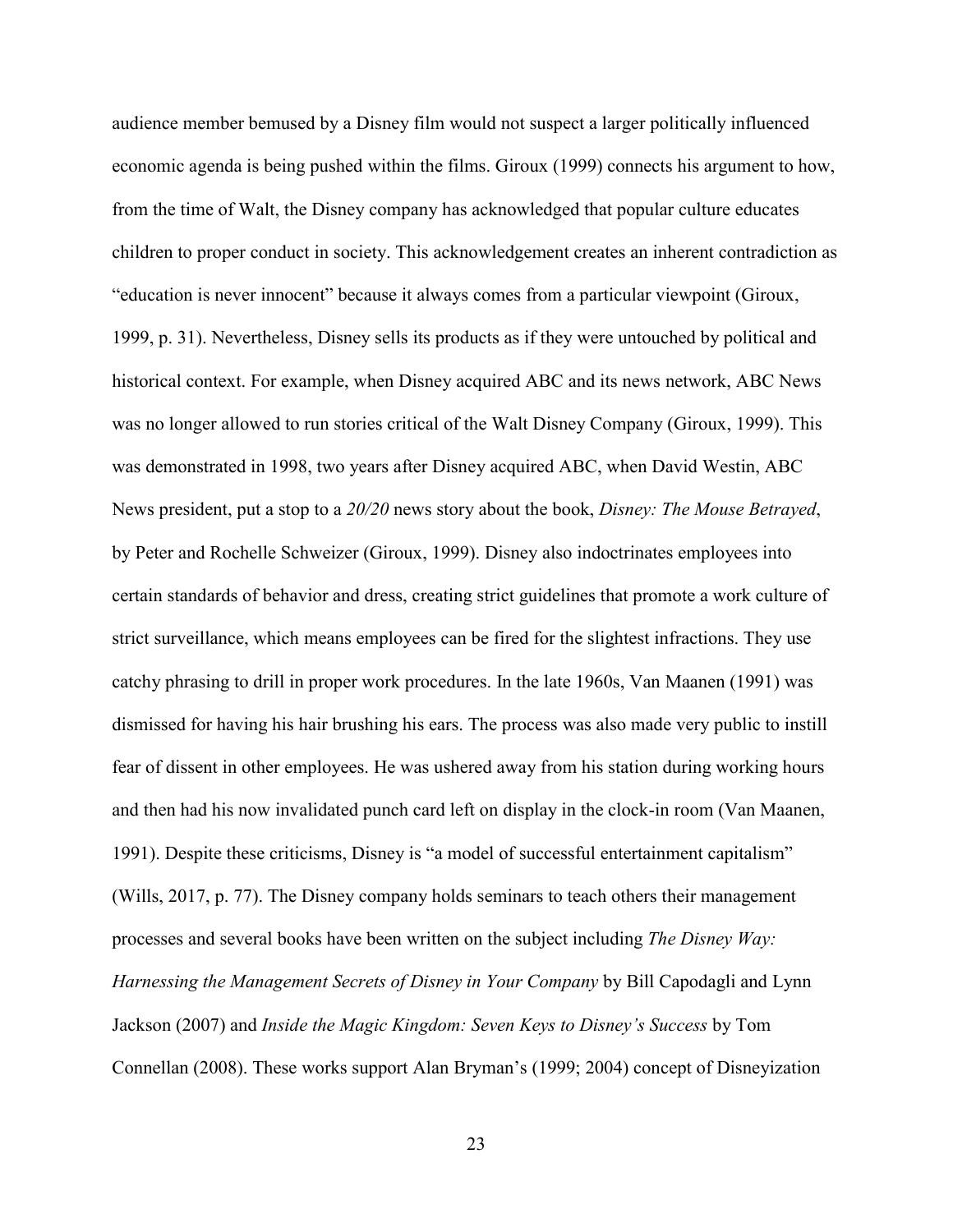audience member bemused by a Disney film would not suspect a larger politically influenced economic agenda is being pushed within the films. Giroux (1999) connects his argument to how, from the time of Walt, the Disney company has acknowledged that popular culture educates children to proper conduct in society. This acknowledgement creates an inherent contradiction as "education is never innocent" because it always comes from a particular viewpoint (Giroux, 1999, p. 31). Nevertheless, Disney sells its products as if they were untouched by political and historical context. For example, when Disney acquired ABC and its news network, ABC News was no longer allowed to run stories critical of the Walt Disney Company (Giroux, 1999). This was demonstrated in 1998, two years after Disney acquired ABC, when David Westin, ABC News president, put a stop to a *20/20* news story about the book, *Disney: The Mouse Betrayed*, by Peter and Rochelle Schweizer (Giroux, 1999). Disney also indoctrinates employees into certain standards of behavior and dress, creating strict guidelines that promote a work culture of strict surveillance, which means employees can be fired for the slightest infractions. They use catchy phrasing to drill in proper work procedures. In the late 1960s, Van Maanen (1991) was dismissed for having his hair brushing his ears. The process was also made very public to instill fear of dissent in other employees. He was ushered away from his station during working hours and then had his now invalidated punch card left on display in the clock-in room (Van Maanen, 1991). Despite these criticisms, Disney is "a model of successful entertainment capitalism" (Wills, 2017, p. 77). The Disney company holds seminars to teach others their management processes and several books have been written on the subject including *The Disney Way: Harnessing the Management Secrets of Disney in Your Company* by Bill Capodagli and Lynn Jackson (2007) and *Inside the Magic Kingdom: Seven Keys to Disney's Success* by Tom Connellan (2008). These works support Alan Bryman's (1999; 2004) concept of Disneyization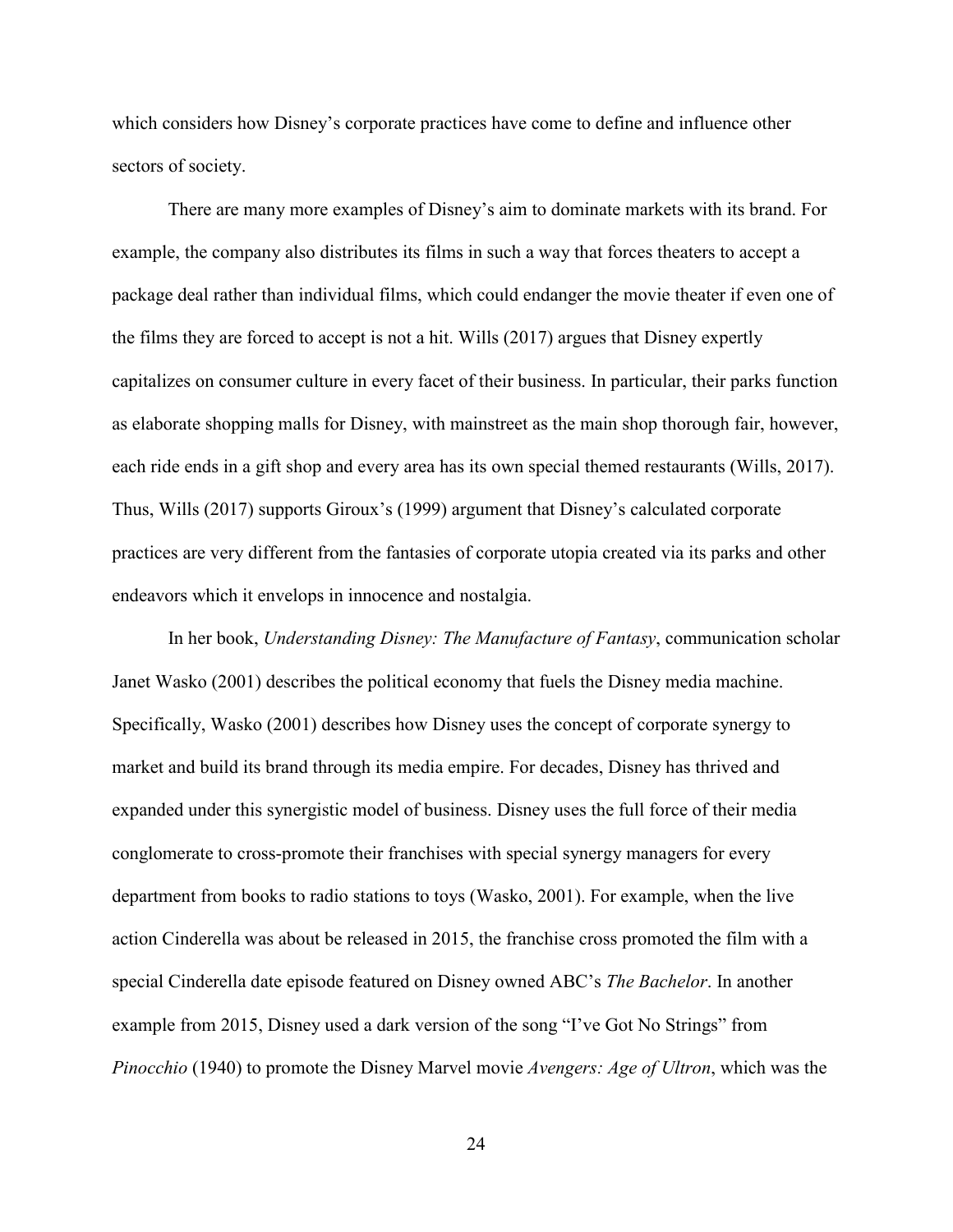which considers how Disney's corporate practices have come to define and influence other sectors of society.

There are many more examples of Disney's aim to dominate markets with its brand. For example, the company also distributes its films in such a way that forces theaters to accept a package deal rather than individual films, which could endanger the movie theater if even one of the films they are forced to accept is not a hit. Wills (2017) argues that Disney expertly capitalizes on consumer culture in every facet of their business. In particular, their parks function as elaborate shopping malls for Disney, with mainstreet as the main shop thorough fair, however, each ride ends in a gift shop and every area has its own special themed restaurants (Wills, 2017). Thus, Wills (2017) supports Giroux's (1999) argument that Disney's calculated corporate practices are very different from the fantasies of corporate utopia created via its parks and other endeavors which it envelops in innocence and nostalgia.

In her book, *Understanding Disney: The Manufacture of Fantasy*, communication scholar Janet Wasko (2001) describes the political economy that fuels the Disney media machine. Specifically, Wasko (2001) describes how Disney uses the concept of corporate synergy to market and build its brand through its media empire. For decades, Disney has thrived and expanded under this synergistic model of business. Disney uses the full force of their media conglomerate to cross-promote their franchises with special synergy managers for every department from books to radio stations to toys (Wasko, 2001). For example, when the live action Cinderella was about be released in 2015, the franchise cross promoted the film with a special Cinderella date episode featured on Disney owned ABC's *The Bachelor*. In another example from 2015, Disney used a dark version of the song "I've Got No Strings" from *Pinocchio* (1940) to promote the Disney Marvel movie *Avengers: Age of Ultron*, which was the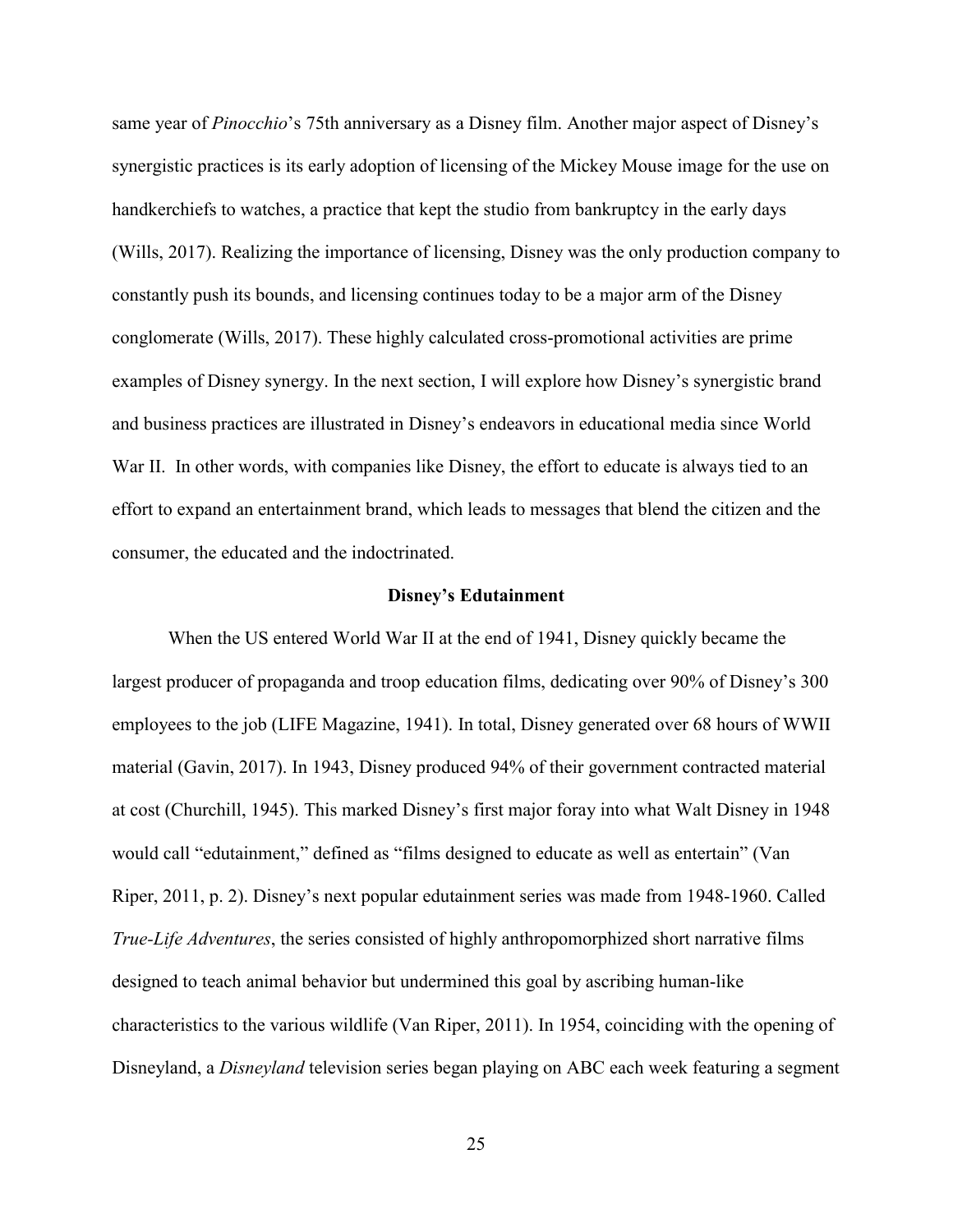same year of *Pinocchio*'s 75th anniversary as a Disney film. Another major aspect of Disney's synergistic practices is its early adoption of licensing of the Mickey Mouse image for the use on handkerchiefs to watches, a practice that kept the studio from bankruptcy in the early days (Wills, 2017). Realizing the importance of licensing, Disney was the only production company to constantly push its bounds, and licensing continues today to be a major arm of the Disney conglomerate (Wills, 2017). These highly calculated cross-promotional activities are prime examples of Disney synergy. In the next section, I will explore how Disney's synergistic brand and business practices are illustrated in Disney's endeavors in educational media since World War II. In other words, with companies like Disney, the effort to educate is always tied to an effort to expand an entertainment brand, which leads to messages that blend the citizen and the consumer, the educated and the indoctrinated.

#### **Disney's Edutainment**

When the US entered World War II at the end of 1941, Disney quickly became the largest producer of propaganda and troop education films, dedicating over 90% of Disney's 300 employees to the job (LIFE Magazine, 1941). In total, Disney generated over 68 hours of WWII material (Gavin, 2017). In 1943, Disney produced 94% of their government contracted material at cost (Churchill, 1945). This marked Disney's first major foray into what Walt Disney in 1948 would call "edutainment," defined as "films designed to educate as well as entertain" (Van Riper, 2011, p. 2). Disney's next popular edutainment series was made from 1948-1960. Called *True-Life Adventures*, the series consisted of highly anthropomorphized short narrative films designed to teach animal behavior but undermined this goal by ascribing human-like characteristics to the various wildlife (Van Riper, 2011). In 1954, coinciding with the opening of Disneyland, a *Disneyland* television series began playing on ABC each week featuring a segment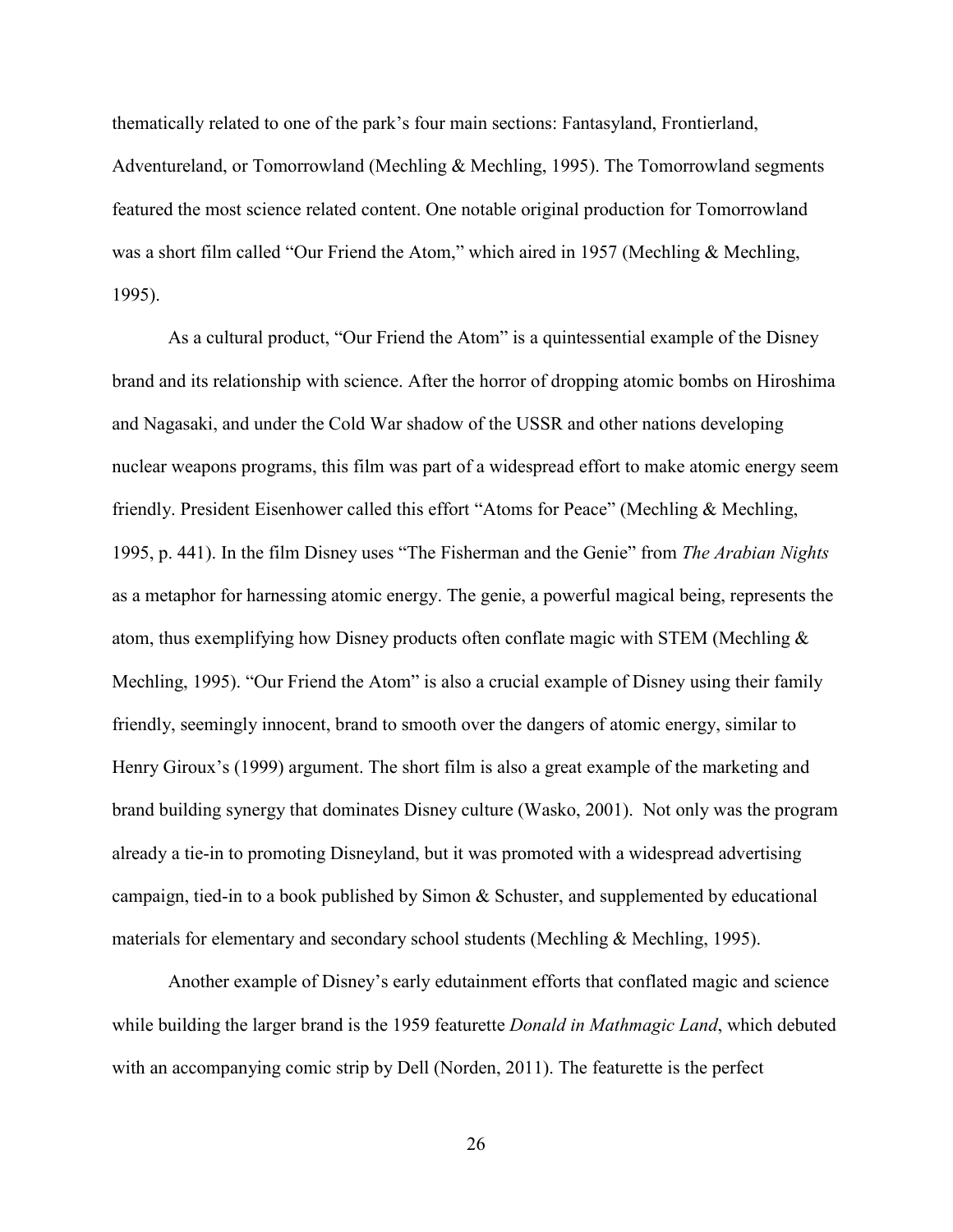thematically related to one of the park's four main sections: Fantasyland, Frontierland, Adventureland, or Tomorrowland (Mechling & Mechling, 1995). The Tomorrowland segments featured the most science related content. One notable original production for Tomorrowland was a short film called "Our Friend the Atom," which aired in 1957 (Mechling & Mechling, 1995).

As a cultural product, "Our Friend the Atom" is a quintessential example of the Disney brand and its relationship with science. After the horror of dropping atomic bombs on Hiroshima and Nagasaki, and under the Cold War shadow of the USSR and other nations developing nuclear weapons programs, this film was part of a widespread effort to make atomic energy seem friendly. President Eisenhower called this effort "Atoms for Peace" (Mechling & Mechling, 1995, p. 441). In the film Disney uses "The Fisherman and the Genie" from *The Arabian Nights* as a metaphor for harnessing atomic energy. The genie, a powerful magical being, represents the atom, thus exemplifying how Disney products often conflate magic with STEM (Mechling & Mechling, 1995). "Our Friend the Atom" is also a crucial example of Disney using their family friendly, seemingly innocent, brand to smooth over the dangers of atomic energy, similar to Henry Giroux's (1999) argument. The short film is also a great example of the marketing and brand building synergy that dominates Disney culture (Wasko, 2001). Not only was the program already a tie-in to promoting Disneyland, but it was promoted with a widespread advertising campaign, tied-in to a book published by Simon & Schuster, and supplemented by educational materials for elementary and secondary school students (Mechling & Mechling, 1995).

Another example of Disney's early edutainment efforts that conflated magic and science while building the larger brand is the 1959 featurette *Donald in Mathmagic Land*, which debuted with an accompanying comic strip by Dell (Norden, 2011). The featurette is the perfect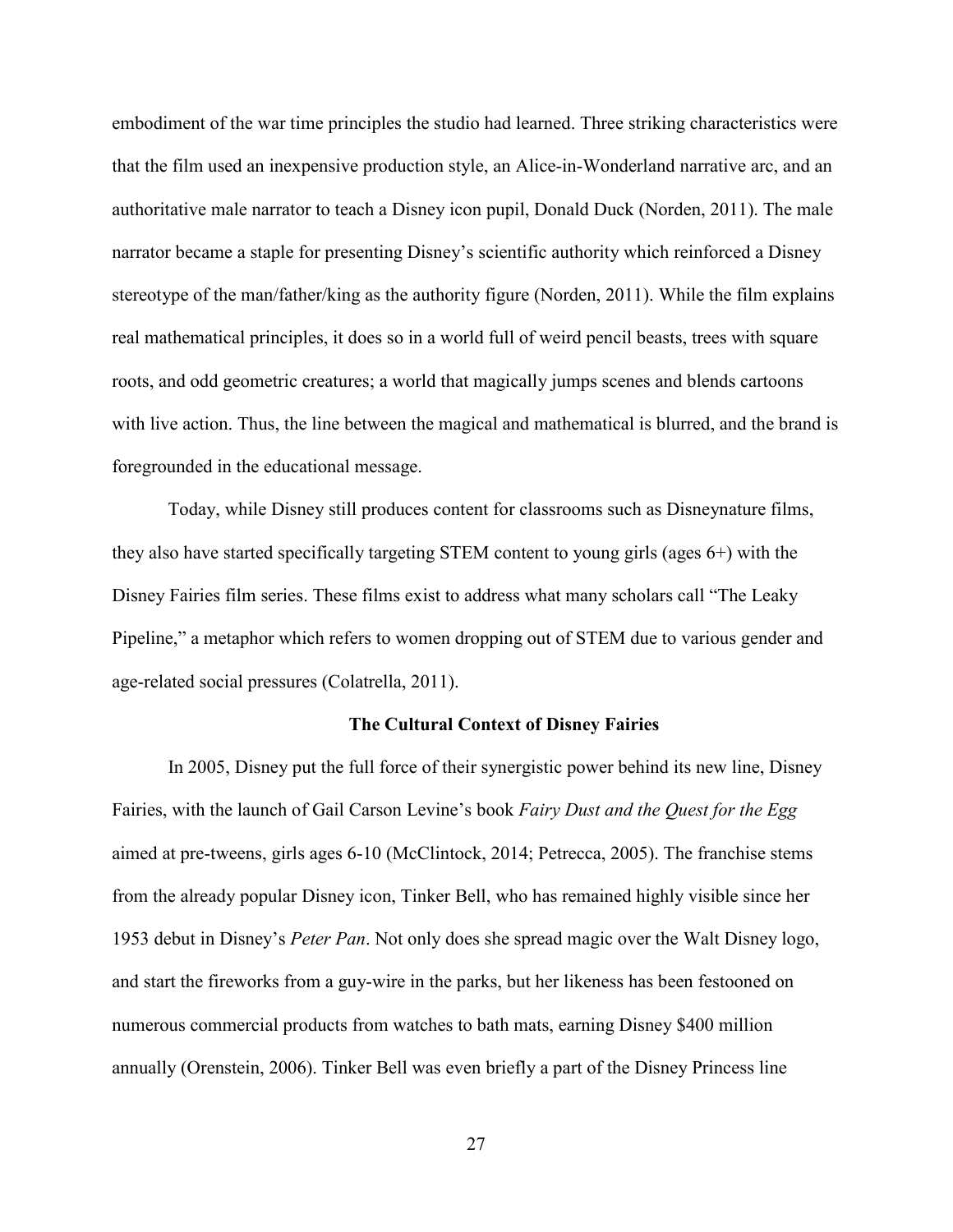embodiment of the war time principles the studio had learned. Three striking characteristics were that the film used an inexpensive production style, an Alice-in-Wonderland narrative arc, and an authoritative male narrator to teach a Disney icon pupil, Donald Duck (Norden, 2011). The male narrator became a staple for presenting Disney's scientific authority which reinforced a Disney stereotype of the man/father/king as the authority figure (Norden, 2011). While the film explains real mathematical principles, it does so in a world full of weird pencil beasts, trees with square roots, and odd geometric creatures; a world that magically jumps scenes and blends cartoons with live action. Thus, the line between the magical and mathematical is blurred, and the brand is foregrounded in the educational message.

Today, while Disney still produces content for classrooms such as Disneynature films, they also have started specifically targeting STEM content to young girls (ages 6+) with the Disney Fairies film series. These films exist to address what many scholars call "The Leaky Pipeline," a metaphor which refers to women dropping out of STEM due to various gender and age-related social pressures (Colatrella, 2011).

#### **The Cultural Context of Disney Fairies**

In 2005, Disney put the full force of their synergistic power behind its new line, Disney Fairies, with the launch of Gail Carson Levine's book *Fairy Dust and the Quest for the Egg* aimed at pre-tweens, girls ages 6-10 (McClintock, 2014; Petrecca, 2005). The franchise stems from the already popular Disney icon, Tinker Bell, who has remained highly visible since her 1953 debut in Disney's *Peter Pan*. Not only does she spread magic over the Walt Disney logo, and start the fireworks from a guy-wire in the parks, but her likeness has been festooned on numerous commercial products from watches to bath mats, earning Disney \$400 million annually (Orenstein, 2006). Tinker Bell was even briefly a part of the Disney Princess line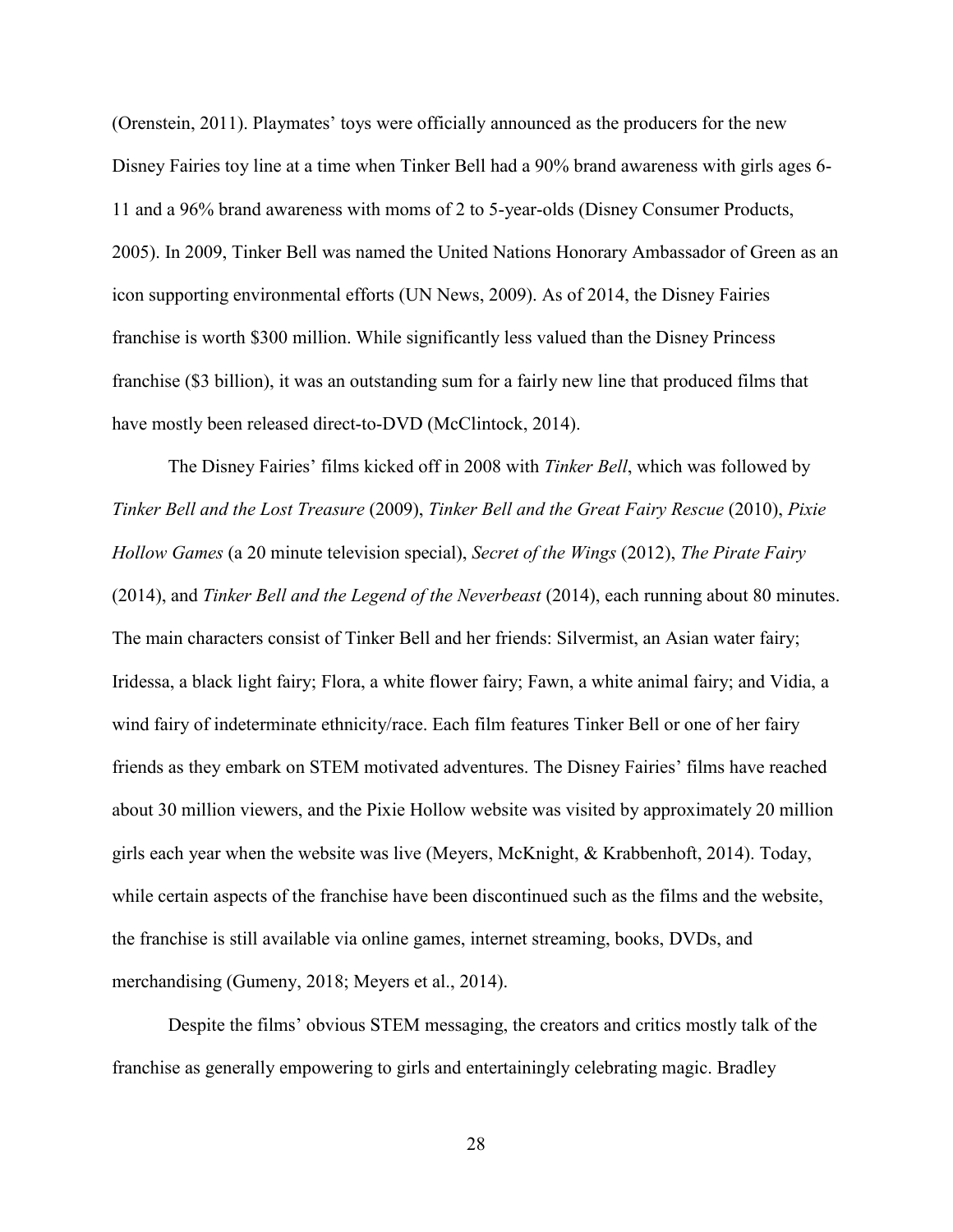(Orenstein, 2011). Playmates' toys were officially announced as the producers for the new Disney Fairies toy line at a time when Tinker Bell had a 90% brand awareness with girls ages 6- 11 and a 96% brand awareness with moms of 2 to 5-year-olds (Disney Consumer Products, 2005). In 2009, Tinker Bell was named the United Nations Honorary Ambassador of Green as an icon supporting environmental efforts (UN News, 2009). As of 2014, the Disney Fairies franchise is worth \$300 million. While significantly less valued than the Disney Princess franchise (\$3 billion), it was an outstanding sum for a fairly new line that produced films that have mostly been released direct-to-DVD (McClintock, 2014).

The Disney Fairies' films kicked off in 2008 with *Tinker Bell*, which was followed by *Tinker Bell and the Lost Treasure* (2009), *Tinker Bell and the Great Fairy Rescue* (2010), *Pixie Hollow Games* (a 20 minute television special), *Secret of the Wings* (2012), *The Pirate Fairy*  (2014), and *Tinker Bell and the Legend of the Neverbeast* (2014), each running about 80 minutes. The main characters consist of Tinker Bell and her friends: Silvermist, an Asian water fairy; Iridessa, a black light fairy; Flora, a white flower fairy; Fawn, a white animal fairy; and Vidia, a wind fairy of indeterminate ethnicity/race. Each film features Tinker Bell or one of her fairy friends as they embark on STEM motivated adventures. The Disney Fairies' films have reached about 30 million viewers, and the Pixie Hollow website was visited by approximately 20 million girls each year when the website was live (Meyers, McKnight, & Krabbenhoft, 2014). Today, while certain aspects of the franchise have been discontinued such as the films and the website, the franchise is still available via online games, internet streaming, books, DVDs, and merchandising (Gumeny, 2018; Meyers et al., 2014).

Despite the films' obvious STEM messaging, the creators and critics mostly talk of the franchise as generally empowering to girls and entertainingly celebrating magic. Bradley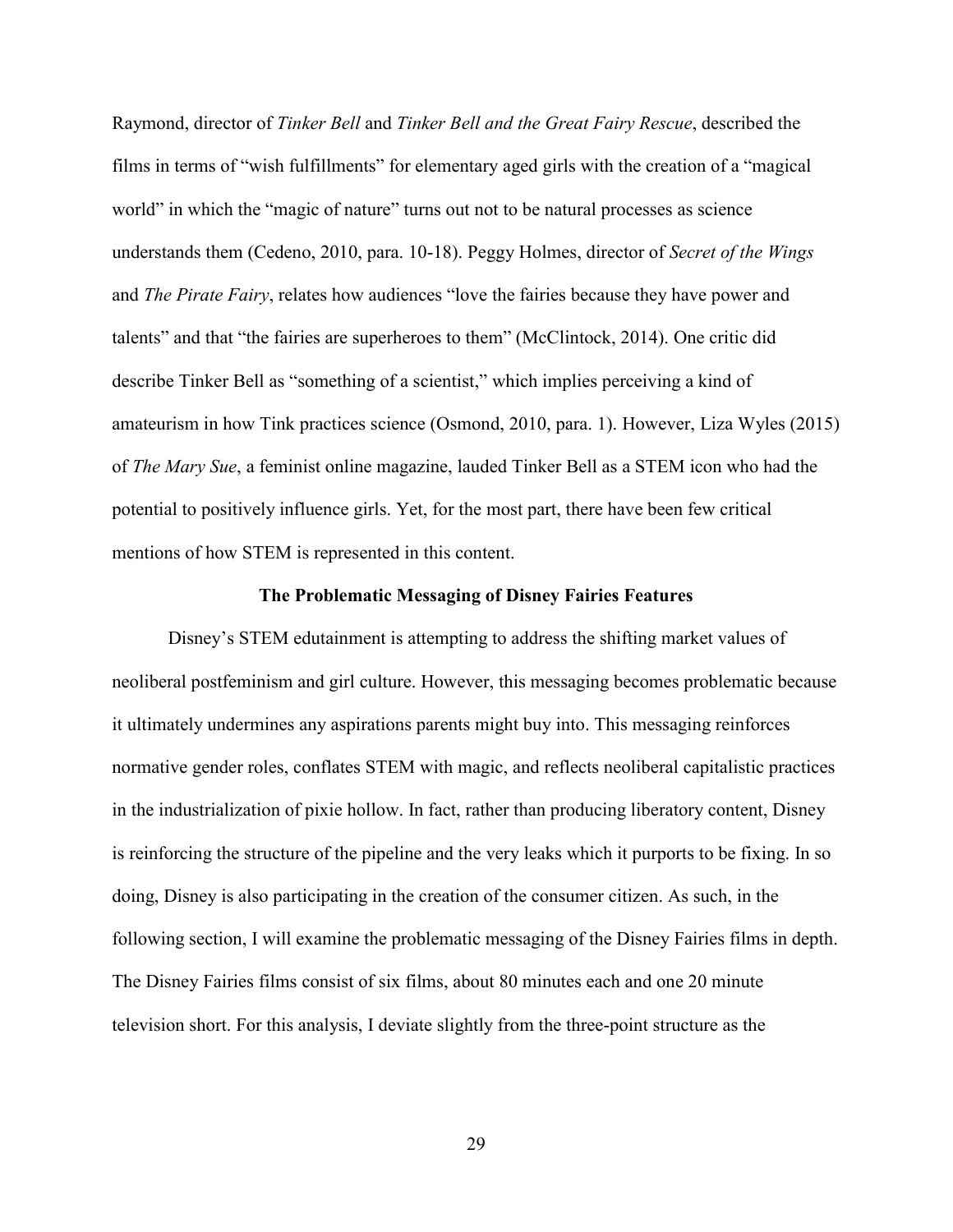Raymond, director of *Tinker Bell* and *Tinker Bell and the Great Fairy Rescue*, described the films in terms of "wish fulfillments" for elementary aged girls with the creation of a "magical world" in which the "magic of nature" turns out not to be natural processes as science understands them (Cedeno, 2010, para. 10-18). Peggy Holmes, director of *Secret of the Wings*  and *The Pirate Fairy*, relates how audiences "love the fairies because they have power and talents" and that "the fairies are superheroes to them" (McClintock, 2014). One critic did describe Tinker Bell as "something of a scientist," which implies perceiving a kind of amateurism in how Tink practices science (Osmond, 2010, para. 1). However, Liza Wyles (2015) of *The Mary Sue*, a feminist online magazine, lauded Tinker Bell as a STEM icon who had the potential to positively influence girls. Yet, for the most part, there have been few critical mentions of how STEM is represented in this content.

#### **The Problematic Messaging of Disney Fairies Features**

Disney's STEM edutainment is attempting to address the shifting market values of neoliberal postfeminism and girl culture. However, this messaging becomes problematic because it ultimately undermines any aspirations parents might buy into. This messaging reinforces normative gender roles, conflates STEM with magic, and reflects neoliberal capitalistic practices in the industrialization of pixie hollow. In fact, rather than producing liberatory content, Disney is reinforcing the structure of the pipeline and the very leaks which it purports to be fixing. In so doing, Disney is also participating in the creation of the consumer citizen. As such, in the following section, I will examine the problematic messaging of the Disney Fairies films in depth. The Disney Fairies films consist of six films, about 80 minutes each and one 20 minute television short. For this analysis, I deviate slightly from the three-point structure as the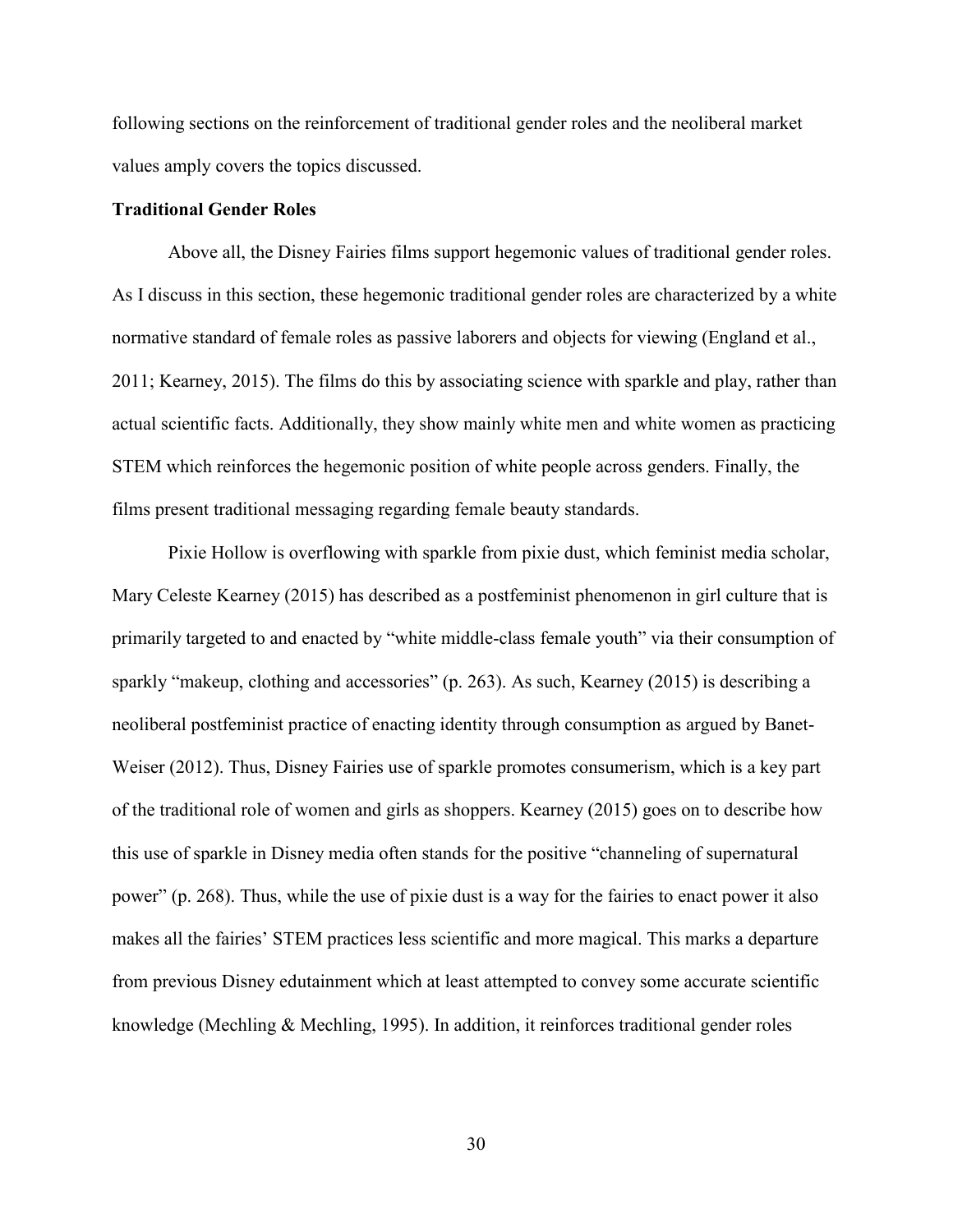following sections on the reinforcement of traditional gender roles and the neoliberal market values amply covers the topics discussed.

# **Traditional Gender Roles**

Above all, the Disney Fairies films support hegemonic values of traditional gender roles. As I discuss in this section, these hegemonic traditional gender roles are characterized by a white normative standard of female roles as passive laborers and objects for viewing (England et al., 2011; Kearney, 2015). The films do this by associating science with sparkle and play, rather than actual scientific facts. Additionally, they show mainly white men and white women as practicing STEM which reinforces the hegemonic position of white people across genders. Finally, the films present traditional messaging regarding female beauty standards.

Pixie Hollow is overflowing with sparkle from pixie dust, which feminist media scholar, Mary Celeste Kearney (2015) has described as a postfeminist phenomenon in girl culture that is primarily targeted to and enacted by "white middle-class female youth" via their consumption of sparkly "makeup, clothing and accessories" (p. 263). As such, Kearney (2015) is describing a neoliberal postfeminist practice of enacting identity through consumption as argued by Banet-Weiser (2012). Thus, Disney Fairies use of sparkle promotes consumerism, which is a key part of the traditional role of women and girls as shoppers. Kearney (2015) goes on to describe how this use of sparkle in Disney media often stands for the positive "channeling of supernatural power" (p. 268). Thus, while the use of pixie dust is a way for the fairies to enact power it also makes all the fairies' STEM practices less scientific and more magical. This marks a departure from previous Disney edutainment which at least attempted to convey some accurate scientific knowledge (Mechling & Mechling, 1995). In addition, it reinforces traditional gender roles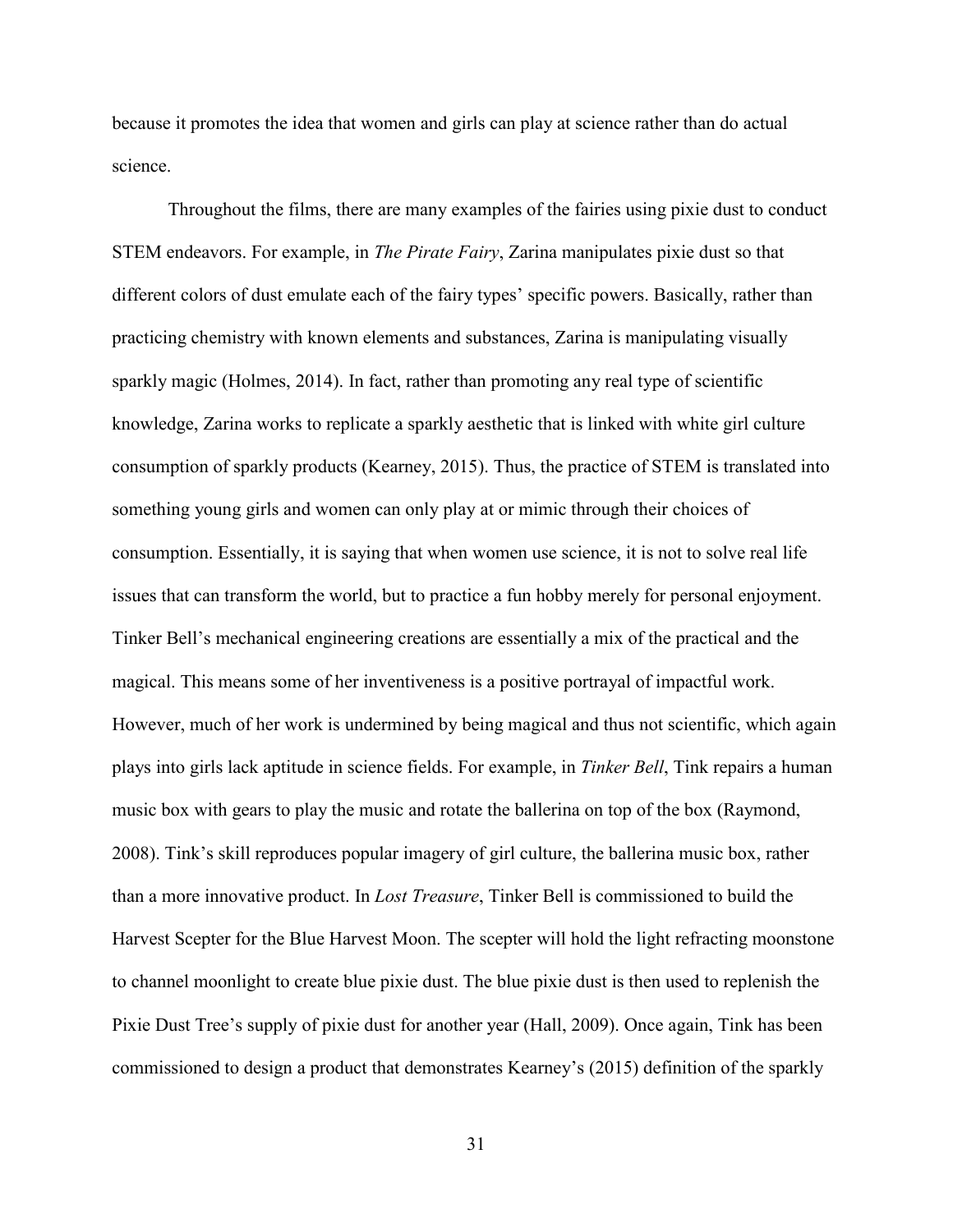because it promotes the idea that women and girls can play at science rather than do actual science.

Throughout the films, there are many examples of the fairies using pixie dust to conduct STEM endeavors. For example, in *The Pirate Fairy*, Zarina manipulates pixie dust so that different colors of dust emulate each of the fairy types' specific powers. Basically, rather than practicing chemistry with known elements and substances, Zarina is manipulating visually sparkly magic (Holmes, 2014). In fact, rather than promoting any real type of scientific knowledge, Zarina works to replicate a sparkly aesthetic that is linked with white girl culture consumption of sparkly products (Kearney, 2015). Thus, the practice of STEM is translated into something young girls and women can only play at or mimic through their choices of consumption. Essentially, it is saying that when women use science, it is not to solve real life issues that can transform the world, but to practice a fun hobby merely for personal enjoyment. Tinker Bell's mechanical engineering creations are essentially a mix of the practical and the magical. This means some of her inventiveness is a positive portrayal of impactful work. However, much of her work is undermined by being magical and thus not scientific, which again plays into girls lack aptitude in science fields. For example, in *Tinker Bell*, Tink repairs a human music box with gears to play the music and rotate the ballerina on top of the box (Raymond, 2008). Tink's skill reproduces popular imagery of girl culture, the ballerina music box, rather than a more innovative product. In *Lost Treasure*, Tinker Bell is commissioned to build the Harvest Scepter for the Blue Harvest Moon. The scepter will hold the light refracting moonstone to channel moonlight to create blue pixie dust. The blue pixie dust is then used to replenish the Pixie Dust Tree's supply of pixie dust for another year (Hall, 2009). Once again, Tink has been commissioned to design a product that demonstrates Kearney's (2015) definition of the sparkly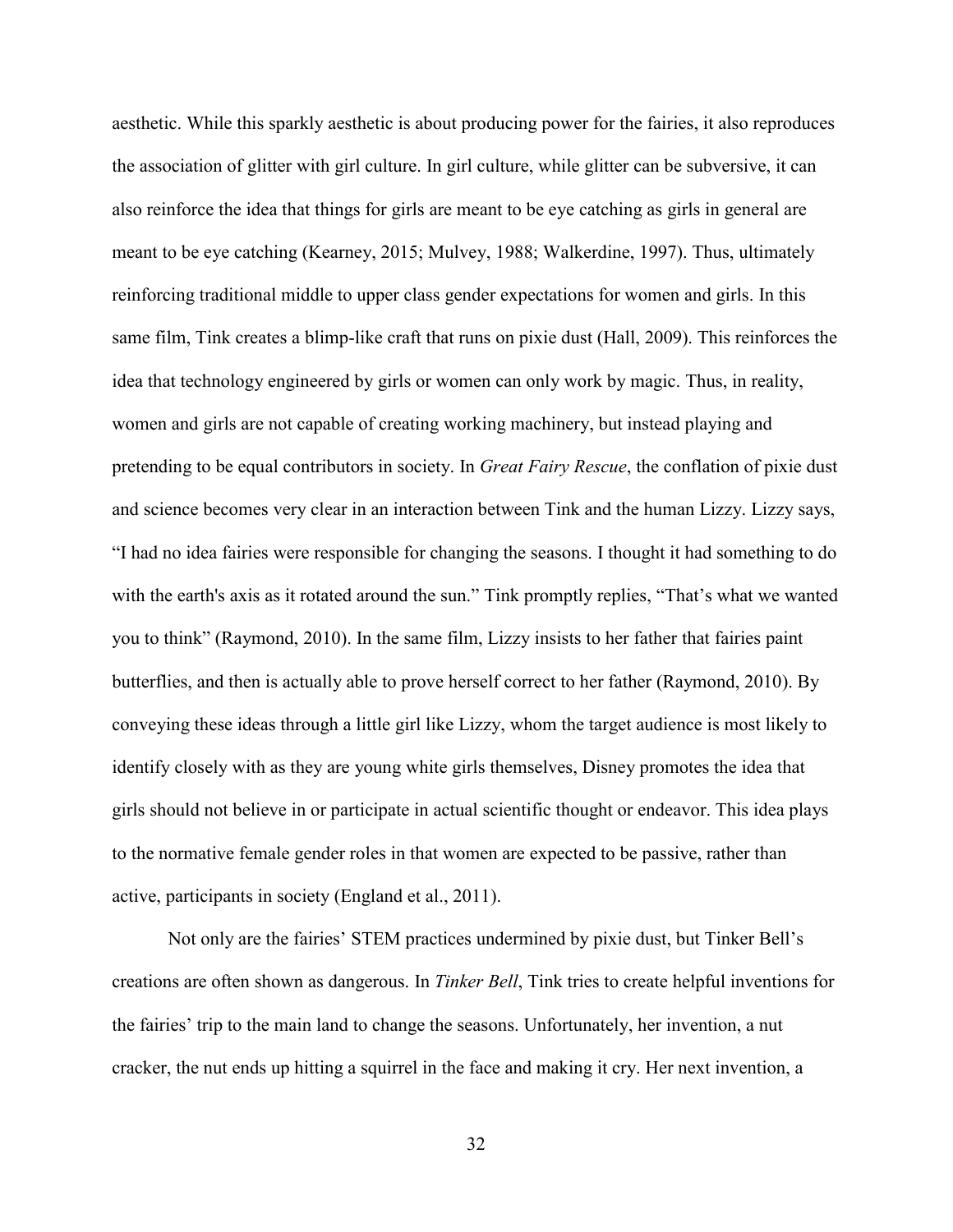aesthetic. While this sparkly aesthetic is about producing power for the fairies, it also reproduces the association of glitter with girl culture. In girl culture, while glitter can be subversive, it can also reinforce the idea that things for girls are meant to be eye catching as girls in general are meant to be eye catching (Kearney, 2015; Mulvey, 1988; Walkerdine, 1997). Thus, ultimately reinforcing traditional middle to upper class gender expectations for women and girls. In this same film, Tink creates a blimp-like craft that runs on pixie dust (Hall, 2009). This reinforces the idea that technology engineered by girls or women can only work by magic. Thus, in reality, women and girls are not capable of creating working machinery, but instead playing and pretending to be equal contributors in society. In *Great Fairy Rescue*, the conflation of pixie dust and science becomes very clear in an interaction between Tink and the human Lizzy. Lizzy says, "I had no idea fairies were responsible for changing the seasons. I thought it had something to do with the earth's axis as it rotated around the sun." Tink promptly replies, "That's what we wanted you to think" (Raymond, 2010). In the same film, Lizzy insists to her father that fairies paint butterflies, and then is actually able to prove herself correct to her father (Raymond, 2010). By conveying these ideas through a little girl like Lizzy, whom the target audience is most likely to identify closely with as they are young white girls themselves, Disney promotes the idea that girls should not believe in or participate in actual scientific thought or endeavor. This idea plays to the normative female gender roles in that women are expected to be passive, rather than active, participants in society (England et al., 2011).

Not only are the fairies' STEM practices undermined by pixie dust, but Tinker Bell's creations are often shown as dangerous. In *Tinker Bell*, Tink tries to create helpful inventions for the fairies' trip to the main land to change the seasons. Unfortunately, her invention, a nut cracker, the nut ends up hitting a squirrel in the face and making it cry. Her next invention, a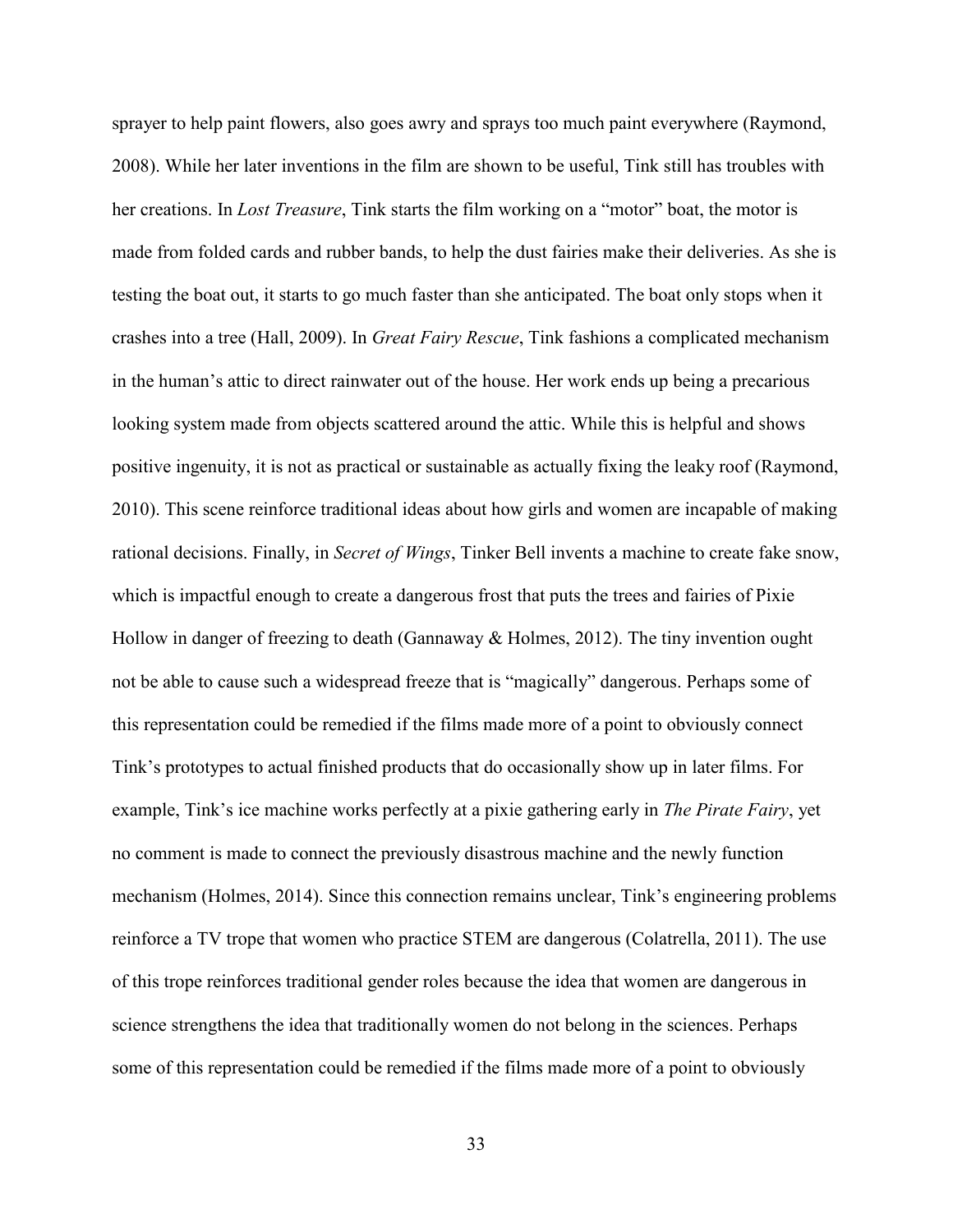sprayer to help paint flowers, also goes awry and sprays too much paint everywhere (Raymond, 2008). While her later inventions in the film are shown to be useful, Tink still has troubles with her creations. In *Lost Treasure*, Tink starts the film working on a "motor" boat, the motor is made from folded cards and rubber bands, to help the dust fairies make their deliveries. As she is testing the boat out, it starts to go much faster than she anticipated. The boat only stops when it crashes into a tree (Hall, 2009). In *Great Fairy Rescue*, Tink fashions a complicated mechanism in the human's attic to direct rainwater out of the house. Her work ends up being a precarious looking system made from objects scattered around the attic. While this is helpful and shows positive ingenuity, it is not as practical or sustainable as actually fixing the leaky roof (Raymond, 2010). This scene reinforce traditional ideas about how girls and women are incapable of making rational decisions. Finally, in *Secret of Wings*, Tinker Bell invents a machine to create fake snow, which is impactful enough to create a dangerous frost that puts the trees and fairies of Pixie Hollow in danger of freezing to death (Gannaway & Holmes, 2012). The tiny invention ought not be able to cause such a widespread freeze that is "magically" dangerous. Perhaps some of this representation could be remedied if the films made more of a point to obviously connect Tink's prototypes to actual finished products that do occasionally show up in later films. For example, Tink's ice machine works perfectly at a pixie gathering early in *The Pirate Fairy*, yet no comment is made to connect the previously disastrous machine and the newly function mechanism (Holmes, 2014). Since this connection remains unclear, Tink's engineering problems reinforce a TV trope that women who practice STEM are dangerous (Colatrella, 2011). The use of this trope reinforces traditional gender roles because the idea that women are dangerous in science strengthens the idea that traditionally women do not belong in the sciences. Perhaps some of this representation could be remedied if the films made more of a point to obviously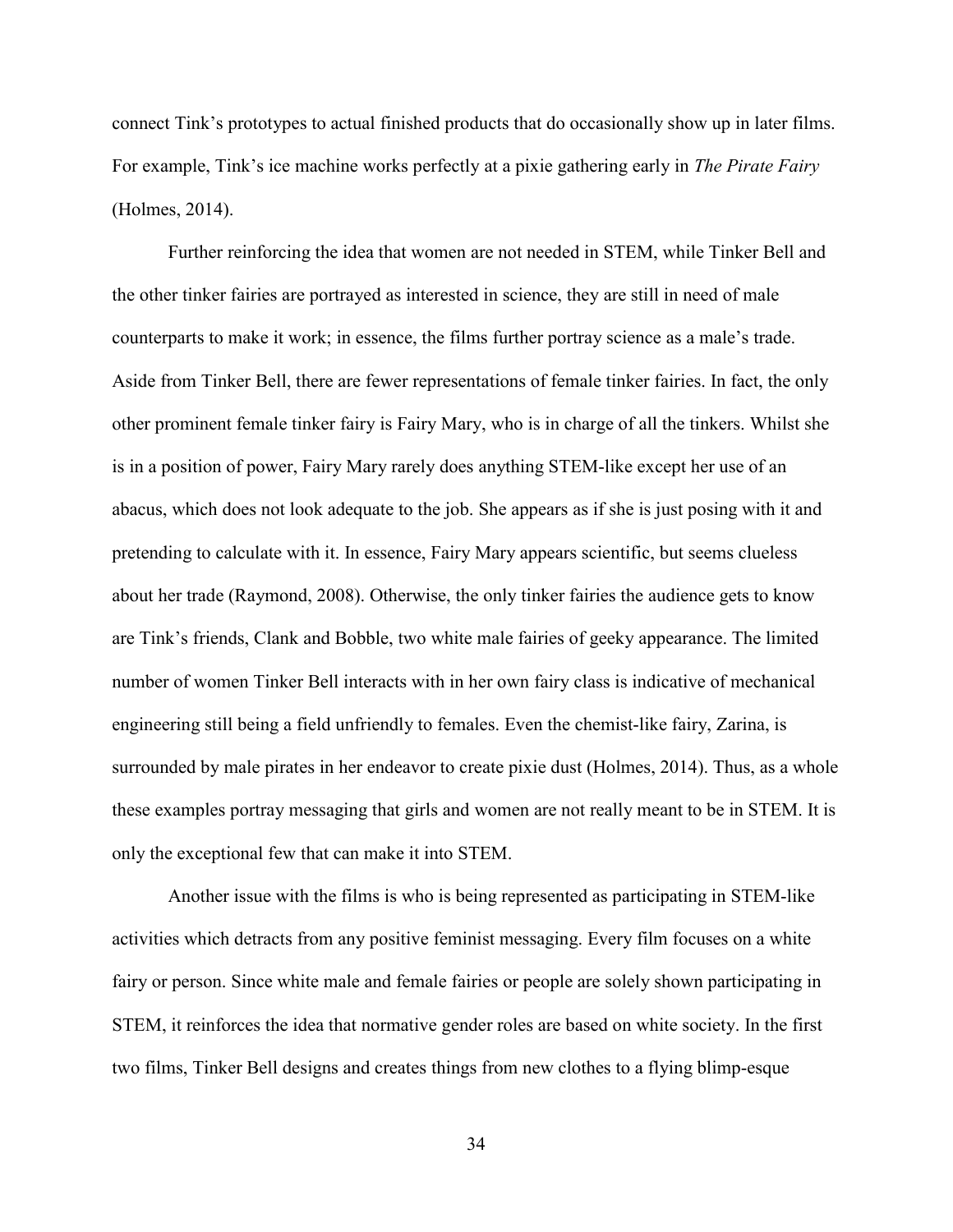connect Tink's prototypes to actual finished products that do occasionally show up in later films. For example, Tink's ice machine works perfectly at a pixie gathering early in *The Pirate Fairy* (Holmes, 2014).

Further reinforcing the idea that women are not needed in STEM, while Tinker Bell and the other tinker fairies are portrayed as interested in science, they are still in need of male counterparts to make it work; in essence, the films further portray science as a male's trade. Aside from Tinker Bell, there are fewer representations of female tinker fairies. In fact, the only other prominent female tinker fairy is Fairy Mary, who is in charge of all the tinkers. Whilst she is in a position of power, Fairy Mary rarely does anything STEM-like except her use of an abacus, which does not look adequate to the job. She appears as if she is just posing with it and pretending to calculate with it. In essence, Fairy Mary appears scientific, but seems clueless about her trade (Raymond, 2008). Otherwise, the only tinker fairies the audience gets to know are Tink's friends, Clank and Bobble, two white male fairies of geeky appearance. The limited number of women Tinker Bell interacts with in her own fairy class is indicative of mechanical engineering still being a field unfriendly to females. Even the chemist-like fairy, Zarina, is surrounded by male pirates in her endeavor to create pixie dust (Holmes, 2014). Thus, as a whole these examples portray messaging that girls and women are not really meant to be in STEM. It is only the exceptional few that can make it into STEM.

Another issue with the films is who is being represented as participating in STEM-like activities which detracts from any positive feminist messaging. Every film focuses on a white fairy or person. Since white male and female fairies or people are solely shown participating in STEM, it reinforces the idea that normative gender roles are based on white society. In the first two films, Tinker Bell designs and creates things from new clothes to a flying blimp-esque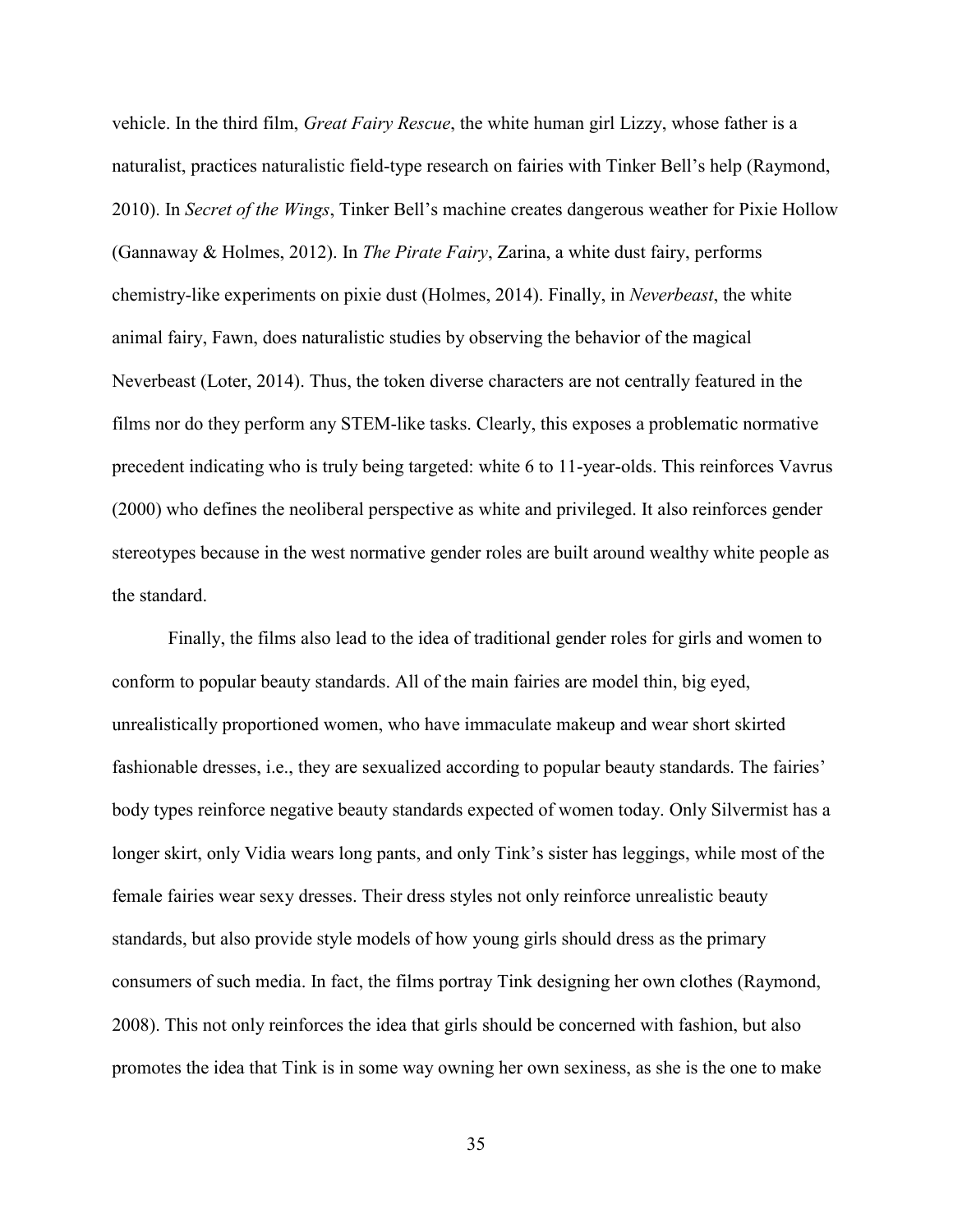vehicle. In the third film, *Great Fairy Rescue*, the white human girl Lizzy, whose father is a naturalist, practices naturalistic field-type research on fairies with Tinker Bell's help (Raymond, 2010). In *Secret of the Wings*, Tinker Bell's machine creates dangerous weather for Pixie Hollow (Gannaway & Holmes, 2012). In *The Pirate Fairy*, Zarina, a white dust fairy, performs chemistry-like experiments on pixie dust (Holmes, 2014). Finally, in *Neverbeast*, the white animal fairy, Fawn, does naturalistic studies by observing the behavior of the magical Neverbeast (Loter, 2014). Thus, the token diverse characters are not centrally featured in the films nor do they perform any STEM-like tasks. Clearly, this exposes a problematic normative precedent indicating who is truly being targeted: white 6 to 11-year-olds. This reinforces Vavrus (2000) who defines the neoliberal perspective as white and privileged. It also reinforces gender stereotypes because in the west normative gender roles are built around wealthy white people as the standard.

Finally, the films also lead to the idea of traditional gender roles for girls and women to conform to popular beauty standards. All of the main fairies are model thin, big eyed, unrealistically proportioned women, who have immaculate makeup and wear short skirted fashionable dresses, i.e., they are sexualized according to popular beauty standards. The fairies' body types reinforce negative beauty standards expected of women today. Only Silvermist has a longer skirt, only Vidia wears long pants, and only Tink's sister has leggings, while most of the female fairies wear sexy dresses. Their dress styles not only reinforce unrealistic beauty standards, but also provide style models of how young girls should dress as the primary consumers of such media. In fact, the films portray Tink designing her own clothes (Raymond, 2008). This not only reinforces the idea that girls should be concerned with fashion, but also promotes the idea that Tink is in some way owning her own sexiness, as she is the one to make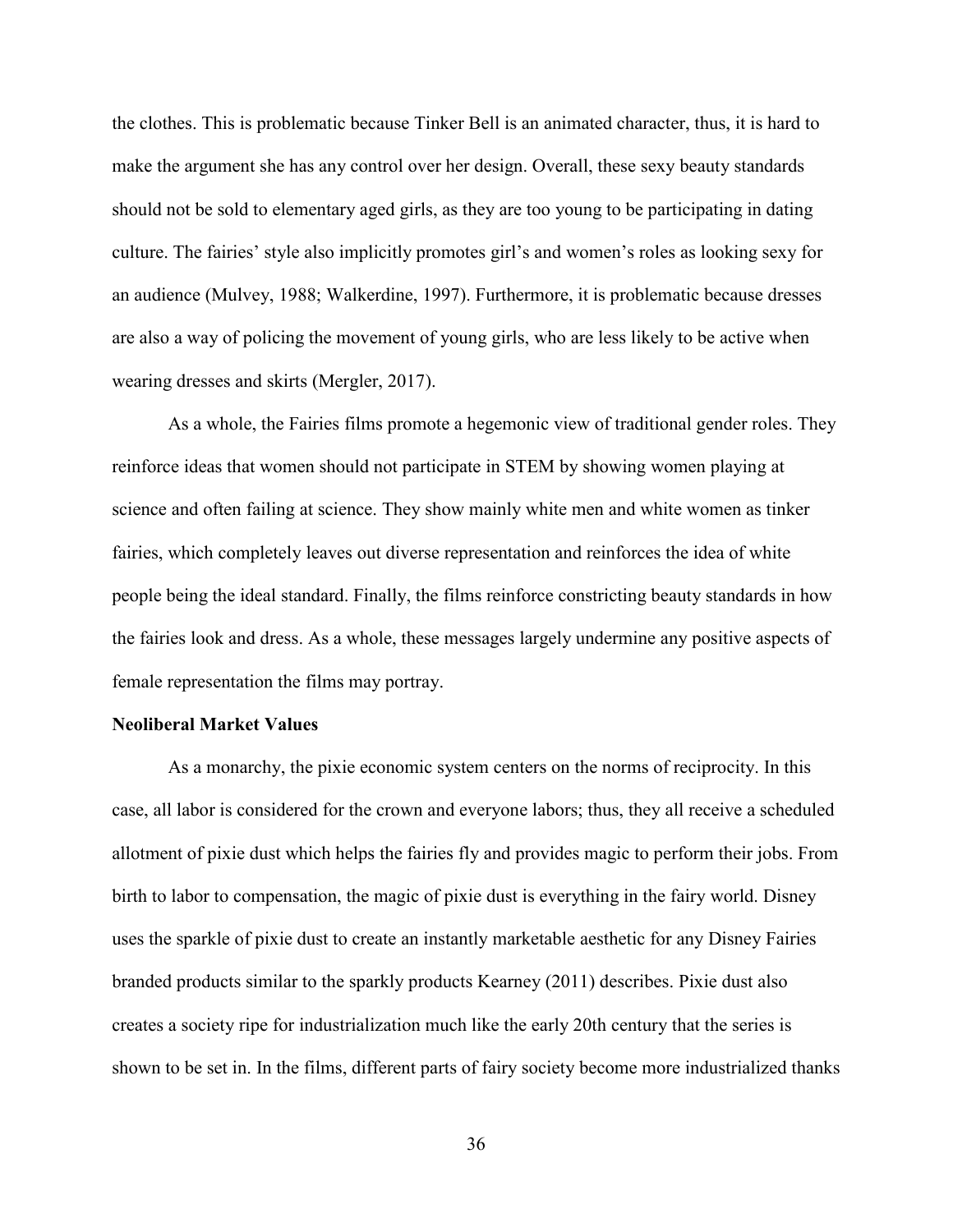the clothes. This is problematic because Tinker Bell is an animated character, thus, it is hard to make the argument she has any control over her design. Overall, these sexy beauty standards should not be sold to elementary aged girls, as they are too young to be participating in dating culture. The fairies' style also implicitly promotes girl's and women's roles as looking sexy for an audience (Mulvey, 1988; Walkerdine, 1997). Furthermore, it is problematic because dresses are also a way of policing the movement of young girls, who are less likely to be active when wearing dresses and skirts (Mergler, 2017).

As a whole, the Fairies films promote a hegemonic view of traditional gender roles. They reinforce ideas that women should not participate in STEM by showing women playing at science and often failing at science. They show mainly white men and white women as tinker fairies, which completely leaves out diverse representation and reinforces the idea of white people being the ideal standard. Finally, the films reinforce constricting beauty standards in how the fairies look and dress. As a whole, these messages largely undermine any positive aspects of female representation the films may portray.

## **Neoliberal Market Values**

As a monarchy, the pixie economic system centers on the norms of reciprocity. In this case, all labor is considered for the crown and everyone labors; thus, they all receive a scheduled allotment of pixie dust which helps the fairies fly and provides magic to perform their jobs. From birth to labor to compensation, the magic of pixie dust is everything in the fairy world. Disney uses the sparkle of pixie dust to create an instantly marketable aesthetic for any Disney Fairies branded products similar to the sparkly products Kearney (2011) describes. Pixie dust also creates a society ripe for industrialization much like the early 20th century that the series is shown to be set in. In the films, different parts of fairy society become more industrialized thanks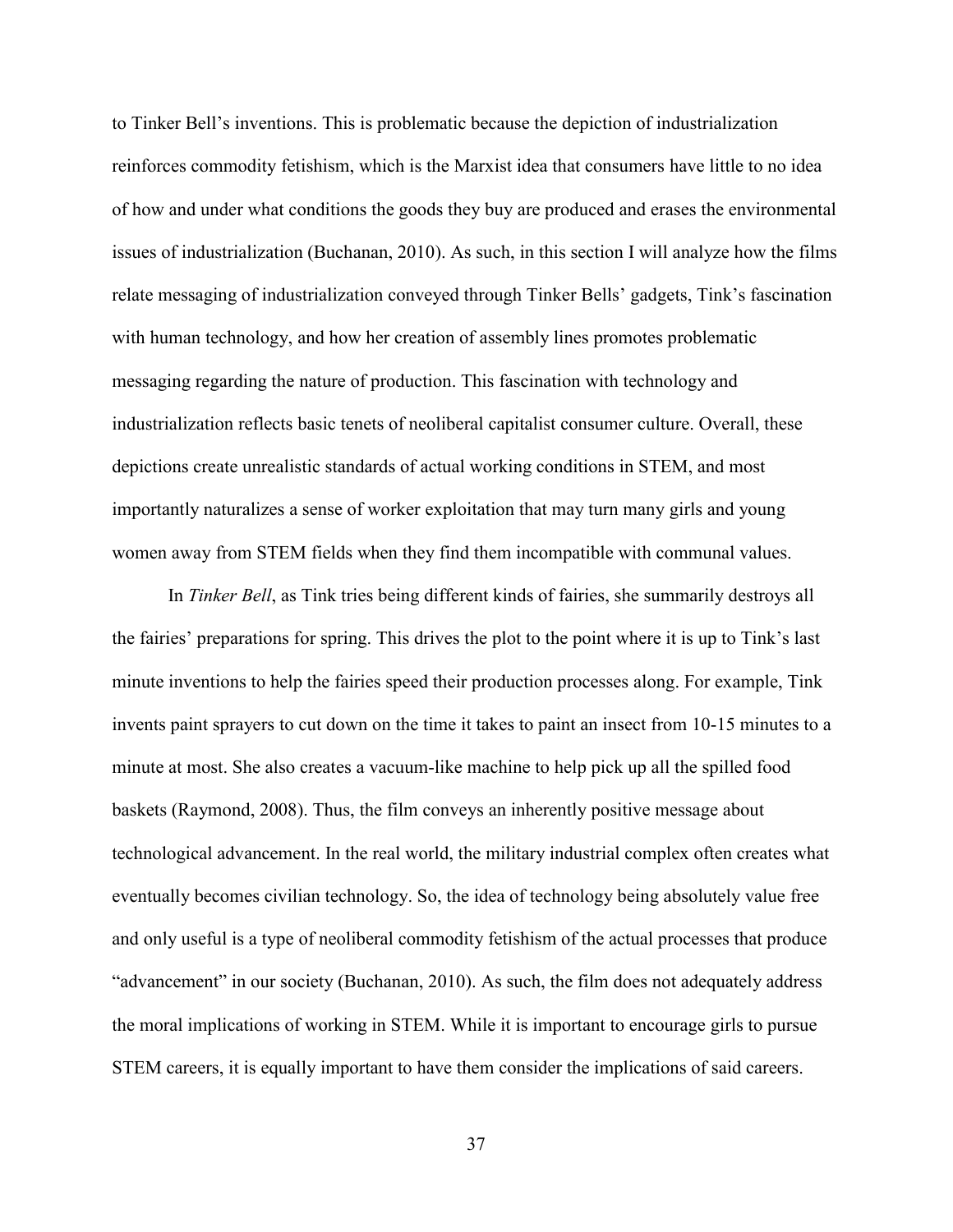to Tinker Bell's inventions. This is problematic because the depiction of industrialization reinforces commodity fetishism, which is the Marxist idea that consumers have little to no idea of how and under what conditions the goods they buy are produced and erases the environmental issues of industrialization (Buchanan, 2010). As such, in this section I will analyze how the films relate messaging of industrialization conveyed through Tinker Bells' gadgets, Tink's fascination with human technology, and how her creation of assembly lines promotes problematic messaging regarding the nature of production. This fascination with technology and industrialization reflects basic tenets of neoliberal capitalist consumer culture. Overall, these depictions create unrealistic standards of actual working conditions in STEM, and most importantly naturalizes a sense of worker exploitation that may turn many girls and young women away from STEM fields when they find them incompatible with communal values.

In *Tinker Bell*, as Tink tries being different kinds of fairies, she summarily destroys all the fairies' preparations for spring. This drives the plot to the point where it is up to Tink's last minute inventions to help the fairies speed their production processes along. For example, Tink invents paint sprayers to cut down on the time it takes to paint an insect from 10-15 minutes to a minute at most. She also creates a vacuum-like machine to help pick up all the spilled food baskets (Raymond, 2008). Thus, the film conveys an inherently positive message about technological advancement. In the real world, the military industrial complex often creates what eventually becomes civilian technology. So, the idea of technology being absolutely value free and only useful is a type of neoliberal commodity fetishism of the actual processes that produce "advancement" in our society (Buchanan, 2010). As such, the film does not adequately address the moral implications of working in STEM. While it is important to encourage girls to pursue STEM careers, it is equally important to have them consider the implications of said careers.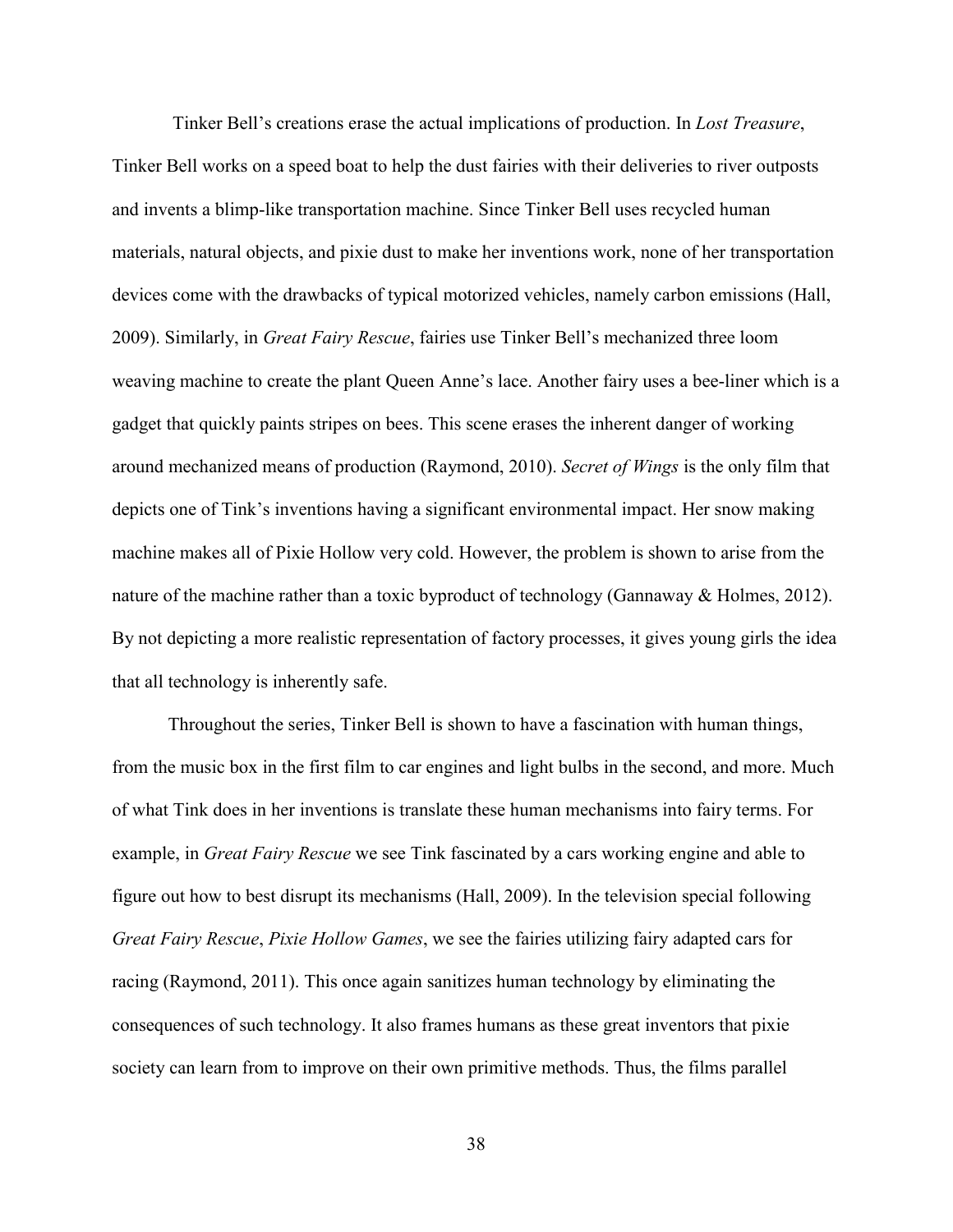Tinker Bell's creations erase the actual implications of production. In *Lost Treasure*, Tinker Bell works on a speed boat to help the dust fairies with their deliveries to river outposts and invents a blimp-like transportation machine. Since Tinker Bell uses recycled human materials, natural objects, and pixie dust to make her inventions work, none of her transportation devices come with the drawbacks of typical motorized vehicles, namely carbon emissions (Hall, 2009). Similarly, in *Great Fairy Rescue*, fairies use Tinker Bell's mechanized three loom weaving machine to create the plant Queen Anne's lace. Another fairy uses a bee-liner which is a gadget that quickly paints stripes on bees. This scene erases the inherent danger of working around mechanized means of production (Raymond, 2010). *Secret of Wings* is the only film that depicts one of Tink's inventions having a significant environmental impact. Her snow making machine makes all of Pixie Hollow very cold. However, the problem is shown to arise from the nature of the machine rather than a toxic byproduct of technology (Gannaway & Holmes, 2012). By not depicting a more realistic representation of factory processes, it gives young girls the idea that all technology is inherently safe.

Throughout the series, Tinker Bell is shown to have a fascination with human things, from the music box in the first film to car engines and light bulbs in the second, and more. Much of what Tink does in her inventions is translate these human mechanisms into fairy terms. For example, in *Great Fairy Rescue* we see Tink fascinated by a cars working engine and able to figure out how to best disrupt its mechanisms (Hall, 2009). In the television special following *Great Fairy Rescue*, *Pixie Hollow Games*, we see the fairies utilizing fairy adapted cars for racing (Raymond, 2011). This once again sanitizes human technology by eliminating the consequences of such technology. It also frames humans as these great inventors that pixie society can learn from to improve on their own primitive methods. Thus, the films parallel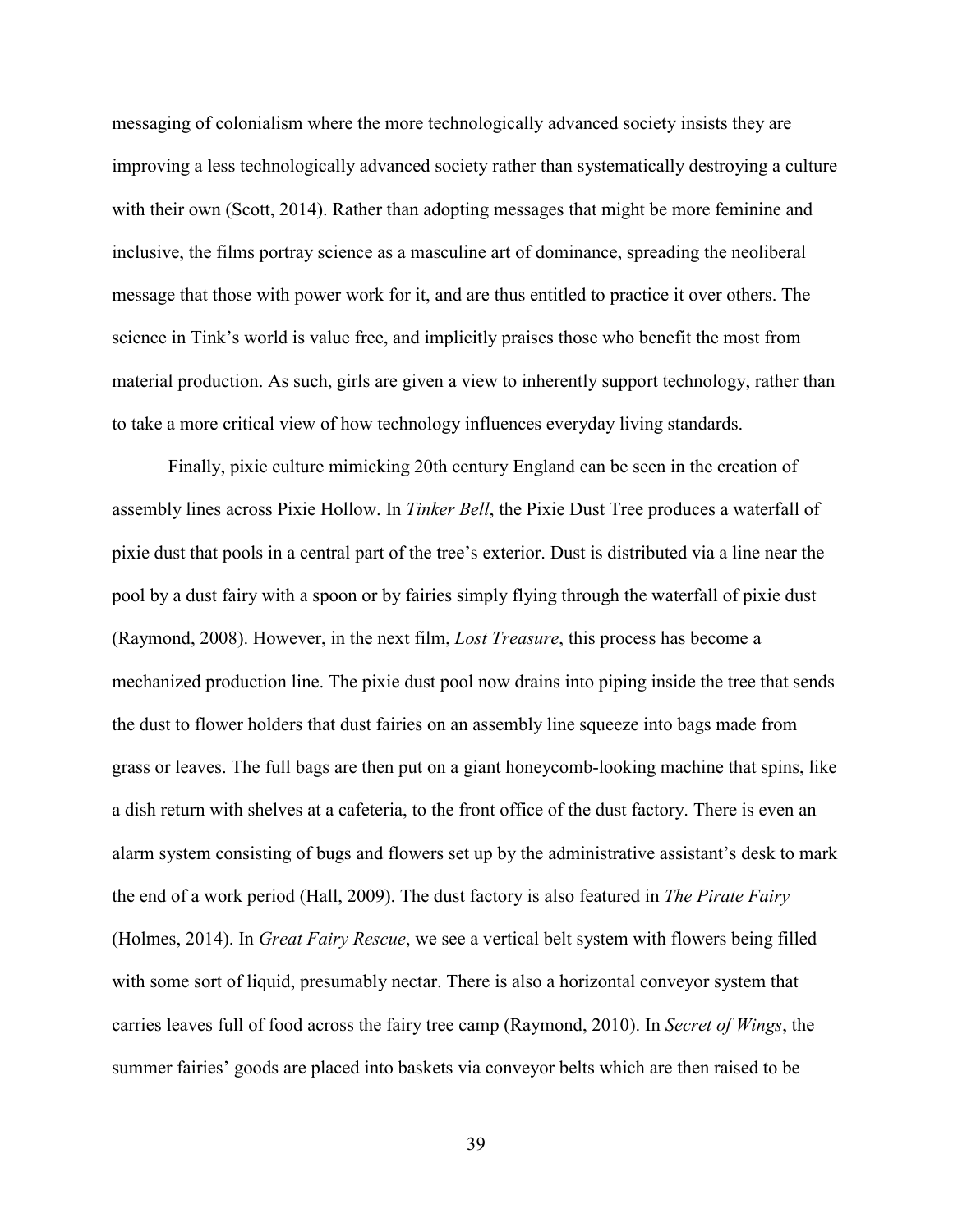messaging of colonialism where the more technologically advanced society insists they are improving a less technologically advanced society rather than systematically destroying a culture with their own (Scott, 2014). Rather than adopting messages that might be more feminine and inclusive, the films portray science as a masculine art of dominance, spreading the neoliberal message that those with power work for it, and are thus entitled to practice it over others. The science in Tink's world is value free, and implicitly praises those who benefit the most from material production. As such, girls are given a view to inherently support technology, rather than to take a more critical view of how technology influences everyday living standards.

Finally, pixie culture mimicking 20th century England can be seen in the creation of assembly lines across Pixie Hollow. In *Tinker Bell*, the Pixie Dust Tree produces a waterfall of pixie dust that pools in a central part of the tree's exterior. Dust is distributed via a line near the pool by a dust fairy with a spoon or by fairies simply flying through the waterfall of pixie dust (Raymond, 2008). However, in the next film, *Lost Treasure*, this process has become a mechanized production line. The pixie dust pool now drains into piping inside the tree that sends the dust to flower holders that dust fairies on an assembly line squeeze into bags made from grass or leaves. The full bags are then put on a giant honeycomb-looking machine that spins, like a dish return with shelves at a cafeteria, to the front office of the dust factory. There is even an alarm system consisting of bugs and flowers set up by the administrative assistant's desk to mark the end of a work period (Hall, 2009). The dust factory is also featured in *The Pirate Fairy*  (Holmes, 2014). In *Great Fairy Rescue*, we see a vertical belt system with flowers being filled with some sort of liquid, presumably nectar. There is also a horizontal conveyor system that carries leaves full of food across the fairy tree camp (Raymond, 2010). In *Secret of Wings*, the summer fairies' goods are placed into baskets via conveyor belts which are then raised to be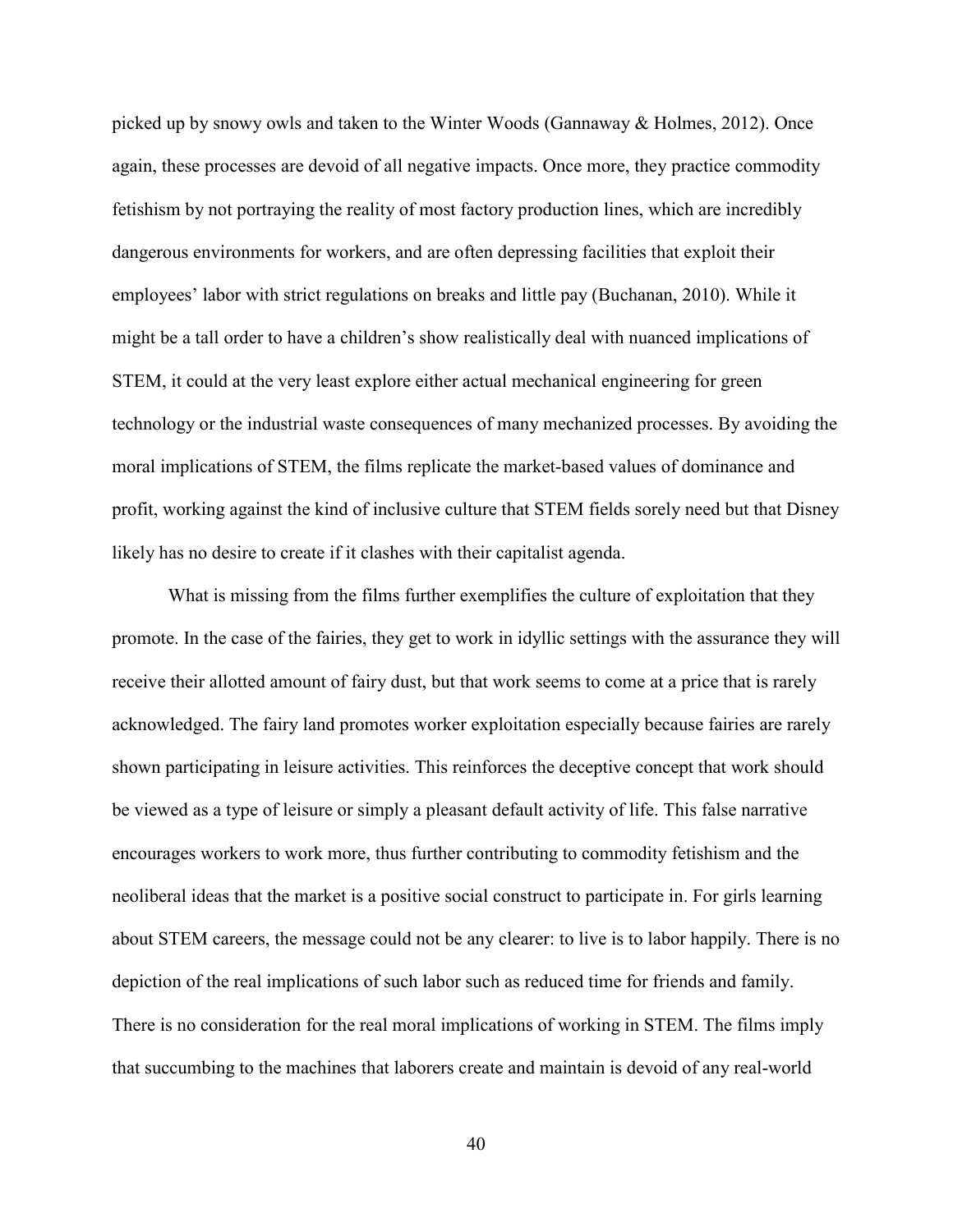picked up by snowy owls and taken to the Winter Woods (Gannaway & Holmes, 2012). Once again, these processes are devoid of all negative impacts. Once more, they practice commodity fetishism by not portraying the reality of most factory production lines, which are incredibly dangerous environments for workers, and are often depressing facilities that exploit their employees' labor with strict regulations on breaks and little pay (Buchanan, 2010). While it might be a tall order to have a children's show realistically deal with nuanced implications of STEM, it could at the very least explore either actual mechanical engineering for green technology or the industrial waste consequences of many mechanized processes. By avoiding the moral implications of STEM, the films replicate the market-based values of dominance and profit, working against the kind of inclusive culture that STEM fields sorely need but that Disney likely has no desire to create if it clashes with their capitalist agenda.

What is missing from the films further exemplifies the culture of exploitation that they promote. In the case of the fairies, they get to work in idyllic settings with the assurance they will receive their allotted amount of fairy dust, but that work seems to come at a price that is rarely acknowledged. The fairy land promotes worker exploitation especially because fairies are rarely shown participating in leisure activities. This reinforces the deceptive concept that work should be viewed as a type of leisure or simply a pleasant default activity of life. This false narrative encourages workers to work more, thus further contributing to commodity fetishism and the neoliberal ideas that the market is a positive social construct to participate in. For girls learning about STEM careers, the message could not be any clearer: to live is to labor happily. There is no depiction of the real implications of such labor such as reduced time for friends and family. There is no consideration for the real moral implications of working in STEM. The films imply that succumbing to the machines that laborers create and maintain is devoid of any real-world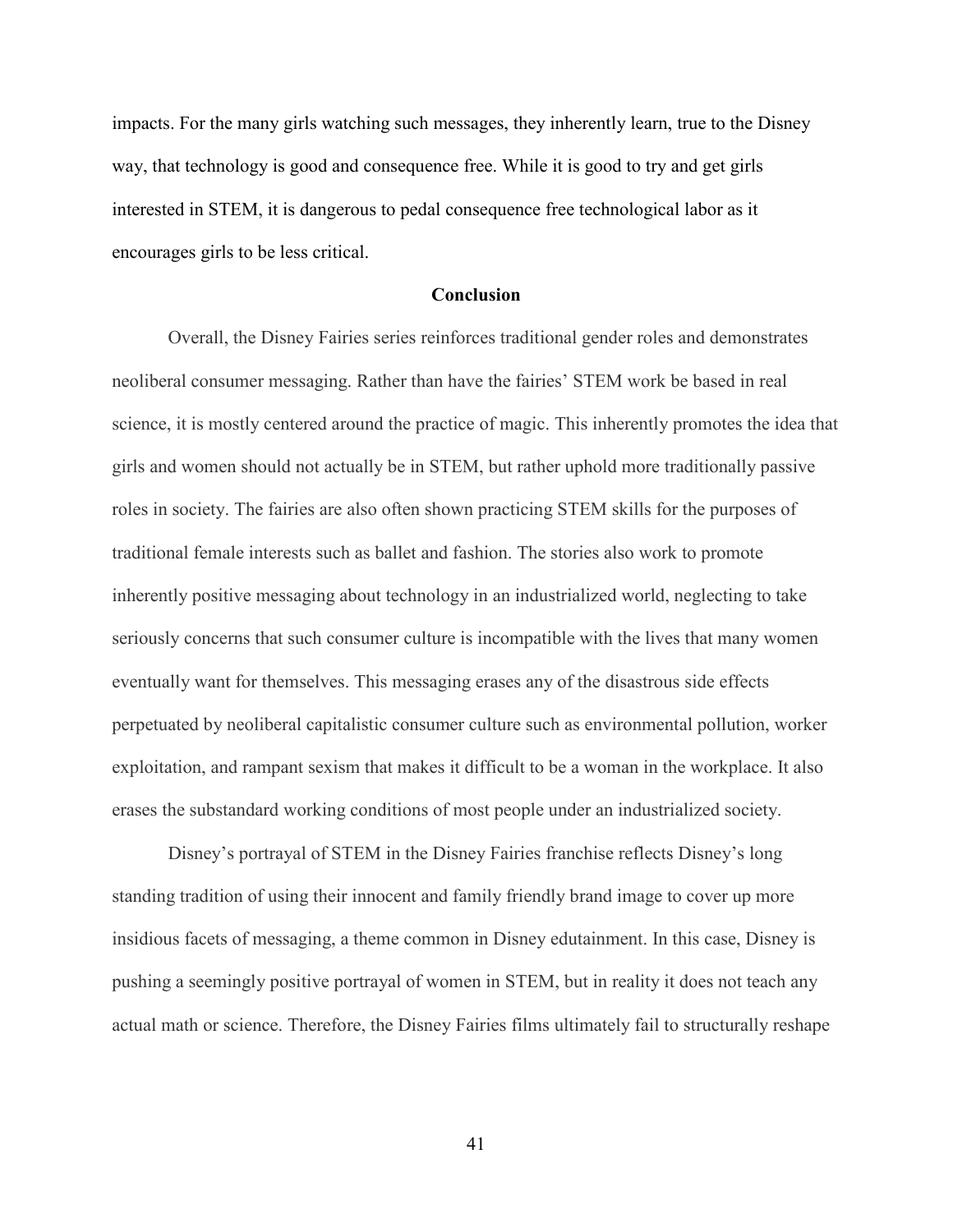impacts. For the many girls watching such messages, they inherently learn, true to the Disney way, that technology is good and consequence free. While it is good to try and get girls interested in STEM, it is dangerous to pedal consequence free technological labor as it encourages girls to be less critical.

# **Conclusion**

Overall, the Disney Fairies series reinforces traditional gender roles and demonstrates neoliberal consumer messaging. Rather than have the fairies' STEM work be based in real science, it is mostly centered around the practice of magic. This inherently promotes the idea that girls and women should not actually be in STEM, but rather uphold more traditionally passive roles in society. The fairies are also often shown practicing STEM skills for the purposes of traditional female interests such as ballet and fashion. The stories also work to promote inherently positive messaging about technology in an industrialized world, neglecting to take seriously concerns that such consumer culture is incompatible with the lives that many women eventually want for themselves. This messaging erases any of the disastrous side effects perpetuated by neoliberal capitalistic consumer culture such as environmental pollution, worker exploitation, and rampant sexism that makes it difficult to be a woman in the workplace. It also erases the substandard working conditions of most people under an industrialized society.

Disney's portrayal of STEM in the Disney Fairies franchise reflects Disney's long standing tradition of using their innocent and family friendly brand image to cover up more insidious facets of messaging, a theme common in Disney edutainment. In this case, Disney is pushing a seemingly positive portrayal of women in STEM, but in reality it does not teach any actual math or science. Therefore, the Disney Fairies films ultimately fail to structurally reshape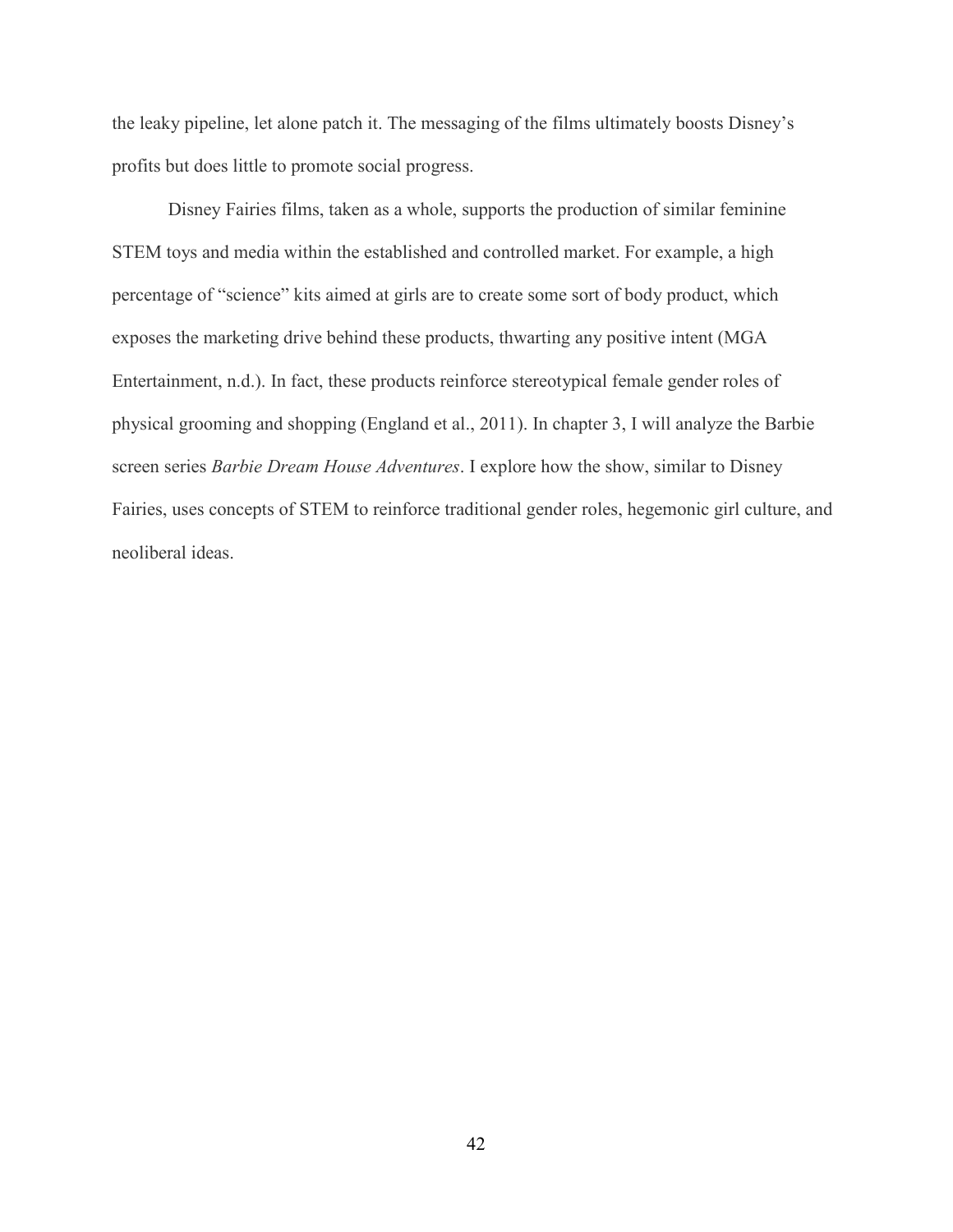the leaky pipeline, let alone patch it. The messaging of the films ultimately boosts Disney's profits but does little to promote social progress.

Disney Fairies films, taken as a whole, supports the production of similar feminine STEM toys and media within the established and controlled market. For example, a high percentage of "science" kits aimed at girls are to create some sort of body product, which exposes the marketing drive behind these products, thwarting any positive intent (MGA Entertainment, n.d.). In fact, these products reinforce stereotypical female gender roles of physical grooming and shopping (England et al., 2011). In chapter 3, I will analyze the Barbie screen series *Barbie Dream House Adventures*. I explore how the show, similar to Disney Fairies, uses concepts of STEM to reinforce traditional gender roles, hegemonic girl culture, and neoliberal ideas.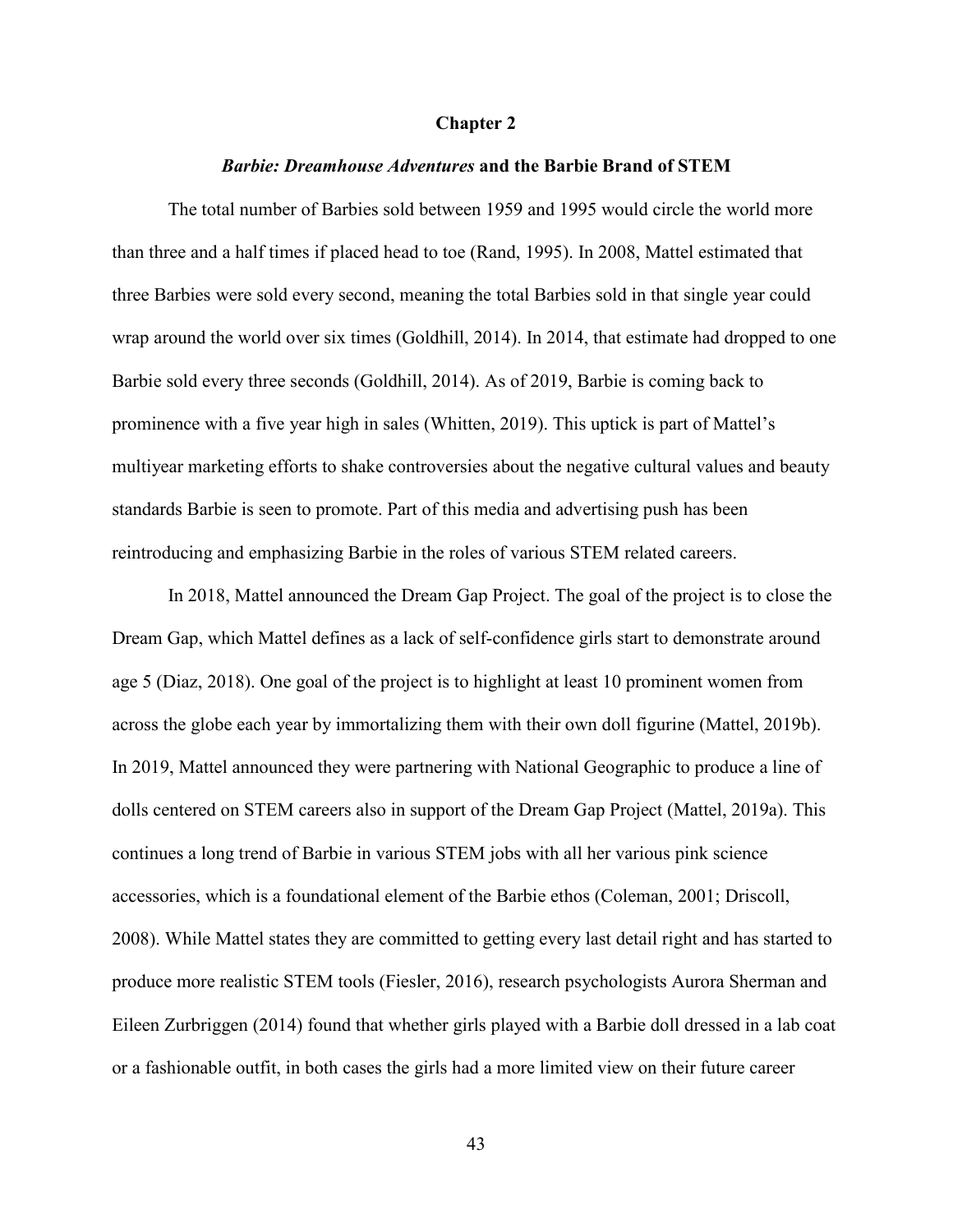#### **Chapter 2**

## *Barbie: Dreamhouse Adventures* **and the Barbie Brand of STEM**

The total number of Barbies sold between 1959 and 1995 would circle the world more than three and a half times if placed head to toe (Rand, 1995). In 2008, Mattel estimated that three Barbies were sold every second, meaning the total Barbies sold in that single year could wrap around the world over six times (Goldhill, 2014). In 2014, that estimate had dropped to one Barbie sold every three seconds (Goldhill, 2014). As of 2019, Barbie is coming back to prominence with a five year high in sales (Whitten, 2019). This uptick is part of Mattel's multiyear marketing efforts to shake controversies about the negative cultural values and beauty standards Barbie is seen to promote. Part of this media and advertising push has been reintroducing and emphasizing Barbie in the roles of various STEM related careers.

In 2018, Mattel announced the Dream Gap Project. The goal of the project is to close the Dream Gap, which Mattel defines as a lack of self-confidence girls start to demonstrate around age 5 (Diaz, 2018). One goal of the project is to highlight at least 10 prominent women from across the globe each year by immortalizing them with their own doll figurine (Mattel, 2019b). In 2019, Mattel announced they were partnering with National Geographic to produce a line of dolls centered on STEM careers also in support of the Dream Gap Project (Mattel, 2019a). This continues a long trend of Barbie in various STEM jobs with all her various pink science accessories, which is a foundational element of the Barbie ethos (Coleman, 2001; Driscoll, 2008). While Mattel states they are committed to getting every last detail right and has started to produce more realistic STEM tools (Fiesler, 2016), research psychologists Aurora Sherman and Eileen Zurbriggen (2014) found that whether girls played with a Barbie doll dressed in a lab coat or a fashionable outfit, in both cases the girls had a more limited view on their future career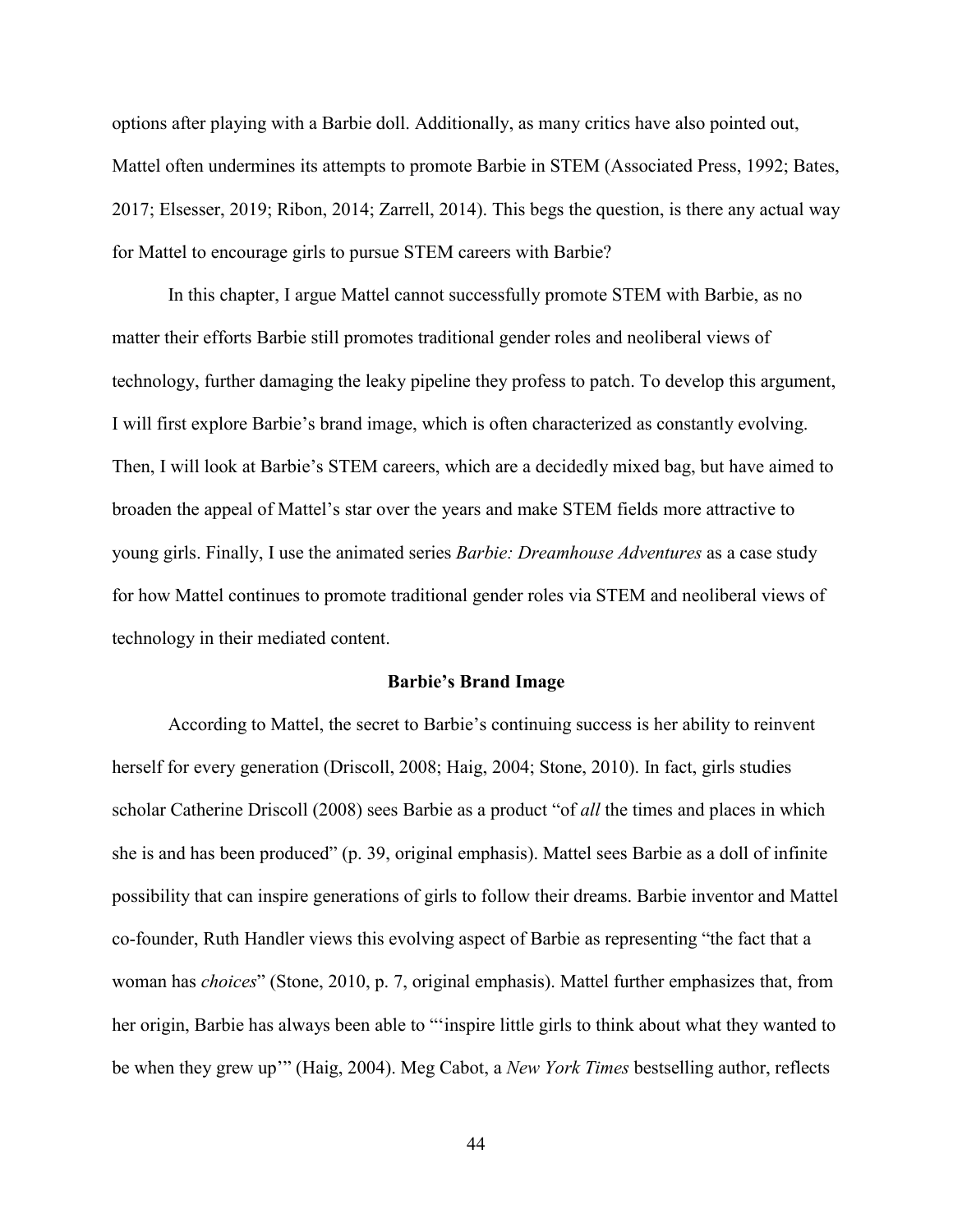options after playing with a Barbie doll. Additionally, as many critics have also pointed out, Mattel often undermines its attempts to promote Barbie in STEM (Associated Press, 1992; Bates, 2017; Elsesser, 2019; Ribon, 2014; Zarrell, 2014). This begs the question, is there any actual way for Mattel to encourage girls to pursue STEM careers with Barbie?

In this chapter, I argue Mattel cannot successfully promote STEM with Barbie, as no matter their efforts Barbie still promotes traditional gender roles and neoliberal views of technology, further damaging the leaky pipeline they profess to patch. To develop this argument, I will first explore Barbie's brand image, which is often characterized as constantly evolving. Then, I will look at Barbie's STEM careers, which are a decidedly mixed bag, but have aimed to broaden the appeal of Mattel's star over the years and make STEM fields more attractive to young girls. Finally, I use the animated series *Barbie: Dreamhouse Adventures* as a case study for how Mattel continues to promote traditional gender roles via STEM and neoliberal views of technology in their mediated content.

#### **Barbie's Brand Image**

According to Mattel, the secret to Barbie's continuing success is her ability to reinvent herself for every generation (Driscoll, 2008; Haig, 2004; Stone, 2010). In fact, girls studies scholar Catherine Driscoll (2008) sees Barbie as a product "of *all* the times and places in which she is and has been produced" (p. 39, original emphasis). Mattel sees Barbie as a doll of infinite possibility that can inspire generations of girls to follow their dreams. Barbie inventor and Mattel co-founder, Ruth Handler views this evolving aspect of Barbie as representing "the fact that a woman has *choices*" (Stone, 2010, p. 7, original emphasis). Mattel further emphasizes that, from her origin, Barbie has always been able to "'inspire little girls to think about what they wanted to be when they grew up'" (Haig, 2004). Meg Cabot, a *New York Times* bestselling author, reflects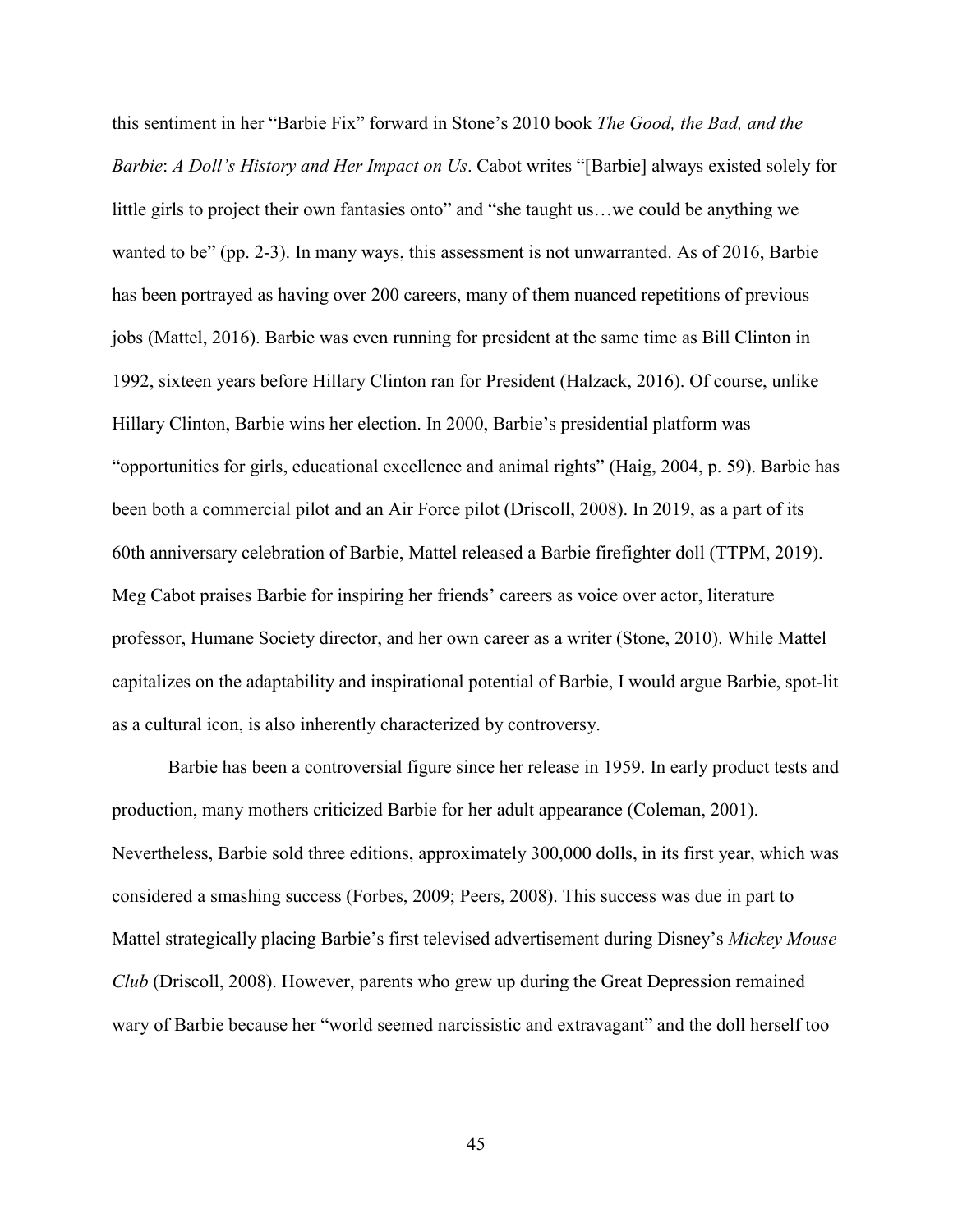this sentiment in her "Barbie Fix" forward in Stone's 2010 book *The Good, the Bad, and the Barbie*: *A Doll's History and Her Impact on Us*. Cabot writes "[Barbie] always existed solely for little girls to project their own fantasies onto" and "she taught us...we could be anything we wanted to be" (pp. 2-3). In many ways, this assessment is not unwarranted. As of 2016, Barbie has been portrayed as having over 200 careers, many of them nuanced repetitions of previous jobs (Mattel, 2016). Barbie was even running for president at the same time as Bill Clinton in 1992, sixteen years before Hillary Clinton ran for President (Halzack, 2016). Of course, unlike Hillary Clinton, Barbie wins her election. In 2000, Barbie's presidential platform was "opportunities for girls, educational excellence and animal rights" (Haig, 2004, p. 59). Barbie has been both a commercial pilot and an Air Force pilot (Driscoll, 2008). In 2019, as a part of its 60th anniversary celebration of Barbie, Mattel released a Barbie firefighter doll (TTPM, 2019). Meg Cabot praises Barbie for inspiring her friends' careers as voice over actor, literature professor, Humane Society director, and her own career as a writer (Stone, 2010). While Mattel capitalizes on the adaptability and inspirational potential of Barbie, I would argue Barbie, spot-lit as a cultural icon, is also inherently characterized by controversy.

Barbie has been a controversial figure since her release in 1959. In early product tests and production, many mothers criticized Barbie for her adult appearance (Coleman, 2001). Nevertheless, Barbie sold three editions, approximately 300,000 dolls, in its first year, which was considered a smashing success (Forbes, 2009; Peers, 2008). This success was due in part to Mattel strategically placing Barbie's first televised advertisement during Disney's *Mickey Mouse Club* (Driscoll, 2008). However, parents who grew up during the Great Depression remained wary of Barbie because her "world seemed narcissistic and extravagant" and the doll herself too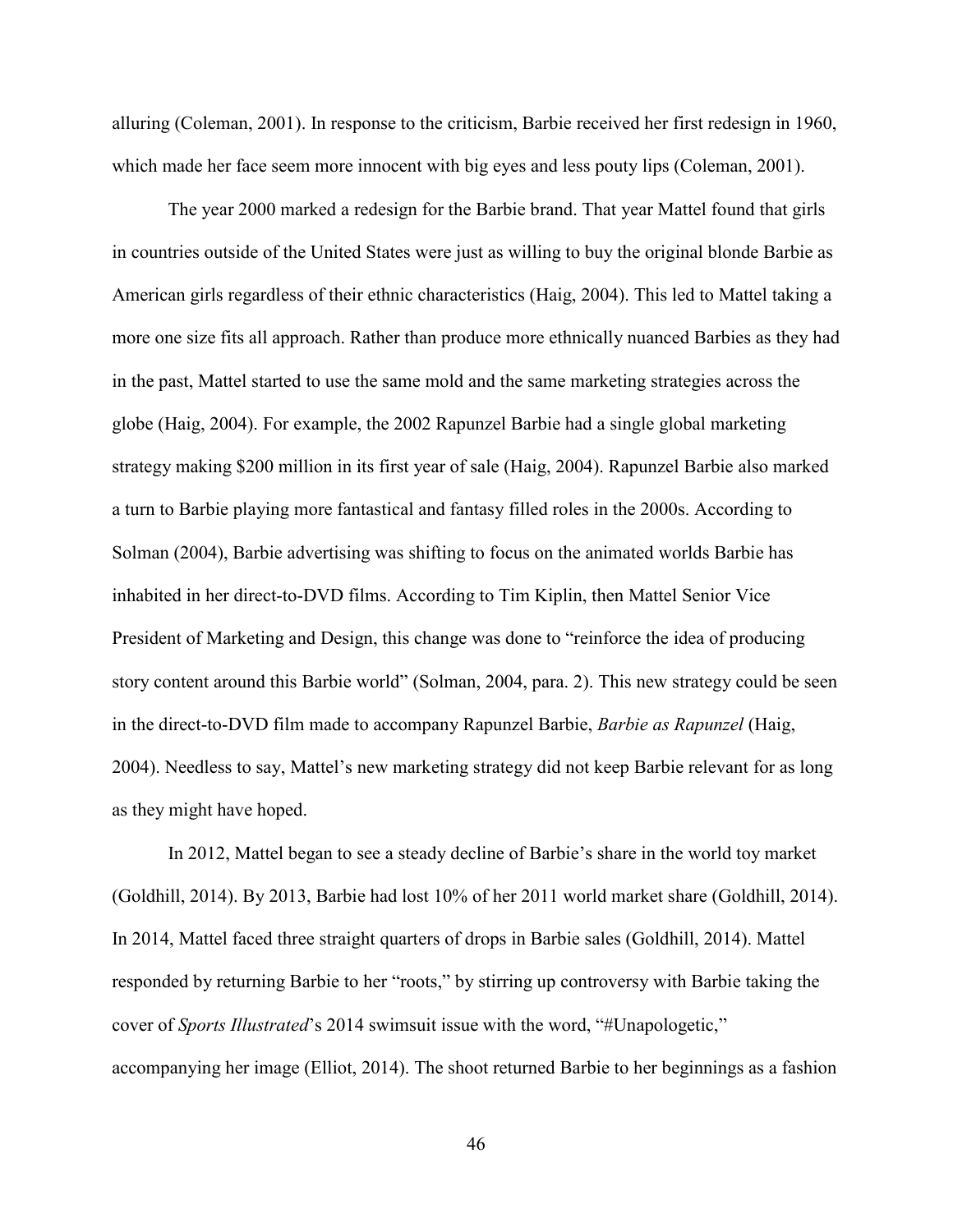alluring (Coleman, 2001). In response to the criticism, Barbie received her first redesign in 1960, which made her face seem more innocent with big eyes and less pouty lips (Coleman, 2001).

The year 2000 marked a redesign for the Barbie brand. That year Mattel found that girls in countries outside of the United States were just as willing to buy the original blonde Barbie as American girls regardless of their ethnic characteristics (Haig, 2004). This led to Mattel taking a more one size fits all approach. Rather than produce more ethnically nuanced Barbies as they had in the past, Mattel started to use the same mold and the same marketing strategies across the globe (Haig, 2004). For example, the 2002 Rapunzel Barbie had a single global marketing strategy making \$200 million in its first year of sale (Haig, 2004). Rapunzel Barbie also marked a turn to Barbie playing more fantastical and fantasy filled roles in the 2000s. According to Solman (2004), Barbie advertising was shifting to focus on the animated worlds Barbie has inhabited in her direct-to-DVD films. According to Tim Kiplin, then Mattel Senior Vice President of Marketing and Design, this change was done to "reinforce the idea of producing story content around this Barbie world" (Solman, 2004, para. 2). This new strategy could be seen in the direct-to-DVD film made to accompany Rapunzel Barbie, *Barbie as Rapunzel* (Haig, 2004). Needless to say, Mattel's new marketing strategy did not keep Barbie relevant for as long as they might have hoped.

In 2012, Mattel began to see a steady decline of Barbie's share in the world toy market (Goldhill, 2014). By 2013, Barbie had lost 10% of her 2011 world market share (Goldhill, 2014). In 2014, Mattel faced three straight quarters of drops in Barbie sales (Goldhill, 2014). Mattel responded by returning Barbie to her "roots," by stirring up controversy with Barbie taking the cover of *Sports Illustrated*'s 2014 swimsuit issue with the word, "#Unapologetic," accompanying her image (Elliot, 2014). The shoot returned Barbie to her beginnings as a fashion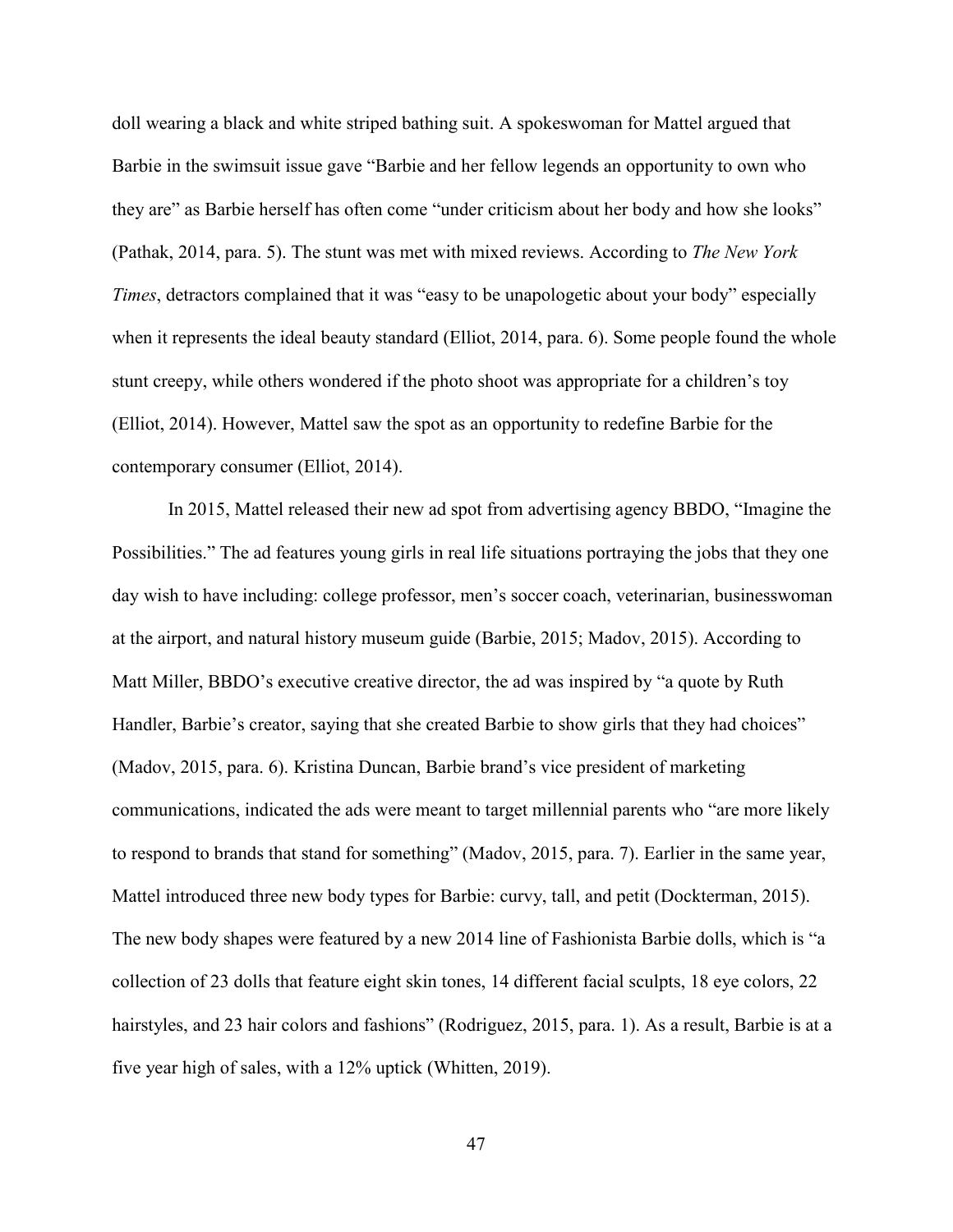doll wearing a black and white striped bathing suit. A spokeswoman for Mattel argued that Barbie in the swimsuit issue gave "Barbie and her fellow legends an opportunity to own who they are" as Barbie herself has often come "under criticism about her body and how she looks" (Pathak, 2014, para. 5). The stunt was met with mixed reviews. According to *The New York Times*, detractors complained that it was "easy to be unapologetic about your body" especially when it represents the ideal beauty standard (Elliot, 2014, para. 6). Some people found the whole stunt creepy, while others wondered if the photo shoot was appropriate for a children's toy (Elliot, 2014). However, Mattel saw the spot as an opportunity to redefine Barbie for the contemporary consumer (Elliot, 2014).

In 2015, Mattel released their new ad spot from advertising agency BBDO, "Imagine the Possibilities." The ad features young girls in real life situations portraying the jobs that they one day wish to have including: college professor, men's soccer coach, veterinarian, businesswoman at the airport, and natural history museum guide (Barbie, 2015; Madov, 2015). According to Matt Miller, BBDO's executive creative director, the ad was inspired by "a quote by Ruth Handler, Barbie's creator, saying that she created Barbie to show girls that they had choices" (Madov, 2015, para. 6). Kristina Duncan, Barbie brand's vice president of marketing communications, indicated the ads were meant to target millennial parents who "are more likely to respond to brands that stand for something" (Madov, 2015, para. 7). Earlier in the same year, Mattel introduced three new body types for Barbie: curvy, tall, and petit (Dockterman, 2015). The new body shapes were featured by a new 2014 line of Fashionista Barbie dolls, which is "a collection of 23 dolls that feature eight skin tones, 14 different facial sculpts, 18 eye colors, 22 hairstyles, and 23 hair colors and fashions" (Rodriguez, 2015, para. 1). As a result, Barbie is at a five year high of sales, with a 12% uptick (Whitten, 2019).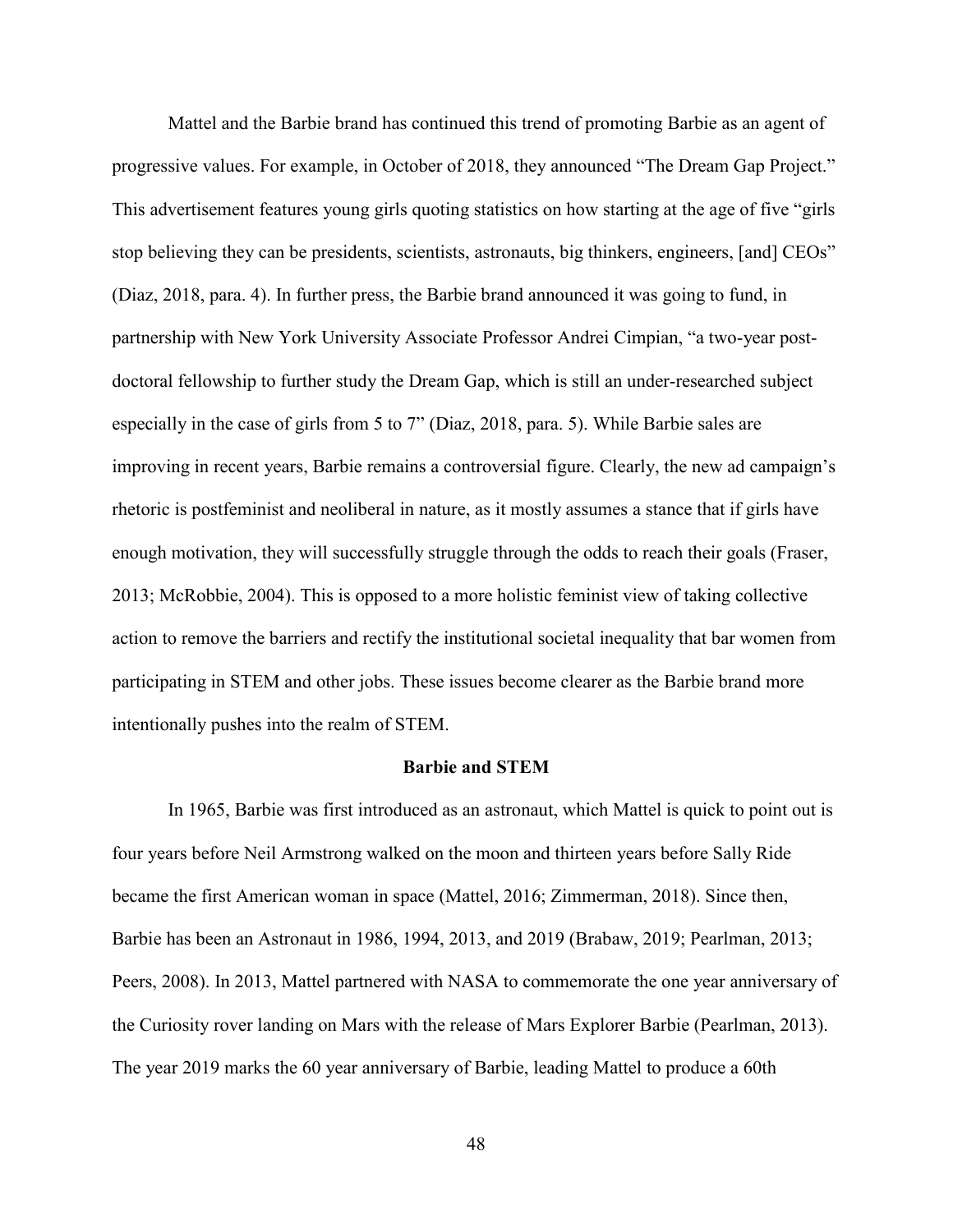Mattel and the Barbie brand has continued this trend of promoting Barbie as an agent of progressive values. For example, in October of 2018, they announced "The Dream Gap Project." This advertisement features young girls quoting statistics on how starting at the age of five "girls stop believing they can be presidents, scientists, astronauts, big thinkers, engineers, [and] CEOs" (Diaz, 2018, para. 4). In further press, the Barbie brand announced it was going to fund, in partnership with New York University Associate Professor Andrei Cimpian, "a two-year postdoctoral fellowship to further study the Dream Gap, which is still an under-researched subject especially in the case of girls from 5 to 7" (Diaz, 2018, para. 5). While Barbie sales are improving in recent years, Barbie remains a controversial figure. Clearly, the new ad campaign's rhetoric is postfeminist and neoliberal in nature, as it mostly assumes a stance that if girls have enough motivation, they will successfully struggle through the odds to reach their goals (Fraser, 2013; McRobbie, 2004). This is opposed to a more holistic feminist view of taking collective action to remove the barriers and rectify the institutional societal inequality that bar women from participating in STEM and other jobs. These issues become clearer as the Barbie brand more intentionally pushes into the realm of STEM.

## **Barbie and STEM**

In 1965, Barbie was first introduced as an astronaut, which Mattel is quick to point out is four years before Neil Armstrong walked on the moon and thirteen years before Sally Ride became the first American woman in space (Mattel, 2016; Zimmerman, 2018). Since then, Barbie has been an Astronaut in 1986, 1994, 2013, and 2019 (Brabaw, 2019; Pearlman, 2013; Peers, 2008). In 2013, Mattel partnered with NASA to commemorate the one year anniversary of the Curiosity rover landing on Mars with the release of Mars Explorer Barbie (Pearlman, 2013). The year 2019 marks the 60 year anniversary of Barbie, leading Mattel to produce a 60th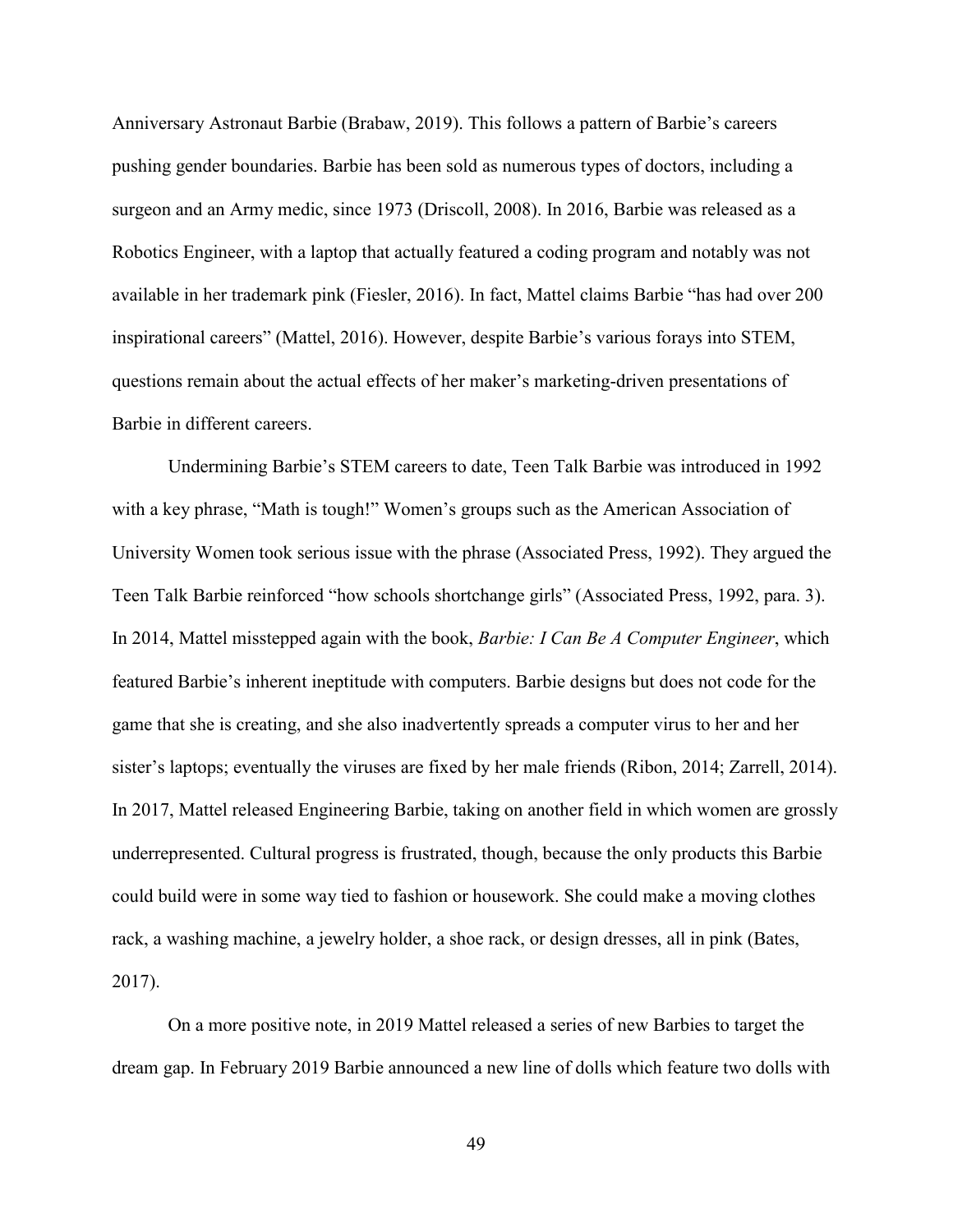Anniversary Astronaut Barbie (Brabaw, 2019). This follows a pattern of Barbie's careers pushing gender boundaries. Barbie has been sold as numerous types of doctors, including a surgeon and an Army medic, since 1973 (Driscoll, 2008). In 2016, Barbie was released as a Robotics Engineer, with a laptop that actually featured a coding program and notably was not available in her trademark pink (Fiesler, 2016). In fact, Mattel claims Barbie "has had over 200 inspirational careers" (Mattel, 2016). However, despite Barbie's various forays into STEM, questions remain about the actual effects of her maker's marketing-driven presentations of Barbie in different careers.

Undermining Barbie's STEM careers to date, Teen Talk Barbie was introduced in 1992 with a key phrase, "Math is tough!" Women's groups such as the American Association of University Women took serious issue with the phrase (Associated Press, 1992). They argued the Teen Talk Barbie reinforced "how schools shortchange girls" (Associated Press, 1992, para. 3). In 2014, Mattel misstepped again with the book, *Barbie: I Can Be A Computer Engineer*, which featured Barbie's inherent ineptitude with computers. Barbie designs but does not code for the game that she is creating, and she also inadvertently spreads a computer virus to her and her sister's laptops; eventually the viruses are fixed by her male friends (Ribon, 2014; Zarrell, 2014). In 2017, Mattel released Engineering Barbie, taking on another field in which women are grossly underrepresented. Cultural progress is frustrated, though, because the only products this Barbie could build were in some way tied to fashion or housework. She could make a moving clothes rack, a washing machine, a jewelry holder, a shoe rack, or design dresses, all in pink (Bates, 2017).

On a more positive note, in 2019 Mattel released a series of new Barbies to target the dream gap. In February 2019 Barbie announced a new line of dolls which feature two dolls with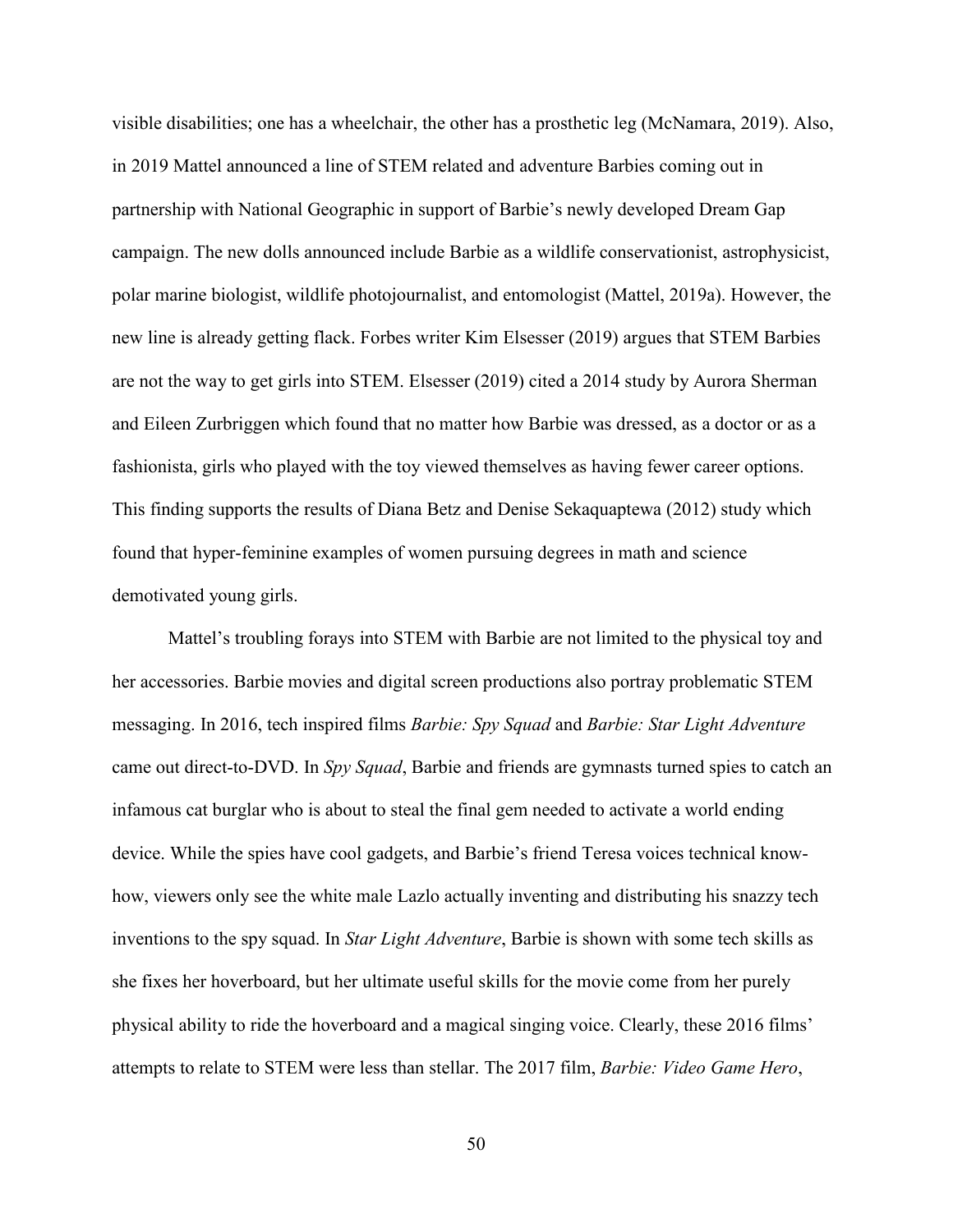visible disabilities; one has a wheelchair, the other has a prosthetic leg (McNamara, 2019). Also, in 2019 Mattel announced a line of STEM related and adventure Barbies coming out in partnership with National Geographic in support of Barbie's newly developed Dream Gap campaign. The new dolls announced include Barbie as a wildlife conservationist, astrophysicist, polar marine biologist, wildlife photojournalist, and entomologist (Mattel, 2019a). However, the new line is already getting flack. Forbes writer Kim Elsesser (2019) argues that STEM Barbies are not the way to get girls into STEM. Elsesser (2019) cited a 2014 study by Aurora Sherman and Eileen Zurbriggen which found that no matter how Barbie was dressed, as a doctor or as a fashionista, girls who played with the toy viewed themselves as having fewer career options. This finding supports the results of Diana Betz and Denise Sekaquaptewa (2012) study which found that hyper-feminine examples of women pursuing degrees in math and science demotivated young girls.

Mattel's troubling forays into STEM with Barbie are not limited to the physical toy and her accessories. Barbie movies and digital screen productions also portray problematic STEM messaging. In 2016, tech inspired films *Barbie: Spy Squad* and *Barbie: Star Light Adventure* came out direct-to-DVD. In *Spy Squad*, Barbie and friends are gymnasts turned spies to catch an infamous cat burglar who is about to steal the final gem needed to activate a world ending device. While the spies have cool gadgets, and Barbie's friend Teresa voices technical knowhow, viewers only see the white male Lazlo actually inventing and distributing his snazzy tech inventions to the spy squad. In *Star Light Adventure*, Barbie is shown with some tech skills as she fixes her hoverboard, but her ultimate useful skills for the movie come from her purely physical ability to ride the hoverboard and a magical singing voice. Clearly, these 2016 films' attempts to relate to STEM were less than stellar. The 2017 film, *Barbie: Video Game Hero*,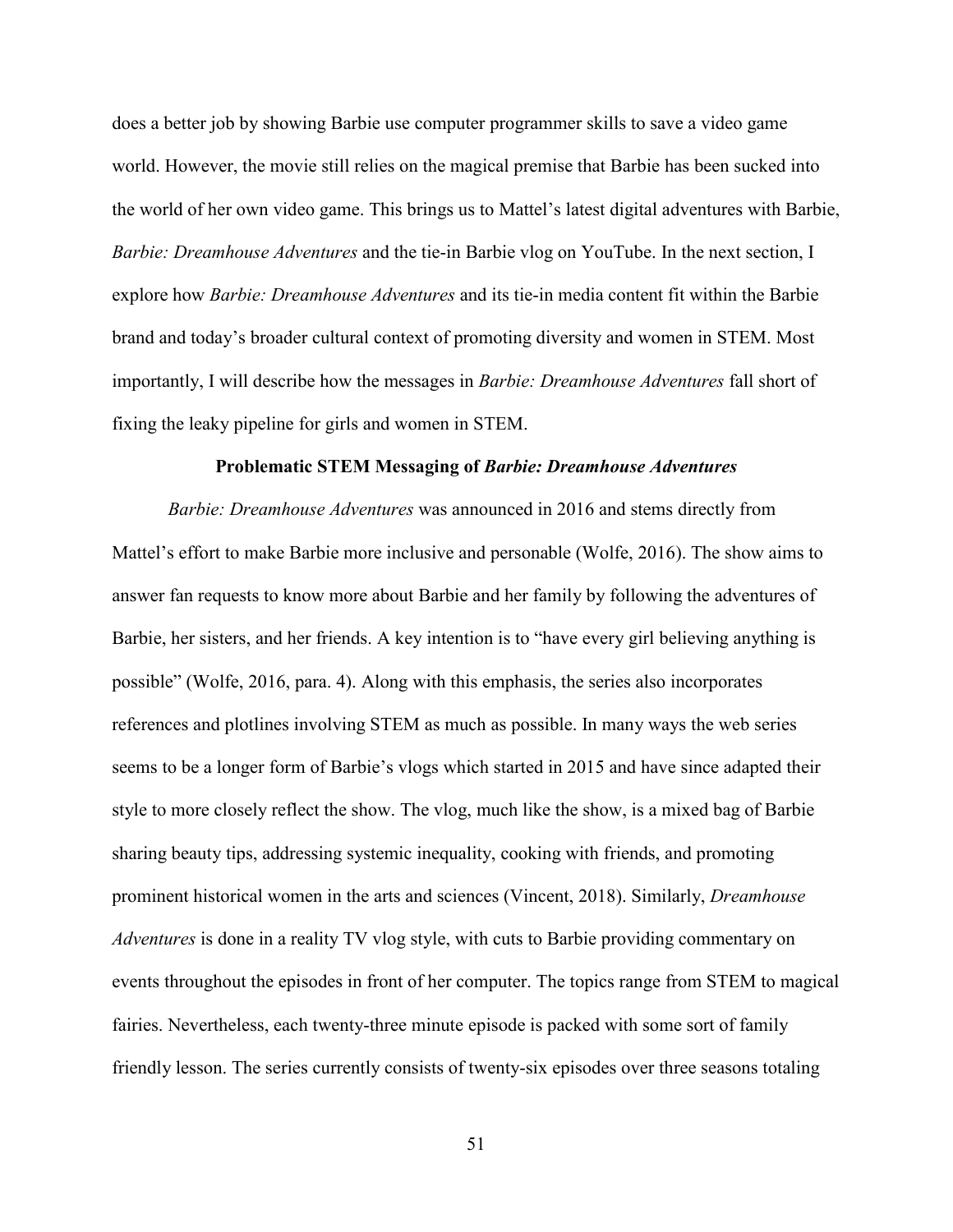does a better job by showing Barbie use computer programmer skills to save a video game world. However, the movie still relies on the magical premise that Barbie has been sucked into the world of her own video game. This brings us to Mattel's latest digital adventures with Barbie, *Barbie: Dreamhouse Adventures* and the tie-in Barbie vlog on YouTube. In the next section, I explore how *Barbie: Dreamhouse Adventures* and its tie-in media content fit within the Barbie brand and today's broader cultural context of promoting diversity and women in STEM. Most importantly, I will describe how the messages in *Barbie: Dreamhouse Adventures* fall short of fixing the leaky pipeline for girls and women in STEM.

#### **Problematic STEM Messaging of** *Barbie: Dreamhouse Adventures*

*Barbie: Dreamhouse Adventures* was announced in 2016 and stems directly from Mattel's effort to make Barbie more inclusive and personable (Wolfe, 2016). The show aims to answer fan requests to know more about Barbie and her family by following the adventures of Barbie, her sisters, and her friends. A key intention is to "have every girl believing anything is possible" (Wolfe, 2016, para. 4). Along with this emphasis, the series also incorporates references and plotlines involving STEM as much as possible. In many ways the web series seems to be a longer form of Barbie's vlogs which started in 2015 and have since adapted their style to more closely reflect the show. The vlog, much like the show, is a mixed bag of Barbie sharing beauty tips, addressing systemic inequality, cooking with friends, and promoting prominent historical women in the arts and sciences (Vincent, 2018). Similarly, *Dreamhouse Adventures* is done in a reality TV vlog style, with cuts to Barbie providing commentary on events throughout the episodes in front of her computer. The topics range from STEM to magical fairies. Nevertheless, each twenty-three minute episode is packed with some sort of family friendly lesson. The series currently consists of twenty-six episodes over three seasons totaling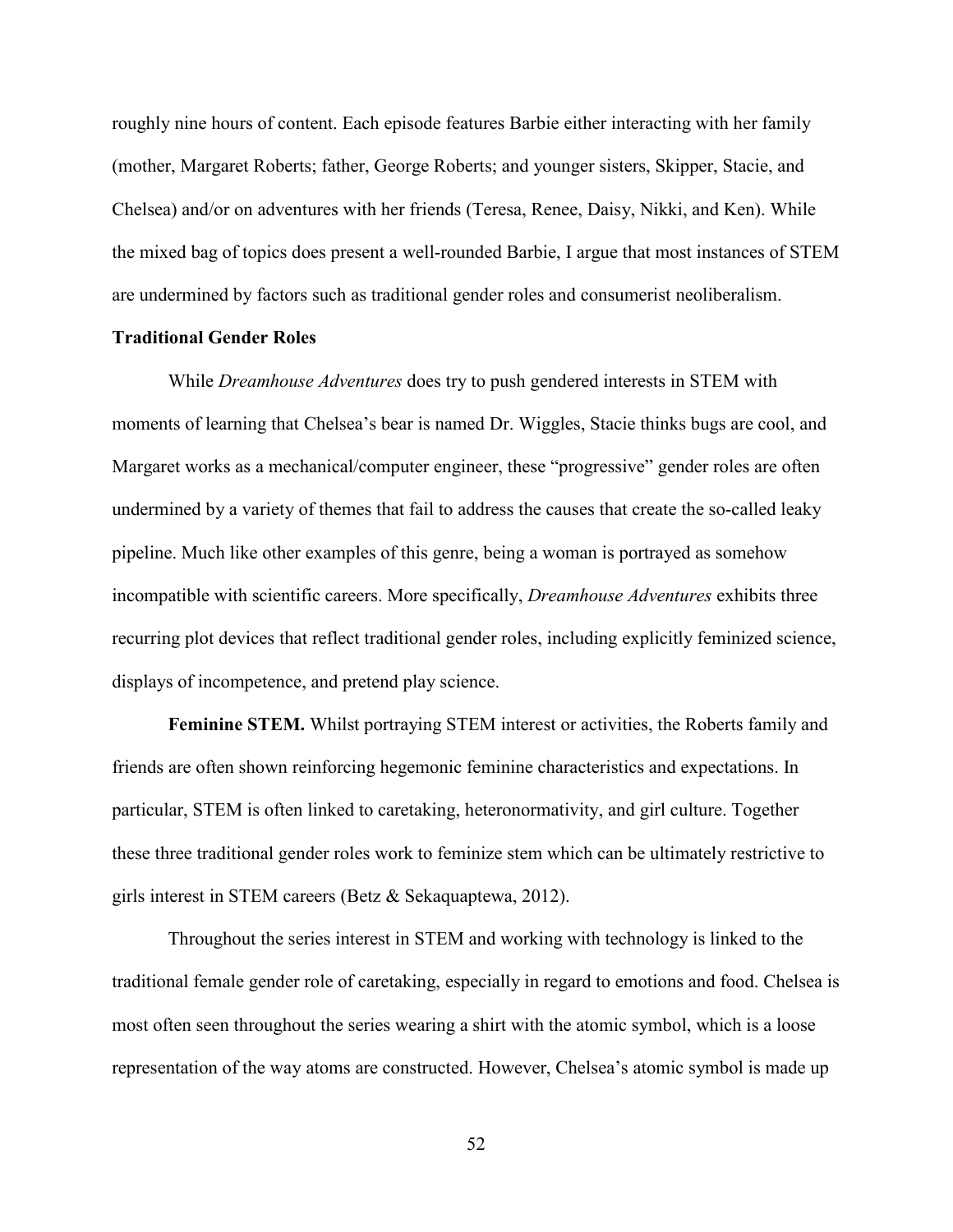roughly nine hours of content. Each episode features Barbie either interacting with her family (mother, Margaret Roberts; father, George Roberts; and younger sisters, Skipper, Stacie, and Chelsea) and/or on adventures with her friends (Teresa, Renee, Daisy, Nikki, and Ken). While the mixed bag of topics does present a well-rounded Barbie, I argue that most instances of STEM are undermined by factors such as traditional gender roles and consumerist neoliberalism.

# **Traditional Gender Roles**

While *Dreamhouse Adventures* does try to push gendered interests in STEM with moments of learning that Chelsea's bear is named Dr. Wiggles, Stacie thinks bugs are cool, and Margaret works as a mechanical/computer engineer, these "progressive" gender roles are often undermined by a variety of themes that fail to address the causes that create the so-called leaky pipeline. Much like other examples of this genre, being a woman is portrayed as somehow incompatible with scientific careers. More specifically, *Dreamhouse Adventures* exhibits three recurring plot devices that reflect traditional gender roles, including explicitly feminized science, displays of incompetence, and pretend play science.

**Feminine STEM.** Whilst portraying STEM interest or activities, the Roberts family and friends are often shown reinforcing hegemonic feminine characteristics and expectations. In particular, STEM is often linked to caretaking, heteronormativity, and girl culture. Together these three traditional gender roles work to feminize stem which can be ultimately restrictive to girls interest in STEM careers (Betz & Sekaquaptewa, 2012).

Throughout the series interest in STEM and working with technology is linked to the traditional female gender role of caretaking, especially in regard to emotions and food. Chelsea is most often seen throughout the series wearing a shirt with the atomic symbol, which is a loose representation of the way atoms are constructed. However, Chelsea's atomic symbol is made up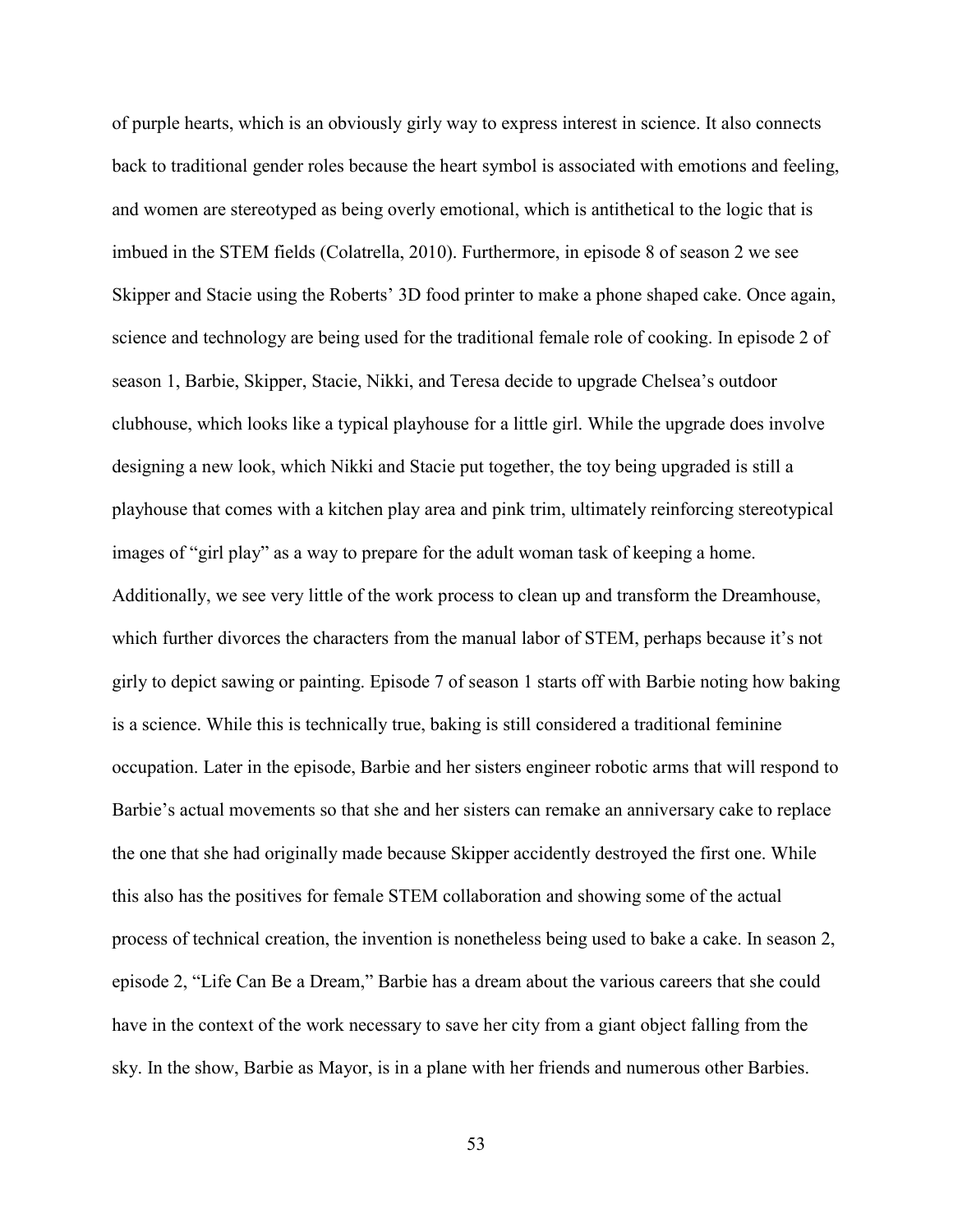of purple hearts, which is an obviously girly way to express interest in science. It also connects back to traditional gender roles because the heart symbol is associated with emotions and feeling, and women are stereotyped as being overly emotional, which is antithetical to the logic that is imbued in the STEM fields (Colatrella, 2010). Furthermore, in episode 8 of season 2 we see Skipper and Stacie using the Roberts' 3D food printer to make a phone shaped cake. Once again, science and technology are being used for the traditional female role of cooking. In episode 2 of season 1, Barbie, Skipper, Stacie, Nikki, and Teresa decide to upgrade Chelsea's outdoor clubhouse, which looks like a typical playhouse for a little girl. While the upgrade does involve designing a new look, which Nikki and Stacie put together, the toy being upgraded is still a playhouse that comes with a kitchen play area and pink trim, ultimately reinforcing stereotypical images of "girl play" as a way to prepare for the adult woman task of keeping a home. Additionally, we see very little of the work process to clean up and transform the Dreamhouse, which further divorces the characters from the manual labor of STEM, perhaps because it's not girly to depict sawing or painting. Episode 7 of season 1 starts off with Barbie noting how baking is a science. While this is technically true, baking is still considered a traditional feminine occupation. Later in the episode, Barbie and her sisters engineer robotic arms that will respond to Barbie's actual movements so that she and her sisters can remake an anniversary cake to replace the one that she had originally made because Skipper accidently destroyed the first one. While this also has the positives for female STEM collaboration and showing some of the actual process of technical creation, the invention is nonetheless being used to bake a cake. In season 2, episode 2, "Life Can Be a Dream," Barbie has a dream about the various careers that she could have in the context of the work necessary to save her city from a giant object falling from the sky. In the show, Barbie as Mayor, is in a plane with her friends and numerous other Barbies.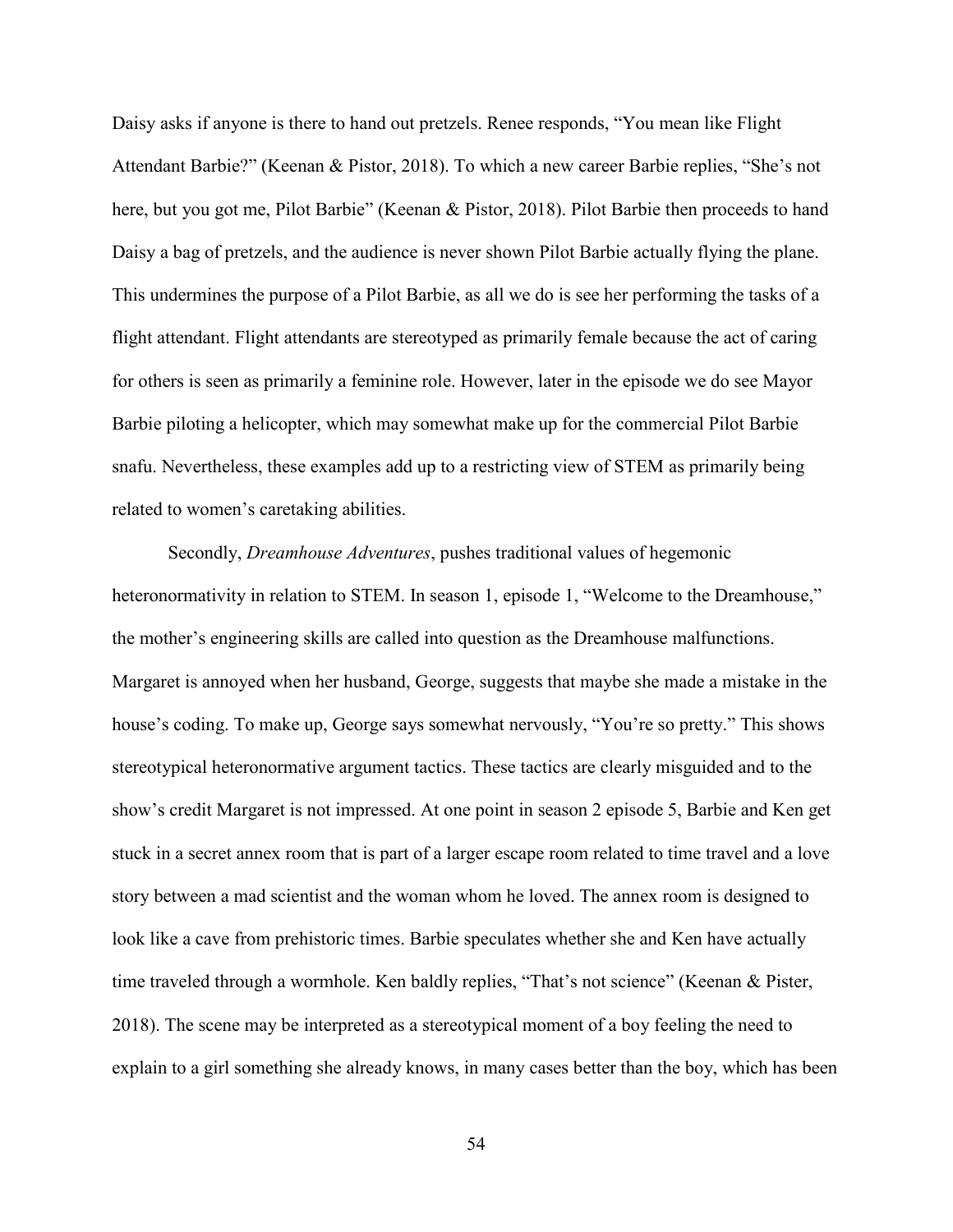Daisy asks if anyone is there to hand out pretzels. Renee responds, "You mean like Flight Attendant Barbie?" (Keenan & Pistor, 2018). To which a new career Barbie replies, "She's not here, but you got me, Pilot Barbie" (Keenan & Pistor, 2018). Pilot Barbie then proceeds to hand Daisy a bag of pretzels, and the audience is never shown Pilot Barbie actually flying the plane. This undermines the purpose of a Pilot Barbie, as all we do is see her performing the tasks of a flight attendant. Flight attendants are stereotyped as primarily female because the act of caring for others is seen as primarily a feminine role. However, later in the episode we do see Mayor Barbie piloting a helicopter, which may somewhat make up for the commercial Pilot Barbie snafu. Nevertheless, these examples add up to a restricting view of STEM as primarily being related to women's caretaking abilities.

Secondly, *Dreamhouse Adventures*, pushes traditional values of hegemonic heteronormativity in relation to STEM. In season 1, episode 1, "Welcome to the Dreamhouse," the mother's engineering skills are called into question as the Dreamhouse malfunctions. Margaret is annoyed when her husband, George, suggests that maybe she made a mistake in the house's coding. To make up, George says somewhat nervously, "You're so pretty." This shows stereotypical heteronormative argument tactics. These tactics are clearly misguided and to the show's credit Margaret is not impressed. At one point in season 2 episode 5, Barbie and Ken get stuck in a secret annex room that is part of a larger escape room related to time travel and a love story between a mad scientist and the woman whom he loved. The annex room is designed to look like a cave from prehistoric times. Barbie speculates whether she and Ken have actually time traveled through a wormhole. Ken baldly replies, "That's not science" (Keenan & Pister, 2018). The scene may be interpreted as a stereotypical moment of a boy feeling the need to explain to a girl something she already knows, in many cases better than the boy, which has been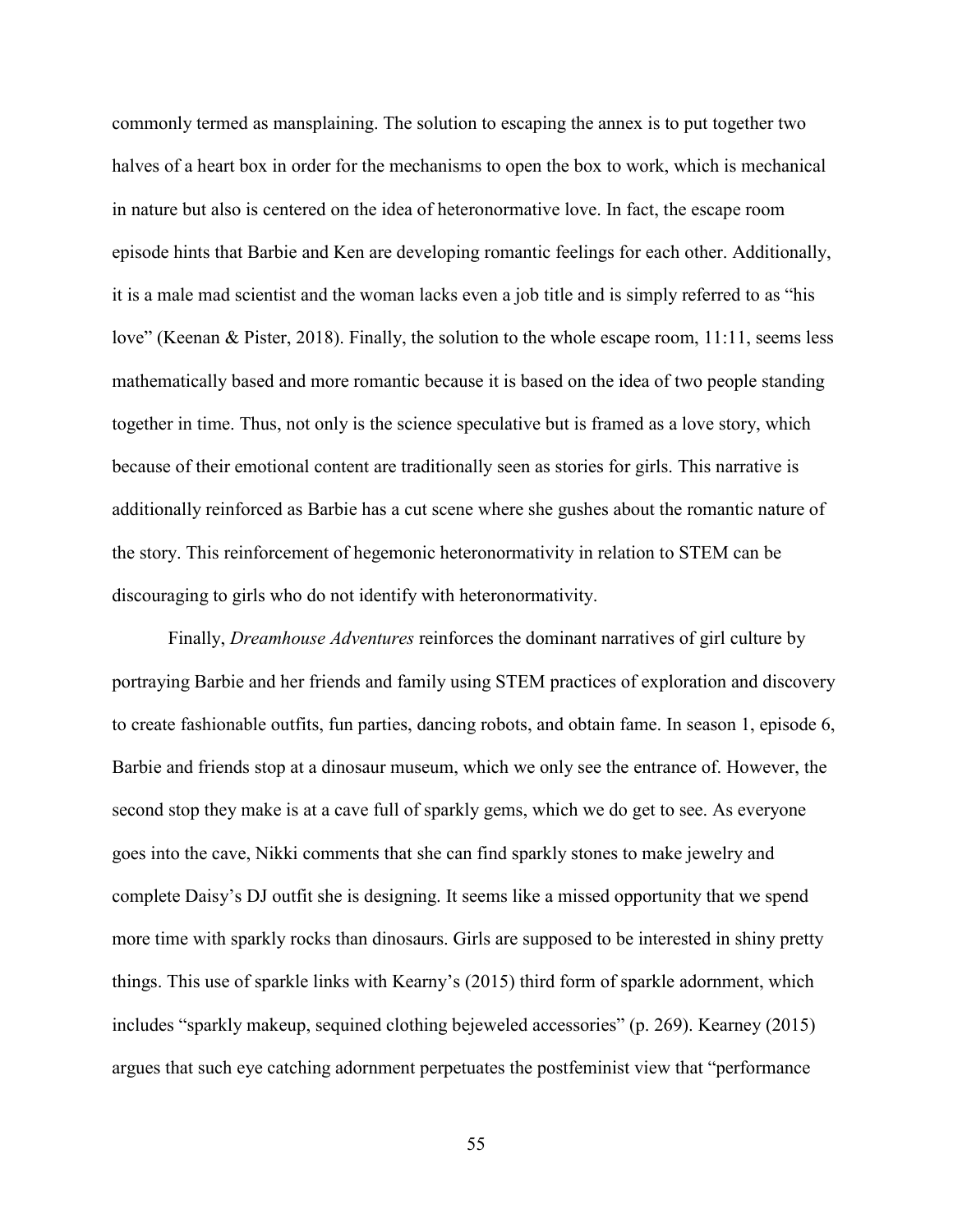commonly termed as mansplaining. The solution to escaping the annex is to put together two halves of a heart box in order for the mechanisms to open the box to work, which is mechanical in nature but also is centered on the idea of heteronormative love. In fact, the escape room episode hints that Barbie and Ken are developing romantic feelings for each other. Additionally, it is a male mad scientist and the woman lacks even a job title and is simply referred to as "his love" (Keenan & Pister, 2018). Finally, the solution to the whole escape room, 11:11, seems less mathematically based and more romantic because it is based on the idea of two people standing together in time. Thus, not only is the science speculative but is framed as a love story, which because of their emotional content are traditionally seen as stories for girls. This narrative is additionally reinforced as Barbie has a cut scene where she gushes about the romantic nature of the story. This reinforcement of hegemonic heteronormativity in relation to STEM can be discouraging to girls who do not identify with heteronormativity.

Finally, *Dreamhouse Adventures* reinforces the dominant narratives of girl culture by portraying Barbie and her friends and family using STEM practices of exploration and discovery to create fashionable outfits, fun parties, dancing robots, and obtain fame. In season 1, episode 6, Barbie and friends stop at a dinosaur museum, which we only see the entrance of. However, the second stop they make is at a cave full of sparkly gems, which we do get to see. As everyone goes into the cave, Nikki comments that she can find sparkly stones to make jewelry and complete Daisy's DJ outfit she is designing. It seems like a missed opportunity that we spend more time with sparkly rocks than dinosaurs. Girls are supposed to be interested in shiny pretty things. This use of sparkle links with Kearny's (2015) third form of sparkle adornment, which includes "sparkly makeup, sequined clothing bejeweled accessories" (p. 269). Kearney (2015) argues that such eye catching adornment perpetuates the postfeminist view that "performance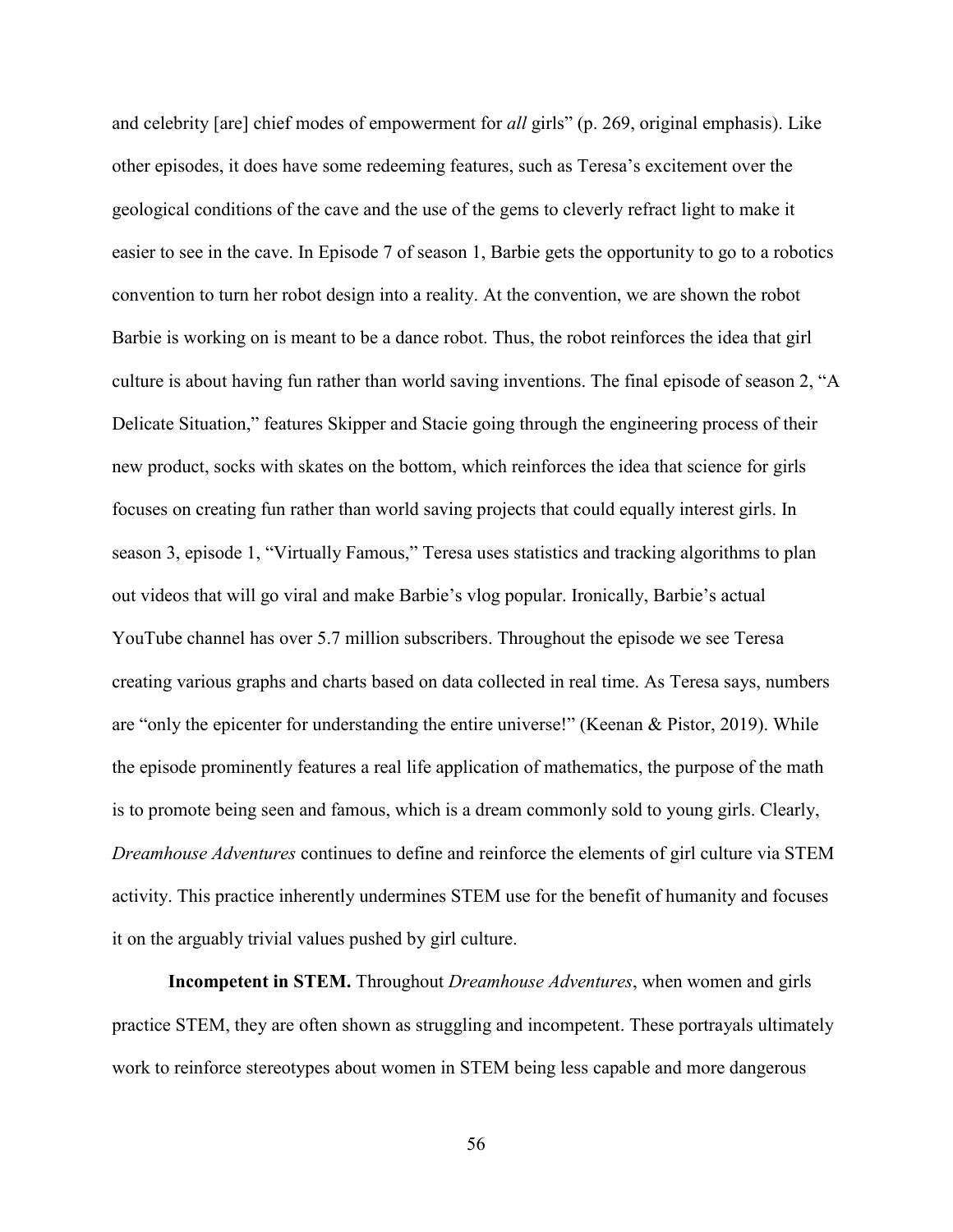and celebrity [are] chief modes of empowerment for *all* girls" (p. 269, original emphasis). Like other episodes, it does have some redeeming features, such as Teresa's excitement over the geological conditions of the cave and the use of the gems to cleverly refract light to make it easier to see in the cave. In Episode 7 of season 1, Barbie gets the opportunity to go to a robotics convention to turn her robot design into a reality. At the convention, we are shown the robot Barbie is working on is meant to be a dance robot. Thus, the robot reinforces the idea that girl culture is about having fun rather than world saving inventions. The final episode of season 2, "A Delicate Situation," features Skipper and Stacie going through the engineering process of their new product, socks with skates on the bottom, which reinforces the idea that science for girls focuses on creating fun rather than world saving projects that could equally interest girls. In season 3, episode 1, "Virtually Famous," Teresa uses statistics and tracking algorithms to plan out videos that will go viral and make Barbie's vlog popular. Ironically, Barbie's actual YouTube channel has over 5.7 million subscribers. Throughout the episode we see Teresa creating various graphs and charts based on data collected in real time. As Teresa says, numbers are "only the epicenter for understanding the entire universe!" (Keenan & Pistor, 2019). While the episode prominently features a real life application of mathematics, the purpose of the math is to promote being seen and famous, which is a dream commonly sold to young girls. Clearly, *Dreamhouse Adventures* continues to define and reinforce the elements of girl culture via STEM activity. This practice inherently undermines STEM use for the benefit of humanity and focuses it on the arguably trivial values pushed by girl culture.

**Incompetent in STEM.** Throughout *Dreamhouse Adventures*, when women and girls practice STEM, they are often shown as struggling and incompetent. These portrayals ultimately work to reinforce stereotypes about women in STEM being less capable and more dangerous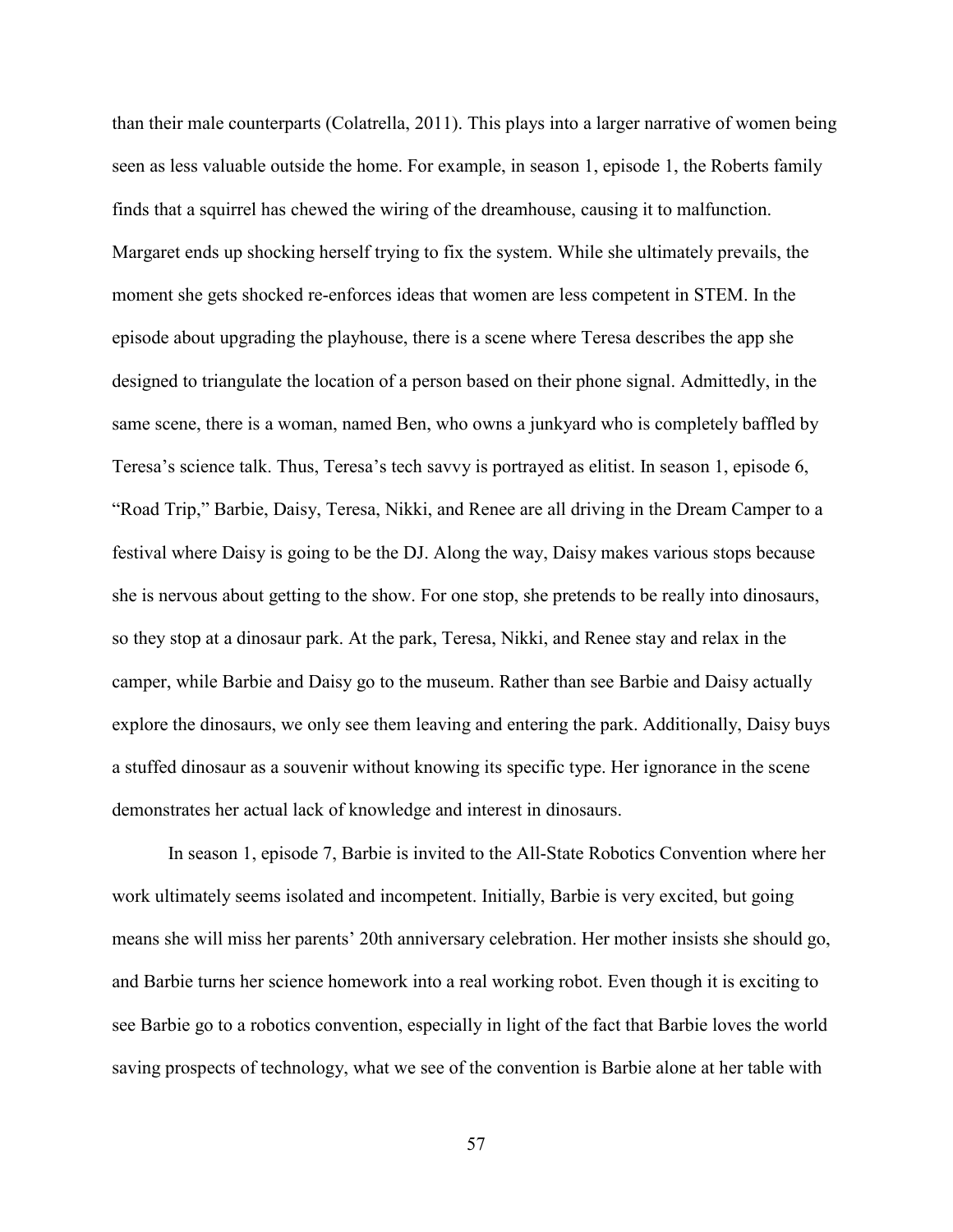than their male counterparts (Colatrella, 2011). This plays into a larger narrative of women being seen as less valuable outside the home. For example, in season 1, episode 1, the Roberts family finds that a squirrel has chewed the wiring of the dreamhouse, causing it to malfunction. Margaret ends up shocking herself trying to fix the system. While she ultimately prevails, the moment she gets shocked re-enforces ideas that women are less competent in STEM. In the episode about upgrading the playhouse, there is a scene where Teresa describes the app she designed to triangulate the location of a person based on their phone signal. Admittedly, in the same scene, there is a woman, named Ben, who owns a junkyard who is completely baffled by Teresa's science talk. Thus, Teresa's tech savvy is portrayed as elitist. In season 1, episode 6, "Road Trip," Barbie, Daisy, Teresa, Nikki, and Renee are all driving in the Dream Camper to a festival where Daisy is going to be the DJ. Along the way, Daisy makes various stops because she is nervous about getting to the show. For one stop, she pretends to be really into dinosaurs, so they stop at a dinosaur park. At the park, Teresa, Nikki, and Renee stay and relax in the camper, while Barbie and Daisy go to the museum. Rather than see Barbie and Daisy actually explore the dinosaurs, we only see them leaving and entering the park. Additionally, Daisy buys a stuffed dinosaur as a souvenir without knowing its specific type. Her ignorance in the scene demonstrates her actual lack of knowledge and interest in dinosaurs.

In season 1, episode 7, Barbie is invited to the All-State Robotics Convention where her work ultimately seems isolated and incompetent. Initially, Barbie is very excited, but going means she will miss her parents' 20th anniversary celebration. Her mother insists she should go, and Barbie turns her science homework into a real working robot. Even though it is exciting to see Barbie go to a robotics convention, especially in light of the fact that Barbie loves the world saving prospects of technology, what we see of the convention is Barbie alone at her table with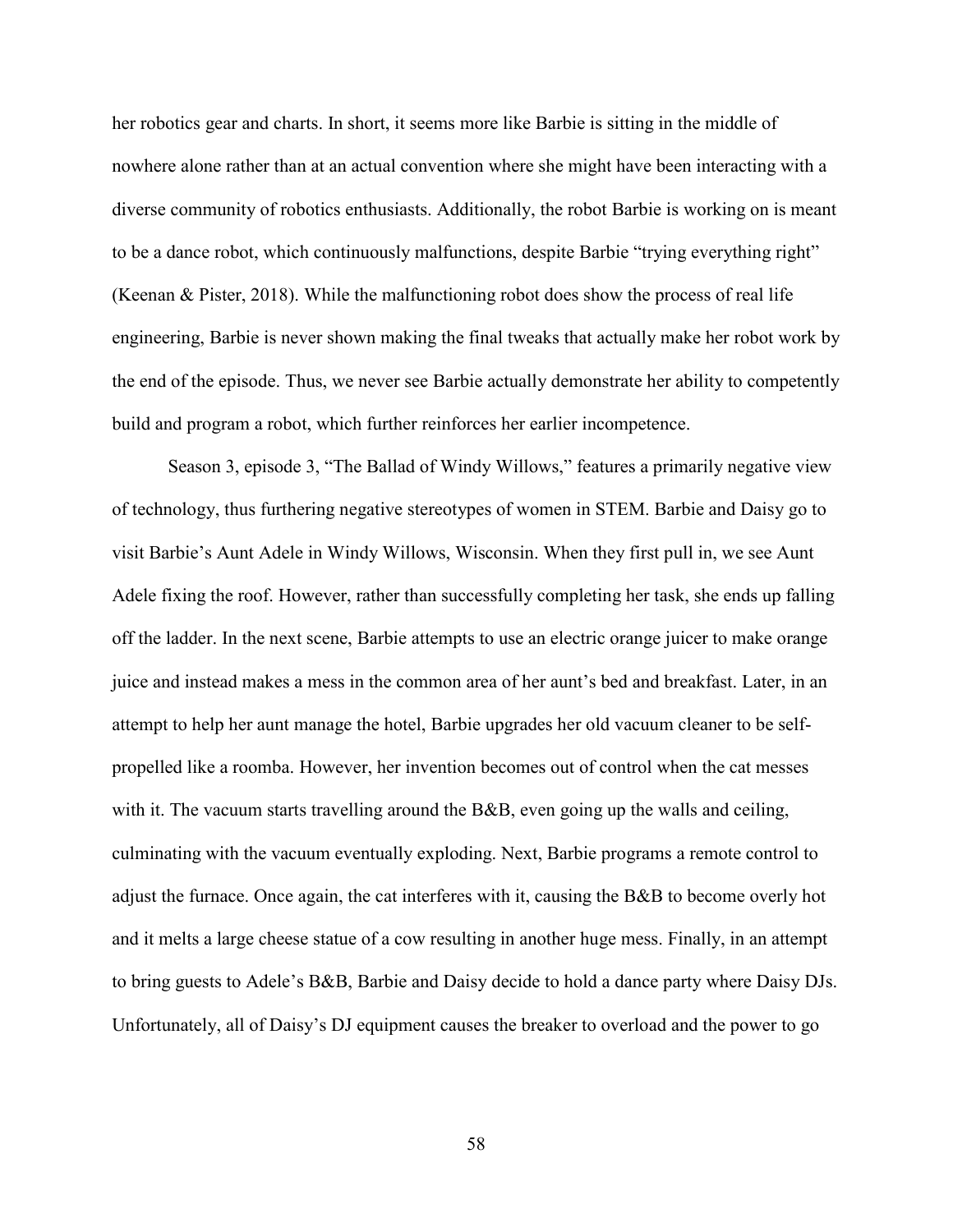her robotics gear and charts. In short, it seems more like Barbie is sitting in the middle of nowhere alone rather than at an actual convention where she might have been interacting with a diverse community of robotics enthusiasts. Additionally, the robot Barbie is working on is meant to be a dance robot, which continuously malfunctions, despite Barbie "trying everything right" (Keenan & Pister, 2018). While the malfunctioning robot does show the process of real life engineering, Barbie is never shown making the final tweaks that actually make her robot work by the end of the episode. Thus, we never see Barbie actually demonstrate her ability to competently build and program a robot, which further reinforces her earlier incompetence.

Season 3, episode 3, "The Ballad of Windy Willows," features a primarily negative view of technology, thus furthering negative stereotypes of women in STEM. Barbie and Daisy go to visit Barbie's Aunt Adele in Windy Willows, Wisconsin. When they first pull in, we see Aunt Adele fixing the roof. However, rather than successfully completing her task, she ends up falling off the ladder. In the next scene, Barbie attempts to use an electric orange juicer to make orange juice and instead makes a mess in the common area of her aunt's bed and breakfast. Later, in an attempt to help her aunt manage the hotel, Barbie upgrades her old vacuum cleaner to be selfpropelled like a roomba. However, her invention becomes out of control when the cat messes with it. The vacuum starts travelling around the B&B, even going up the walls and ceiling, culminating with the vacuum eventually exploding. Next, Barbie programs a remote control to adjust the furnace. Once again, the cat interferes with it, causing the B&B to become overly hot and it melts a large cheese statue of a cow resulting in another huge mess. Finally, in an attempt to bring guests to Adele's B&B, Barbie and Daisy decide to hold a dance party where Daisy DJs. Unfortunately, all of Daisy's DJ equipment causes the breaker to overload and the power to go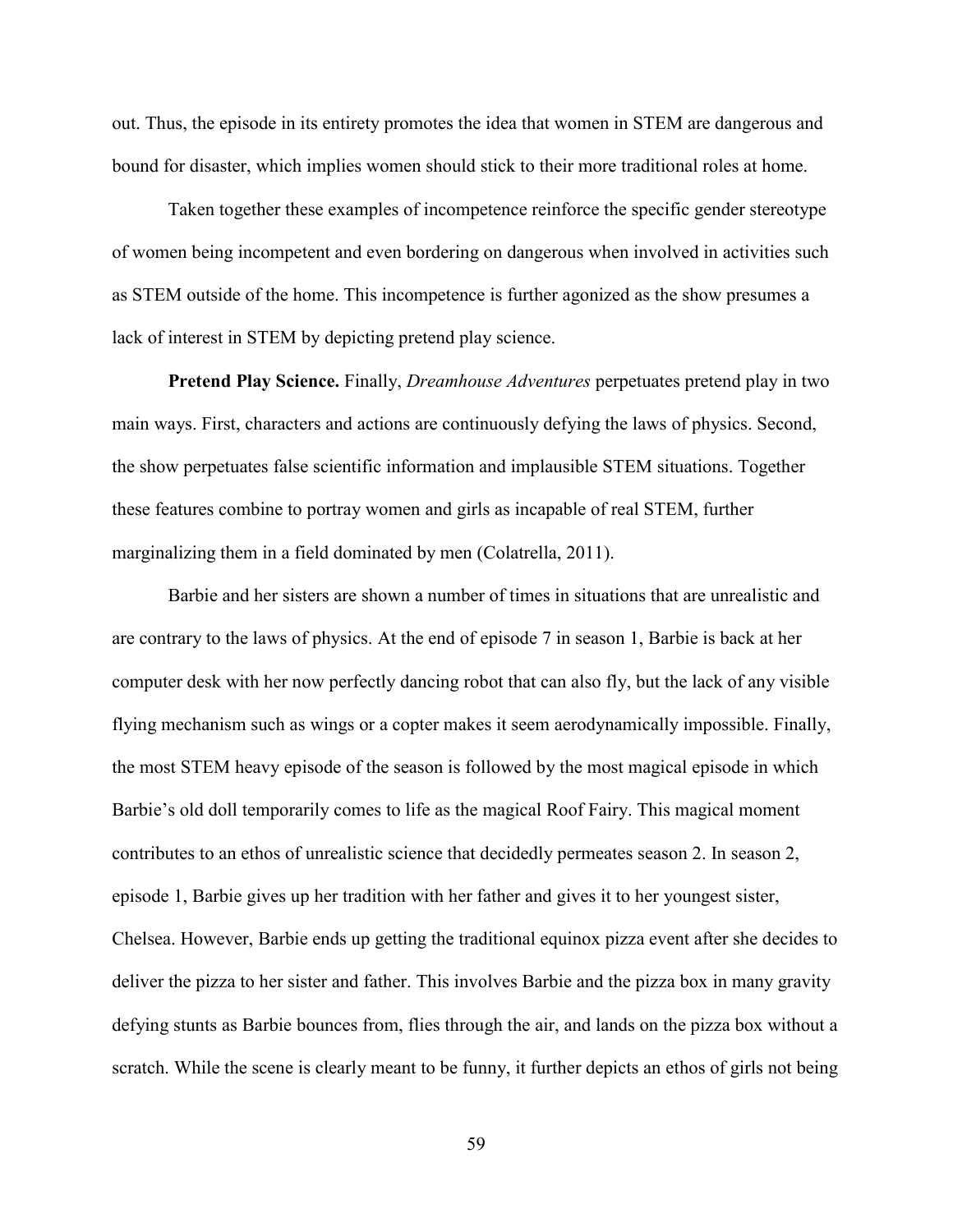out. Thus, the episode in its entirety promotes the idea that women in STEM are dangerous and bound for disaster, which implies women should stick to their more traditional roles at home.

Taken together these examples of incompetence reinforce the specific gender stereotype of women being incompetent and even bordering on dangerous when involved in activities such as STEM outside of the home. This incompetence is further agonized as the show presumes a lack of interest in STEM by depicting pretend play science.

**Pretend Play Science.** Finally, *Dreamhouse Adventures* perpetuates pretend play in two main ways. First, characters and actions are continuously defying the laws of physics. Second, the show perpetuates false scientific information and implausible STEM situations. Together these features combine to portray women and girls as incapable of real STEM, further marginalizing them in a field dominated by men (Colatrella, 2011).

Barbie and her sisters are shown a number of times in situations that are unrealistic and are contrary to the laws of physics. At the end of episode 7 in season 1, Barbie is back at her computer desk with her now perfectly dancing robot that can also fly, but the lack of any visible flying mechanism such as wings or a copter makes it seem aerodynamically impossible. Finally, the most STEM heavy episode of the season is followed by the most magical episode in which Barbie's old doll temporarily comes to life as the magical Roof Fairy. This magical moment contributes to an ethos of unrealistic science that decidedly permeates season 2. In season 2, episode 1, Barbie gives up her tradition with her father and gives it to her youngest sister, Chelsea. However, Barbie ends up getting the traditional equinox pizza event after she decides to deliver the pizza to her sister and father. This involves Barbie and the pizza box in many gravity defying stunts as Barbie bounces from, flies through the air, and lands on the pizza box without a scratch. While the scene is clearly meant to be funny, it further depicts an ethos of girls not being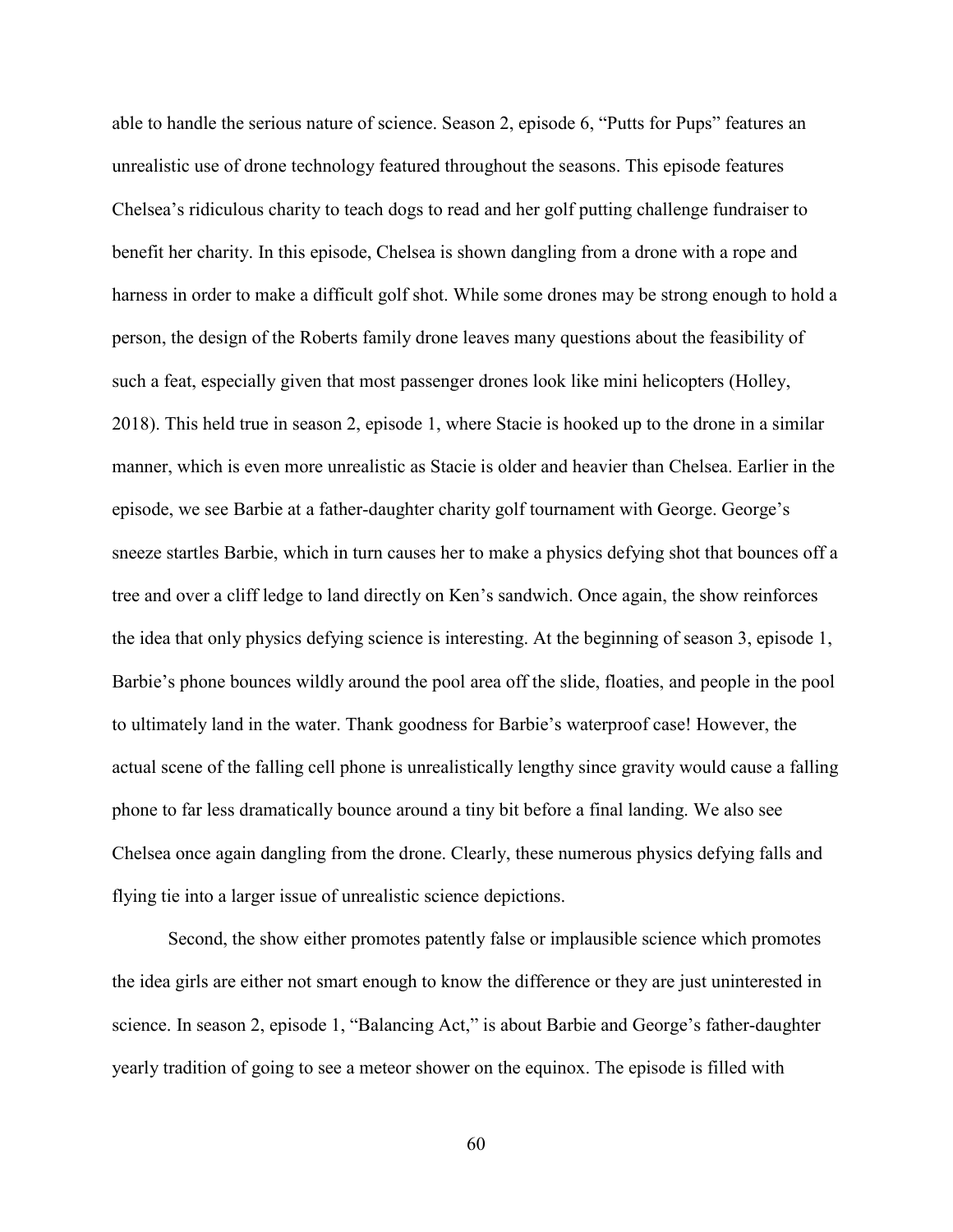able to handle the serious nature of science. Season 2, episode 6, "Putts for Pups" features an unrealistic use of drone technology featured throughout the seasons. This episode features Chelsea's ridiculous charity to teach dogs to read and her golf putting challenge fundraiser to benefit her charity. In this episode, Chelsea is shown dangling from a drone with a rope and harness in order to make a difficult golf shot. While some drones may be strong enough to hold a person, the design of the Roberts family drone leaves many questions about the feasibility of such a feat, especially given that most passenger drones look like mini helicopters (Holley, 2018). This held true in season 2, episode 1, where Stacie is hooked up to the drone in a similar manner, which is even more unrealistic as Stacie is older and heavier than Chelsea. Earlier in the episode, we see Barbie at a father-daughter charity golf tournament with George. George's sneeze startles Barbie, which in turn causes her to make a physics defying shot that bounces off a tree and over a cliff ledge to land directly on Ken's sandwich. Once again, the show reinforces the idea that only physics defying science is interesting. At the beginning of season 3, episode 1, Barbie's phone bounces wildly around the pool area off the slide, floaties, and people in the pool to ultimately land in the water. Thank goodness for Barbie's waterproof case! However, the actual scene of the falling cell phone is unrealistically lengthy since gravity would cause a falling phone to far less dramatically bounce around a tiny bit before a final landing. We also see Chelsea once again dangling from the drone. Clearly, these numerous physics defying falls and flying tie into a larger issue of unrealistic science depictions.

Second, the show either promotes patently false or implausible science which promotes the idea girls are either not smart enough to know the difference or they are just uninterested in science. In season 2, episode 1, "Balancing Act," is about Barbie and George's father-daughter yearly tradition of going to see a meteor shower on the equinox. The episode is filled with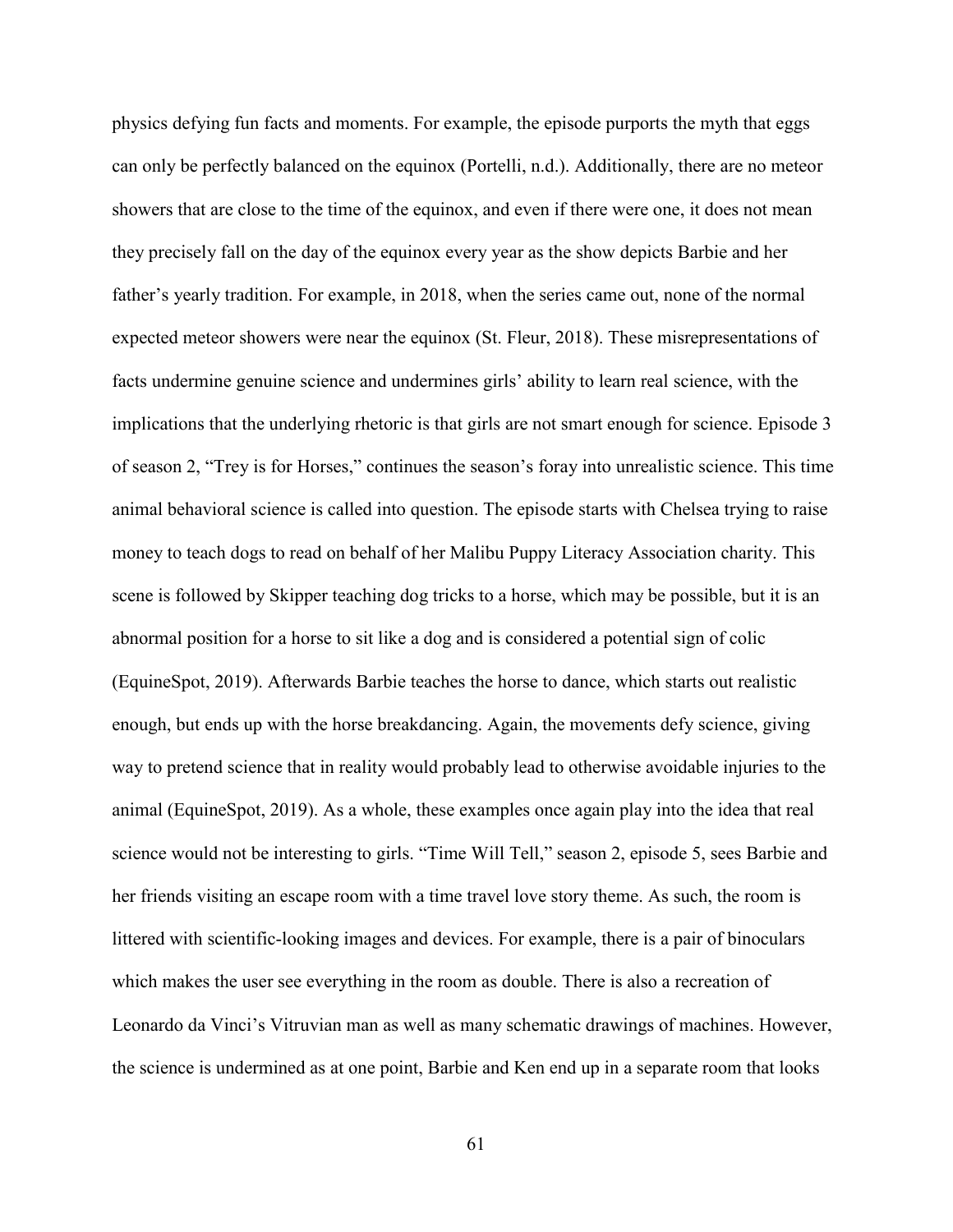physics defying fun facts and moments. For example, the episode purports the myth that eggs can only be perfectly balanced on the equinox (Portelli, n.d.). Additionally, there are no meteor showers that are close to the time of the equinox, and even if there were one, it does not mean they precisely fall on the day of the equinox every year as the show depicts Barbie and her father's yearly tradition. For example, in 2018, when the series came out, none of the normal expected meteor showers were near the equinox (St. Fleur, 2018). These misrepresentations of facts undermine genuine science and undermines girls' ability to learn real science, with the implications that the underlying rhetoric is that girls are not smart enough for science. Episode 3 of season 2, "Trey is for Horses," continues the season's foray into unrealistic science. This time animal behavioral science is called into question. The episode starts with Chelsea trying to raise money to teach dogs to read on behalf of her Malibu Puppy Literacy Association charity. This scene is followed by Skipper teaching dog tricks to a horse, which may be possible, but it is an abnormal position for a horse to sit like a dog and is considered a potential sign of colic (EquineSpot, 2019). Afterwards Barbie teaches the horse to dance, which starts out realistic enough, but ends up with the horse breakdancing. Again, the movements defy science, giving way to pretend science that in reality would probably lead to otherwise avoidable injuries to the animal (EquineSpot, 2019). As a whole, these examples once again play into the idea that real science would not be interesting to girls. "Time Will Tell," season 2, episode 5, sees Barbie and her friends visiting an escape room with a time travel love story theme. As such, the room is littered with scientific-looking images and devices. For example, there is a pair of binoculars which makes the user see everything in the room as double. There is also a recreation of Leonardo da Vinci's Vitruvian man as well as many schematic drawings of machines. However, the science is undermined as at one point, Barbie and Ken end up in a separate room that looks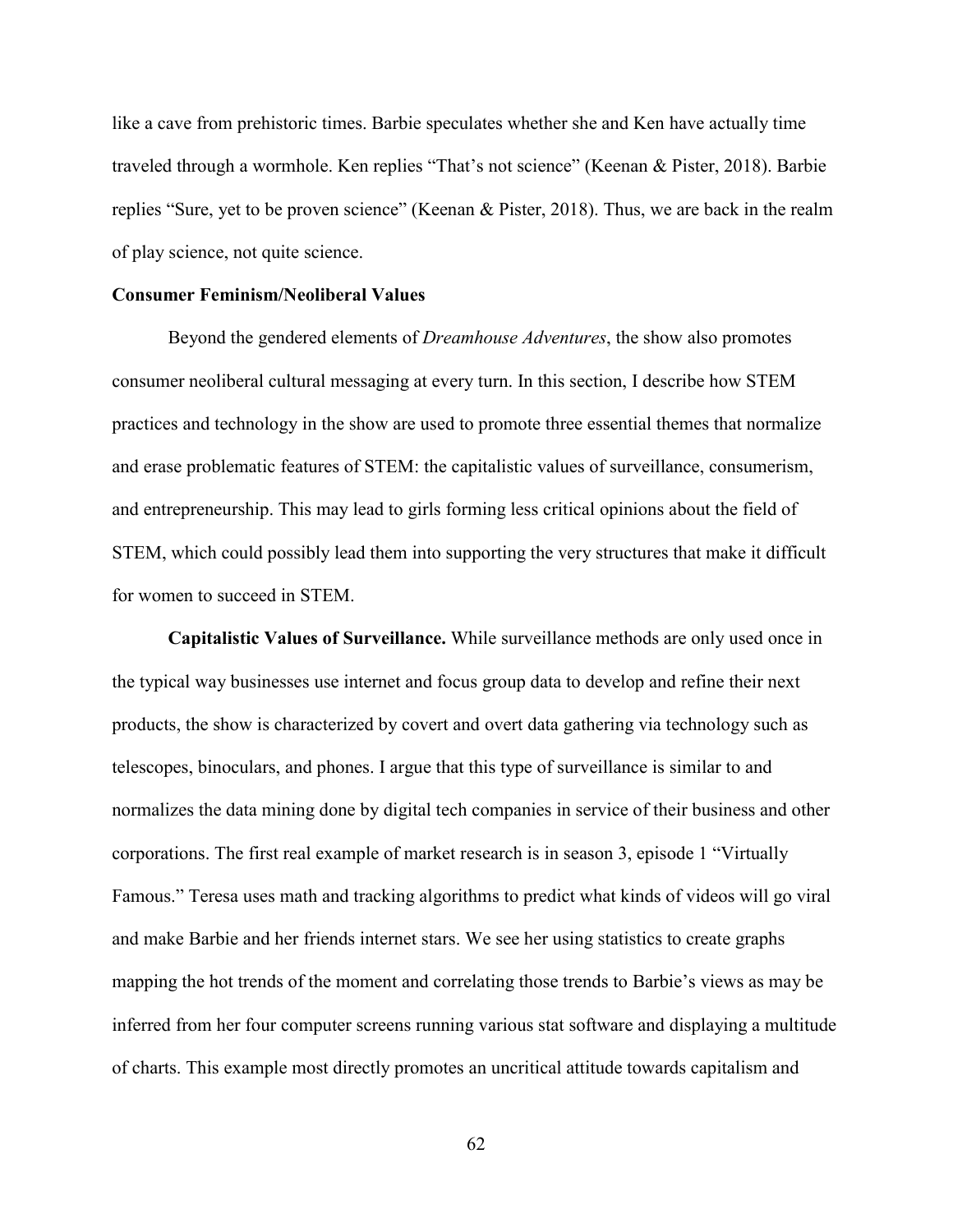like a cave from prehistoric times. Barbie speculates whether she and Ken have actually time traveled through a wormhole. Ken replies "That's not science" (Keenan & Pister, 2018). Barbie replies "Sure, yet to be proven science" (Keenan & Pister, 2018). Thus, we are back in the realm of play science, not quite science.

## **Consumer Feminism/Neoliberal Values**

Beyond the gendered elements of *Dreamhouse Adventures*, the show also promotes consumer neoliberal cultural messaging at every turn. In this section, I describe how STEM practices and technology in the show are used to promote three essential themes that normalize and erase problematic features of STEM: the capitalistic values of surveillance, consumerism, and entrepreneurship. This may lead to girls forming less critical opinions about the field of STEM, which could possibly lead them into supporting the very structures that make it difficult for women to succeed in STEM.

**Capitalistic Values of Surveillance.** While surveillance methods are only used once in the typical way businesses use internet and focus group data to develop and refine their next products, the show is characterized by covert and overt data gathering via technology such as telescopes, binoculars, and phones. I argue that this type of surveillance is similar to and normalizes the data mining done by digital tech companies in service of their business and other corporations. The first real example of market research is in season 3, episode 1 "Virtually Famous." Teresa uses math and tracking algorithms to predict what kinds of videos will go viral and make Barbie and her friends internet stars. We see her using statistics to create graphs mapping the hot trends of the moment and correlating those trends to Barbie's views as may be inferred from her four computer screens running various stat software and displaying a multitude of charts. This example most directly promotes an uncritical attitude towards capitalism and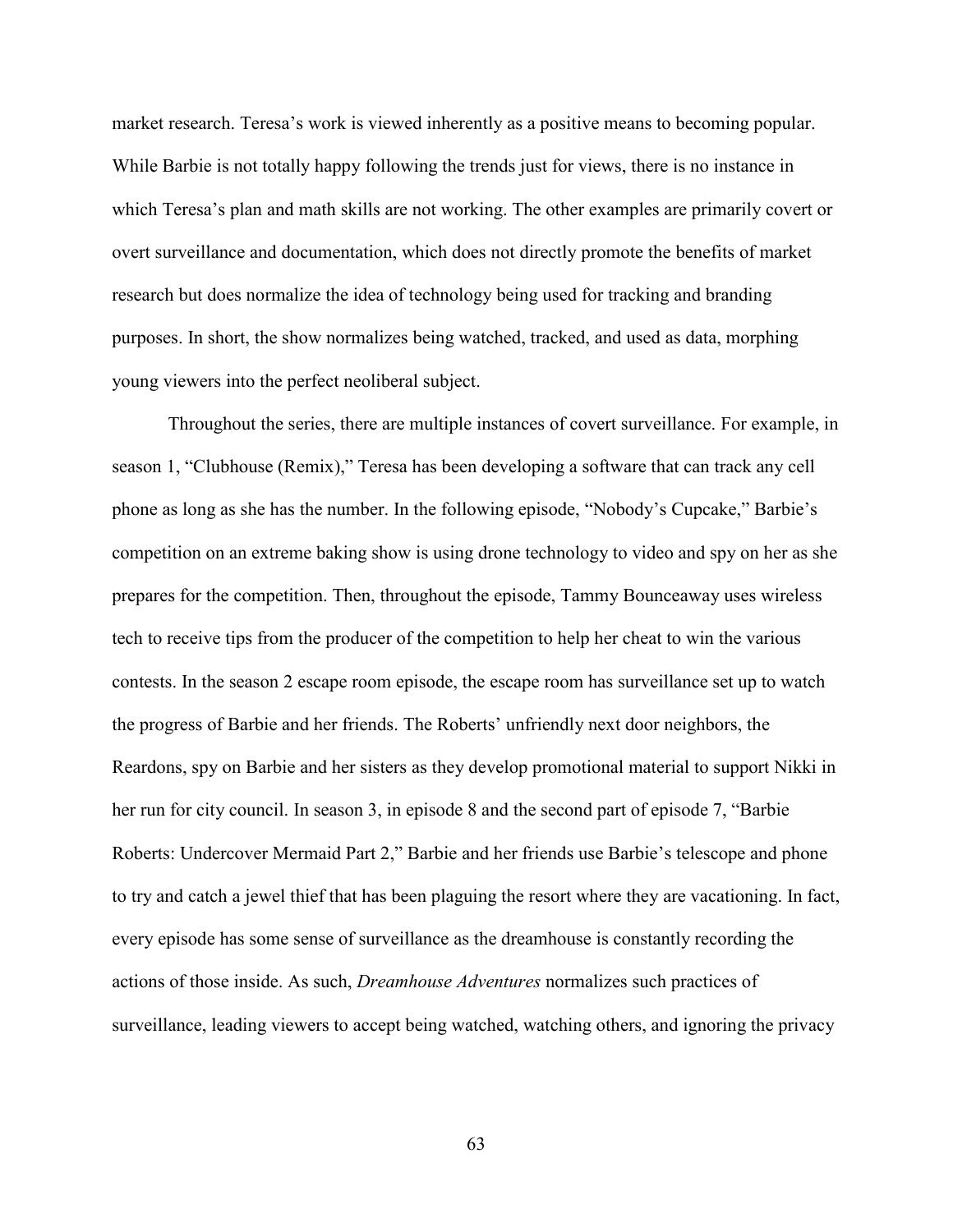market research. Teresa's work is viewed inherently as a positive means to becoming popular. While Barbie is not totally happy following the trends just for views, there is no instance in which Teresa's plan and math skills are not working. The other examples are primarily covert or overt surveillance and documentation, which does not directly promote the benefits of market research but does normalize the idea of technology being used for tracking and branding purposes. In short, the show normalizes being watched, tracked, and used as data, morphing young viewers into the perfect neoliberal subject.

Throughout the series, there are multiple instances of covert surveillance. For example, in season 1, "Clubhouse (Remix)," Teresa has been developing a software that can track any cell phone as long as she has the number. In the following episode, "Nobody's Cupcake," Barbie's competition on an extreme baking show is using drone technology to video and spy on her as she prepares for the competition. Then, throughout the episode, Tammy Bounceaway uses wireless tech to receive tips from the producer of the competition to help her cheat to win the various contests. In the season 2 escape room episode, the escape room has surveillance set up to watch the progress of Barbie and her friends. The Roberts' unfriendly next door neighbors, the Reardons, spy on Barbie and her sisters as they develop promotional material to support Nikki in her run for city council. In season 3, in episode 8 and the second part of episode 7, "Barbie Roberts: Undercover Mermaid Part 2," Barbie and her friends use Barbie's telescope and phone to try and catch a jewel thief that has been plaguing the resort where they are vacationing. In fact, every episode has some sense of surveillance as the dreamhouse is constantly recording the actions of those inside. As such, *Dreamhouse Adventures* normalizes such practices of surveillance, leading viewers to accept being watched, watching others, and ignoring the privacy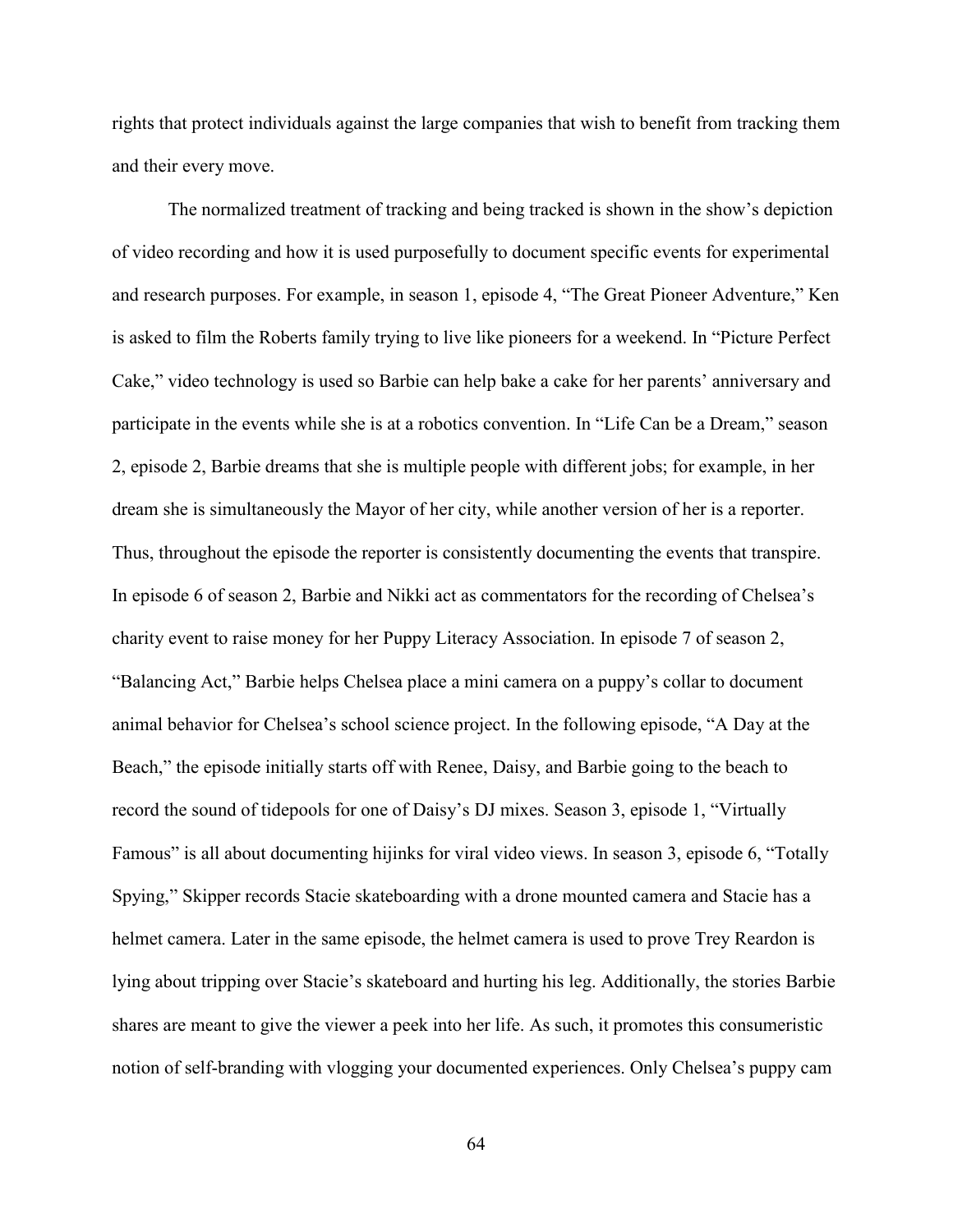rights that protect individuals against the large companies that wish to benefit from tracking them and their every move.

The normalized treatment of tracking and being tracked is shown in the show's depiction of video recording and how it is used purposefully to document specific events for experimental and research purposes. For example, in season 1, episode 4, "The Great Pioneer Adventure," Ken is asked to film the Roberts family trying to live like pioneers for a weekend. In "Picture Perfect Cake," video technology is used so Barbie can help bake a cake for her parents' anniversary and participate in the events while she is at a robotics convention. In "Life Can be a Dream," season 2, episode 2, Barbie dreams that she is multiple people with different jobs; for example, in her dream she is simultaneously the Mayor of her city, while another version of her is a reporter. Thus, throughout the episode the reporter is consistently documenting the events that transpire. In episode 6 of season 2, Barbie and Nikki act as commentators for the recording of Chelsea's charity event to raise money for her Puppy Literacy Association. In episode 7 of season 2, "Balancing Act," Barbie helps Chelsea place a mini camera on a puppy's collar to document animal behavior for Chelsea's school science project. In the following episode, "A Day at the Beach," the episode initially starts off with Renee, Daisy, and Barbie going to the beach to record the sound of tidepools for one of Daisy's DJ mixes. Season 3, episode 1, "Virtually Famous" is all about documenting hijinks for viral video views. In season 3, episode 6, "Totally Spying," Skipper records Stacie skateboarding with a drone mounted camera and Stacie has a helmet camera. Later in the same episode, the helmet camera is used to prove Trey Reardon is lying about tripping over Stacie's skateboard and hurting his leg. Additionally, the stories Barbie shares are meant to give the viewer a peek into her life. As such, it promotes this consumeristic notion of self-branding with vlogging your documented experiences. Only Chelsea's puppy cam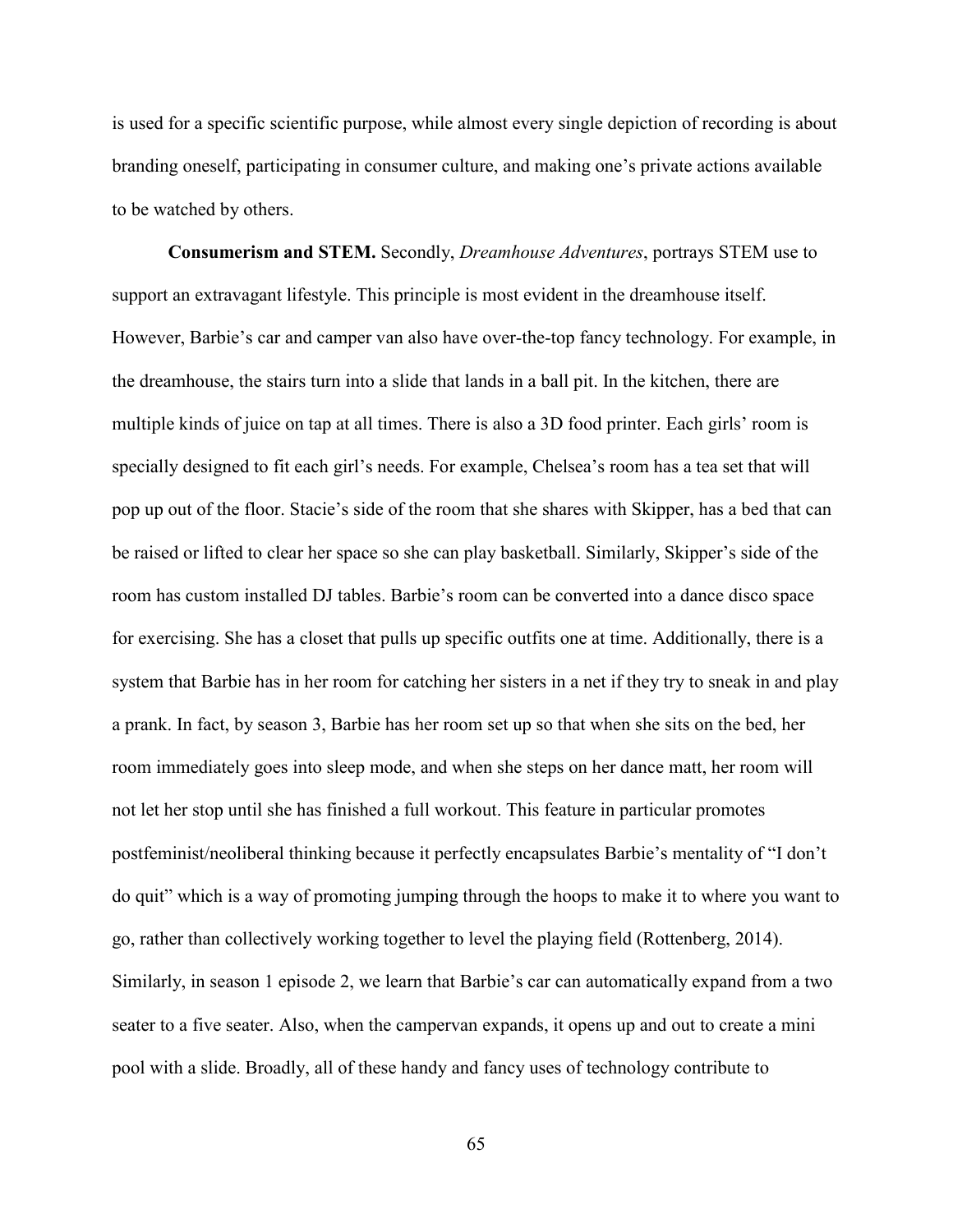is used for a specific scientific purpose, while almost every single depiction of recording is about branding oneself, participating in consumer culture, and making one's private actions available to be watched by others.

**Consumerism and STEM.** Secondly, *Dreamhouse Adventures*, portrays STEM use to support an extravagant lifestyle. This principle is most evident in the dreamhouse itself. However, Barbie's car and camper van also have over-the-top fancy technology. For example, in the dreamhouse, the stairs turn into a slide that lands in a ball pit. In the kitchen, there are multiple kinds of juice on tap at all times. There is also a 3D food printer. Each girls' room is specially designed to fit each girl's needs. For example, Chelsea's room has a tea set that will pop up out of the floor. Stacie's side of the room that she shares with Skipper, has a bed that can be raised or lifted to clear her space so she can play basketball. Similarly, Skipper's side of the room has custom installed DJ tables. Barbie's room can be converted into a dance disco space for exercising. She has a closet that pulls up specific outfits one at time. Additionally, there is a system that Barbie has in her room for catching her sisters in a net if they try to sneak in and play a prank. In fact, by season 3, Barbie has her room set up so that when she sits on the bed, her room immediately goes into sleep mode, and when she steps on her dance matt, her room will not let her stop until she has finished a full workout. This feature in particular promotes postfeminist/neoliberal thinking because it perfectly encapsulates Barbie's mentality of "I don't do quit" which is a way of promoting jumping through the hoops to make it to where you want to go, rather than collectively working together to level the playing field (Rottenberg, 2014). Similarly, in season 1 episode 2, we learn that Barbie's car can automatically expand from a two seater to a five seater. Also, when the campervan expands, it opens up and out to create a mini pool with a slide. Broadly, all of these handy and fancy uses of technology contribute to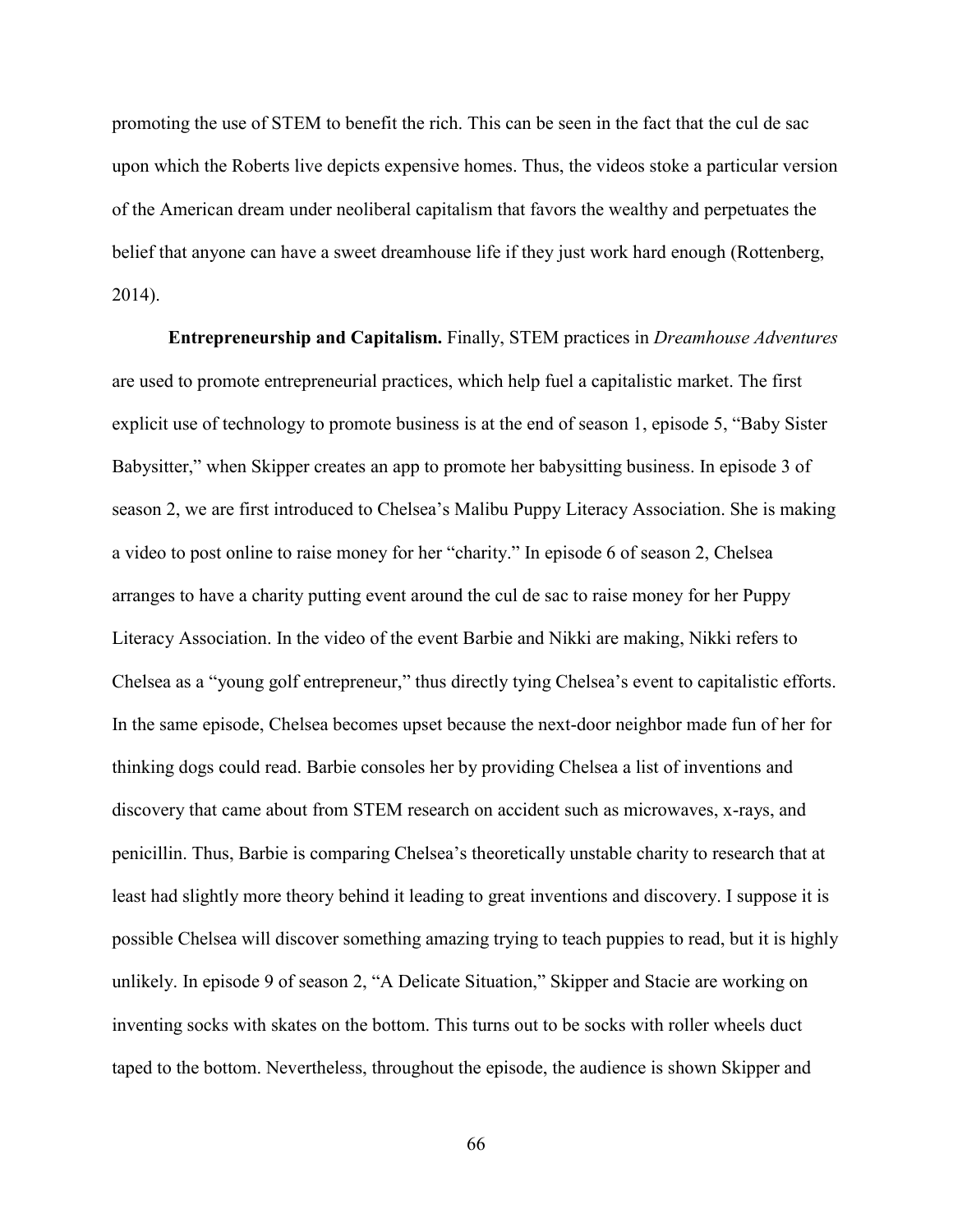promoting the use of STEM to benefit the rich. This can be seen in the fact that the cul de sac upon which the Roberts live depicts expensive homes. Thus, the videos stoke a particular version of the American dream under neoliberal capitalism that favors the wealthy and perpetuates the belief that anyone can have a sweet dreamhouse life if they just work hard enough (Rottenberg, 2014).

**Entrepreneurship and Capitalism.** Finally, STEM practices in *Dreamhouse Adventures*  are used to promote entrepreneurial practices, which help fuel a capitalistic market. The first explicit use of technology to promote business is at the end of season 1, episode 5, "Baby Sister Babysitter," when Skipper creates an app to promote her babysitting business. In episode 3 of season 2, we are first introduced to Chelsea's Malibu Puppy Literacy Association. She is making a video to post online to raise money for her "charity." In episode 6 of season 2, Chelsea arranges to have a charity putting event around the cul de sac to raise money for her Puppy Literacy Association. In the video of the event Barbie and Nikki are making, Nikki refers to Chelsea as a "young golf entrepreneur," thus directly tying Chelsea's event to capitalistic efforts. In the same episode, Chelsea becomes upset because the next-door neighbor made fun of her for thinking dogs could read. Barbie consoles her by providing Chelsea a list of inventions and discovery that came about from STEM research on accident such as microwaves, x-rays, and penicillin. Thus, Barbie is comparing Chelsea's theoretically unstable charity to research that at least had slightly more theory behind it leading to great inventions and discovery. I suppose it is possible Chelsea will discover something amazing trying to teach puppies to read, but it is highly unlikely. In episode 9 of season 2, "A Delicate Situation," Skipper and Stacie are working on inventing socks with skates on the bottom. This turns out to be socks with roller wheels duct taped to the bottom. Nevertheless, throughout the episode, the audience is shown Skipper and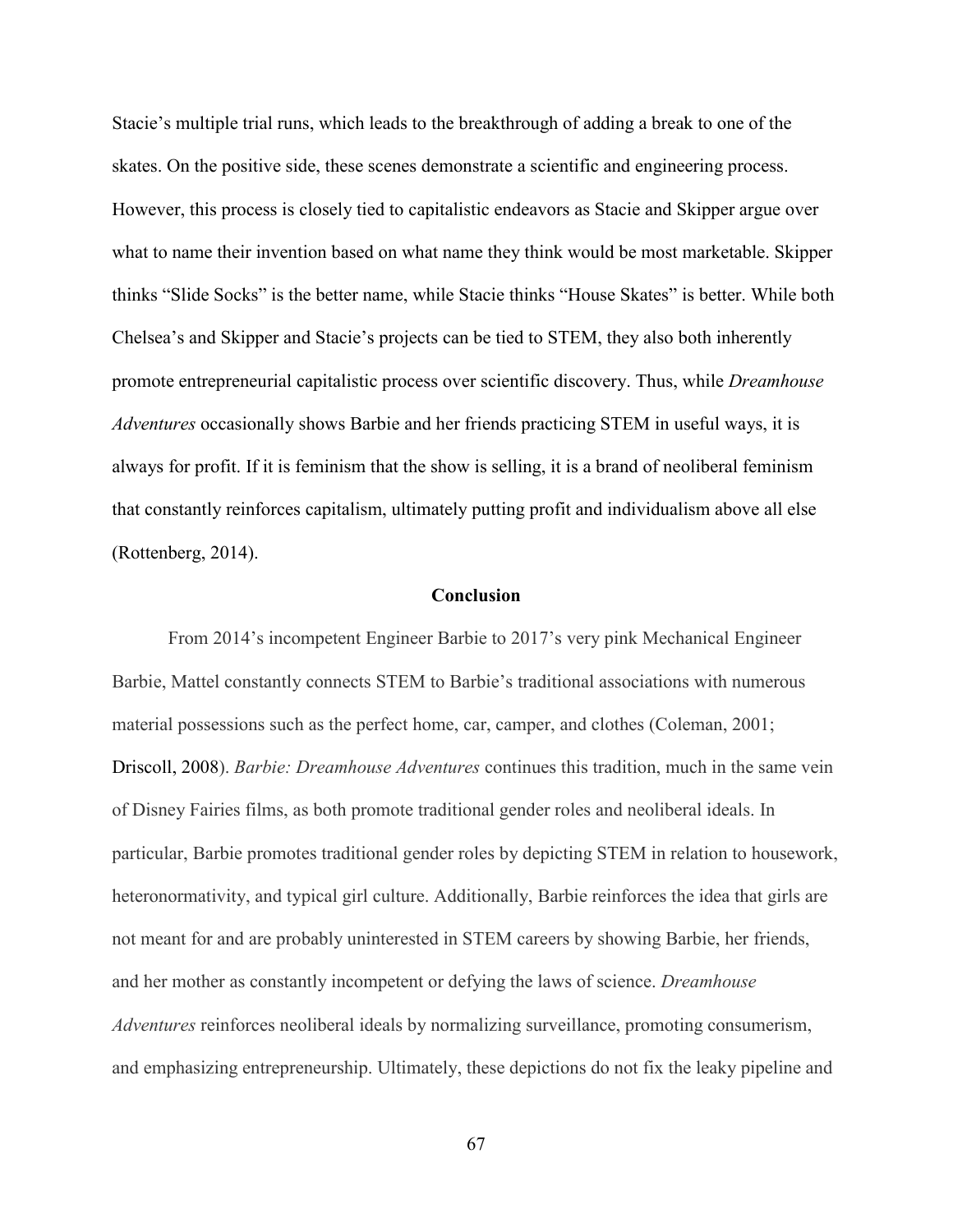Stacie's multiple trial runs, which leads to the breakthrough of adding a break to one of the skates. On the positive side, these scenes demonstrate a scientific and engineering process. However, this process is closely tied to capitalistic endeavors as Stacie and Skipper argue over what to name their invention based on what name they think would be most marketable. Skipper thinks "Slide Socks" is the better name, while Stacie thinks "House Skates" is better. While both Chelsea's and Skipper and Stacie's projects can be tied to STEM, they also both inherently promote entrepreneurial capitalistic process over scientific discovery. Thus, while *Dreamhouse Adventures* occasionally shows Barbie and her friends practicing STEM in useful ways, it is always for profit. If it is feminism that the show is selling, it is a brand of neoliberal feminism that constantly reinforces capitalism, ultimately putting profit and individualism above all else (Rottenberg, 2014).

# **Conclusion**

From 2014's incompetent Engineer Barbie to 2017's very pink Mechanical Engineer Barbie, Mattel constantly connects STEM to Barbie's traditional associations with numerous material possessions such as the perfect home, car, camper, and clothes (Coleman, 2001; Driscoll, 2008). *Barbie: Dreamhouse Adventures* continues this tradition, much in the same vein of Disney Fairies films, as both promote traditional gender roles and neoliberal ideals. In particular, Barbie promotes traditional gender roles by depicting STEM in relation to housework, heteronormativity, and typical girl culture. Additionally, Barbie reinforces the idea that girls are not meant for and are probably uninterested in STEM careers by showing Barbie, her friends, and her mother as constantly incompetent or defying the laws of science. *Dreamhouse Adventures* reinforces neoliberal ideals by normalizing surveillance, promoting consumerism, and emphasizing entrepreneurship. Ultimately, these depictions do not fix the leaky pipeline and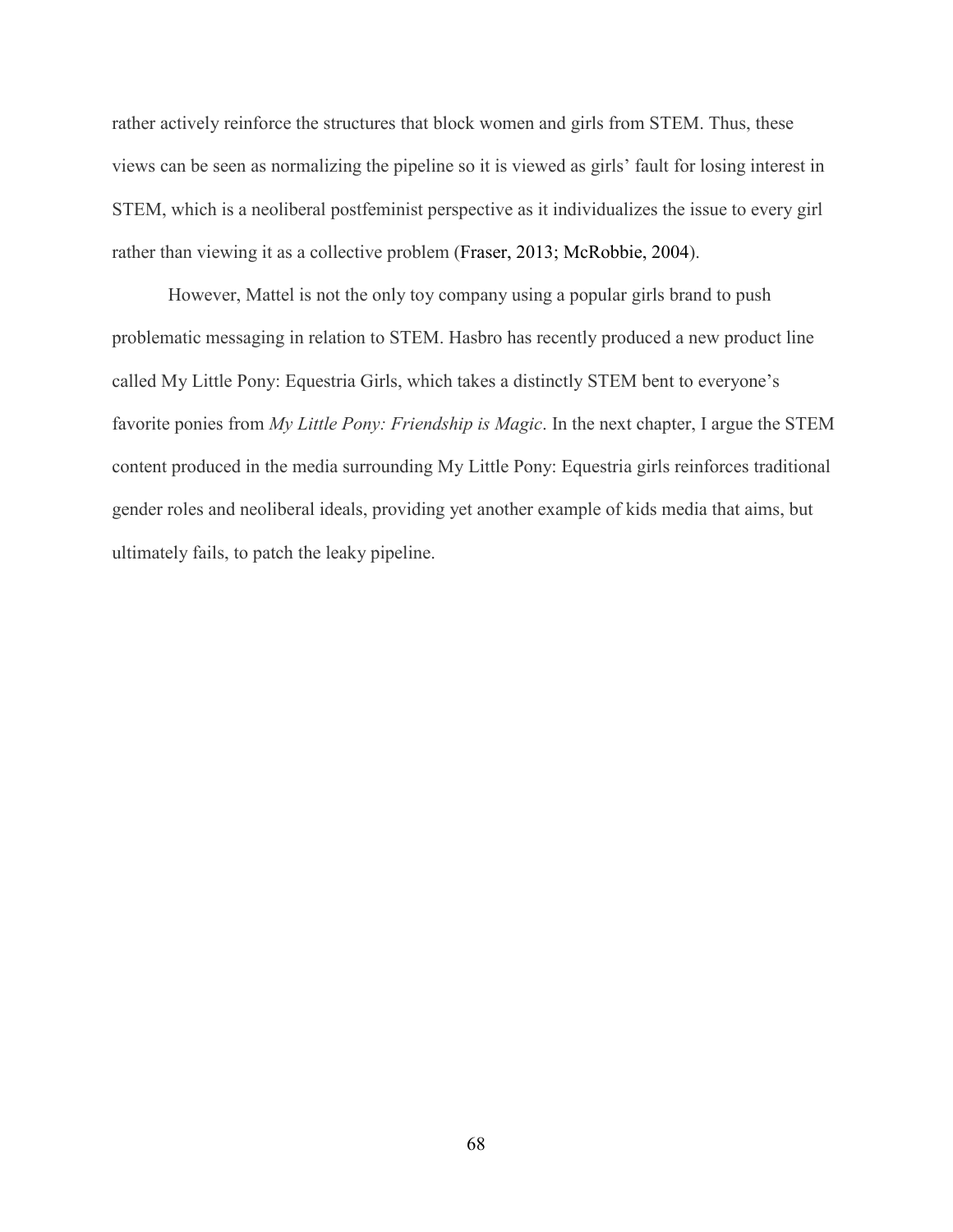rather actively reinforce the structures that block women and girls from STEM. Thus, these views can be seen as normalizing the pipeline so it is viewed as girls' fault for losing interest in STEM, which is a neoliberal postfeminist perspective as it individualizes the issue to every girl rather than viewing it as a collective problem (Fraser, 2013; McRobbie, 2004).

However, Mattel is not the only toy company using a popular girls brand to push problematic messaging in relation to STEM. Hasbro has recently produced a new product line called My Little Pony: Equestria Girls, which takes a distinctly STEM bent to everyone's favorite ponies from *My Little Pony: Friendship is Magic*. In the next chapter, I argue the STEM content produced in the media surrounding My Little Pony: Equestria girls reinforces traditional gender roles and neoliberal ideals, providing yet another example of kids media that aims, but ultimately fails, to patch the leaky pipeline.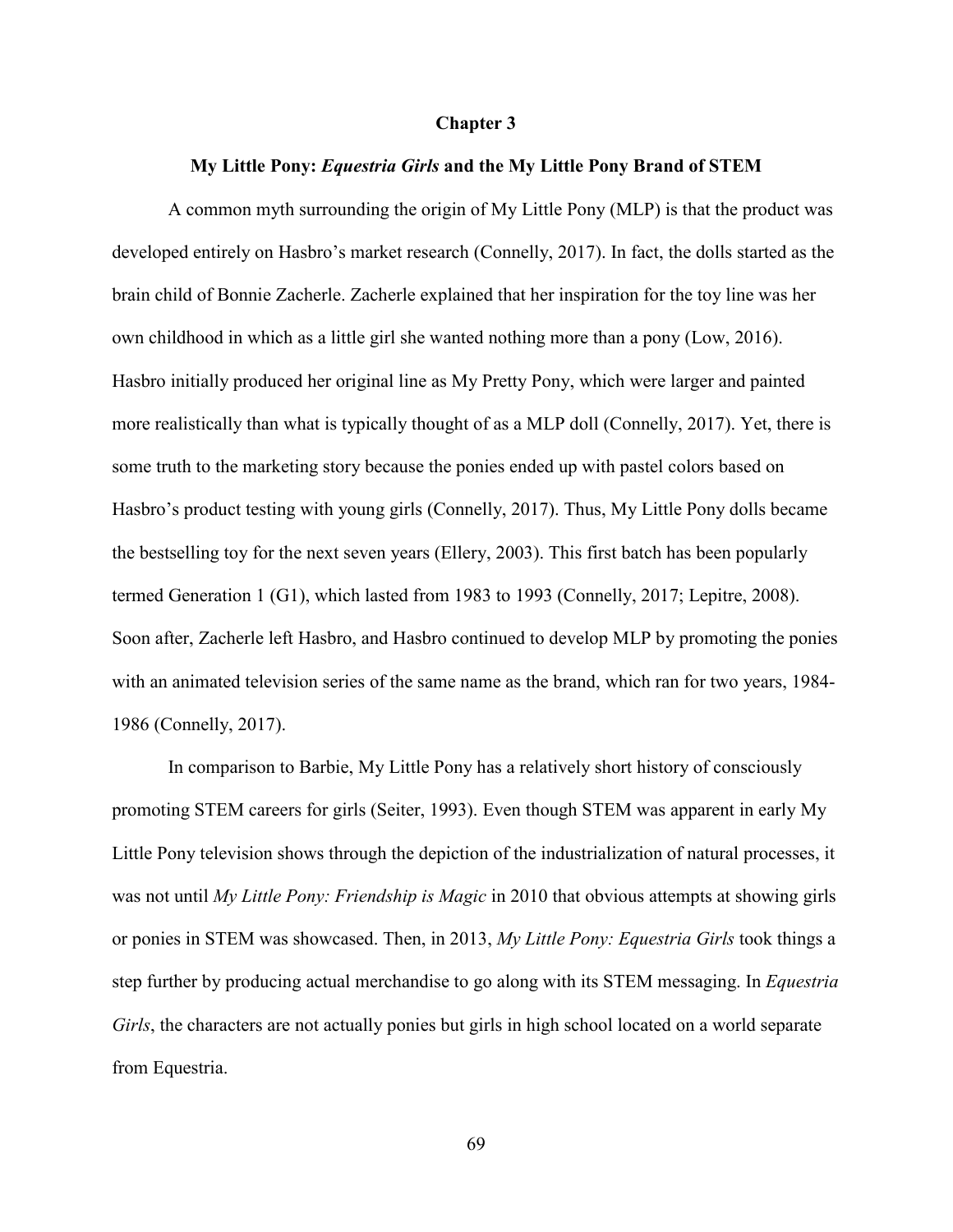## **Chapter 3**

### **My Little Pony:** *Equestria Girls* **and the My Little Pony Brand of STEM**

A common myth surrounding the origin of My Little Pony (MLP) is that the product was developed entirely on Hasbro's market research (Connelly, 2017). In fact, the dolls started as the brain child of Bonnie Zacherle. Zacherle explained that her inspiration for the toy line was her own childhood in which as a little girl she wanted nothing more than a pony (Low, 2016). Hasbro initially produced her original line as My Pretty Pony, which were larger and painted more realistically than what is typically thought of as a MLP doll (Connelly, 2017). Yet, there is some truth to the marketing story because the ponies ended up with pastel colors based on Hasbro's product testing with young girls (Connelly, 2017). Thus, My Little Pony dolls became the bestselling toy for the next seven years (Ellery, 2003). This first batch has been popularly termed Generation 1 (G1), which lasted from 1983 to 1993 (Connelly, 2017; Lepitre, 2008). Soon after, Zacherle left Hasbro, and Hasbro continued to develop MLP by promoting the ponies with an animated television series of the same name as the brand, which ran for two years, 1984- 1986 (Connelly, 2017).

In comparison to Barbie, My Little Pony has a relatively short history of consciously promoting STEM careers for girls (Seiter, 1993). Even though STEM was apparent in early My Little Pony television shows through the depiction of the industrialization of natural processes, it was not until *My Little Pony: Friendship is Magic* in 2010 that obvious attempts at showing girls or ponies in STEM was showcased. Then, in 2013, *My Little Pony: Equestria Girls* took things a step further by producing actual merchandise to go along with its STEM messaging. In *Equestria Girls*, the characters are not actually ponies but girls in high school located on a world separate from Equestria.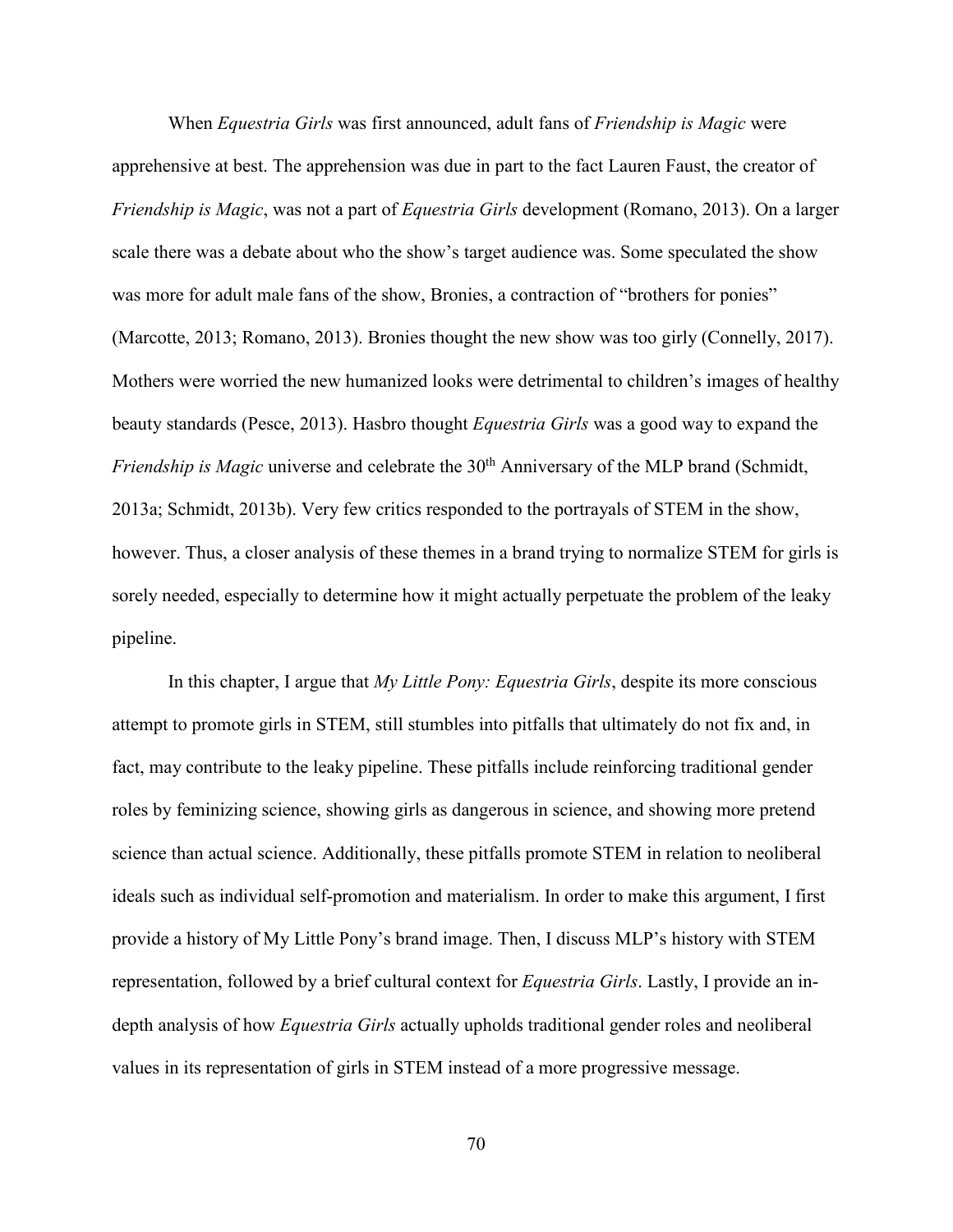When *Equestria Girls* was first announced, adult fans of *Friendship is Magic* were apprehensive at best. The apprehension was due in part to the fact Lauren Faust, the creator of *Friendship is Magic*, was not a part of *Equestria Girls* development (Romano, 2013). On a larger scale there was a debate about who the show's target audience was. Some speculated the show was more for adult male fans of the show, Bronies, a contraction of "brothers for ponies" (Marcotte, 2013; Romano, 2013). Bronies thought the new show was too girly (Connelly, 2017). Mothers were worried the new humanized looks were detrimental to children's images of healthy beauty standards (Pesce, 2013). Hasbro thought *Equestria Girls* was a good way to expand the *Friendship is Magic* universe and celebrate the 30<sup>th</sup> Anniversary of the MLP brand (Schmidt, 2013a; Schmidt, 2013b). Very few critics responded to the portrayals of STEM in the show, however. Thus, a closer analysis of these themes in a brand trying to normalize STEM for girls is sorely needed, especially to determine how it might actually perpetuate the problem of the leaky pipeline.

In this chapter, I argue that *My Little Pony: Equestria Girls*, despite its more conscious attempt to promote girls in STEM, still stumbles into pitfalls that ultimately do not fix and, in fact, may contribute to the leaky pipeline. These pitfalls include reinforcing traditional gender roles by feminizing science, showing girls as dangerous in science, and showing more pretend science than actual science. Additionally, these pitfalls promote STEM in relation to neoliberal ideals such as individual self-promotion and materialism. In order to make this argument, I first provide a history of My Little Pony's brand image. Then, I discuss MLP's history with STEM representation, followed by a brief cultural context for *Equestria Girls*. Lastly, I provide an indepth analysis of how *Equestria Girls* actually upholds traditional gender roles and neoliberal values in its representation of girls in STEM instead of a more progressive message.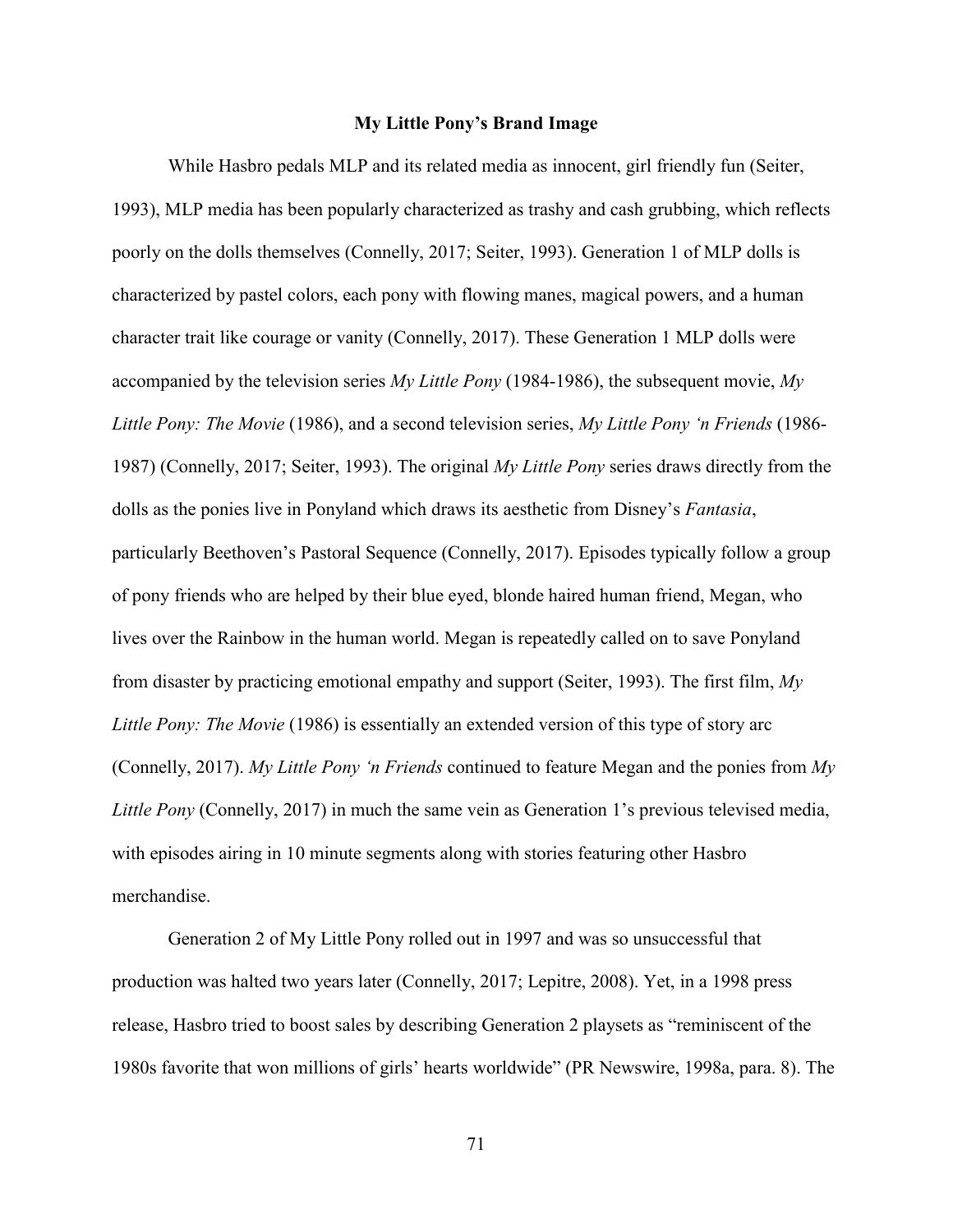# **My Little Pony's Brand Image**

While Hasbro pedals MLP and its related media as innocent, girl friendly fun (Seiter, 1993), MLP media has been popularly characterized as trashy and cash grubbing, which reflects poorly on the dolls themselves (Connelly, 2017; Seiter, 1993). Generation 1 of MLP dolls is characterized by pastel colors, each pony with flowing manes, magical powers, and a human character trait like courage or vanity (Connelly, 2017). These Generation 1 MLP dolls were accompanied by the television series *My Little Pony* (1984-1986), the subsequent movie, *My Little Pony: The Movie* (1986), and a second television series, *My Little Pony 'n Friends* (1986- 1987) (Connelly, 2017; Seiter, 1993). The original *My Little Pony* series draws directly from the dolls as the ponies live in Ponyland which draws its aesthetic from Disney's *Fantasia*, particularly Beethoven's Pastoral Sequence (Connelly, 2017). Episodes typically follow a group of pony friends who are helped by their blue eyed, blonde haired human friend, Megan, who lives over the Rainbow in the human world. Megan is repeatedly called on to save Ponyland from disaster by practicing emotional empathy and support (Seiter, 1993). The first film, *My Little Pony: The Movie* (1986) is essentially an extended version of this type of story arc (Connelly, 2017). *My Little Pony 'n Friends* continued to feature Megan and the ponies from *My Little Pony* (Connelly, 2017) in much the same vein as Generation 1's previous televised media, with episodes airing in 10 minute segments along with stories featuring other Hasbro merchandise.

Generation 2 of My Little Pony rolled out in 1997 and was so unsuccessful that production was halted two years later (Connelly, 2017; Lepitre, 2008). Yet, in a 1998 press release, Hasbro tried to boost sales by describing Generation 2 playsets as "reminiscent of the 1980s favorite that won millions of girls' hearts worldwide" (PR Newswire, 1998a, para. 8). The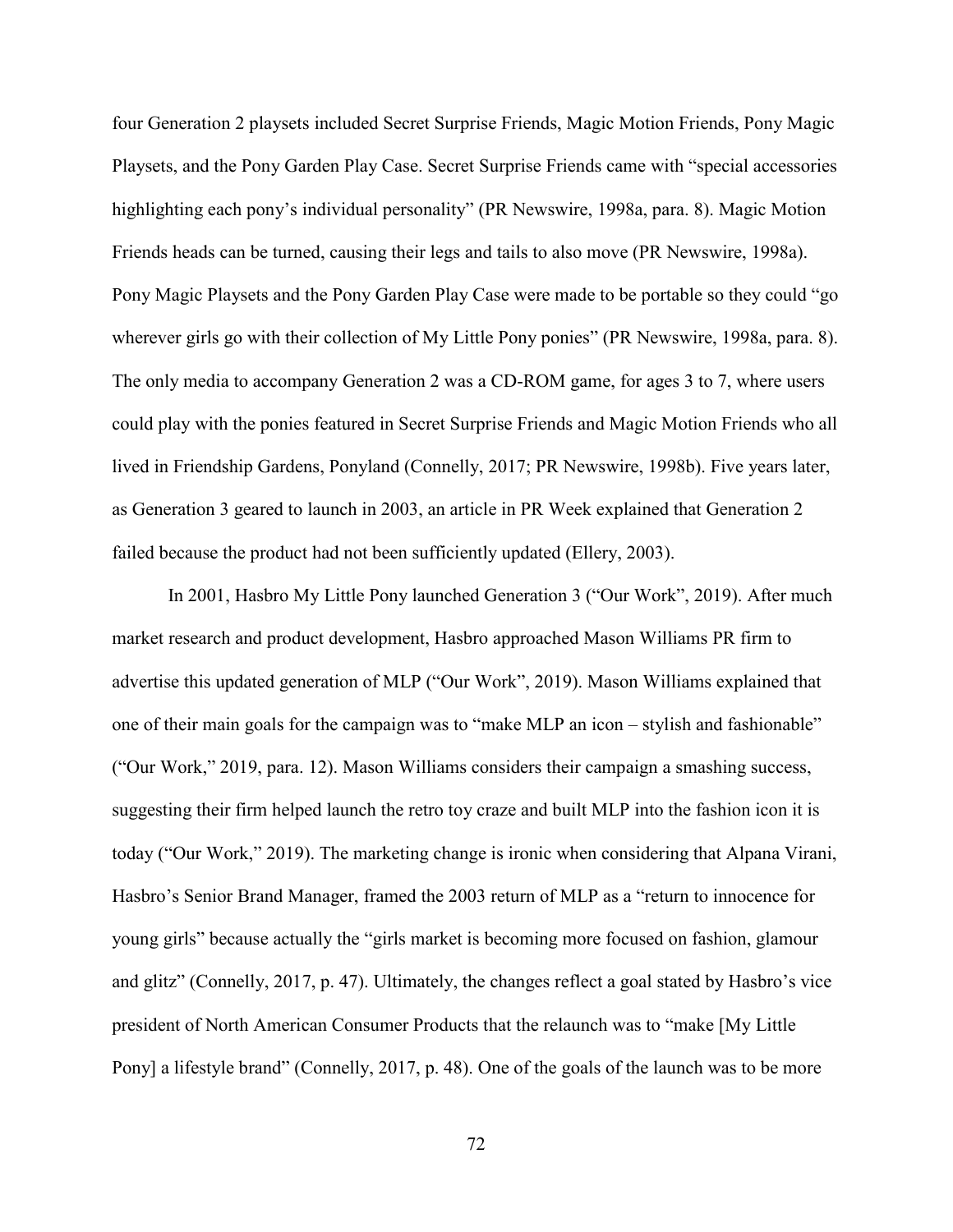four Generation 2 playsets included Secret Surprise Friends, Magic Motion Friends, Pony Magic Playsets, and the Pony Garden Play Case. Secret Surprise Friends came with "special accessories highlighting each pony's individual personality" (PR Newswire, 1998a, para. 8). Magic Motion Friends heads can be turned, causing their legs and tails to also move (PR Newswire, 1998a). Pony Magic Playsets and the Pony Garden Play Case were made to be portable so they could "go wherever girls go with their collection of My Little Pony ponies" (PR Newswire, 1998a, para. 8). The only media to accompany Generation 2 was a CD-ROM game, for ages 3 to 7, where users could play with the ponies featured in Secret Surprise Friends and Magic Motion Friends who all lived in Friendship Gardens, Ponyland (Connelly, 2017; PR Newswire, 1998b). Five years later, as Generation 3 geared to launch in 2003, an article in PR Week explained that Generation 2 failed because the product had not been sufficiently updated (Ellery, 2003).

In 2001, Hasbro My Little Pony launched Generation 3 ("Our Work", 2019). After much market research and product development, Hasbro approached Mason Williams PR firm to advertise this updated generation of MLP ("Our Work", 2019). Mason Williams explained that one of their main goals for the campaign was to "make MLP an icon – stylish and fashionable" ("Our Work," 2019, para. 12). Mason Williams considers their campaign a smashing success, suggesting their firm helped launch the retro toy craze and built MLP into the fashion icon it is today ("Our Work," 2019). The marketing change is ironic when considering that Alpana Virani, Hasbro's Senior Brand Manager, framed the 2003 return of MLP as a "return to innocence for young girls" because actually the "girls market is becoming more focused on fashion, glamour and glitz" (Connelly, 2017, p. 47). Ultimately, the changes reflect a goal stated by Hasbro's vice president of North American Consumer Products that the relaunch was to "make [My Little Pony] a lifestyle brand" (Connelly, 2017, p. 48). One of the goals of the launch was to be more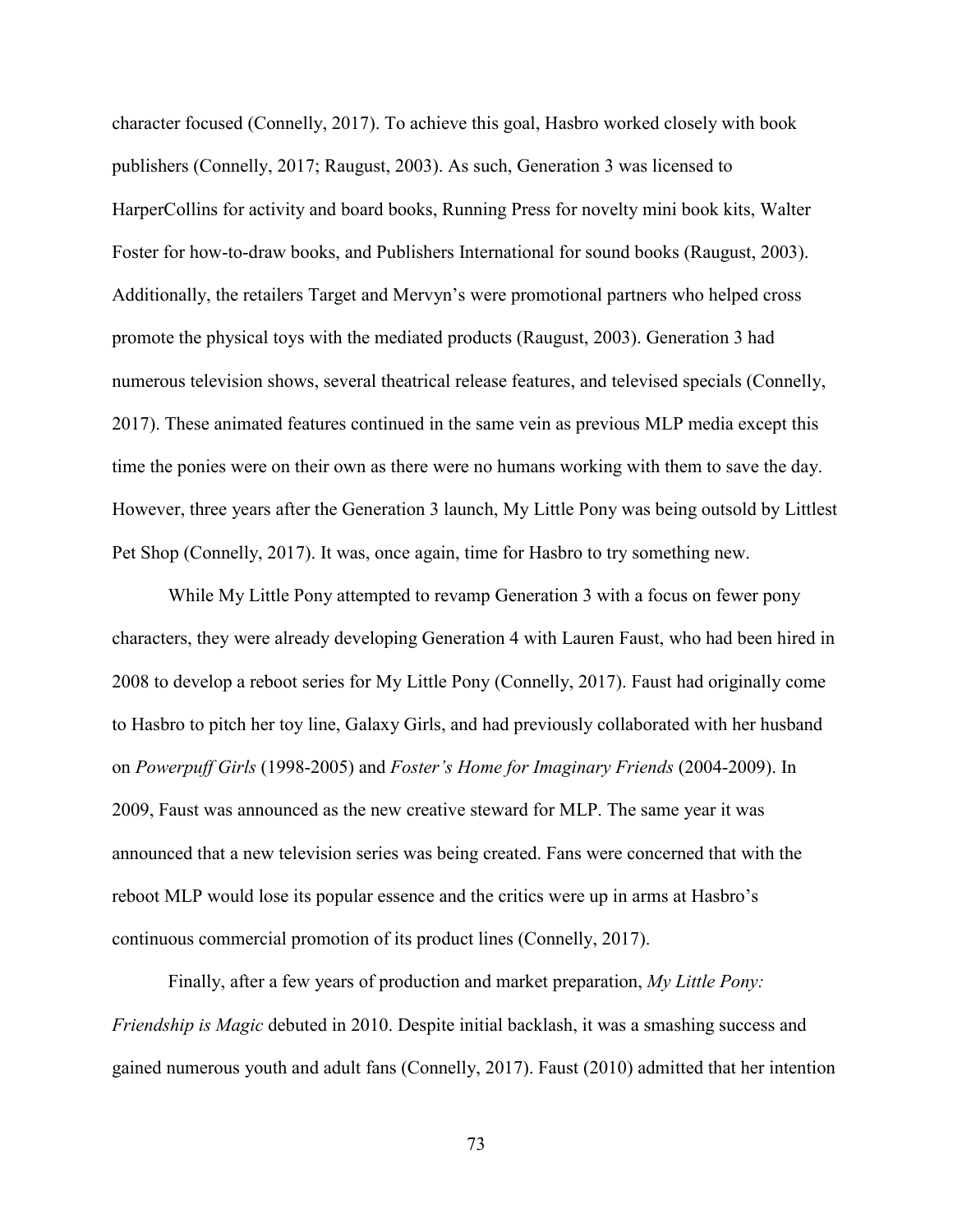character focused (Connelly, 2017). To achieve this goal, Hasbro worked closely with book publishers (Connelly, 2017; Raugust, 2003). As such, Generation 3 was licensed to HarperCollins for activity and board books, Running Press for novelty mini book kits, Walter Foster for how-to-draw books, and Publishers International for sound books (Raugust, 2003). Additionally, the retailers Target and Mervyn's were promotional partners who helped cross promote the physical toys with the mediated products (Raugust, 2003). Generation 3 had numerous television shows, several theatrical release features, and televised specials (Connelly, 2017). These animated features continued in the same vein as previous MLP media except this time the ponies were on their own as there were no humans working with them to save the day. However, three years after the Generation 3 launch, My Little Pony was being outsold by Littlest Pet Shop (Connelly, 2017). It was, once again, time for Hasbro to try something new.

While My Little Pony attempted to revamp Generation 3 with a focus on fewer pony characters, they were already developing Generation 4 with Lauren Faust, who had been hired in 2008 to develop a reboot series for My Little Pony (Connelly, 2017). Faust had originally come to Hasbro to pitch her toy line, Galaxy Girls, and had previously collaborated with her husband on *Powerpuff Girls* (1998-2005) and *Foster's Home for Imaginary Friends* (2004-2009). In 2009, Faust was announced as the new creative steward for MLP. The same year it was announced that a new television series was being created. Fans were concerned that with the reboot MLP would lose its popular essence and the critics were up in arms at Hasbro's continuous commercial promotion of its product lines (Connelly, 2017).

Finally, after a few years of production and market preparation, *My Little Pony: Friendship is Magic* debuted in 2010. Despite initial backlash, it was a smashing success and gained numerous youth and adult fans (Connelly, 2017). Faust (2010) admitted that her intention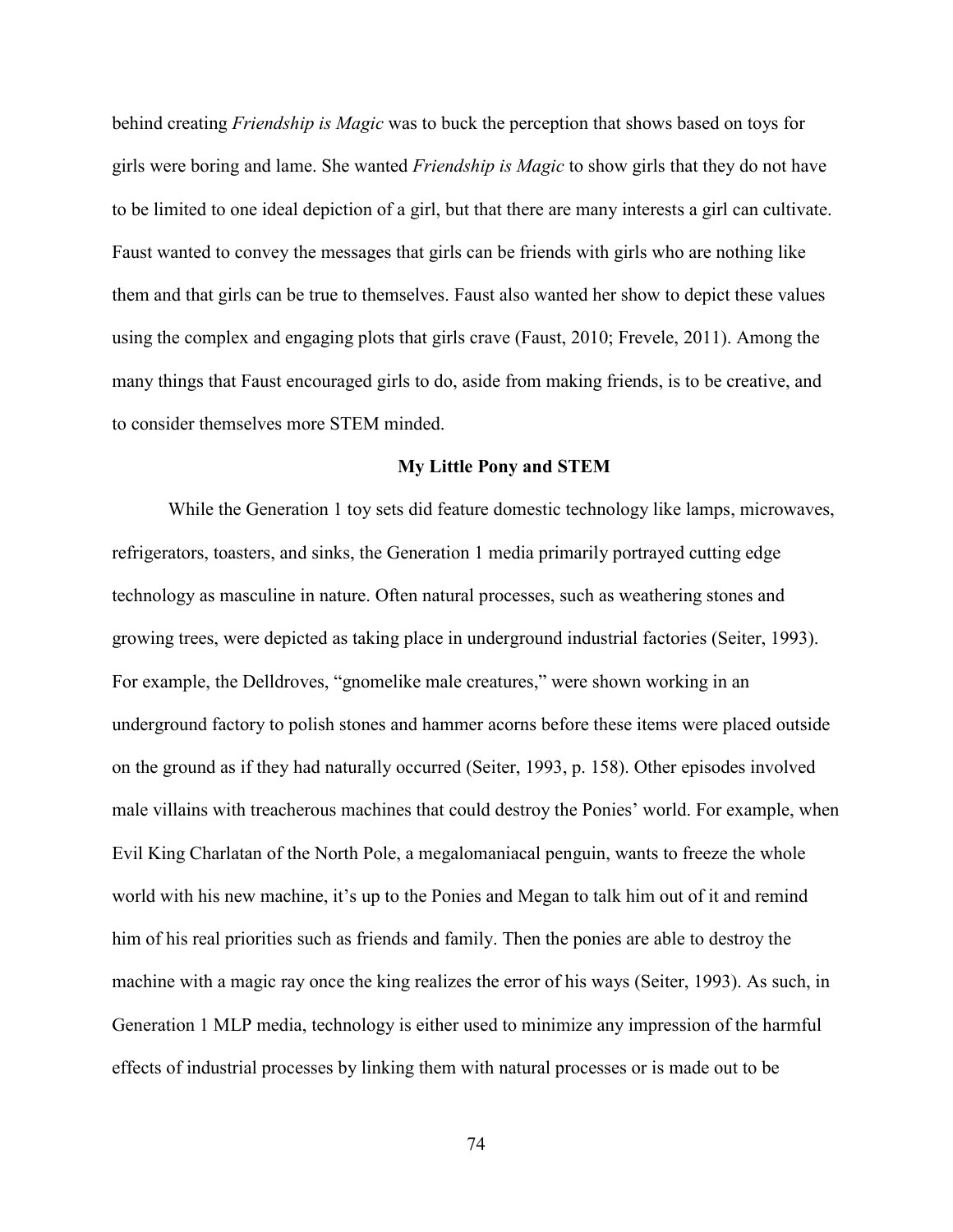behind creating *Friendship is Magic* was to buck the perception that shows based on toys for girls were boring and lame. She wanted *Friendship is Magic* to show girls that they do not have to be limited to one ideal depiction of a girl, but that there are many interests a girl can cultivate. Faust wanted to convey the messages that girls can be friends with girls who are nothing like them and that girls can be true to themselves. Faust also wanted her show to depict these values using the complex and engaging plots that girls crave (Faust, 2010; Frevele, 2011). Among the many things that Faust encouraged girls to do, aside from making friends, is to be creative, and to consider themselves more STEM minded.

### **My Little Pony and STEM**

While the Generation 1 toy sets did feature domestic technology like lamps, microwaves, refrigerators, toasters, and sinks, the Generation 1 media primarily portrayed cutting edge technology as masculine in nature. Often natural processes, such as weathering stones and growing trees, were depicted as taking place in underground industrial factories (Seiter, 1993). For example, the Delldroves, "gnomelike male creatures," were shown working in an underground factory to polish stones and hammer acorns before these items were placed outside on the ground as if they had naturally occurred (Seiter, 1993, p. 158). Other episodes involved male villains with treacherous machines that could destroy the Ponies' world. For example, when Evil King Charlatan of the North Pole, a megalomaniacal penguin, wants to freeze the whole world with his new machine, it's up to the Ponies and Megan to talk him out of it and remind him of his real priorities such as friends and family. Then the ponies are able to destroy the machine with a magic ray once the king realizes the error of his ways (Seiter, 1993). As such, in Generation 1 MLP media, technology is either used to minimize any impression of the harmful effects of industrial processes by linking them with natural processes or is made out to be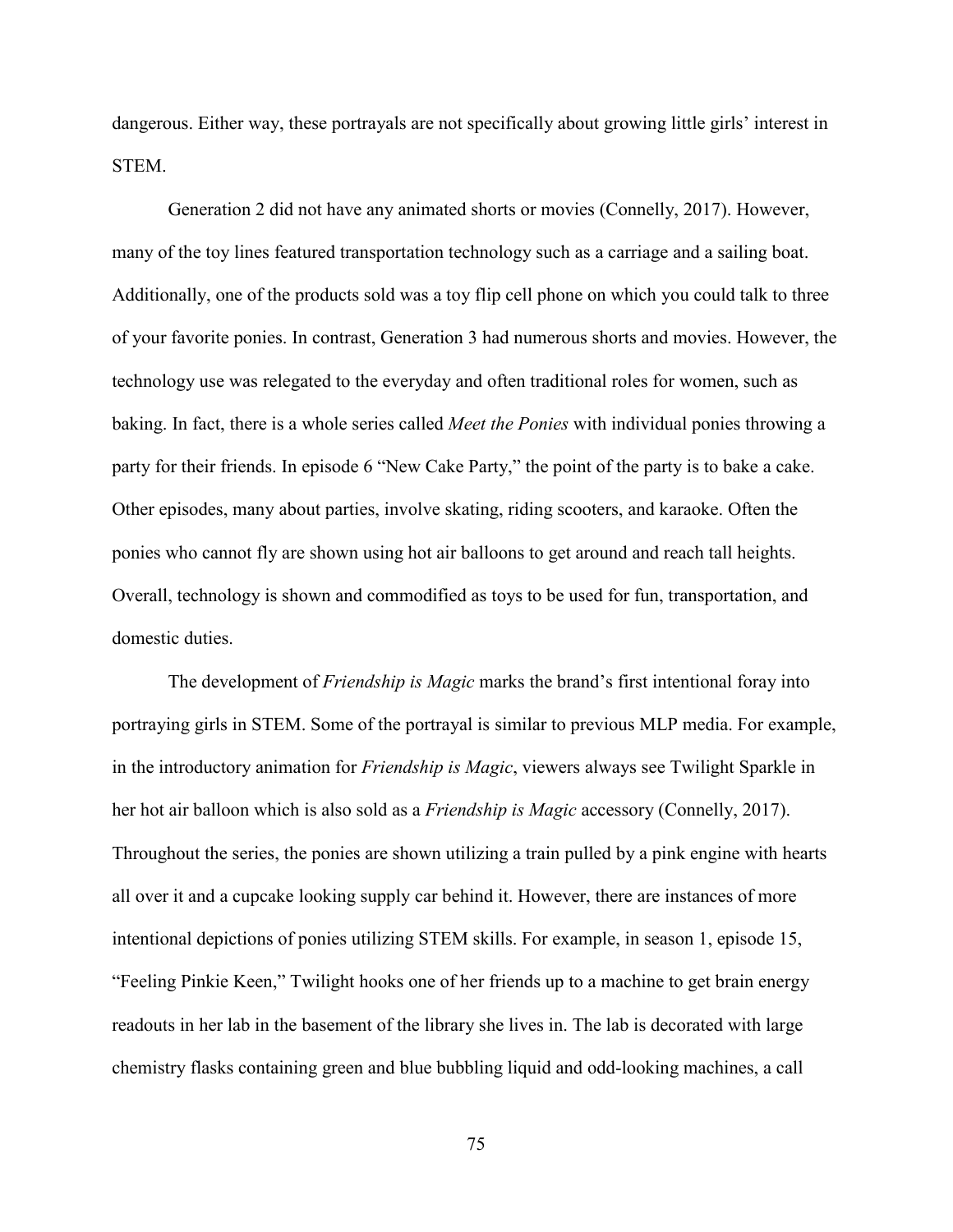dangerous. Either way, these portrayals are not specifically about growing little girls' interest in STEM.

Generation 2 did not have any animated shorts or movies (Connelly, 2017). However, many of the toy lines featured transportation technology such as a carriage and a sailing boat. Additionally, one of the products sold was a toy flip cell phone on which you could talk to three of your favorite ponies. In contrast, Generation 3 had numerous shorts and movies. However, the technology use was relegated to the everyday and often traditional roles for women, such as baking. In fact, there is a whole series called *Meet the Ponies* with individual ponies throwing a party for their friends. In episode 6 "New Cake Party," the point of the party is to bake a cake. Other episodes, many about parties, involve skating, riding scooters, and karaoke. Often the ponies who cannot fly are shown using hot air balloons to get around and reach tall heights. Overall, technology is shown and commodified as toys to be used for fun, transportation, and domestic duties.

The development of *Friendship is Magic* marks the brand's first intentional foray into portraying girls in STEM. Some of the portrayal is similar to previous MLP media. For example, in the introductory animation for *Friendship is Magic*, viewers always see Twilight Sparkle in her hot air balloon which is also sold as a *Friendship is Magic* accessory (Connelly, 2017). Throughout the series, the ponies are shown utilizing a train pulled by a pink engine with hearts all over it and a cupcake looking supply car behind it. However, there are instances of more intentional depictions of ponies utilizing STEM skills. For example, in season 1, episode 15, "Feeling Pinkie Keen," Twilight hooks one of her friends up to a machine to get brain energy readouts in her lab in the basement of the library she lives in. The lab is decorated with large chemistry flasks containing green and blue bubbling liquid and odd-looking machines, a call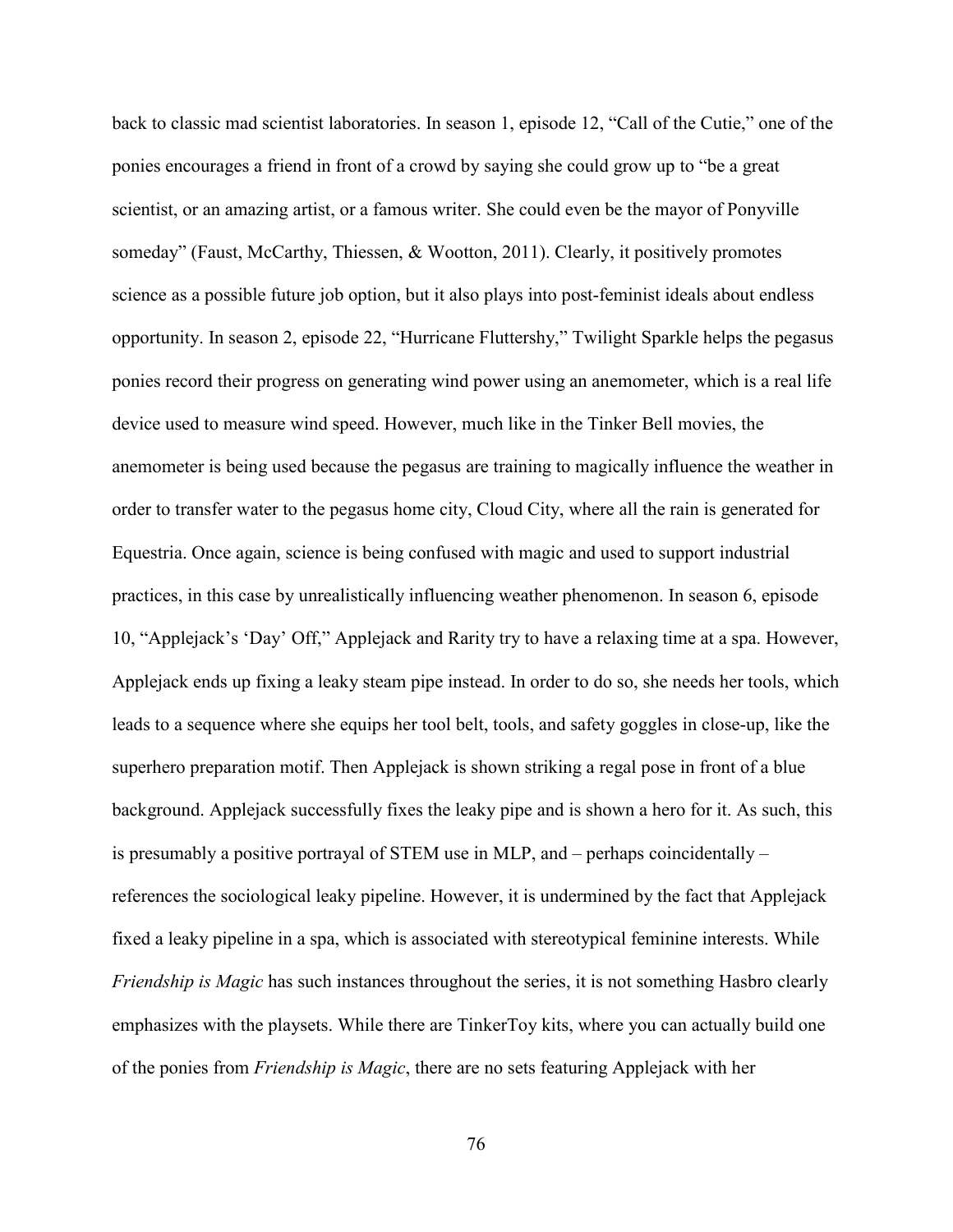back to classic mad scientist laboratories. In season 1, episode 12, "Call of the Cutie," one of the ponies encourages a friend in front of a crowd by saying she could grow up to "be a great scientist, or an amazing artist, or a famous writer. She could even be the mayor of Ponyville someday" (Faust, McCarthy, Thiessen, & Wootton, 2011). Clearly, it positively promotes science as a possible future job option, but it also plays into post-feminist ideals about endless opportunity. In season 2, episode 22, "Hurricane Fluttershy," Twilight Sparkle helps the pegasus ponies record their progress on generating wind power using an anemometer, which is a real life device used to measure wind speed. However, much like in the Tinker Bell movies, the anemometer is being used because the pegasus are training to magically influence the weather in order to transfer water to the pegasus home city, Cloud City, where all the rain is generated for Equestria. Once again, science is being confused with magic and used to support industrial practices, in this case by unrealistically influencing weather phenomenon. In season 6, episode 10, "Applejack's 'Day' Off," Applejack and Rarity try to have a relaxing time at a spa. However, Applejack ends up fixing a leaky steam pipe instead. In order to do so, she needs her tools, which leads to a sequence where she equips her tool belt, tools, and safety goggles in close-up, like the superhero preparation motif. Then Applejack is shown striking a regal pose in front of a blue background. Applejack successfully fixes the leaky pipe and is shown a hero for it. As such, this is presumably a positive portrayal of STEM use in MLP, and – perhaps coincidentally – references the sociological leaky pipeline. However, it is undermined by the fact that Applejack fixed a leaky pipeline in a spa, which is associated with stereotypical feminine interests. While *Friendship is Magic* has such instances throughout the series, it is not something Hasbro clearly emphasizes with the playsets. While there are TinkerToy kits, where you can actually build one of the ponies from *Friendship is Magic*, there are no sets featuring Applejack with her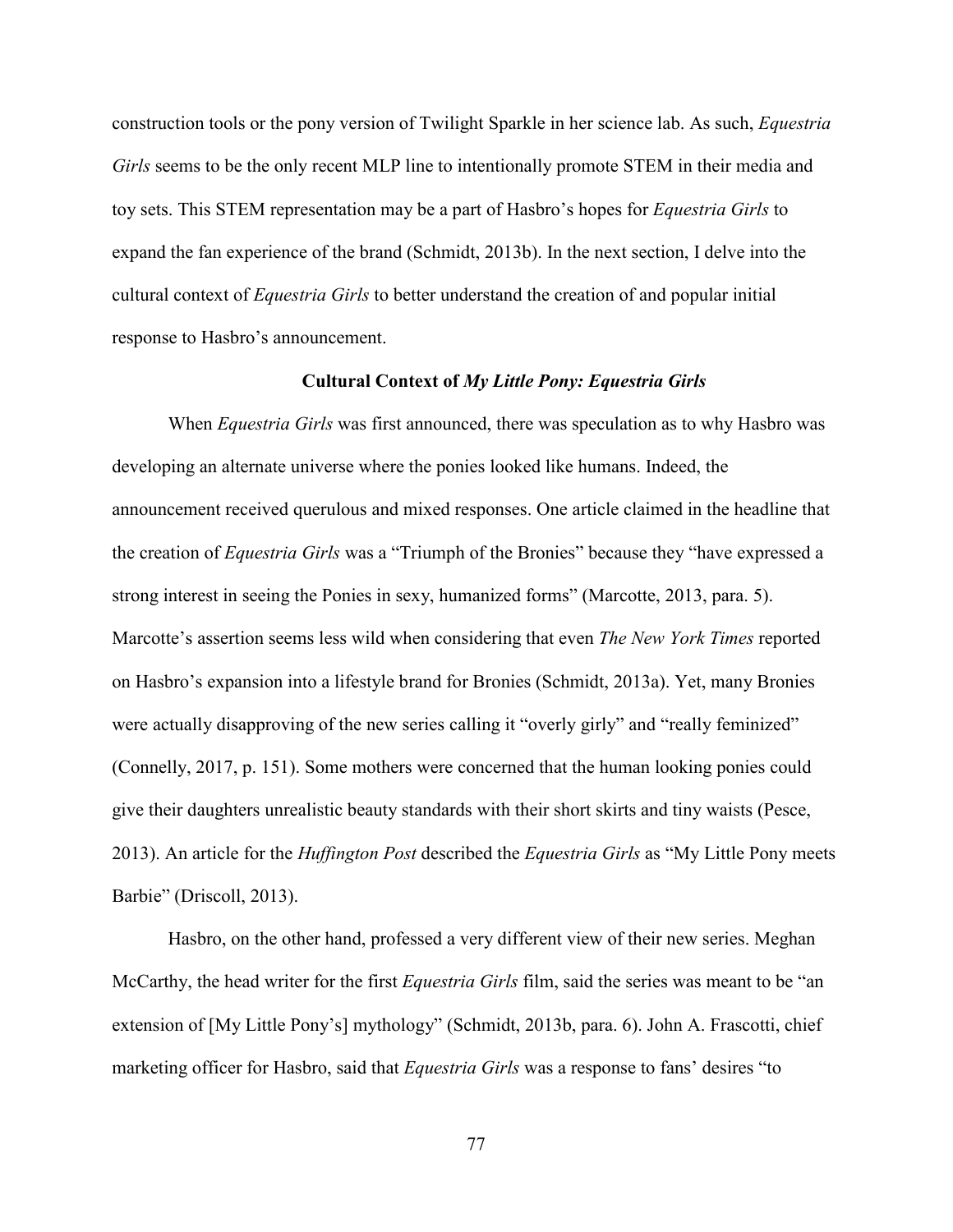construction tools or the pony version of Twilight Sparkle in her science lab. As such, *Equestria Girls* seems to be the only recent MLP line to intentionally promote STEM in their media and toy sets. This STEM representation may be a part of Hasbro's hopes for *Equestria Girls* to expand the fan experience of the brand (Schmidt, 2013b). In the next section, I delve into the cultural context of *Equestria Girls* to better understand the creation of and popular initial response to Hasbro's announcement.

## **Cultural Context of** *My Little Pony: Equestria Girls*

When *Equestria Girls* was first announced, there was speculation as to why Hasbro was developing an alternate universe where the ponies looked like humans. Indeed, the announcement received querulous and mixed responses. One article claimed in the headline that the creation of *Equestria Girls* was a "Triumph of the Bronies" because they "have expressed a strong interest in seeing the Ponies in sexy, humanized forms" (Marcotte, 2013, para. 5). Marcotte's assertion seems less wild when considering that even *The New York Times* reported on Hasbro's expansion into a lifestyle brand for Bronies (Schmidt, 2013a). Yet, many Bronies were actually disapproving of the new series calling it "overly girly" and "really feminized" (Connelly, 2017, p. 151). Some mothers were concerned that the human looking ponies could give their daughters unrealistic beauty standards with their short skirts and tiny waists (Pesce, 2013). An article for the *Huffington Post* described the *Equestria Girls* as "My Little Pony meets Barbie" (Driscoll, 2013).

Hasbro, on the other hand, professed a very different view of their new series. Meghan McCarthy, the head writer for the first *Equestria Girls* film, said the series was meant to be "an extension of [My Little Pony's] mythology" (Schmidt, 2013b, para. 6). John A. Frascotti, chief marketing officer for Hasbro, said that *Equestria Girls* was a response to fans' desires "to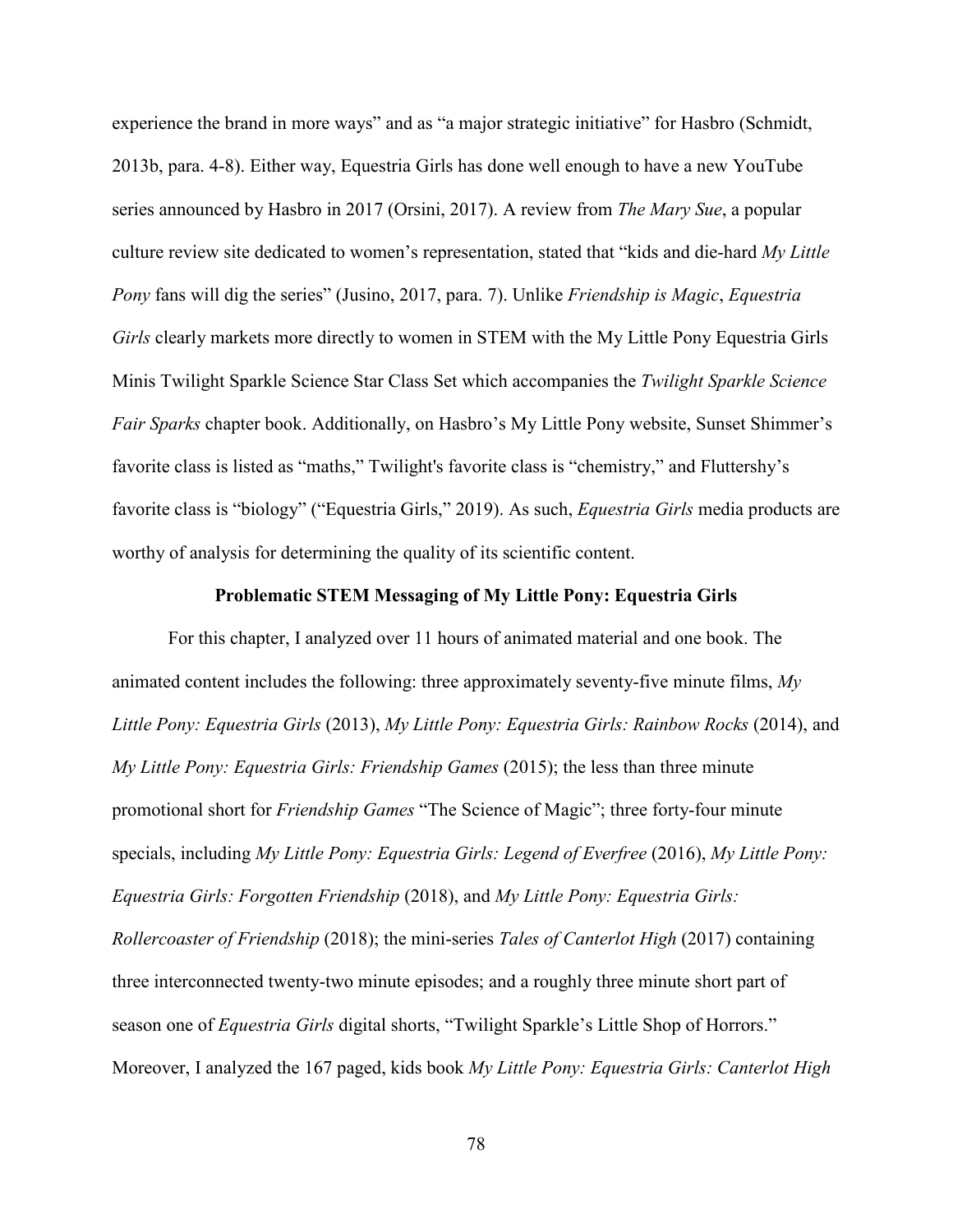experience the brand in more ways" and as "a major strategic initiative" for Hasbro (Schmidt, 2013b, para. 4-8). Either way, Equestria Girls has done well enough to have a new YouTube series announced by Hasbro in 2017 (Orsini, 2017). A review from *The Mary Sue*, a popular culture review site dedicated to women's representation, stated that "kids and die-hard *My Little Pony* fans will dig the series" (Jusino, 2017, para. 7). Unlike *Friendship is Magic*, *Equestria Girls* clearly markets more directly to women in STEM with the My Little Pony Equestria Girls Minis Twilight Sparkle Science Star Class Set which accompanies the *Twilight Sparkle Science Fair Sparks* chapter book. Additionally, on Hasbro's My Little Pony website, Sunset Shimmer's favorite class is listed as "maths," Twilight's favorite class is "chemistry," and Fluttershy's favorite class is "biology" ("Equestria Girls," 2019). As such, *Equestria Girls* media products are worthy of analysis for determining the quality of its scientific content.

# **Problematic STEM Messaging of My Little Pony: Equestria Girls**

For this chapter, I analyzed over 11 hours of animated material and one book. The animated content includes the following: three approximately seventy-five minute films, *My Little Pony: Equestria Girls* (2013), *My Little Pony: Equestria Girls: Rainbow Rocks* (2014), and *My Little Pony: Equestria Girls: Friendship Games* (2015); the less than three minute promotional short for *Friendship Games* "The Science of Magic"; three forty-four minute specials, including *My Little Pony: Equestria Girls: Legend of Everfree* (2016), *My Little Pony: Equestria Girls: Forgotten Friendship* (2018), and *My Little Pony: Equestria Girls: Rollercoaster of Friendship* (2018); the mini-series *Tales of Canterlot High* (2017) containing three interconnected twenty-two minute episodes; and a roughly three minute short part of season one of *Equestria Girls* digital shorts, "Twilight Sparkle's Little Shop of Horrors." Moreover, I analyzed the 167 paged, kids book *My Little Pony: Equestria Girls: Canterlot High*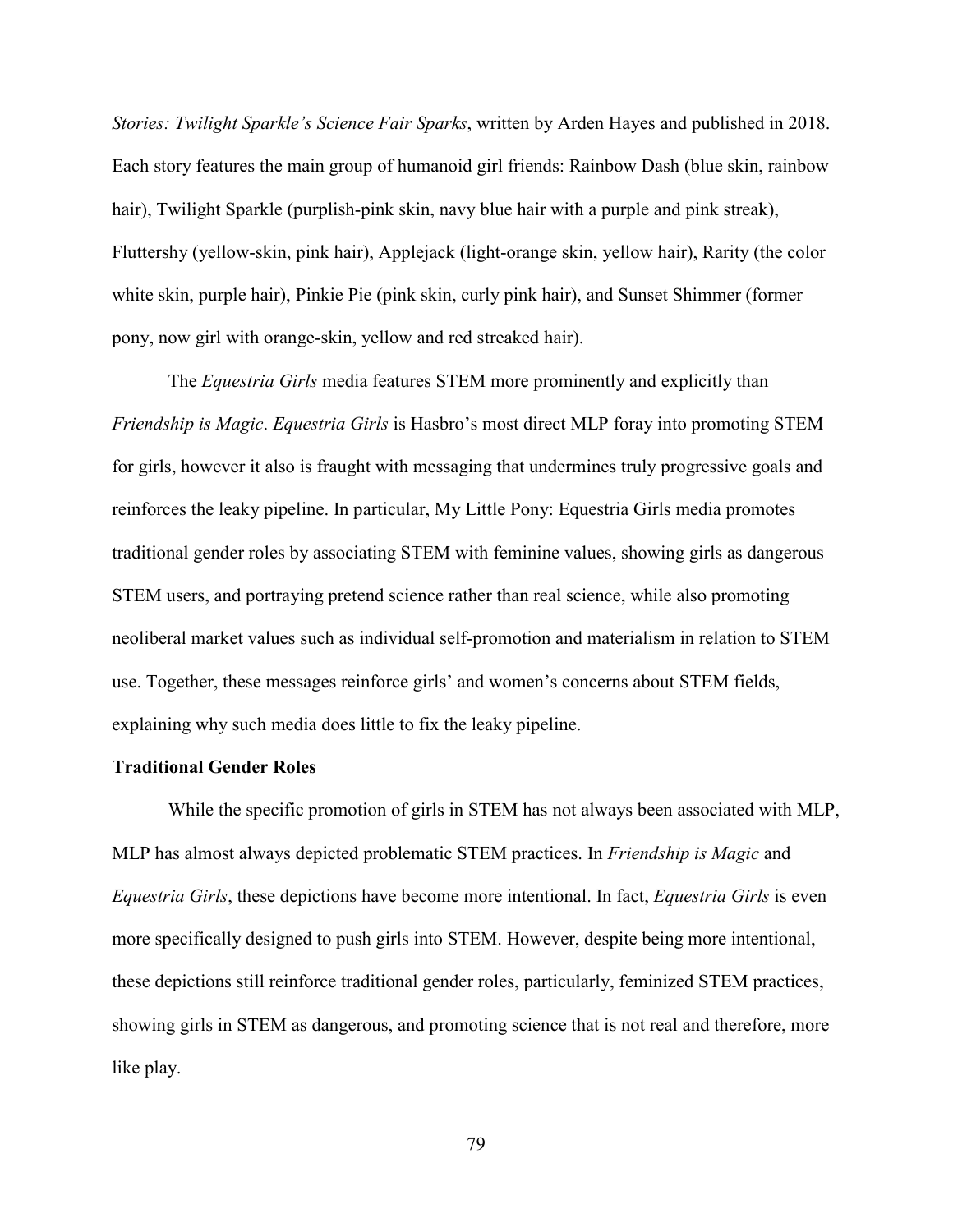*Stories: Twilight Sparkle's Science Fair Sparks*, written by Arden Hayes and published in 2018. Each story features the main group of humanoid girl friends: Rainbow Dash (blue skin, rainbow hair), Twilight Sparkle (purplish-pink skin, navy blue hair with a purple and pink streak), Fluttershy (yellow-skin, pink hair), Applejack (light-orange skin, yellow hair), Rarity (the color white skin, purple hair), Pinkie Pie (pink skin, curly pink hair), and Sunset Shimmer (former pony, now girl with orange-skin, yellow and red streaked hair).

The *Equestria Girls* media features STEM more prominently and explicitly than *Friendship is Magic*. *Equestria Girls* is Hasbro's most direct MLP foray into promoting STEM for girls, however it also is fraught with messaging that undermines truly progressive goals and reinforces the leaky pipeline. In particular, My Little Pony: Equestria Girls media promotes traditional gender roles by associating STEM with feminine values, showing girls as dangerous STEM users, and portraying pretend science rather than real science, while also promoting neoliberal market values such as individual self-promotion and materialism in relation to STEM use. Together, these messages reinforce girls' and women's concerns about STEM fields, explaining why such media does little to fix the leaky pipeline.

# **Traditional Gender Roles**

While the specific promotion of girls in STEM has not always been associated with MLP, MLP has almost always depicted problematic STEM practices. In *Friendship is Magic* and *Equestria Girls*, these depictions have become more intentional. In fact, *Equestria Girls* is even more specifically designed to push girls into STEM. However, despite being more intentional, these depictions still reinforce traditional gender roles, particularly, feminized STEM practices, showing girls in STEM as dangerous, and promoting science that is not real and therefore, more like play.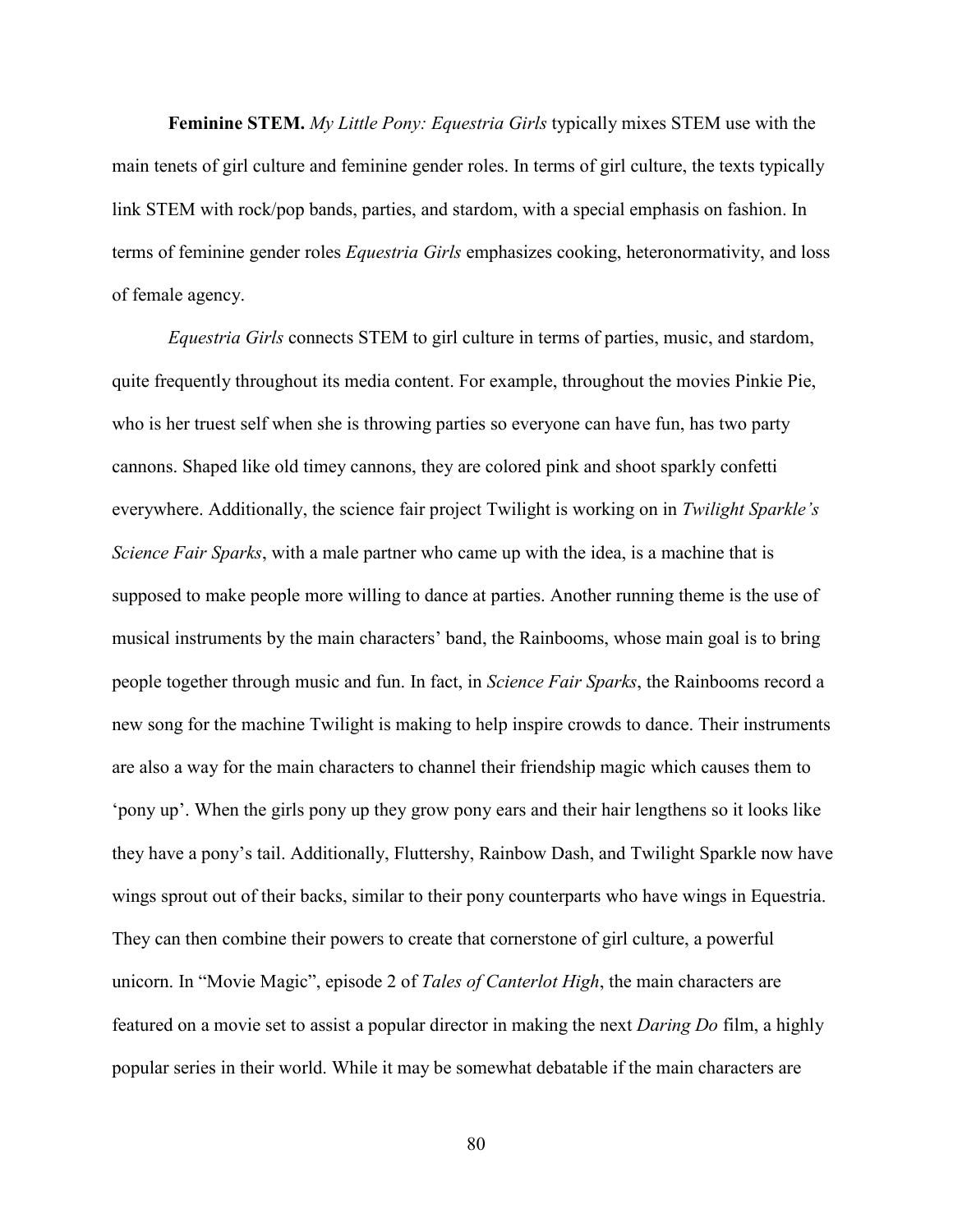**Feminine STEM.** *My Little Pony: Equestria Girls* typically mixes STEM use with the main tenets of girl culture and feminine gender roles. In terms of girl culture, the texts typically link STEM with rock/pop bands, parties, and stardom, with a special emphasis on fashion. In terms of feminine gender roles *Equestria Girls* emphasizes cooking, heteronormativity, and loss of female agency.

*Equestria Girls* connects STEM to girl culture in terms of parties, music, and stardom, quite frequently throughout its media content. For example, throughout the movies Pinkie Pie, who is her truest self when she is throwing parties so everyone can have fun, has two party cannons. Shaped like old timey cannons, they are colored pink and shoot sparkly confetti everywhere. Additionally, the science fair project Twilight is working on in *Twilight Sparkle's Science Fair Sparks*, with a male partner who came up with the idea, is a machine that is supposed to make people more willing to dance at parties. Another running theme is the use of musical instruments by the main characters' band, the Rainbooms, whose main goal is to bring people together through music and fun. In fact, in *Science Fair Sparks*, the Rainbooms record a new song for the machine Twilight is making to help inspire crowds to dance. Their instruments are also a way for the main characters to channel their friendship magic which causes them to 'pony up'. When the girls pony up they grow pony ears and their hair lengthens so it looks like they have a pony's tail. Additionally, Fluttershy, Rainbow Dash, and Twilight Sparkle now have wings sprout out of their backs, similar to their pony counterparts who have wings in Equestria. They can then combine their powers to create that cornerstone of girl culture, a powerful unicorn. In "Movie Magic", episode 2 of *Tales of Canterlot High*, the main characters are featured on a movie set to assist a popular director in making the next *Daring Do* film, a highly popular series in their world. While it may be somewhat debatable if the main characters are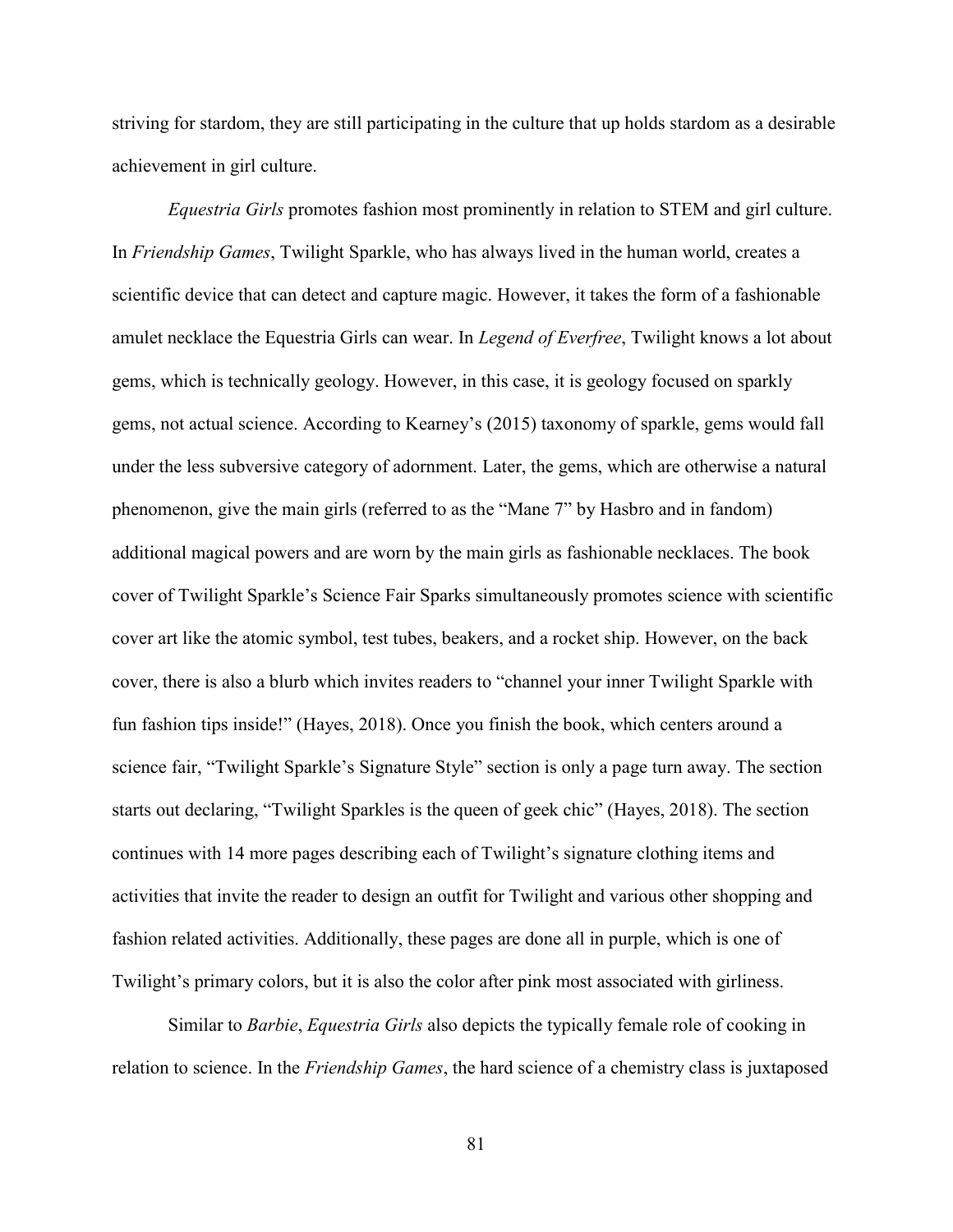striving for stardom, they are still participating in the culture that up holds stardom as a desirable achievement in girl culture.

*Equestria Girls* promotes fashion most prominently in relation to STEM and girl culture. In *Friendship Games*, Twilight Sparkle, who has always lived in the human world, creates a scientific device that can detect and capture magic. However, it takes the form of a fashionable amulet necklace the Equestria Girls can wear. In *Legend of Everfree*, Twilight knows a lot about gems, which is technically geology. However, in this case, it is geology focused on sparkly gems, not actual science. According to Kearney's (2015) taxonomy of sparkle, gems would fall under the less subversive category of adornment. Later, the gems, which are otherwise a natural phenomenon, give the main girls (referred to as the "Mane 7" by Hasbro and in fandom) additional magical powers and are worn by the main girls as fashionable necklaces. The book cover of Twilight Sparkle's Science Fair Sparks simultaneously promotes science with scientific cover art like the atomic symbol, test tubes, beakers, and a rocket ship. However, on the back cover, there is also a blurb which invites readers to "channel your inner Twilight Sparkle with fun fashion tips inside!" (Hayes, 2018). Once you finish the book, which centers around a science fair, "Twilight Sparkle's Signature Style" section is only a page turn away. The section starts out declaring, "Twilight Sparkles is the queen of geek chic" (Hayes, 2018). The section continues with 14 more pages describing each of Twilight's signature clothing items and activities that invite the reader to design an outfit for Twilight and various other shopping and fashion related activities. Additionally, these pages are done all in purple, which is one of Twilight's primary colors, but it is also the color after pink most associated with girliness.

Similar to *Barbie*, *Equestria Girls* also depicts the typically female role of cooking in relation to science. In the *Friendship Games*, the hard science of a chemistry class is juxtaposed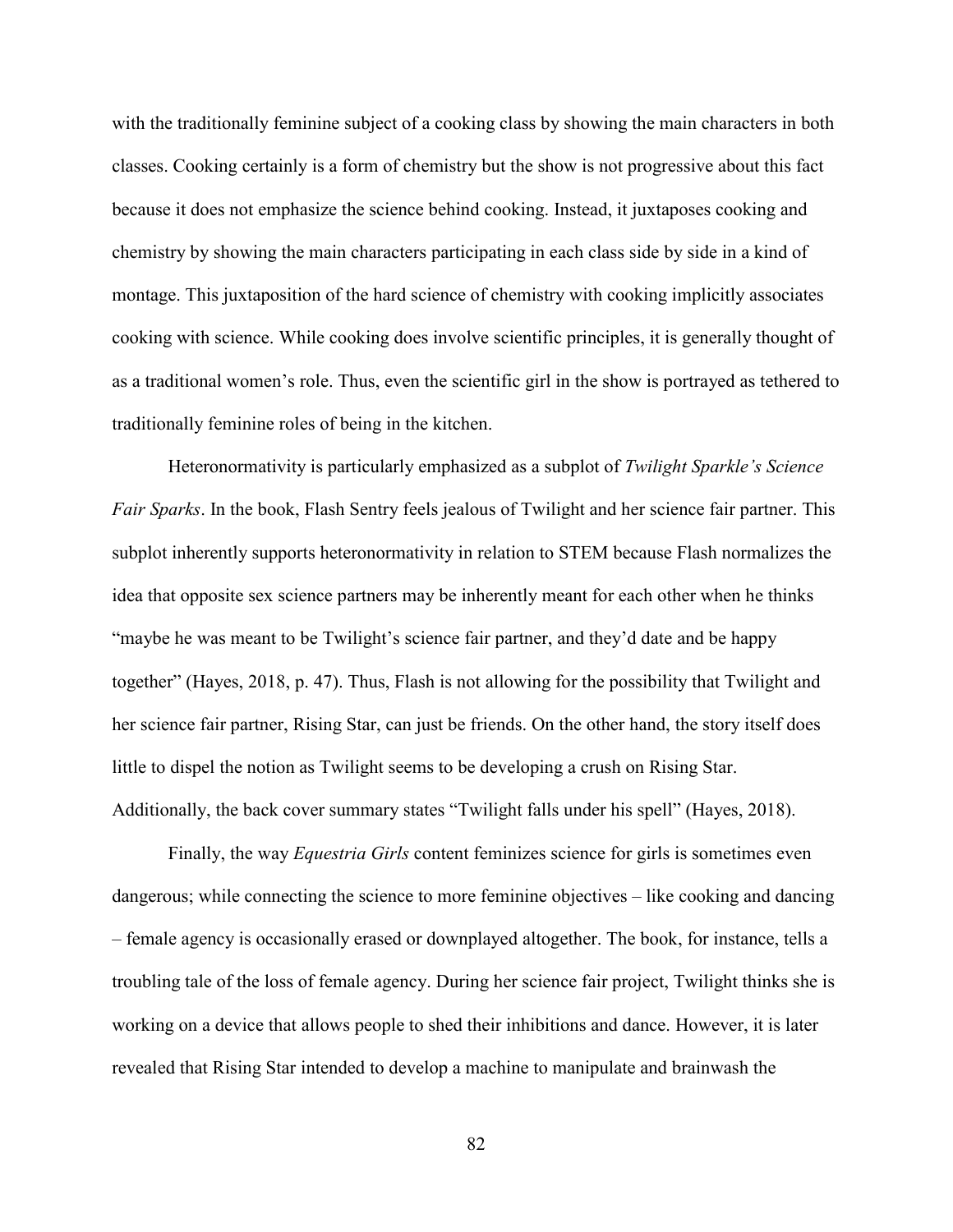with the traditionally feminine subject of a cooking class by showing the main characters in both classes. Cooking certainly is a form of chemistry but the show is not progressive about this fact because it does not emphasize the science behind cooking. Instead, it juxtaposes cooking and chemistry by showing the main characters participating in each class side by side in a kind of montage. This juxtaposition of the hard science of chemistry with cooking implicitly associates cooking with science. While cooking does involve scientific principles, it is generally thought of as a traditional women's role. Thus, even the scientific girl in the show is portrayed as tethered to traditionally feminine roles of being in the kitchen.

Heteronormativity is particularly emphasized as a subplot of *Twilight Sparkle's Science Fair Sparks*. In the book, Flash Sentry feels jealous of Twilight and her science fair partner. This subplot inherently supports heteronormativity in relation to STEM because Flash normalizes the idea that opposite sex science partners may be inherently meant for each other when he thinks "maybe he was meant to be Twilight's science fair partner, and they'd date and be happy together" (Hayes, 2018, p. 47). Thus, Flash is not allowing for the possibility that Twilight and her science fair partner, Rising Star, can just be friends. On the other hand, the story itself does little to dispel the notion as Twilight seems to be developing a crush on Rising Star. Additionally, the back cover summary states "Twilight falls under his spell" (Hayes, 2018).

Finally, the way *Equestria Girls* content feminizes science for girls is sometimes even dangerous; while connecting the science to more feminine objectives – like cooking and dancing – female agency is occasionally erased or downplayed altogether. The book, for instance, tells a troubling tale of the loss of female agency. During her science fair project, Twilight thinks she is working on a device that allows people to shed their inhibitions and dance. However, it is later revealed that Rising Star intended to develop a machine to manipulate and brainwash the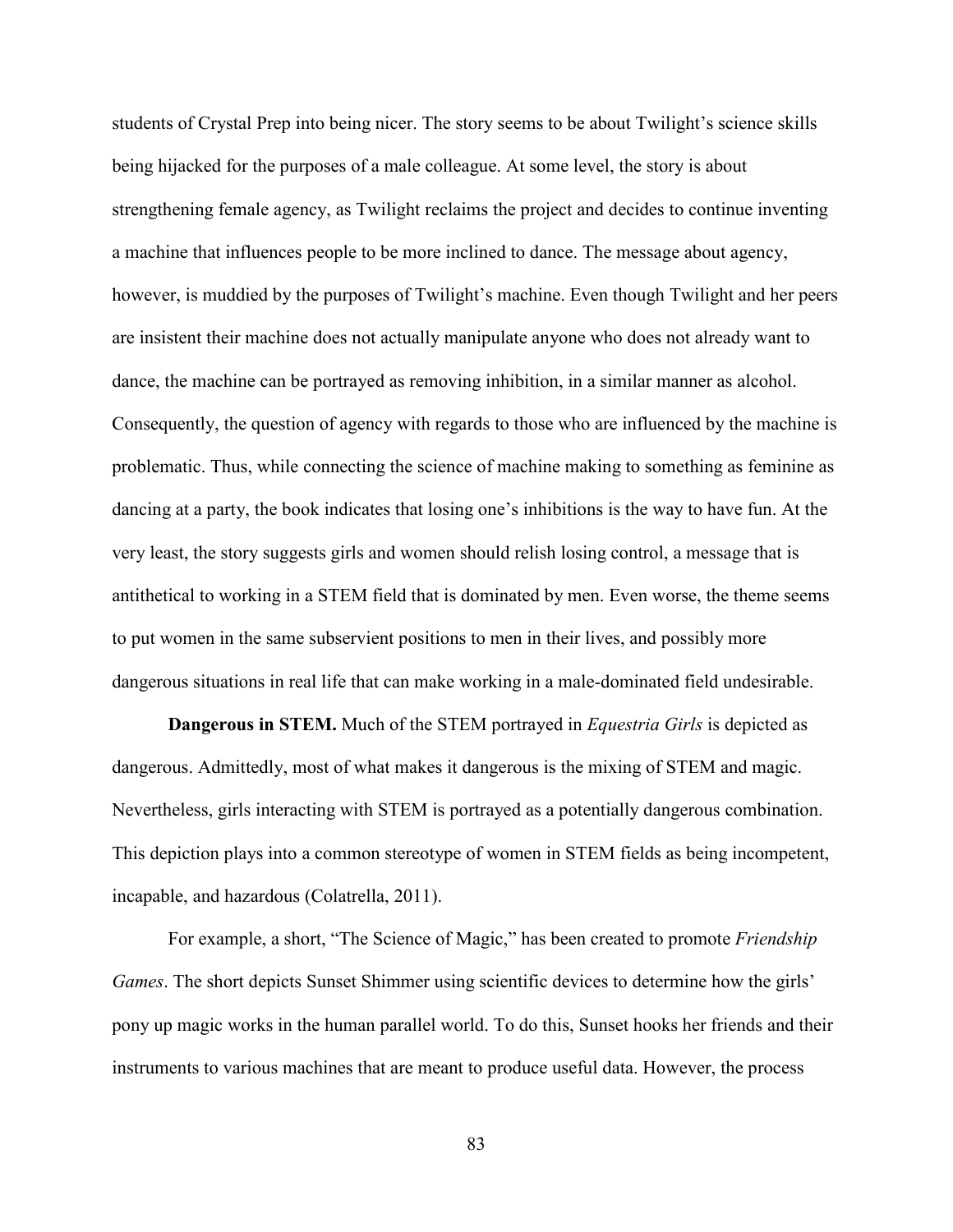students of Crystal Prep into being nicer. The story seems to be about Twilight's science skills being hijacked for the purposes of a male colleague. At some level, the story is about strengthening female agency, as Twilight reclaims the project and decides to continue inventing a machine that influences people to be more inclined to dance. The message about agency, however, is muddied by the purposes of Twilight's machine. Even though Twilight and her peers are insistent their machine does not actually manipulate anyone who does not already want to dance, the machine can be portrayed as removing inhibition, in a similar manner as alcohol. Consequently, the question of agency with regards to those who are influenced by the machine is problematic. Thus, while connecting the science of machine making to something as feminine as dancing at a party, the book indicates that losing one's inhibitions is the way to have fun. At the very least, the story suggests girls and women should relish losing control, a message that is antithetical to working in a STEM field that is dominated by men. Even worse, the theme seems to put women in the same subservient positions to men in their lives, and possibly more dangerous situations in real life that can make working in a male-dominated field undesirable.

**Dangerous in STEM.** Much of the STEM portrayed in *Equestria Girls* is depicted as dangerous. Admittedly, most of what makes it dangerous is the mixing of STEM and magic. Nevertheless, girls interacting with STEM is portrayed as a potentially dangerous combination. This depiction plays into a common stereotype of women in STEM fields as being incompetent, incapable, and hazardous (Colatrella, 2011).

For example, a short, "The Science of Magic," has been created to promote *Friendship Games*. The short depicts Sunset Shimmer using scientific devices to determine how the girls' pony up magic works in the human parallel world. To do this, Sunset hooks her friends and their instruments to various machines that are meant to produce useful data. However, the process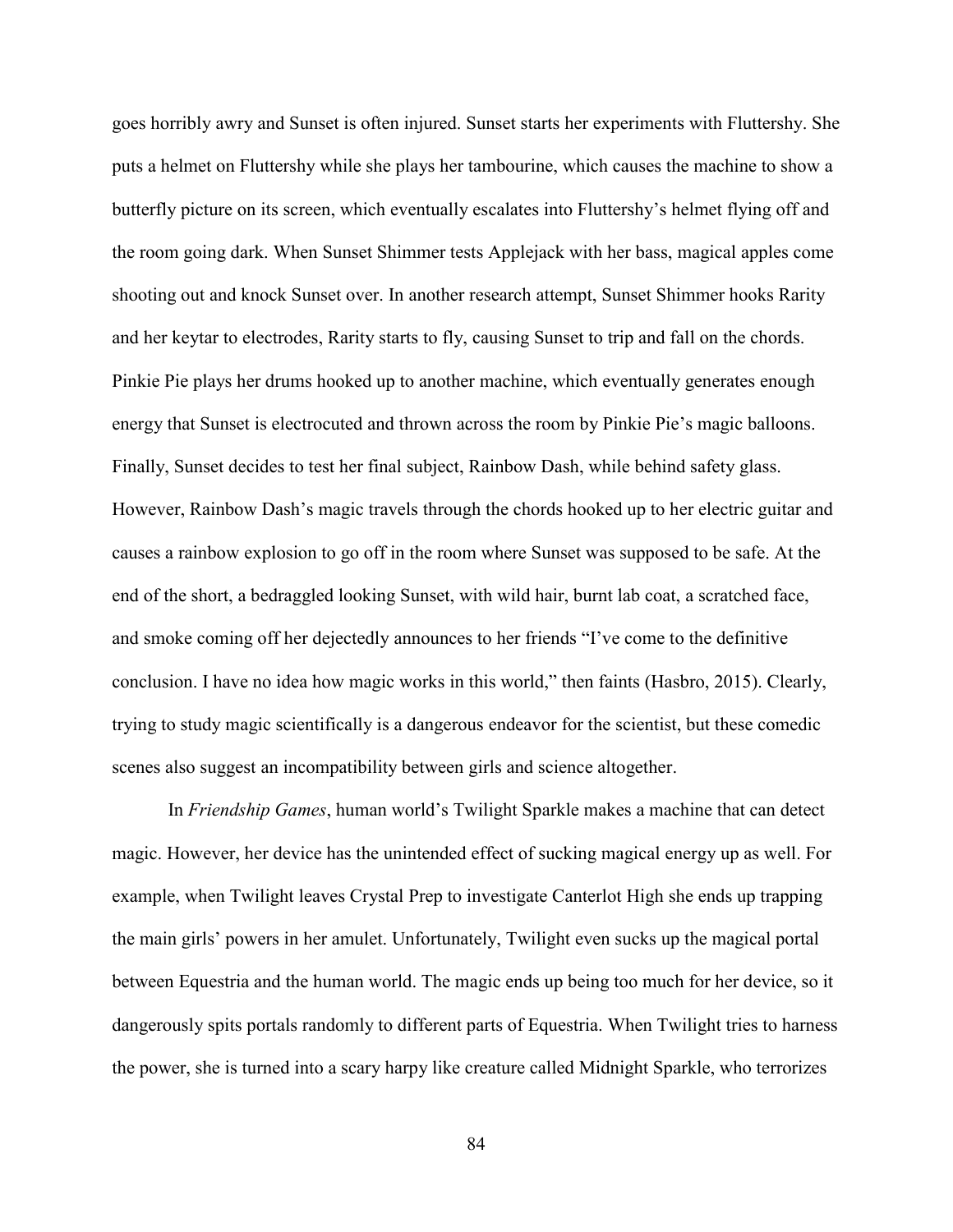goes horribly awry and Sunset is often injured. Sunset starts her experiments with Fluttershy. She puts a helmet on Fluttershy while she plays her tambourine, which causes the machine to show a butterfly picture on its screen, which eventually escalates into Fluttershy's helmet flying off and the room going dark. When Sunset Shimmer tests Applejack with her bass, magical apples come shooting out and knock Sunset over. In another research attempt, Sunset Shimmer hooks Rarity and her keytar to electrodes, Rarity starts to fly, causing Sunset to trip and fall on the chords. Pinkie Pie plays her drums hooked up to another machine, which eventually generates enough energy that Sunset is electrocuted and thrown across the room by Pinkie Pie's magic balloons. Finally, Sunset decides to test her final subject, Rainbow Dash, while behind safety glass. However, Rainbow Dash's magic travels through the chords hooked up to her electric guitar and causes a rainbow explosion to go off in the room where Sunset was supposed to be safe. At the end of the short, a bedraggled looking Sunset, with wild hair, burnt lab coat, a scratched face, and smoke coming off her dejectedly announces to her friends "I've come to the definitive conclusion. I have no idea how magic works in this world," then faints (Hasbro, 2015). Clearly, trying to study magic scientifically is a dangerous endeavor for the scientist, but these comedic scenes also suggest an incompatibility between girls and science altogether.

In *Friendship Games*, human world's Twilight Sparkle makes a machine that can detect magic. However, her device has the unintended effect of sucking magical energy up as well. For example, when Twilight leaves Crystal Prep to investigate Canterlot High she ends up trapping the main girls' powers in her amulet. Unfortunately, Twilight even sucks up the magical portal between Equestria and the human world. The magic ends up being too much for her device, so it dangerously spits portals randomly to different parts of Equestria. When Twilight tries to harness the power, she is turned into a scary harpy like creature called Midnight Sparkle, who terrorizes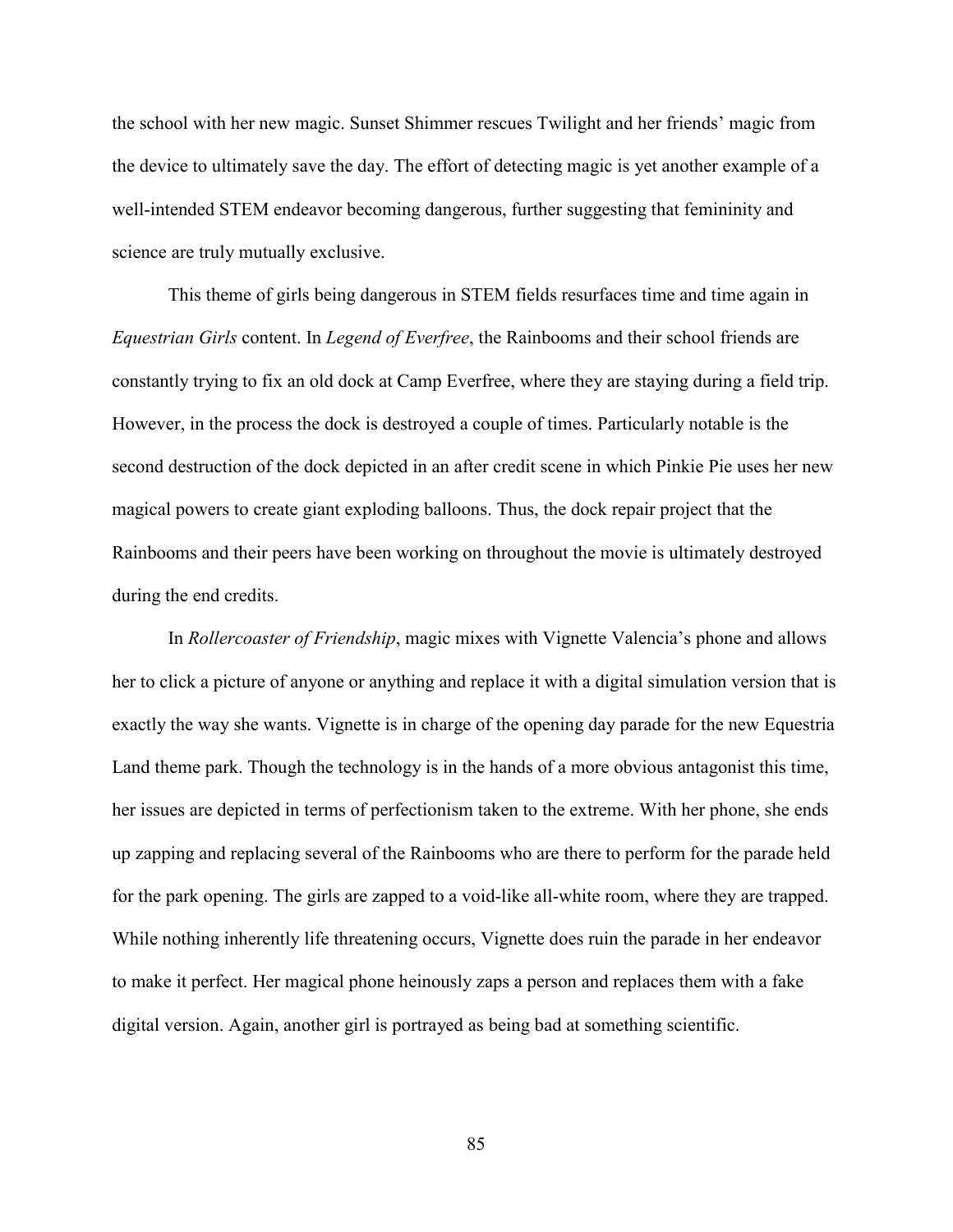the school with her new magic. Sunset Shimmer rescues Twilight and her friends' magic from the device to ultimately save the day. The effort of detecting magic is yet another example of a well-intended STEM endeavor becoming dangerous, further suggesting that femininity and science are truly mutually exclusive.

This theme of girls being dangerous in STEM fields resurfaces time and time again in *Equestrian Girls* content. In *Legend of Everfree*, the Rainbooms and their school friends are constantly trying to fix an old dock at Camp Everfree, where they are staying during a field trip. However, in the process the dock is destroyed a couple of times. Particularly notable is the second destruction of the dock depicted in an after credit scene in which Pinkie Pie uses her new magical powers to create giant exploding balloons. Thus, the dock repair project that the Rainbooms and their peers have been working on throughout the movie is ultimately destroyed during the end credits.

In *Rollercoaster of Friendship*, magic mixes with Vignette Valencia's phone and allows her to click a picture of anyone or anything and replace it with a digital simulation version that is exactly the way she wants. Vignette is in charge of the opening day parade for the new Equestria Land theme park. Though the technology is in the hands of a more obvious antagonist this time, her issues are depicted in terms of perfectionism taken to the extreme. With her phone, she ends up zapping and replacing several of the Rainbooms who are there to perform for the parade held for the park opening. The girls are zapped to a void-like all-white room, where they are trapped. While nothing inherently life threatening occurs, Vignette does ruin the parade in her endeavor to make it perfect. Her magical phone heinously zaps a person and replaces them with a fake digital version. Again, another girl is portrayed as being bad at something scientific.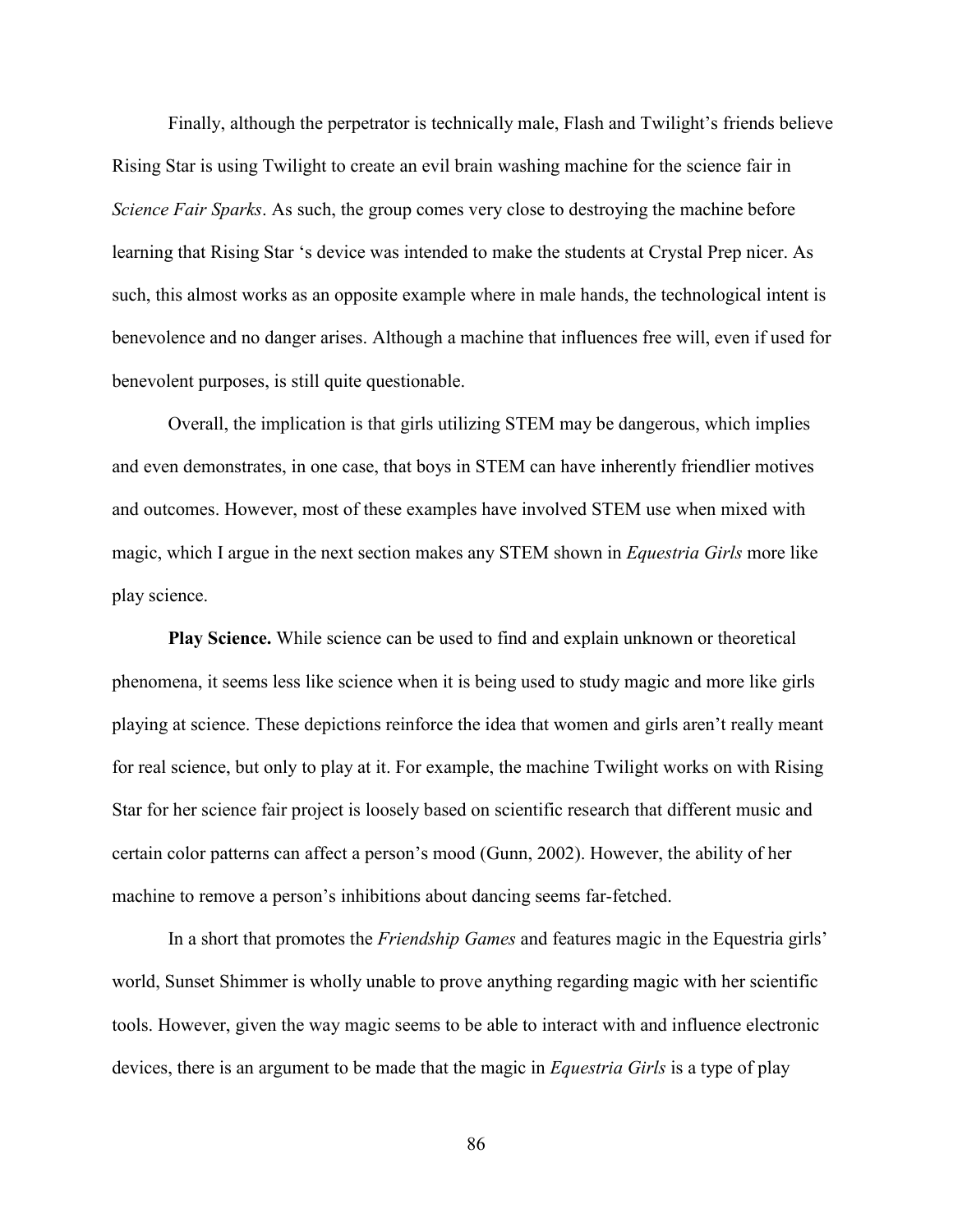Finally, although the perpetrator is technically male, Flash and Twilight's friends believe Rising Star is using Twilight to create an evil brain washing machine for the science fair in *Science Fair Sparks*. As such, the group comes very close to destroying the machine before learning that Rising Star 's device was intended to make the students at Crystal Prep nicer. As such, this almost works as an opposite example where in male hands, the technological intent is benevolence and no danger arises. Although a machine that influences free will, even if used for benevolent purposes, is still quite questionable.

Overall, the implication is that girls utilizing STEM may be dangerous, which implies and even demonstrates, in one case, that boys in STEM can have inherently friendlier motives and outcomes. However, most of these examples have involved STEM use when mixed with magic, which I argue in the next section makes any STEM shown in *Equestria Girls* more like play science.

**Play Science.** While science can be used to find and explain unknown or theoretical phenomena, it seems less like science when it is being used to study magic and more like girls playing at science. These depictions reinforce the idea that women and girls aren't really meant for real science, but only to play at it. For example, the machine Twilight works on with Rising Star for her science fair project is loosely based on scientific research that different music and certain color patterns can affect a person's mood (Gunn, 2002). However, the ability of her machine to remove a person's inhibitions about dancing seems far-fetched.

In a short that promotes the *Friendship Games* and features magic in the Equestria girls' world, Sunset Shimmer is wholly unable to prove anything regarding magic with her scientific tools. However, given the way magic seems to be able to interact with and influence electronic devices, there is an argument to be made that the magic in *Equestria Girls* is a type of play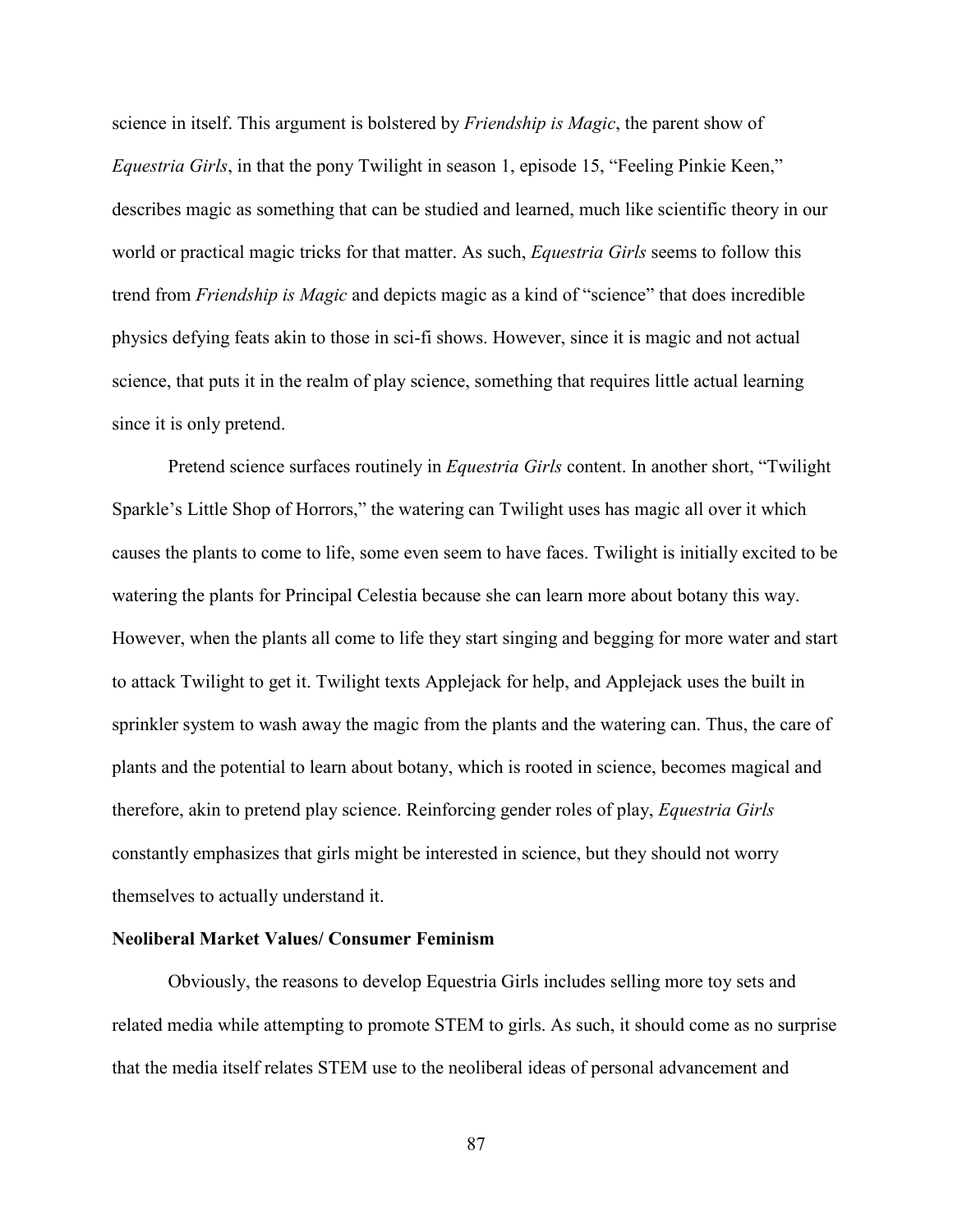science in itself. This argument is bolstered by *Friendship is Magic*, the parent show of *Equestria Girls*, in that the pony Twilight in season 1, episode 15, "Feeling Pinkie Keen," describes magic as something that can be studied and learned, much like scientific theory in our world or practical magic tricks for that matter. As such, *Equestria Girls* seems to follow this trend from *Friendship is Magic* and depicts magic as a kind of "science" that does incredible physics defying feats akin to those in sci-fi shows. However, since it is magic and not actual science, that puts it in the realm of play science, something that requires little actual learning since it is only pretend.

Pretend science surfaces routinely in *Equestria Girls* content. In another short, "Twilight Sparkle's Little Shop of Horrors," the watering can Twilight uses has magic all over it which causes the plants to come to life, some even seem to have faces. Twilight is initially excited to be watering the plants for Principal Celestia because she can learn more about botany this way. However, when the plants all come to life they start singing and begging for more water and start to attack Twilight to get it. Twilight texts Applejack for help, and Applejack uses the built in sprinkler system to wash away the magic from the plants and the watering can. Thus, the care of plants and the potential to learn about botany, which is rooted in science, becomes magical and therefore, akin to pretend play science. Reinforcing gender roles of play, *Equestria Girls*  constantly emphasizes that girls might be interested in science, but they should not worry themselves to actually understand it.

# **Neoliberal Market Values/ Consumer Feminism**

Obviously, the reasons to develop Equestria Girls includes selling more toy sets and related media while attempting to promote STEM to girls. As such, it should come as no surprise that the media itself relates STEM use to the neoliberal ideas of personal advancement and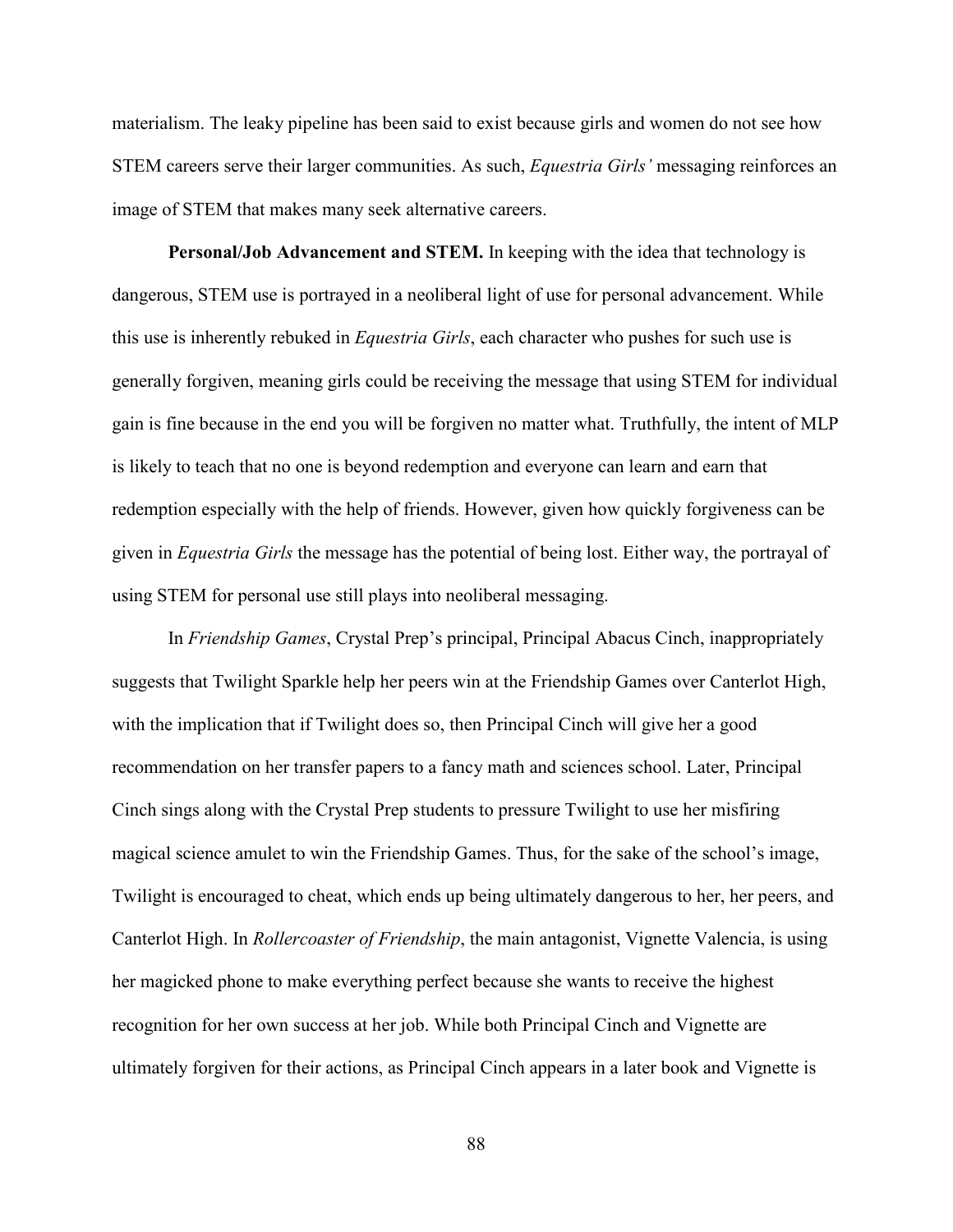materialism. The leaky pipeline has been said to exist because girls and women do not see how STEM careers serve their larger communities. As such, *Equestria Girls'* messaging reinforces an image of STEM that makes many seek alternative careers.

**Personal/Job Advancement and STEM.** In keeping with the idea that technology is dangerous, STEM use is portrayed in a neoliberal light of use for personal advancement. While this use is inherently rebuked in *Equestria Girls*, each character who pushes for such use is generally forgiven, meaning girls could be receiving the message that using STEM for individual gain is fine because in the end you will be forgiven no matter what. Truthfully, the intent of MLP is likely to teach that no one is beyond redemption and everyone can learn and earn that redemption especially with the help of friends. However, given how quickly forgiveness can be given in *Equestria Girls* the message has the potential of being lost. Either way, the portrayal of using STEM for personal use still plays into neoliberal messaging.

In *Friendship Games*, Crystal Prep's principal, Principal Abacus Cinch, inappropriately suggests that Twilight Sparkle help her peers win at the Friendship Games over Canterlot High, with the implication that if Twilight does so, then Principal Cinch will give her a good recommendation on her transfer papers to a fancy math and sciences school. Later, Principal Cinch sings along with the Crystal Prep students to pressure Twilight to use her misfiring magical science amulet to win the Friendship Games. Thus, for the sake of the school's image, Twilight is encouraged to cheat, which ends up being ultimately dangerous to her, her peers, and Canterlot High. In *Rollercoaster of Friendship*, the main antagonist, Vignette Valencia, is using her magicked phone to make everything perfect because she wants to receive the highest recognition for her own success at her job. While both Principal Cinch and Vignette are ultimately forgiven for their actions, as Principal Cinch appears in a later book and Vignette is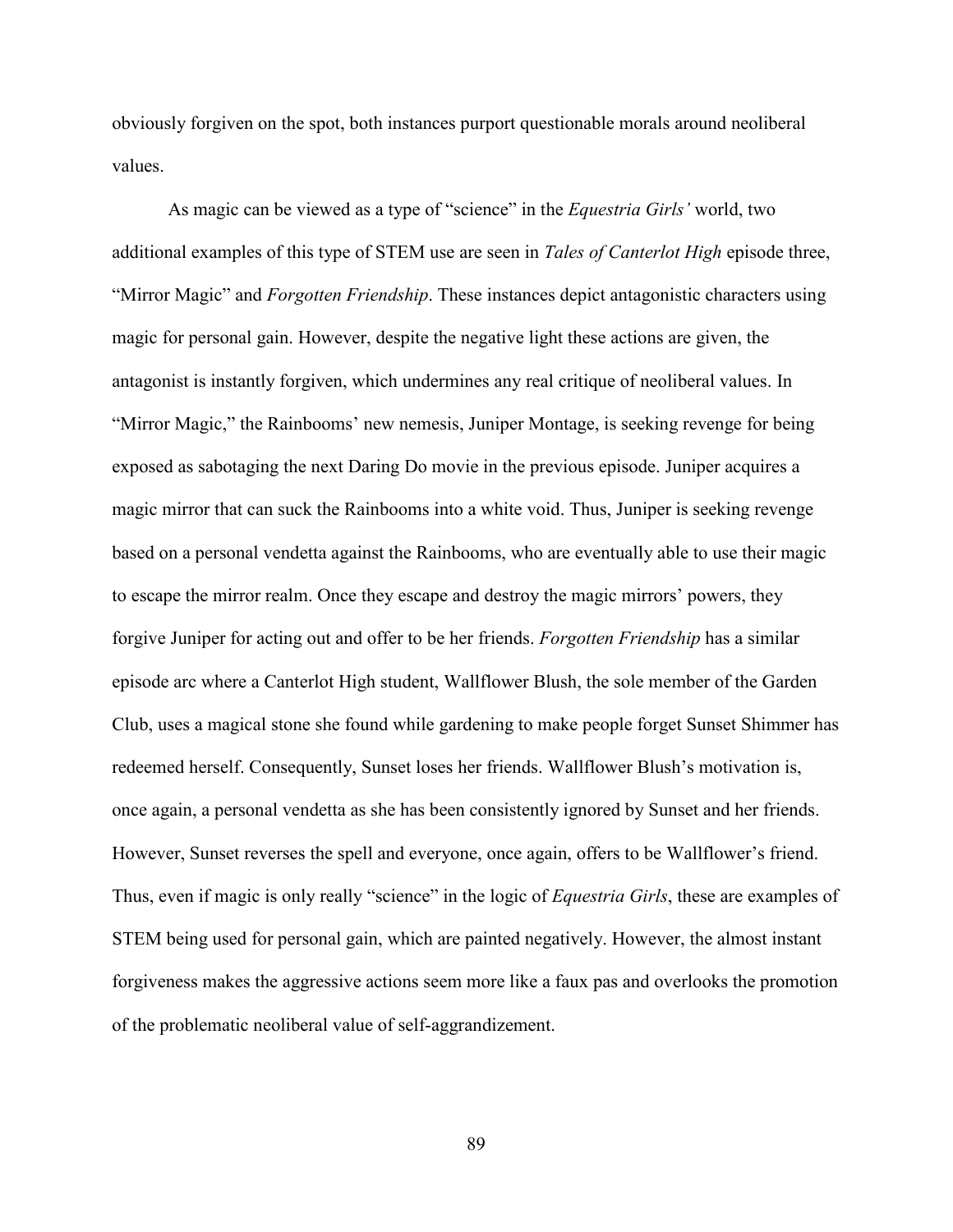obviously forgiven on the spot, both instances purport questionable morals around neoliberal values.

As magic can be viewed as a type of "science" in the *Equestria Girls'* world, two additional examples of this type of STEM use are seen in *Tales of Canterlot High* episode three, "Mirror Magic" and *Forgotten Friendship*. These instances depict antagonistic characters using magic for personal gain. However, despite the negative light these actions are given, the antagonist is instantly forgiven, which undermines any real critique of neoliberal values. In "Mirror Magic," the Rainbooms' new nemesis, Juniper Montage, is seeking revenge for being exposed as sabotaging the next Daring Do movie in the previous episode. Juniper acquires a magic mirror that can suck the Rainbooms into a white void. Thus, Juniper is seeking revenge based on a personal vendetta against the Rainbooms, who are eventually able to use their magic to escape the mirror realm. Once they escape and destroy the magic mirrors' powers, they forgive Juniper for acting out and offer to be her friends. *Forgotten Friendship* has a similar episode arc where a Canterlot High student, Wallflower Blush, the sole member of the Garden Club, uses a magical stone she found while gardening to make people forget Sunset Shimmer has redeemed herself. Consequently, Sunset loses her friends. Wallflower Blush's motivation is, once again, a personal vendetta as she has been consistently ignored by Sunset and her friends. However, Sunset reverses the spell and everyone, once again, offers to be Wallflower's friend. Thus, even if magic is only really "science" in the logic of *Equestria Girls*, these are examples of STEM being used for personal gain, which are painted negatively. However, the almost instant forgiveness makes the aggressive actions seem more like a faux pas and overlooks the promotion of the problematic neoliberal value of self-aggrandizement.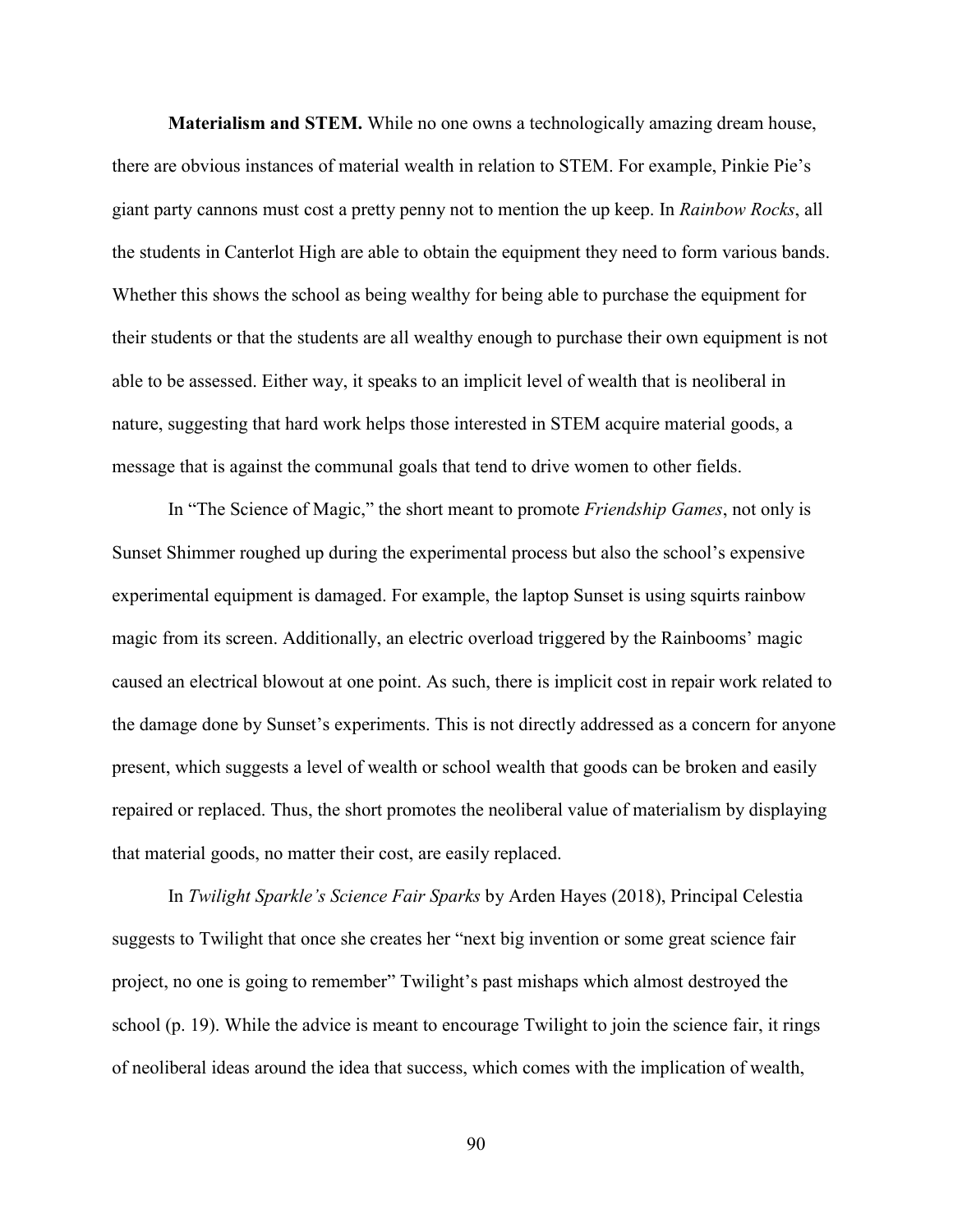**Materialism and STEM.** While no one owns a technologically amazing dream house, there are obvious instances of material wealth in relation to STEM. For example, Pinkie Pie's giant party cannons must cost a pretty penny not to mention the up keep. In *Rainbow Rocks*, all the students in Canterlot High are able to obtain the equipment they need to form various bands. Whether this shows the school as being wealthy for being able to purchase the equipment for their students or that the students are all wealthy enough to purchase their own equipment is not able to be assessed. Either way, it speaks to an implicit level of wealth that is neoliberal in nature, suggesting that hard work helps those interested in STEM acquire material goods, a message that is against the communal goals that tend to drive women to other fields.

In "The Science of Magic," the short meant to promote *Friendship Games*, not only is Sunset Shimmer roughed up during the experimental process but also the school's expensive experimental equipment is damaged. For example, the laptop Sunset is using squirts rainbow magic from its screen. Additionally, an electric overload triggered by the Rainbooms' magic caused an electrical blowout at one point. As such, there is implicit cost in repair work related to the damage done by Sunset's experiments. This is not directly addressed as a concern for anyone present, which suggests a level of wealth or school wealth that goods can be broken and easily repaired or replaced. Thus, the short promotes the neoliberal value of materialism by displaying that material goods, no matter their cost, are easily replaced.

In *Twilight Sparkle's Science Fair Sparks* by Arden Hayes (2018), Principal Celestia suggests to Twilight that once she creates her "next big invention or some great science fair project, no one is going to remember" Twilight's past mishaps which almost destroyed the school (p. 19). While the advice is meant to encourage Twilight to join the science fair, it rings of neoliberal ideas around the idea that success, which comes with the implication of wealth,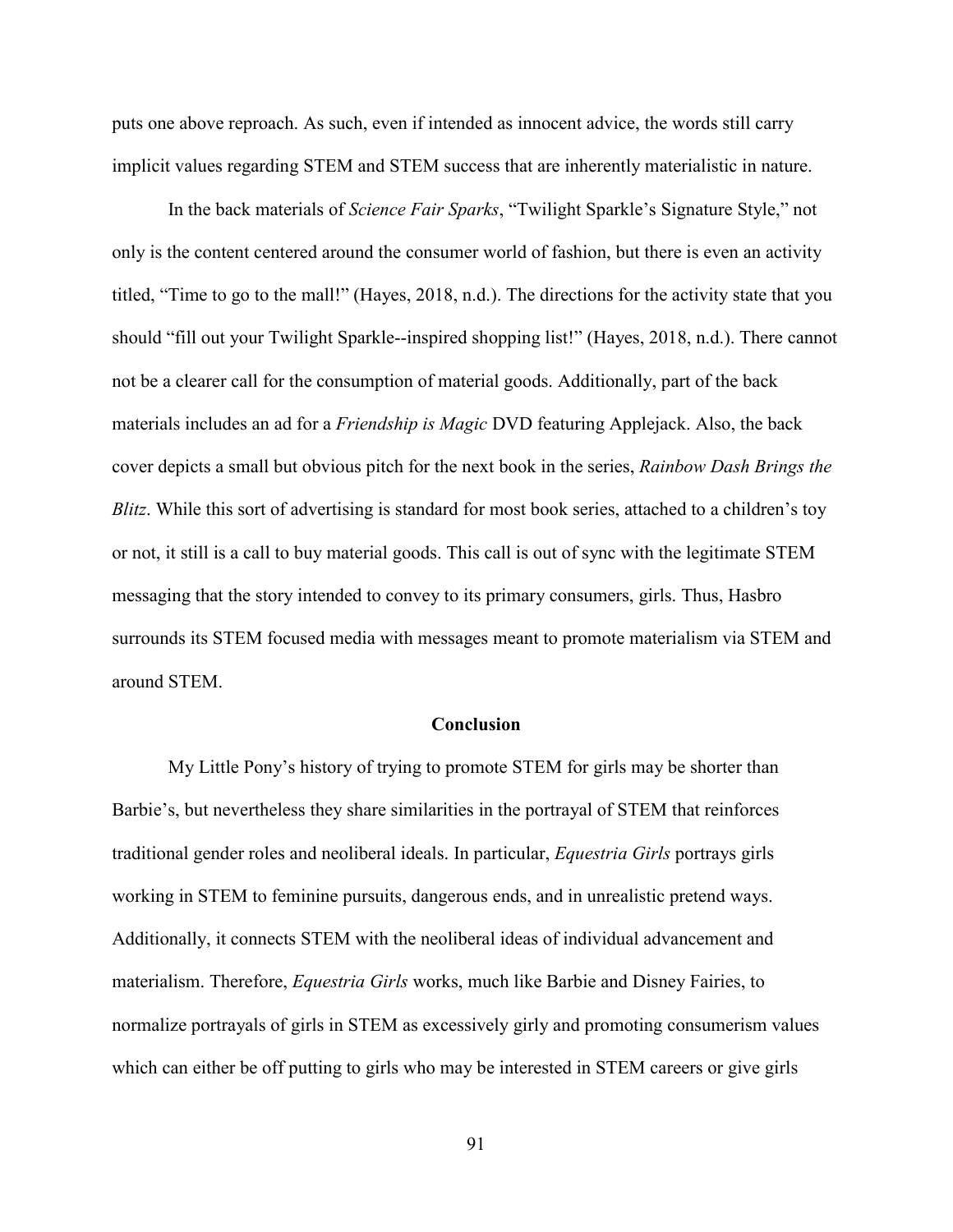puts one above reproach. As such, even if intended as innocent advice, the words still carry implicit values regarding STEM and STEM success that are inherently materialistic in nature.

In the back materials of *Science Fair Sparks*, "Twilight Sparkle's Signature Style," not only is the content centered around the consumer world of fashion, but there is even an activity titled, "Time to go to the mall!" (Hayes, 2018, n.d.). The directions for the activity state that you should "fill out your Twilight Sparkle--inspired shopping list!" (Hayes, 2018, n.d.). There cannot not be a clearer call for the consumption of material goods. Additionally, part of the back materials includes an ad for a *Friendship is Magic* DVD featuring Applejack. Also, the back cover depicts a small but obvious pitch for the next book in the series, *Rainbow Dash Brings the Blitz*. While this sort of advertising is standard for most book series, attached to a children's toy or not, it still is a call to buy material goods. This call is out of sync with the legitimate STEM messaging that the story intended to convey to its primary consumers, girls. Thus, Hasbro surrounds its STEM focused media with messages meant to promote materialism via STEM and around STEM.

### **Conclusion**

My Little Pony's history of trying to promote STEM for girls may be shorter than Barbie's, but nevertheless they share similarities in the portrayal of STEM that reinforces traditional gender roles and neoliberal ideals. In particular, *Equestria Girls* portrays girls working in STEM to feminine pursuits, dangerous ends, and in unrealistic pretend ways. Additionally, it connects STEM with the neoliberal ideas of individual advancement and materialism. Therefore, *Equestria Girls* works, much like Barbie and Disney Fairies, to normalize portrayals of girls in STEM as excessively girly and promoting consumerism values which can either be off putting to girls who may be interested in STEM careers or give girls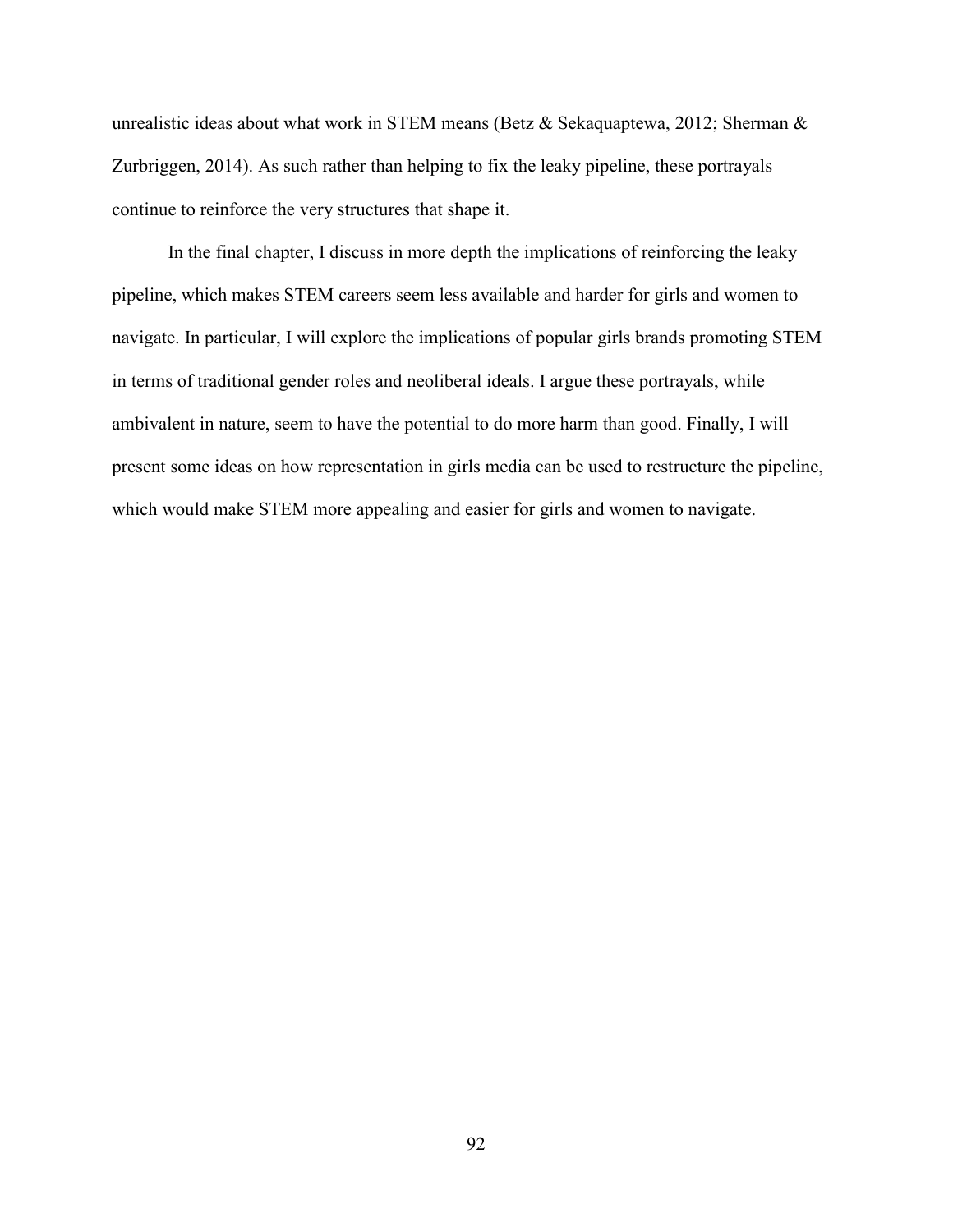unrealistic ideas about what work in STEM means (Betz & Sekaquaptewa, 2012; Sherman & Zurbriggen, 2014). As such rather than helping to fix the leaky pipeline, these portrayals continue to reinforce the very structures that shape it.

In the final chapter, I discuss in more depth the implications of reinforcing the leaky pipeline, which makes STEM careers seem less available and harder for girls and women to navigate. In particular, I will explore the implications of popular girls brands promoting STEM in terms of traditional gender roles and neoliberal ideals. I argue these portrayals, while ambivalent in nature, seem to have the potential to do more harm than good. Finally, I will present some ideas on how representation in girls media can be used to restructure the pipeline, which would make STEM more appealing and easier for girls and women to navigate.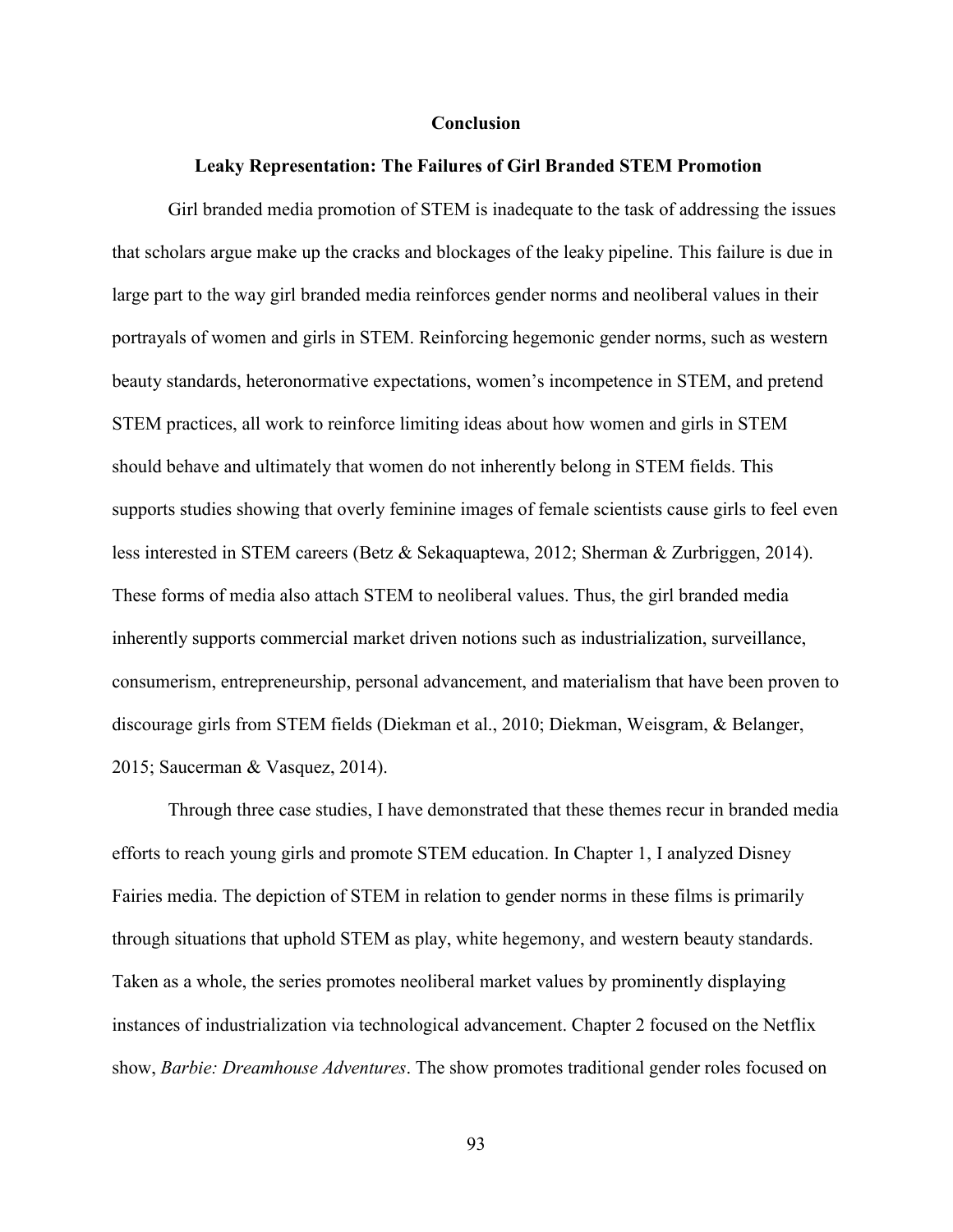### **Conclusion**

### **Leaky Representation: The Failures of Girl Branded STEM Promotion**

Girl branded media promotion of STEM is inadequate to the task of addressing the issues that scholars argue make up the cracks and blockages of the leaky pipeline. This failure is due in large part to the way girl branded media reinforces gender norms and neoliberal values in their portrayals of women and girls in STEM. Reinforcing hegemonic gender norms, such as western beauty standards, heteronormative expectations, women's incompetence in STEM, and pretend STEM practices, all work to reinforce limiting ideas about how women and girls in STEM should behave and ultimately that women do not inherently belong in STEM fields. This supports studies showing that overly feminine images of female scientists cause girls to feel even less interested in STEM careers (Betz & Sekaquaptewa, 2012; Sherman & Zurbriggen, 2014). These forms of media also attach STEM to neoliberal values. Thus, the girl branded media inherently supports commercial market driven notions such as industrialization, surveillance, consumerism, entrepreneurship, personal advancement, and materialism that have been proven to discourage girls from STEM fields (Diekman et al., 2010; Diekman, Weisgram, & Belanger, 2015; Saucerman & Vasquez, 2014).

Through three case studies, I have demonstrated that these themes recur in branded media efforts to reach young girls and promote STEM education. In Chapter 1, I analyzed Disney Fairies media. The depiction of STEM in relation to gender norms in these films is primarily through situations that uphold STEM as play, white hegemony, and western beauty standards. Taken as a whole, the series promotes neoliberal market values by prominently displaying instances of industrialization via technological advancement. Chapter 2 focused on the Netflix show, *Barbie: Dreamhouse Adventures*. The show promotes traditional gender roles focused on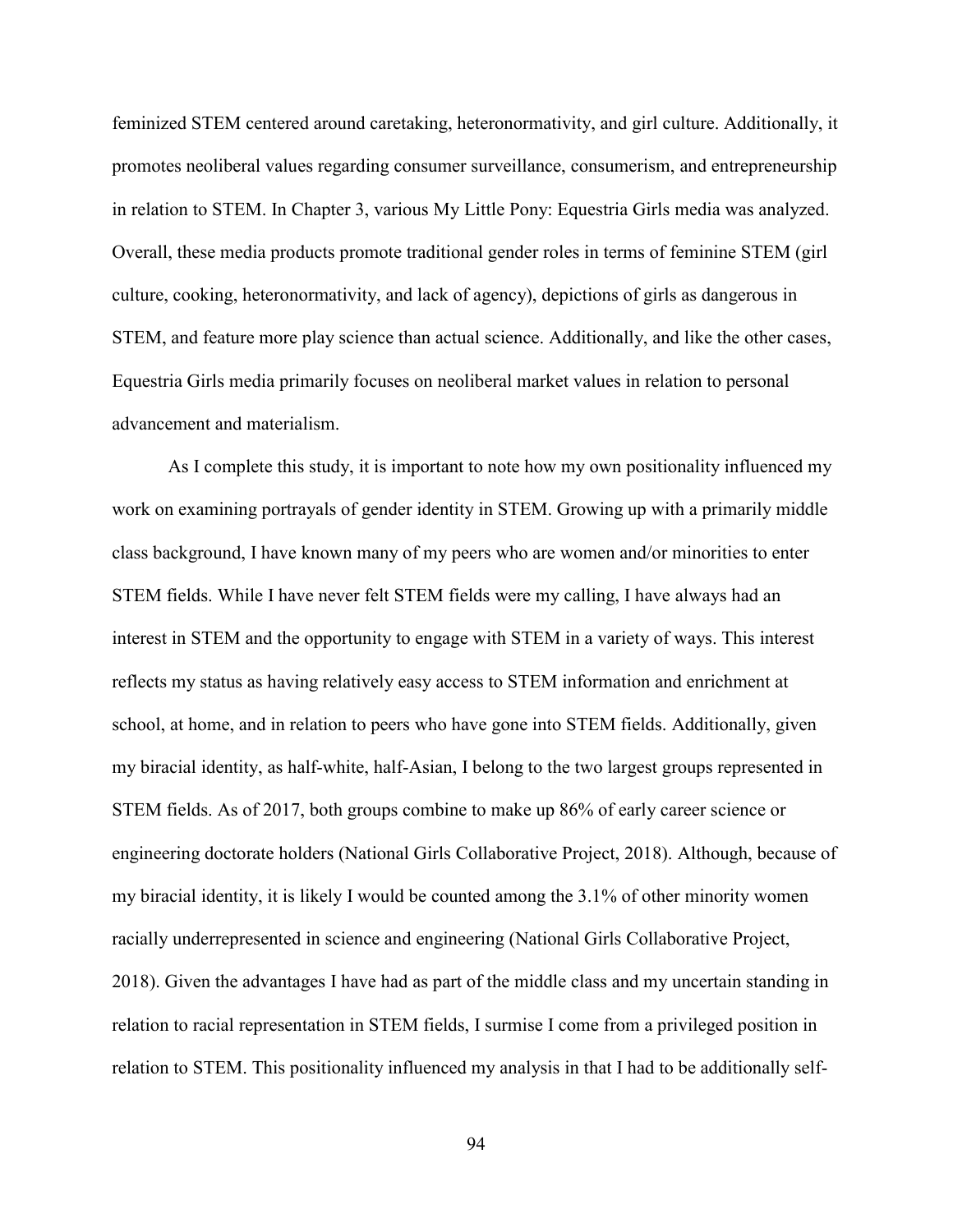feminized STEM centered around caretaking, heteronormativity, and girl culture. Additionally, it promotes neoliberal values regarding consumer surveillance, consumerism, and entrepreneurship in relation to STEM. In Chapter 3, various My Little Pony: Equestria Girls media was analyzed. Overall, these media products promote traditional gender roles in terms of feminine STEM (girl culture, cooking, heteronormativity, and lack of agency), depictions of girls as dangerous in STEM, and feature more play science than actual science. Additionally, and like the other cases, Equestria Girls media primarily focuses on neoliberal market values in relation to personal advancement and materialism.

As I complete this study, it is important to note how my own positionality influenced my work on examining portrayals of gender identity in STEM. Growing up with a primarily middle class background, I have known many of my peers who are women and/or minorities to enter STEM fields. While I have never felt STEM fields were my calling, I have always had an interest in STEM and the opportunity to engage with STEM in a variety of ways. This interest reflects my status as having relatively easy access to STEM information and enrichment at school, at home, and in relation to peers who have gone into STEM fields. Additionally, given my biracial identity, as half-white, half-Asian, I belong to the two largest groups represented in STEM fields. As of 2017, both groups combine to make up 86% of early career science or engineering doctorate holders (National Girls Collaborative Project, 2018). Although, because of my biracial identity, it is likely I would be counted among the 3.1% of other minority women racially underrepresented in science and engineering (National Girls Collaborative Project, 2018). Given the advantages I have had as part of the middle class and my uncertain standing in relation to racial representation in STEM fields, I surmise I come from a privileged position in relation to STEM. This positionality influenced my analysis in that I had to be additionally self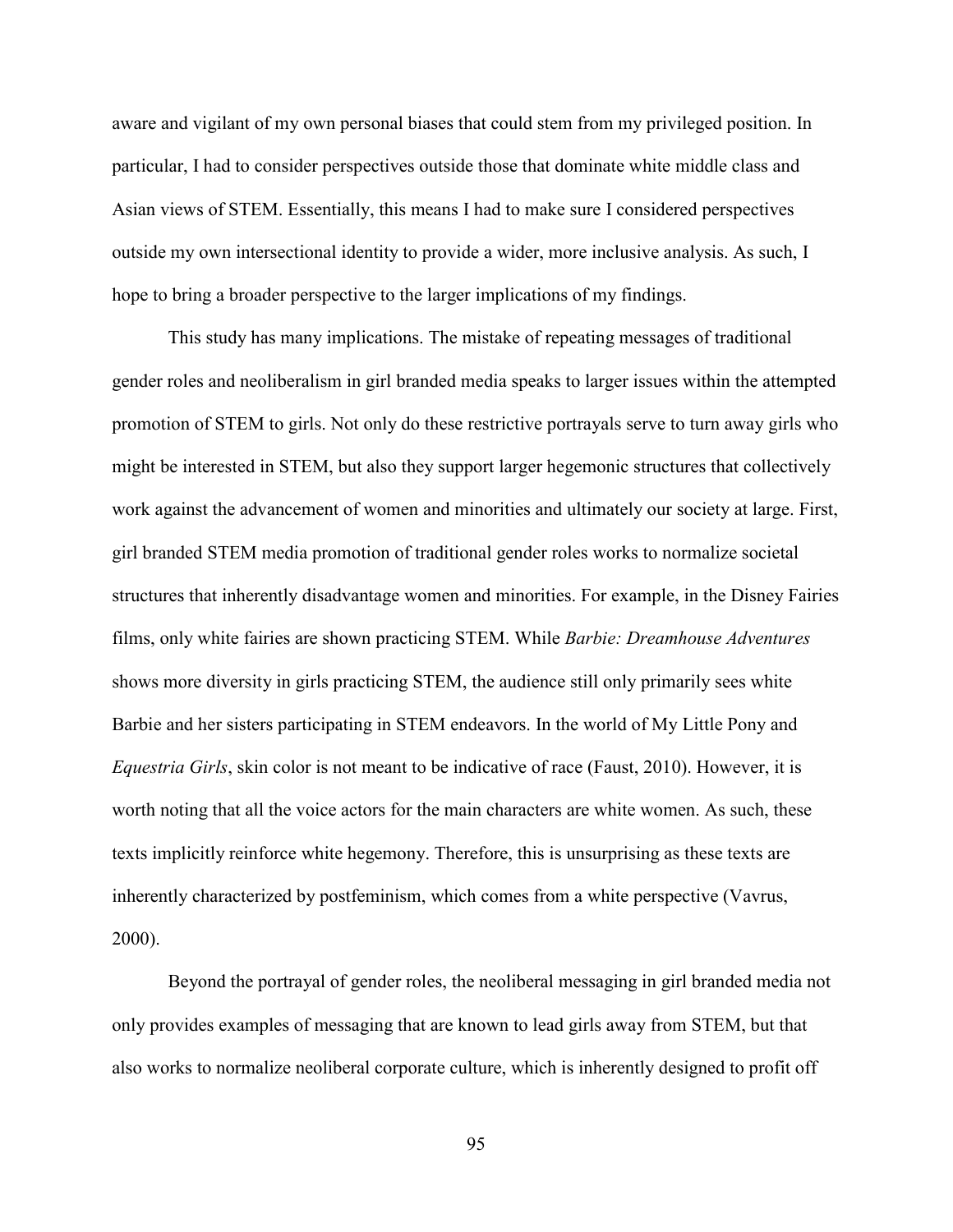aware and vigilant of my own personal biases that could stem from my privileged position. In particular, I had to consider perspectives outside those that dominate white middle class and Asian views of STEM. Essentially, this means I had to make sure I considered perspectives outside my own intersectional identity to provide a wider, more inclusive analysis. As such, I hope to bring a broader perspective to the larger implications of my findings.

This study has many implications. The mistake of repeating messages of traditional gender roles and neoliberalism in girl branded media speaks to larger issues within the attempted promotion of STEM to girls. Not only do these restrictive portrayals serve to turn away girls who might be interested in STEM, but also they support larger hegemonic structures that collectively work against the advancement of women and minorities and ultimately our society at large. First, girl branded STEM media promotion of traditional gender roles works to normalize societal structures that inherently disadvantage women and minorities. For example, in the Disney Fairies films, only white fairies are shown practicing STEM. While *Barbie: Dreamhouse Adventures* shows more diversity in girls practicing STEM, the audience still only primarily sees white Barbie and her sisters participating in STEM endeavors. In the world of My Little Pony and *Equestria Girls*, skin color is not meant to be indicative of race (Faust, 2010). However, it is worth noting that all the voice actors for the main characters are white women. As such, these texts implicitly reinforce white hegemony. Therefore, this is unsurprising as these texts are inherently characterized by postfeminism, which comes from a white perspective (Vavrus, 2000).

Beyond the portrayal of gender roles, the neoliberal messaging in girl branded media not only provides examples of messaging that are known to lead girls away from STEM, but that also works to normalize neoliberal corporate culture, which is inherently designed to profit off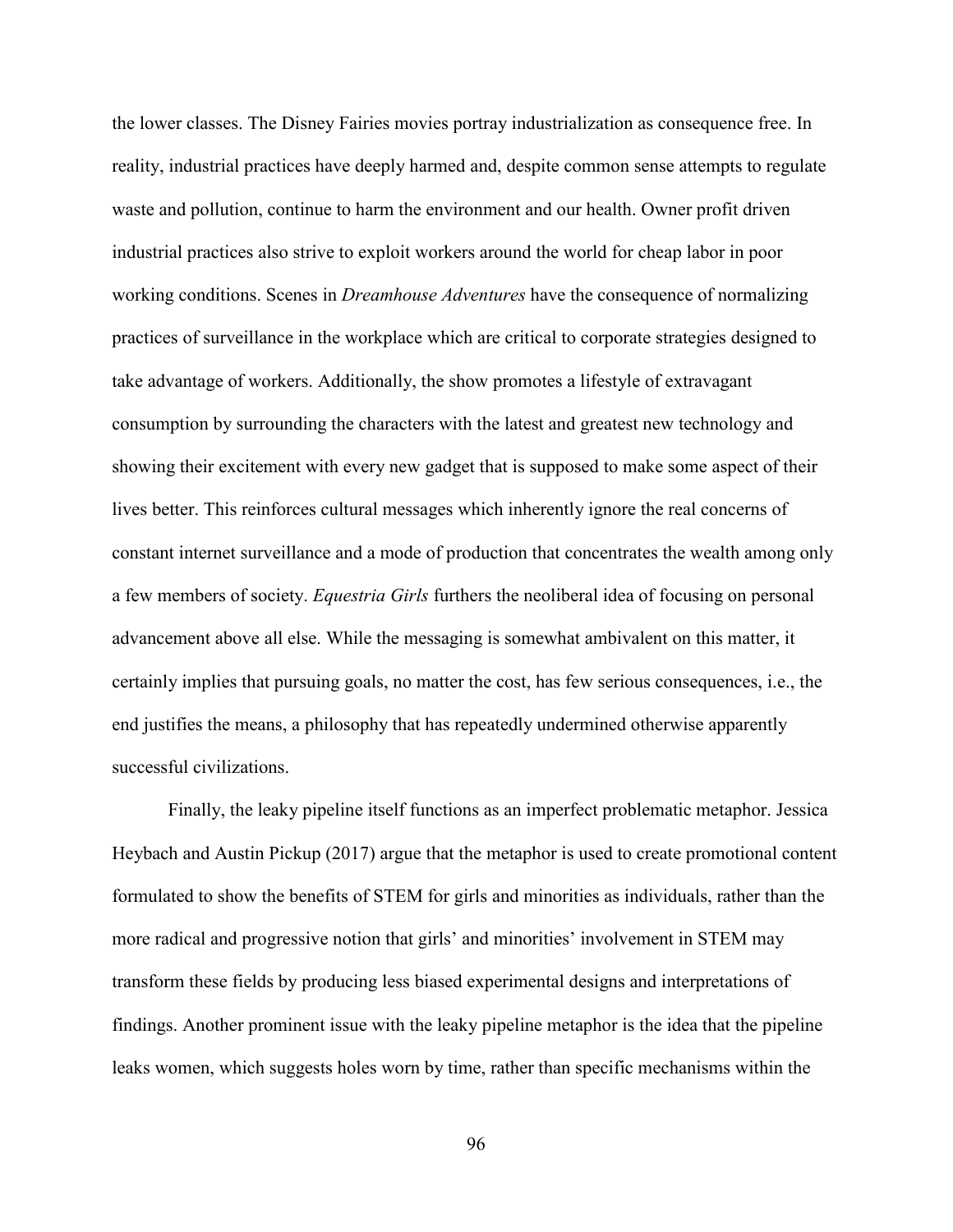the lower classes. The Disney Fairies movies portray industrialization as consequence free. In reality, industrial practices have deeply harmed and, despite common sense attempts to regulate waste and pollution, continue to harm the environment and our health. Owner profit driven industrial practices also strive to exploit workers around the world for cheap labor in poor working conditions. Scenes in *Dreamhouse Adventures* have the consequence of normalizing practices of surveillance in the workplace which are critical to corporate strategies designed to take advantage of workers. Additionally, the show promotes a lifestyle of extravagant consumption by surrounding the characters with the latest and greatest new technology and showing their excitement with every new gadget that is supposed to make some aspect of their lives better. This reinforces cultural messages which inherently ignore the real concerns of constant internet surveillance and a mode of production that concentrates the wealth among only a few members of society. *Equestria Girls* furthers the neoliberal idea of focusing on personal advancement above all else. While the messaging is somewhat ambivalent on this matter, it certainly implies that pursuing goals, no matter the cost, has few serious consequences, i.e., the end justifies the means, a philosophy that has repeatedly undermined otherwise apparently successful civilizations.

Finally, the leaky pipeline itself functions as an imperfect problematic metaphor. Jessica Heybach and Austin Pickup (2017) argue that the metaphor is used to create promotional content formulated to show the benefits of STEM for girls and minorities as individuals, rather than the more radical and progressive notion that girls' and minorities' involvement in STEM may transform these fields by producing less biased experimental designs and interpretations of findings. Another prominent issue with the leaky pipeline metaphor is the idea that the pipeline leaks women, which suggests holes worn by time, rather than specific mechanisms within the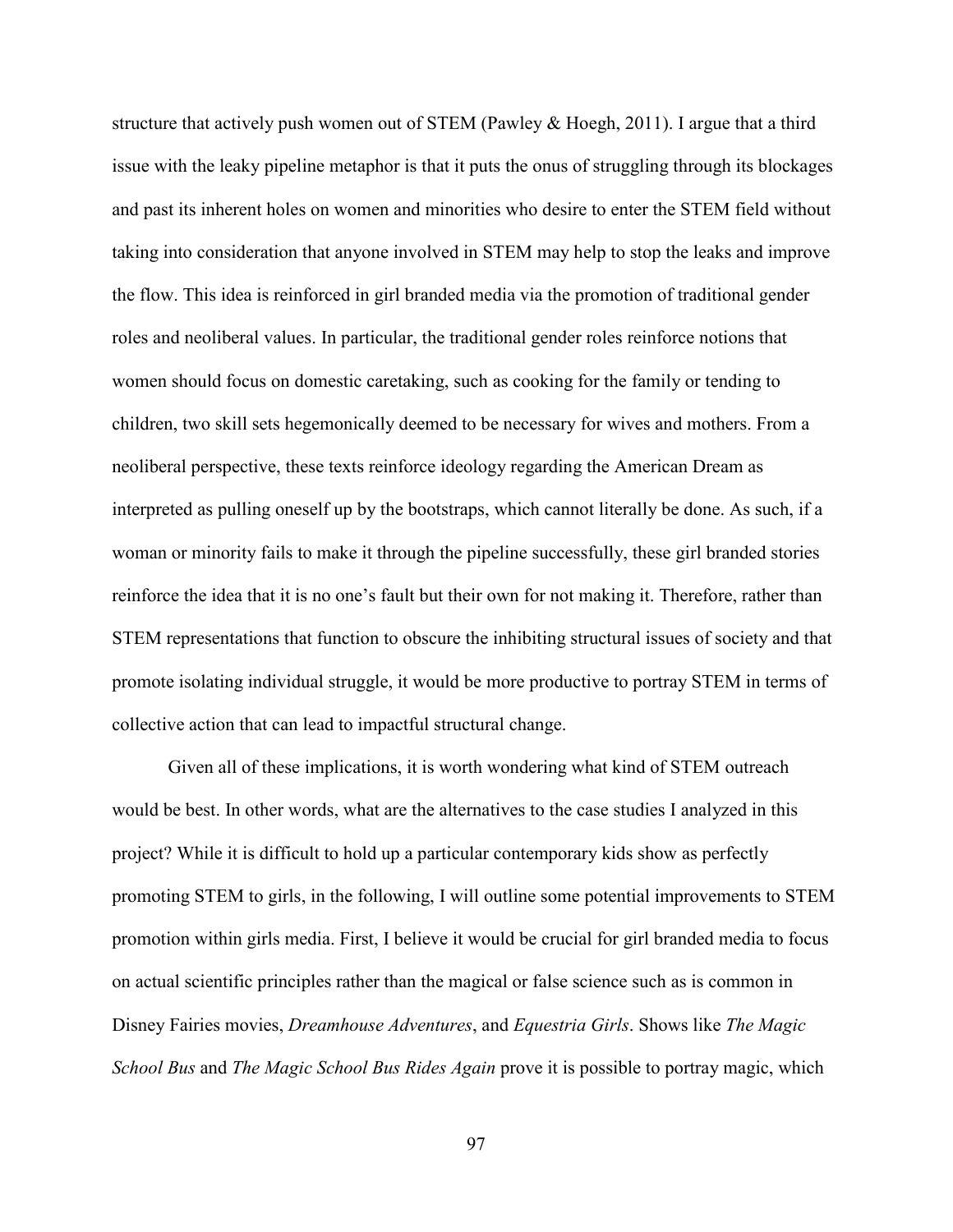structure that actively push women out of STEM (Pawley & Hoegh, 2011). I argue that a third issue with the leaky pipeline metaphor is that it puts the onus of struggling through its blockages and past its inherent holes on women and minorities who desire to enter the STEM field without taking into consideration that anyone involved in STEM may help to stop the leaks and improve the flow. This idea is reinforced in girl branded media via the promotion of traditional gender roles and neoliberal values. In particular, the traditional gender roles reinforce notions that women should focus on domestic caretaking, such as cooking for the family or tending to children, two skill sets hegemonically deemed to be necessary for wives and mothers. From a neoliberal perspective, these texts reinforce ideology regarding the American Dream as interpreted as pulling oneself up by the bootstraps, which cannot literally be done. As such, if a woman or minority fails to make it through the pipeline successfully, these girl branded stories reinforce the idea that it is no one's fault but their own for not making it. Therefore, rather than STEM representations that function to obscure the inhibiting structural issues of society and that promote isolating individual struggle, it would be more productive to portray STEM in terms of collective action that can lead to impactful structural change.

Given all of these implications, it is worth wondering what kind of STEM outreach would be best. In other words, what are the alternatives to the case studies I analyzed in this project? While it is difficult to hold up a particular contemporary kids show as perfectly promoting STEM to girls, in the following, I will outline some potential improvements to STEM promotion within girls media. First, I believe it would be crucial for girl branded media to focus on actual scientific principles rather than the magical or false science such as is common in Disney Fairies movies, *Dreamhouse Adventures*, and *Equestria Girls*. Shows like *The Magic School Bus* and *The Magic School Bus Rides Again* prove it is possible to portray magic, which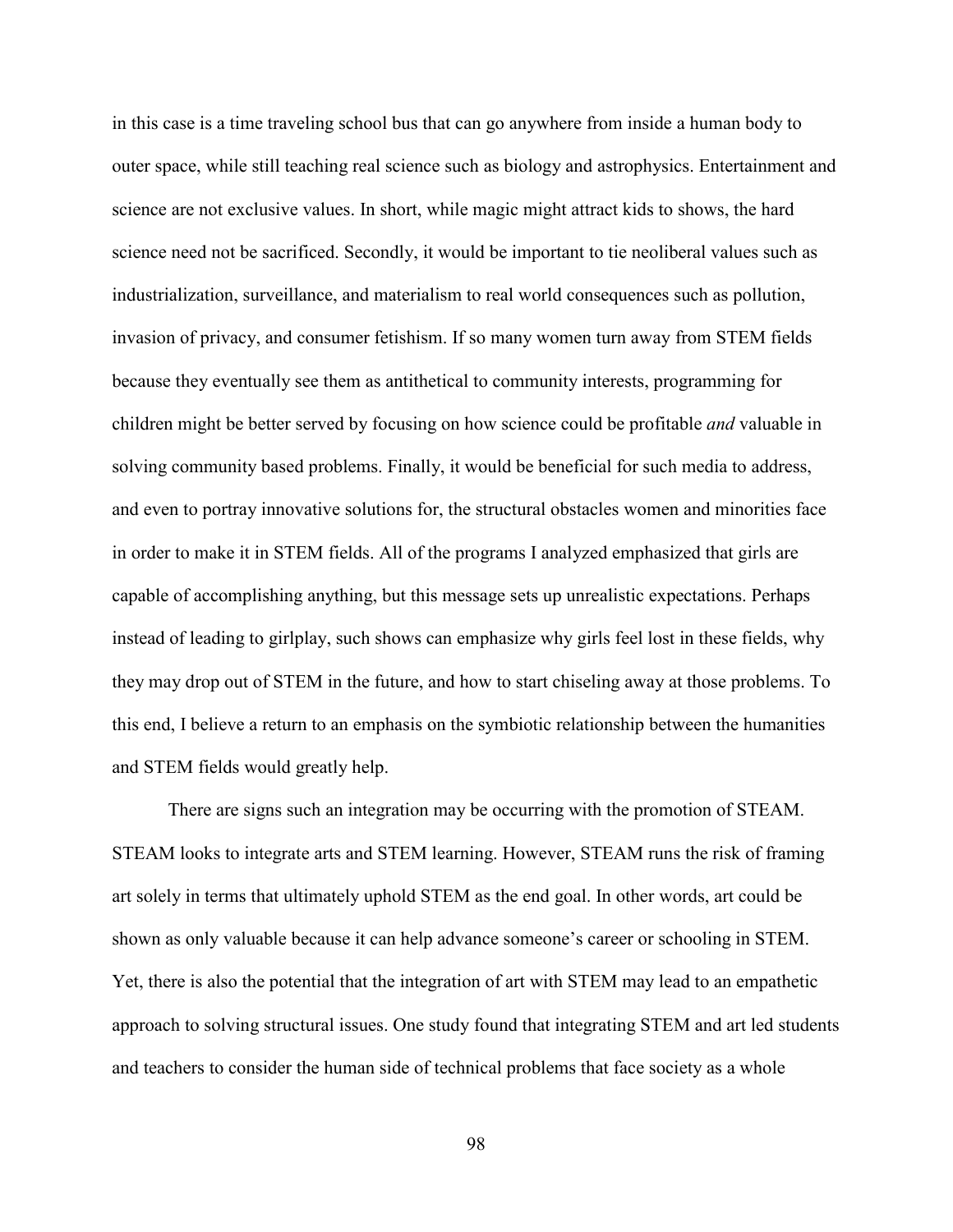in this case is a time traveling school bus that can go anywhere from inside a human body to outer space, while still teaching real science such as biology and astrophysics. Entertainment and science are not exclusive values. In short, while magic might attract kids to shows, the hard science need not be sacrificed. Secondly, it would be important to tie neoliberal values such as industrialization, surveillance, and materialism to real world consequences such as pollution, invasion of privacy, and consumer fetishism. If so many women turn away from STEM fields because they eventually see them as antithetical to community interests, programming for children might be better served by focusing on how science could be profitable *and* valuable in solving community based problems. Finally, it would be beneficial for such media to address, and even to portray innovative solutions for, the structural obstacles women and minorities face in order to make it in STEM fields. All of the programs I analyzed emphasized that girls are capable of accomplishing anything, but this message sets up unrealistic expectations. Perhaps instead of leading to girlplay, such shows can emphasize why girls feel lost in these fields, why they may drop out of STEM in the future, and how to start chiseling away at those problems. To this end, I believe a return to an emphasis on the symbiotic relationship between the humanities and STEM fields would greatly help.

There are signs such an integration may be occurring with the promotion of STEAM. STEAM looks to integrate arts and STEM learning. However, STEAM runs the risk of framing art solely in terms that ultimately uphold STEM as the end goal. In other words, art could be shown as only valuable because it can help advance someone's career or schooling in STEM. Yet, there is also the potential that the integration of art with STEM may lead to an empathetic approach to solving structural issues. One study found that integrating STEM and art led students and teachers to consider the human side of technical problems that face society as a whole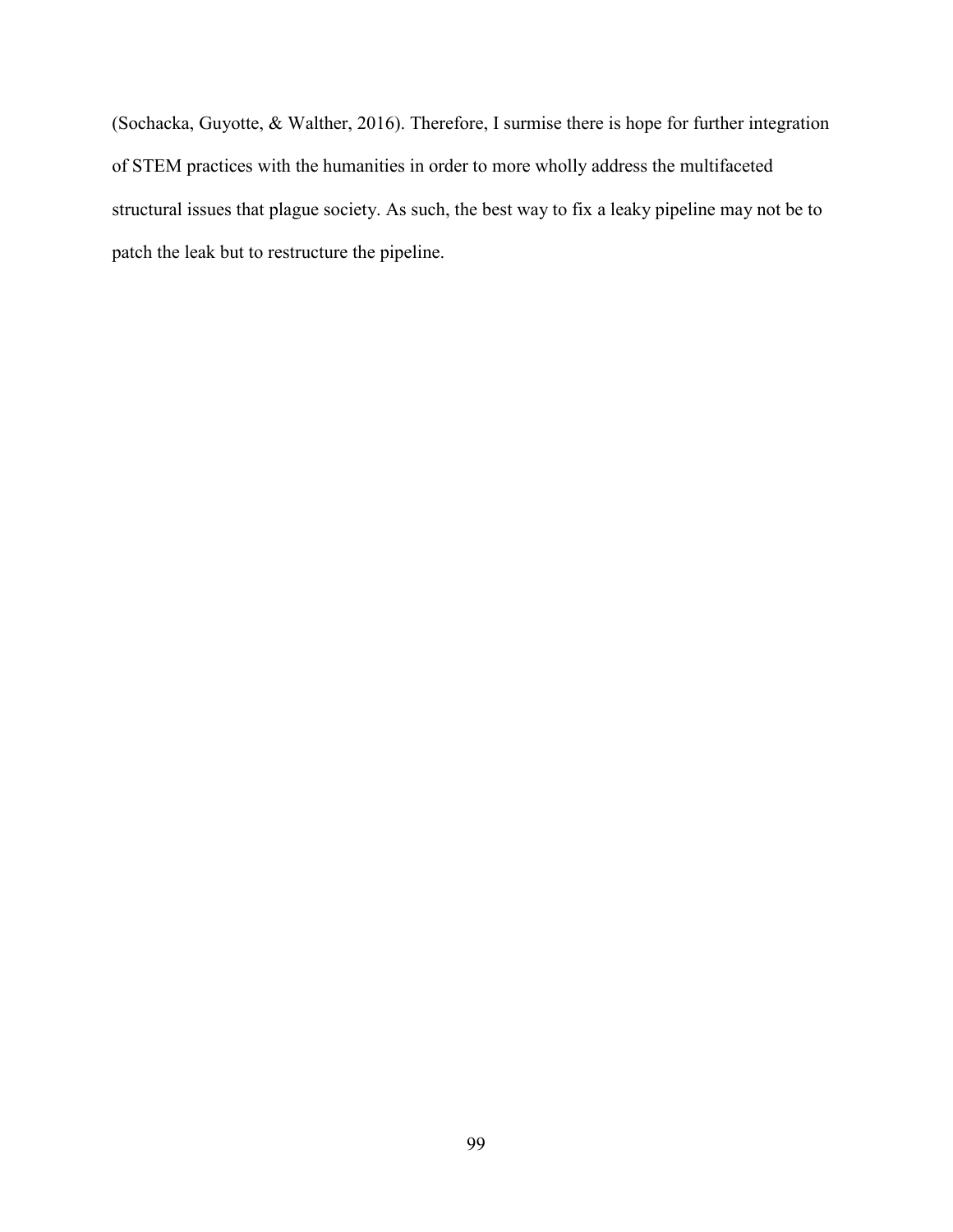(Sochacka, Guyotte, & Walther, 2016). Therefore, I surmise there is hope for further integration of STEM practices with the humanities in order to more wholly address the multifaceted structural issues that plague society. As such, the best way to fix a leaky pipeline may not be to patch the leak but to restructure the pipeline.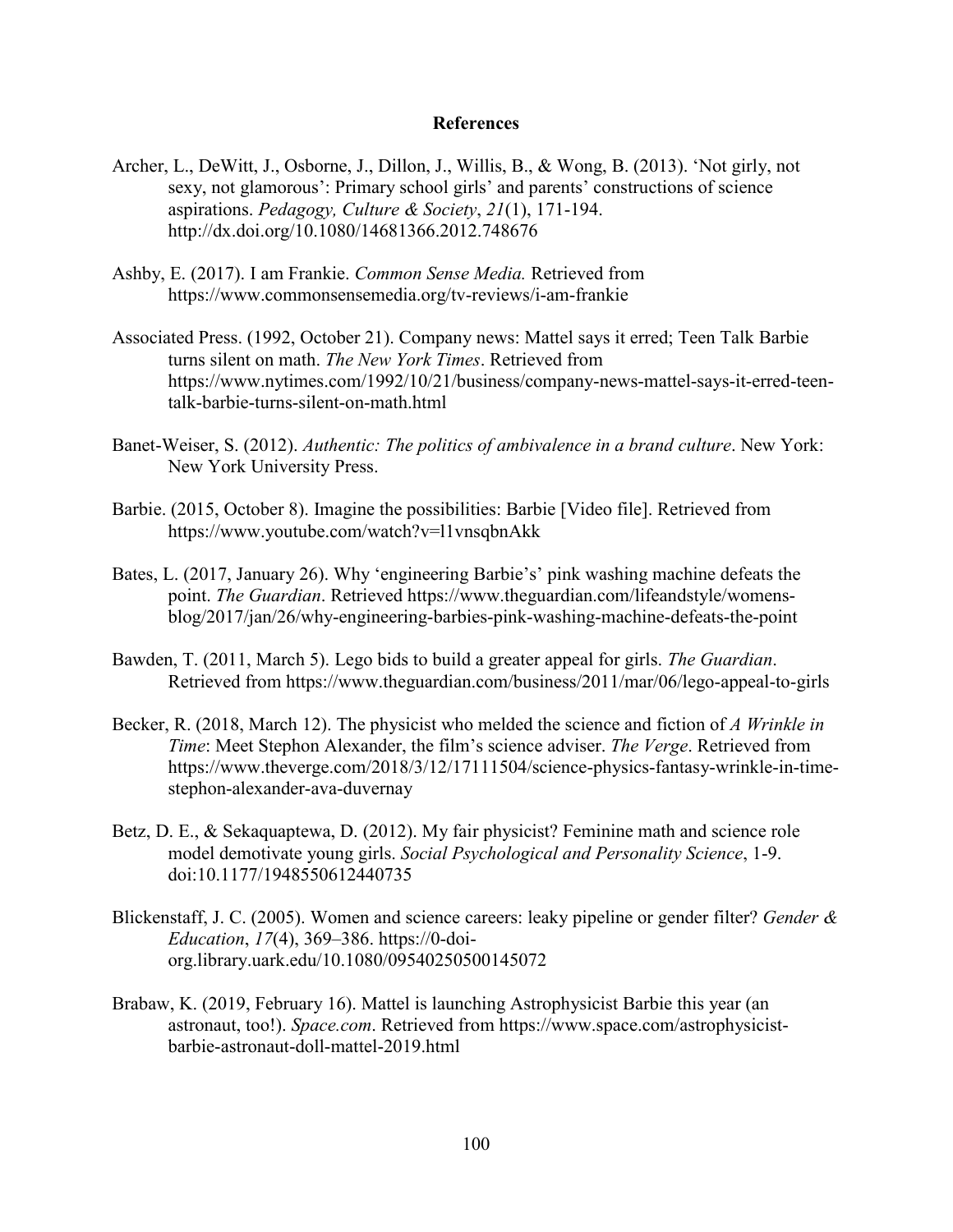## **References**

- Archer, L., DeWitt, J., Osborne, J., Dillon, J., Willis, B., & Wong, B. (2013). 'Not girly, not sexy, not glamorous': Primary school girls' and parents' constructions of science aspirations. *Pedagogy, Culture & Society*, *21*(1), 171-194. http://dx.doi.org/10.1080/14681366.2012.748676
- Ashby, E. (2017). I am Frankie. *Common Sense Media.* Retrieved from https://www.commonsensemedia.org/tv-reviews/i-am-frankie
- Associated Press. (1992, October 21). Company news: Mattel says it erred; Teen Talk Barbie turns silent on math. *The New York Times*. Retrieved from https://www.nytimes.com/1992/10/21/business/company-news-mattel-says-it-erred-teentalk-barbie-turns-silent-on-math.html
- Banet-Weiser, S. (2012). *Authentic: The politics of ambivalence in a brand culture*. New York: New York University Press.
- Barbie. (2015, October 8). Imagine the possibilities: Barbie [Video file]. Retrieved from https://www.youtube.com/watch?v=l1vnsqbnAkk
- Bates, L. (2017, January 26). Why 'engineering Barbie's' pink washing machine defeats the point. *The Guardian*. Retrieved https://www.theguardian.com/lifeandstyle/womensblog/2017/jan/26/why-engineering-barbies-pink-washing-machine-defeats-the-point
- Bawden, T. (2011, March 5). Lego bids to build a greater appeal for girls. *The Guardian*. Retrieved from https://www.theguardian.com/business/2011/mar/06/lego-appeal-to-girls
- Becker, R. (2018, March 12). The physicist who melded the science and fiction of *A Wrinkle in Time*: Meet Stephon Alexander, the film's science adviser. *The Verge*. Retrieved from https://www.theverge.com/2018/3/12/17111504/science-physics-fantasy-wrinkle-in-timestephon-alexander-ava-duvernay
- Betz, D. E., & Sekaquaptewa, D. (2012). My fair physicist? Feminine math and science role model demotivate young girls. *Social Psychological and Personality Science*, 1-9. doi:10.1177/1948550612440735
- Blickenstaff, J. C. (2005). Women and science careers: leaky pipeline or gender filter? *Gender & Education*, *17*(4), 369–386. https://0-doiorg.library.uark.edu/10.1080/09540250500145072
- Brabaw, K. (2019, February 16). Mattel is launching Astrophysicist Barbie this year (an astronaut, too!). *Space.com*. Retrieved from https://www.space.com/astrophysicistbarbie-astronaut-doll-mattel-2019.html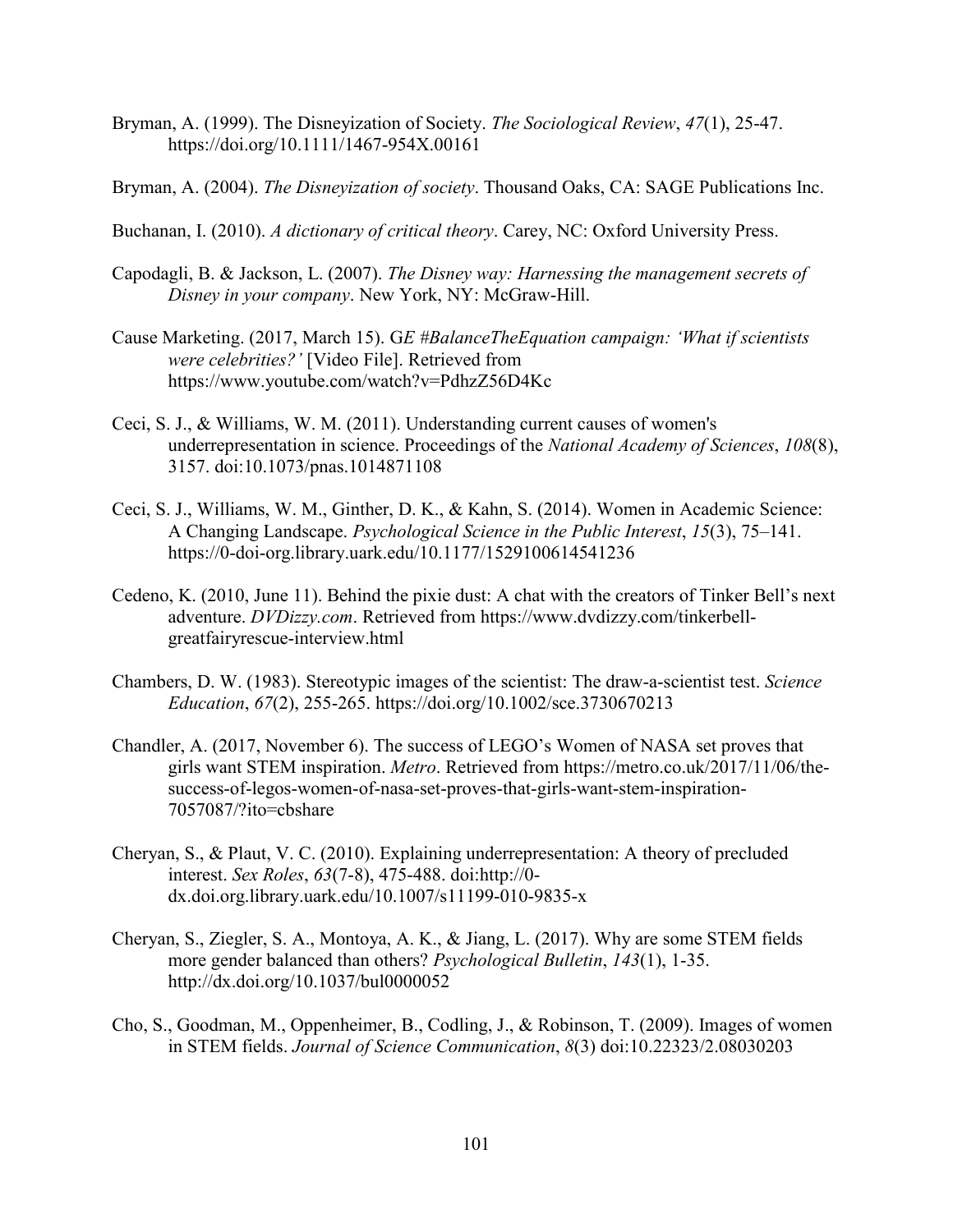- Bryman, A. (1999). The Disneyization of Society. *The Sociological Review*, *47*(1), 25-47. https://doi.org/10.1111/1467-954X.00161
- Bryman, A. (2004). *The Disneyization of society*. Thousand Oaks, CA: SAGE Publications Inc.
- Buchanan, I. (2010). *A dictionary of critical theory*. Carey, NC: Oxford University Press.
- Capodagli, B. & Jackson, L. (2007). *The Disney way: Harnessing the management secrets of Disney in your company*. New York, NY: McGraw-Hill.
- Cause Marketing. (2017, March 15). G*E #BalanceTheEquation campaign: 'What if scientists were celebrities?'* [Video File]. Retrieved from https://www.youtube.com/watch?v=PdhzZ56D4Kc
- Ceci, S. J., & Williams, W. M. (2011). Understanding current causes of women's underrepresentation in science. Proceedings of the *National Academy of Sciences*, *108*(8), 3157. doi:10.1073/pnas.1014871108
- Ceci, S. J., Williams, W. M., Ginther, D. K., & Kahn, S. (2014). Women in Academic Science: A Changing Landscape. *Psychological Science in the Public Interest*, *15*(3), 75–141. https://0-doi-org.library.uark.edu/10.1177/1529100614541236
- Cedeno, K. (2010, June 11). Behind the pixie dust: A chat with the creators of Tinker Bell's next adventure. *DVDizzy.com*. Retrieved from https://www.dvdizzy.com/tinkerbellgreatfairyrescue-interview.html
- Chambers, D. W. (1983). Stereotypic images of the scientist: The draw-a-scientist test. *Science Education*, *67*(2), 255-265. https://doi.org/10.1002/sce.3730670213
- Chandler, A. (2017, November 6). The success of LEGO's Women of NASA set proves that girls want STEM inspiration. *Metro*. Retrieved from https://metro.co.uk/2017/11/06/thesuccess-of-legos-women-of-nasa-set-proves-that-girls-want-stem-inspiration-7057087/?ito=cbshare
- Cheryan, S., & Plaut, V. C. (2010). Explaining underrepresentation: A theory of precluded interest. *Sex Roles*, *63*(7-8), 475-488. doi:http://0 dx.doi.org.library.uark.edu/10.1007/s11199-010-9835-x
- Cheryan, S., Ziegler, S. A., Montoya, A. K., & Jiang, L. (2017). Why are some STEM fields more gender balanced than others? *Psychological Bulletin*, *143*(1), 1-35. http://dx.doi.org/10.1037/bul0000052
- Cho, S., Goodman, M., Oppenheimer, B., Codling, J., & Robinson, T. (2009). Images of women in STEM fields. *Journal of Science Communication*, *8*(3) doi:10.22323/2.08030203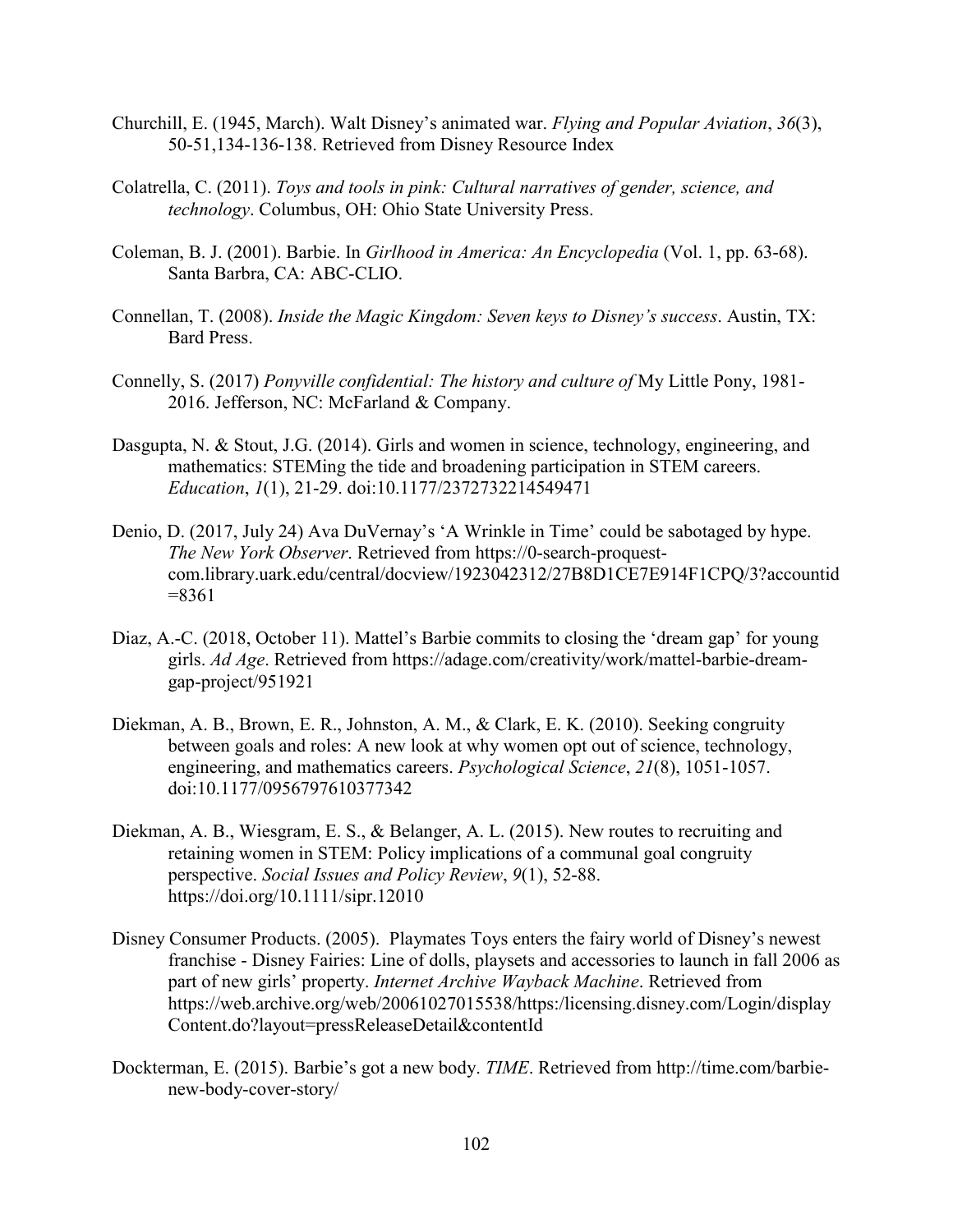- Churchill, E. (1945, March). Walt Disney's animated war. *Flying and Popular Aviation*, *36*(3), 50-51,134-136-138. Retrieved from Disney Resource Index
- Colatrella, C. (2011). *Toys and tools in pink: Cultural narratives of gender, science, and technology*. Columbus, OH: Ohio State University Press.
- Coleman, B. J. (2001). Barbie. In *Girlhood in America: An Encyclopedia* (Vol. 1, pp. 63-68). Santa Barbra, CA: ABC-CLIO.
- Connellan, T. (2008). *Inside the Magic Kingdom: Seven keys to Disney's success*. Austin, TX: Bard Press.
- Connelly, S. (2017) *Ponyville confidential: The history and culture of* My Little Pony, 1981- 2016. Jefferson, NC: McFarland & Company.
- Dasgupta, N. & Stout, J.G. (2014). Girls and women in science, technology, engineering, and mathematics: STEMing the tide and broadening participation in STEM careers. *Education*, *1*(1), 21-29. doi:10.1177/2372732214549471
- Denio, D. (2017, July 24) Ava DuVernay's 'A Wrinkle in Time' could be sabotaged by hype. *The New York Observer*. Retrieved from https://0-search-proquestcom.library.uark.edu/central/docview/1923042312/27B8D1CE7E914F1CPQ/3?accountid =8361
- Diaz, A.-C. (2018, October 11). Mattel's Barbie commits to closing the 'dream gap' for young girls. *Ad Age*. Retrieved from https://adage.com/creativity/work/mattel-barbie-dreamgap-project/951921
- Diekman, A. B., Brown, E. R., Johnston, A. M., & Clark, E. K. (2010). Seeking congruity between goals and roles: A new look at why women opt out of science, technology, engineering, and mathematics careers. *Psychological Science*, *21*(8), 1051-1057. doi:10.1177/0956797610377342
- Diekman, A. B., Wiesgram, E. S., & Belanger, A. L. (2015). New routes to recruiting and retaining women in STEM: Policy implications of a communal goal congruity perspective. *Social Issues and Policy Review*, *9*(1), 52-88. https://doi.org/10.1111/sipr.12010
- Disney Consumer Products. (2005). Playmates Toys enters the fairy world of Disney's newest franchise - Disney Fairies: Line of dolls, playsets and accessories to launch in fall 2006 as part of new girls' property. *Internet Archive Wayback Machine*. Retrieved from https://web.archive.org/web/20061027015538/https:/licensing.disney.com/Login/display Content.do?layout=pressReleaseDetail&contentId
- Dockterman, E. (2015). Barbie's got a new body. *TIME*. Retrieved from http://time.com/barbienew-body-cover-story/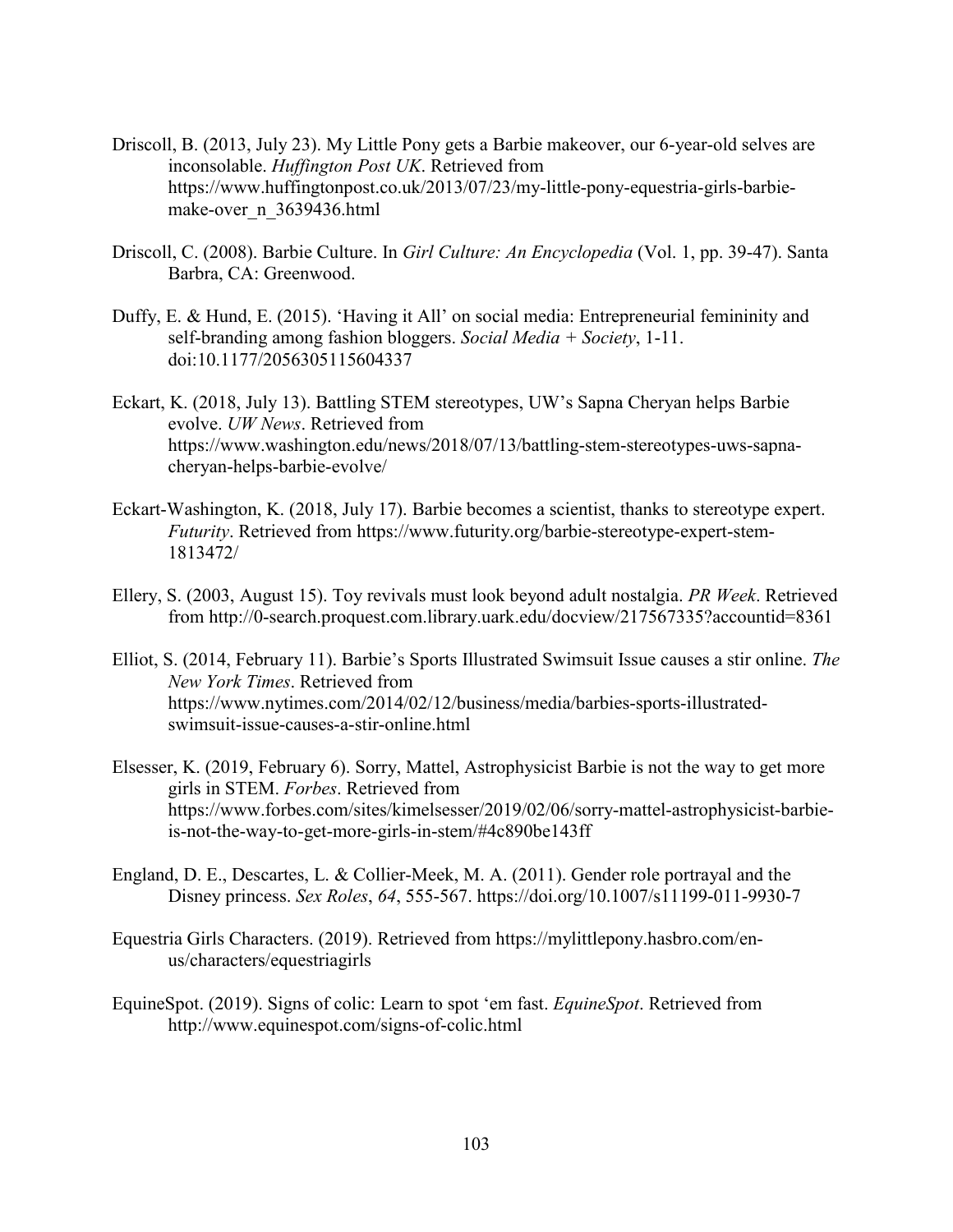- Driscoll, B. (2013, July 23). My Little Pony gets a Barbie makeover, our 6-year-old selves are inconsolable. *Huffington Post UK*. Retrieved from https://www.huffingtonpost.co.uk/2013/07/23/my-little-pony-equestria-girls-barbiemake-over\_n\_3639436.html
- Driscoll, C. (2008). Barbie Culture. In *Girl Culture: An Encyclopedia* (Vol. 1, pp. 39-47). Santa Barbra, CA: Greenwood.
- Duffy, E. & Hund, E. (2015). 'Having it All' on social media: Entrepreneurial femininity and self-branding among fashion bloggers. *Social Media + Society*, 1-11. doi:10.1177/2056305115604337
- Eckart, K. (2018, July 13). Battling STEM stereotypes, UW's Sapna Cheryan helps Barbie evolve. *UW News*. Retrieved from https://www.washington.edu/news/2018/07/13/battling-stem-stereotypes-uws-sapnacheryan-helps-barbie-evolve/
- Eckart-Washington, K. (2018, July 17). Barbie becomes a scientist, thanks to stereotype expert. *Futurity*. Retrieved from https://www.futurity.org/barbie-stereotype-expert-stem-1813472/
- Ellery, S. (2003, August 15). Toy revivals must look beyond adult nostalgia. *PR Week*. Retrieved from http://0-search.proquest.com.library.uark.edu/docview/217567335?accountid=8361
- Elliot, S. (2014, February 11). Barbie's Sports Illustrated Swimsuit Issue causes a stir online. *The New York Times*. Retrieved from https://www.nytimes.com/2014/02/12/business/media/barbies-sports-illustratedswimsuit-issue-causes-a-stir-online.html
- Elsesser, K. (2019, February 6). Sorry, Mattel, Astrophysicist Barbie is not the way to get more girls in STEM. *Forbes*. Retrieved from https://www.forbes.com/sites/kimelsesser/2019/02/06/sorry-mattel-astrophysicist-barbieis-not-the-way-to-get-more-girls-in-stem/#4c890be143ff
- England, D. E., Descartes, L. & Collier-Meek, M. A. (2011). Gender role portrayal and the Disney princess. *Sex Roles*, *64*, 555-567. https://doi.org/10.1007/s11199-011-9930-7
- Equestria Girls Characters. (2019). Retrieved from https://mylittlepony.hasbro.com/enus/characters/equestriagirls
- EquineSpot. (2019). Signs of colic: Learn to spot 'em fast. *EquineSpot*. Retrieved from http://www.equinespot.com/signs-of-colic.html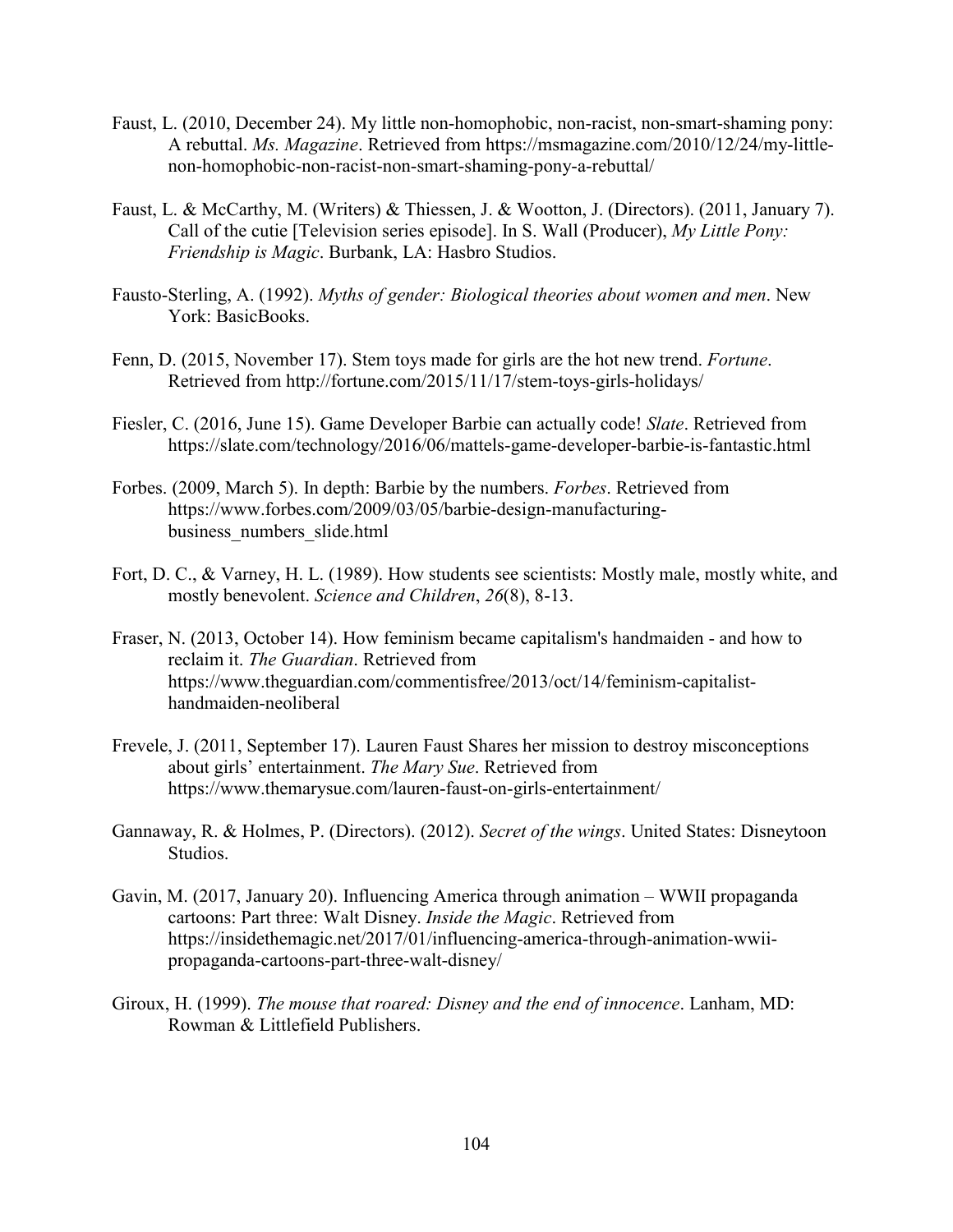- Faust, L. (2010, December 24). My little non-homophobic, non-racist, non-smart-shaming pony: A rebuttal. *Ms. Magazine*. Retrieved from https://msmagazine.com/2010/12/24/my-littlenon-homophobic-non-racist-non-smart-shaming-pony-a-rebuttal/
- Faust, L. & McCarthy, M. (Writers) & Thiessen, J. & Wootton, J. (Directors). (2011, January 7). Call of the cutie [Television series episode]. In S. Wall (Producer), *My Little Pony: Friendship is Magic*. Burbank, LA: Hasbro Studios.
- Fausto-Sterling, A. (1992). *Myths of gender: Biological theories about women and men*. New York: BasicBooks.
- Fenn, D. (2015, November 17). Stem toys made for girls are the hot new trend. *Fortune*. Retrieved from http://fortune.com/2015/11/17/stem-toys-girls-holidays/
- Fiesler, C. (2016, June 15). Game Developer Barbie can actually code! *Slate*. Retrieved from https://slate.com/technology/2016/06/mattels-game-developer-barbie-is-fantastic.html
- Forbes. (2009, March 5). In depth: Barbie by the numbers. *Forbes*. Retrieved from https://www.forbes.com/2009/03/05/barbie-design-manufacturingbusiness\_numbers\_slide.html
- Fort, D. C., & Varney, H. L. (1989). How students see scientists: Mostly male, mostly white, and mostly benevolent. *Science and Children*, *26*(8), 8-13.
- Fraser, N. (2013, October 14). How feminism became capitalism's handmaiden and how to reclaim it. *The Guardian*. Retrieved from https://www.theguardian.com/commentisfree/2013/oct/14/feminism-capitalisthandmaiden-neoliberal
- Frevele, J. (2011, September 17). Lauren Faust Shares her mission to destroy misconceptions about girls' entertainment. *The Mary Sue*. Retrieved from https://www.themarysue.com/lauren-faust-on-girls-entertainment/
- Gannaway, R. & Holmes, P. (Directors). (2012). *Secret of the wings*. United States: Disneytoon Studios.
- Gavin, M. (2017, January 20). Influencing America through animation WWII propaganda cartoons: Part three: Walt Disney. *Inside the Magic*. Retrieved from https://insidethemagic.net/2017/01/influencing-america-through-animation-wwiipropaganda-cartoons-part-three-walt-disney/
- Giroux, H. (1999). *The mouse that roared: Disney and the end of innocence*. Lanham, MD: Rowman & Littlefield Publishers.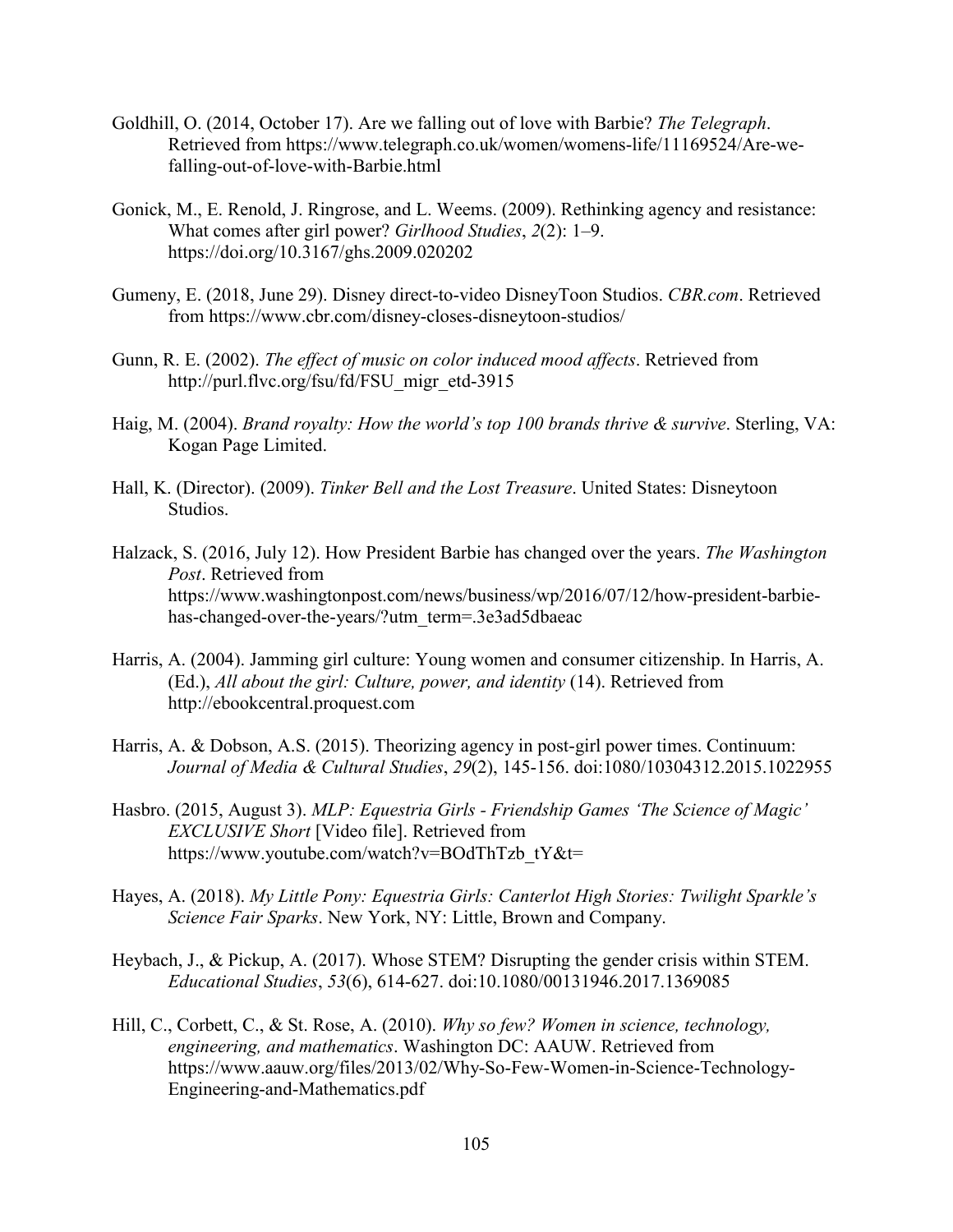- Goldhill, O. (2014, October 17). Are we falling out of love with Barbie? *The Telegraph*. Retrieved from https://www.telegraph.co.uk/women/womens-life/11169524/Are-wefalling-out-of-love-with-Barbie.html
- Gonick, M., E. Renold, J. Ringrose, and L. Weems. (2009). Rethinking agency and resistance: What comes after girl power? *Girlhood Studies*, *2*(2): 1–9. https://doi.org/10.3167/ghs.2009.020202
- Gumeny, E. (2018, June 29). Disney direct-to-video DisneyToon Studios. *CBR.com*. Retrieved from https://www.cbr.com/disney-closes-disneytoon-studios/
- Gunn, R. E. (2002). *The effect of music on color induced mood affects*. Retrieved from http://purl.flvc.org/fsu/fd/FSU\_migr\_etd-3915
- Haig, M. (2004). *Brand royalty: How the world's top 100 brands thrive & survive*. Sterling, VA: Kogan Page Limited.
- Hall, K. (Director). (2009). *Tinker Bell and the Lost Treasure*. United States: Disneytoon Studios.
- Halzack, S. (2016, July 12). How President Barbie has changed over the years. *The Washington Post*. Retrieved from https://www.washingtonpost.com/news/business/wp/2016/07/12/how-president-barbiehas-changed-over-the-years/?utm\_term=.3e3ad5dbaeac
- Harris, A. (2004). Jamming girl culture: Young women and consumer citizenship. In Harris, A. (Ed.), *All about the girl: Culture, power, and identity* (14). Retrieved from http://ebookcentral.proquest.com
- Harris, A. & Dobson, A.S. (2015). Theorizing agency in post-girl power times. Continuum: *Journal of Media & Cultural Studies*, *29*(2), 145-156. doi:1080/10304312.2015.1022955
- Hasbro. (2015, August 3). *MLP: Equestria Girls - Friendship Games 'The Science of Magic' EXCLUSIVE Short* [Video file]. Retrieved from https://www.youtube.com/watch?v=BOdThTzb\_tY&t=
- Hayes, A. (2018). *My Little Pony: Equestria Girls: Canterlot High Stories: Twilight Sparkle's Science Fair Sparks*. New York, NY: Little, Brown and Company.
- Heybach, J., & Pickup, A. (2017). Whose STEM? Disrupting the gender crisis within STEM. *Educational Studies*, *53*(6), 614-627. doi:10.1080/00131946.2017.1369085
- Hill, C., Corbett, C., & St. Rose, A. (2010). *Why so few? Women in science, technology, engineering, and mathematics*. Washington DC: AAUW. Retrieved from https://www.aauw.org/files/2013/02/Why-So-Few-Women-in-Science-Technology-Engineering-and-Mathematics.pdf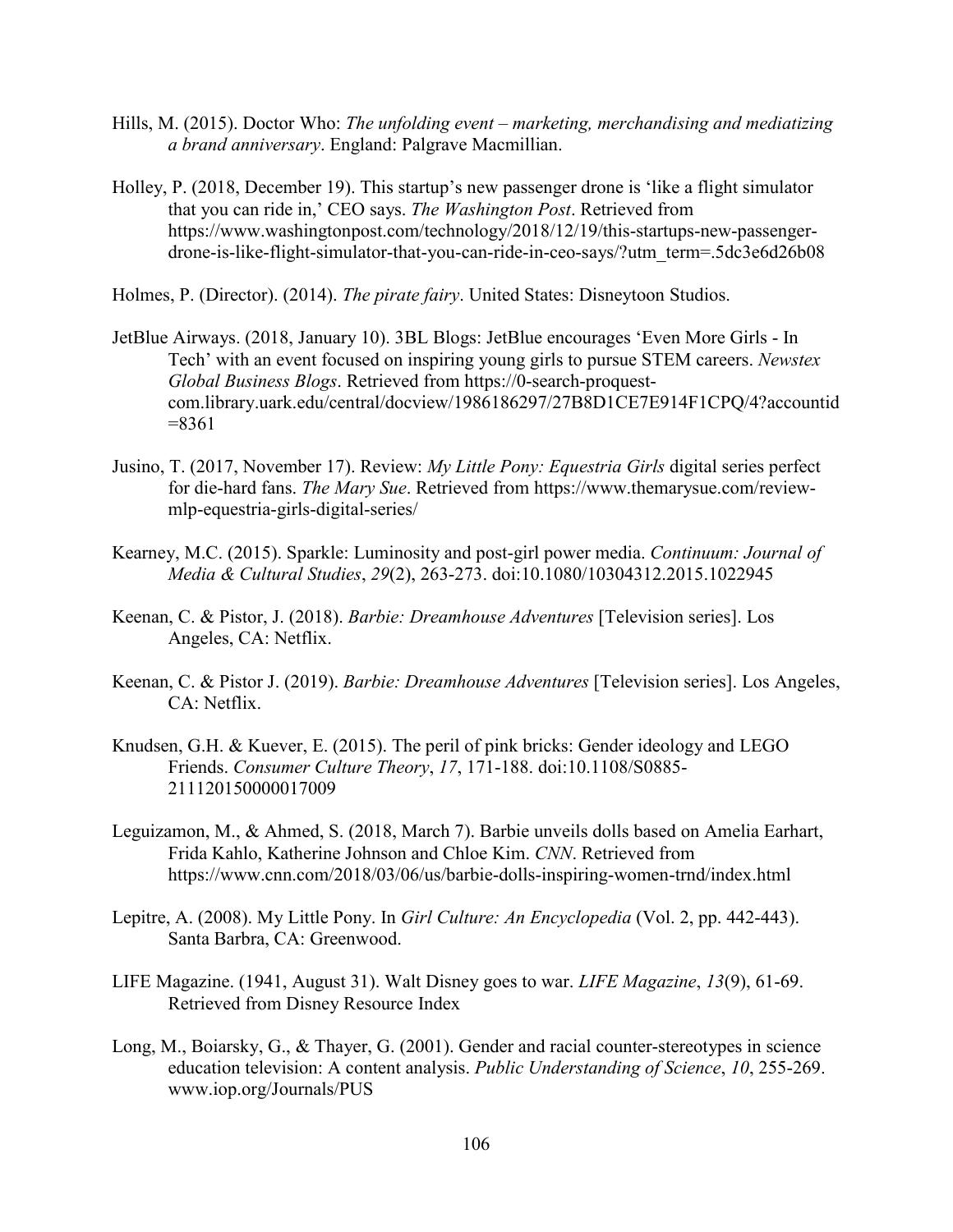- Hills, M. (2015). Doctor Who: *The unfolding event – marketing, merchandising and mediatizing a brand anniversary*. England: Palgrave Macmillian.
- Holley, P. (2018, December 19). This startup's new passenger drone is 'like a flight simulator that you can ride in,' CEO says. *The Washington Post*. Retrieved from https://www.washingtonpost.com/technology/2018/12/19/this-startups-new-passengerdrone-is-like-flight-simulator-that-you-can-ride-in-ceo-says/?utm\_term=.5dc3e6d26b08

Holmes, P. (Director). (2014). *The pirate fairy*. United States: Disneytoon Studios.

- JetBlue Airways. (2018, January 10). 3BL Blogs: JetBlue encourages 'Even More Girls In Tech' with an event focused on inspiring young girls to pursue STEM careers. *Newstex Global Business Blogs*. Retrieved from https://0-search-proquestcom.library.uark.edu/central/docview/1986186297/27B8D1CE7E914F1CPQ/4?accountid  $= 8361$
- Jusino, T. (2017, November 17). Review: *My Little Pony: Equestria Girls* digital series perfect for die-hard fans. *The Mary Sue*. Retrieved from https://www.themarysue.com/reviewmlp-equestria-girls-digital-series/
- Kearney, M.C. (2015). Sparkle: Luminosity and post-girl power media. *Continuum: Journal of Media & Cultural Studies*, *29*(2), 263-273. doi:10.1080/10304312.2015.1022945
- Keenan, C. & Pistor, J. (2018). *Barbie: Dreamhouse Adventures* [Television series]. Los Angeles, CA: Netflix.
- Keenan, C. & Pistor J. (2019). *Barbie: Dreamhouse Adventures* [Television series]. Los Angeles, CA: Netflix.
- Knudsen, G.H. & Kuever, E. (2015). The peril of pink bricks: Gender ideology and LEGO Friends. *Consumer Culture Theory*, *17*, 171-188. doi:10.1108/S0885- 211120150000017009
- Leguizamon, M., & Ahmed, S. (2018, March 7). Barbie unveils dolls based on Amelia Earhart, Frida Kahlo, Katherine Johnson and Chloe Kim. *CNN*. Retrieved from https://www.cnn.com/2018/03/06/us/barbie-dolls-inspiring-women-trnd/index.html
- Lepitre, A. (2008). My Little Pony. In *Girl Culture: An Encyclopedia* (Vol. 2, pp. 442-443). Santa Barbra, CA: Greenwood.
- LIFE Magazine. (1941, August 31). Walt Disney goes to war. *LIFE Magazine*, *13*(9), 61-69. Retrieved from Disney Resource Index
- Long, M., Boiarsky, G., & Thayer, G. (2001). Gender and racial counter-stereotypes in science education television: A content analysis. *Public Understanding of Science*, *10*, 255-269. www.iop.org/Journals/PUS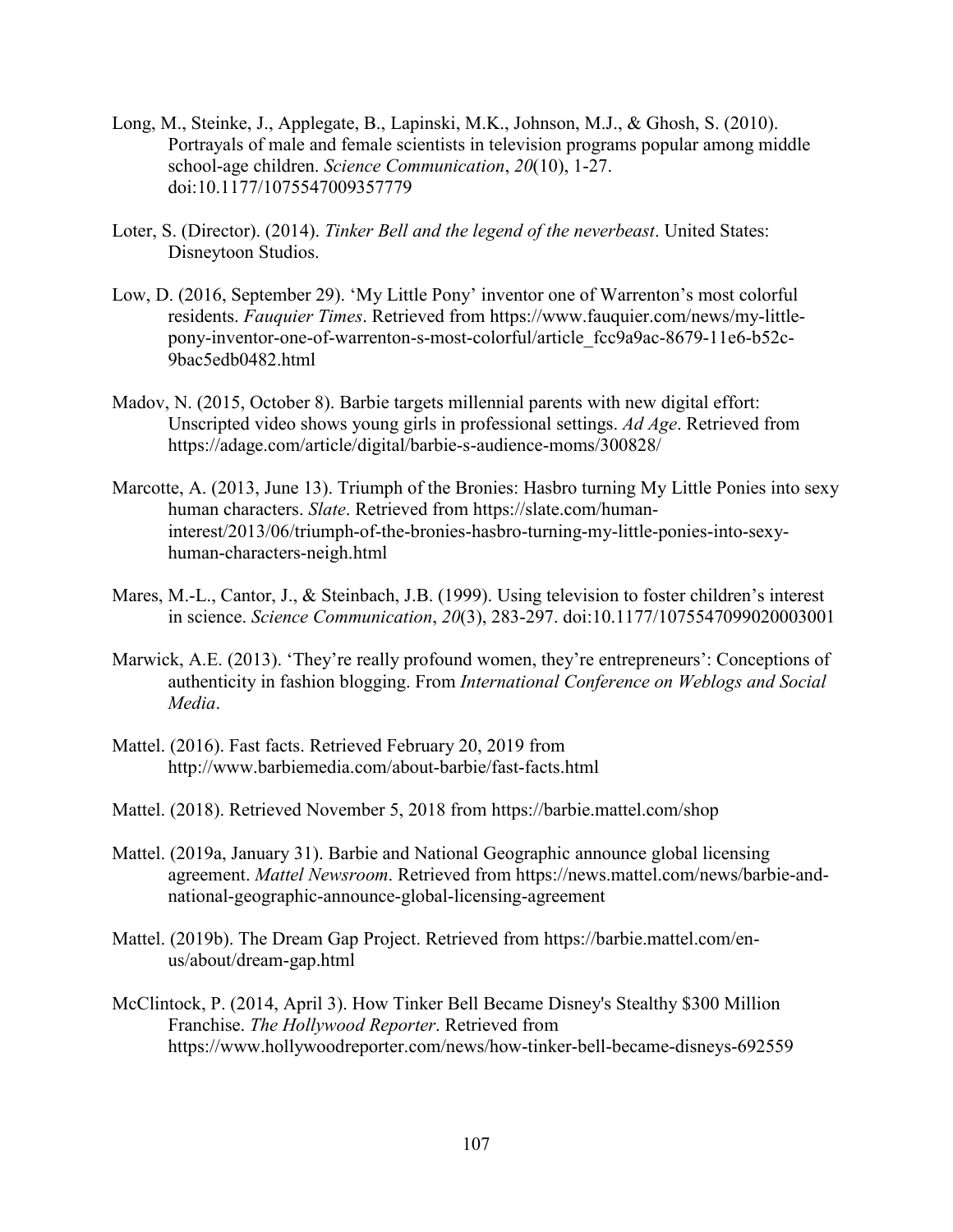- Long, M., Steinke, J., Applegate, B., Lapinski, M.K., Johnson, M.J., & Ghosh, S. (2010). Portrayals of male and female scientists in television programs popular among middle school-age children. *Science Communication*, *20*(10), 1-27. doi:10.1177/1075547009357779
- Loter, S. (Director). (2014). *Tinker Bell and the legend of the neverbeast*. United States: Disneytoon Studios.
- Low, D. (2016, September 29). 'My Little Pony' inventor one of Warrenton's most colorful residents. *Fauquier Times*. Retrieved from https://www.fauquier.com/news/my-littlepony-inventor-one-of-warrenton-s-most-colorful/article\_fcc9a9ac-8679-11e6-b52c-9bac5edb0482.html
- Madov, N. (2015, October 8). Barbie targets millennial parents with new digital effort: Unscripted video shows young girls in professional settings. *Ad Age*. Retrieved from https://adage.com/article/digital/barbie-s-audience-moms/300828/
- Marcotte, A. (2013, June 13). Triumph of the Bronies: Hasbro turning My Little Ponies into sexy human characters. *Slate*. Retrieved from https://slate.com/humaninterest/2013/06/triumph-of-the-bronies-hasbro-turning-my-little-ponies-into-sexyhuman-characters-neigh.html
- Mares, M.-L., Cantor, J., & Steinbach, J.B. (1999). Using television to foster children's interest in science. *Science Communication*, *20*(3), 283-297. doi:10.1177/1075547099020003001
- Marwick, A.E. (2013). 'They're really profound women, they're entrepreneurs': Conceptions of authenticity in fashion blogging. From *International Conference on Weblogs and Social Media*.
- Mattel. (2016). Fast facts. Retrieved February 20, 2019 from http://www.barbiemedia.com/about-barbie/fast-facts.html
- Mattel. (2018). Retrieved November 5, 2018 from https://barbie.mattel.com/shop
- Mattel. (2019a, January 31). Barbie and National Geographic announce global licensing agreement. *Mattel Newsroom*. Retrieved from https://news.mattel.com/news/barbie-andnational-geographic-announce-global-licensing-agreement
- Mattel. (2019b). The Dream Gap Project. Retrieved from https://barbie.mattel.com/enus/about/dream-gap.html
- McClintock, P. (2014, April 3). How Tinker Bell Became Disney's Stealthy \$300 Million Franchise. *The Hollywood Reporter*. Retrieved from https://www.hollywoodreporter.com/news/how-tinker-bell-became-disneys-692559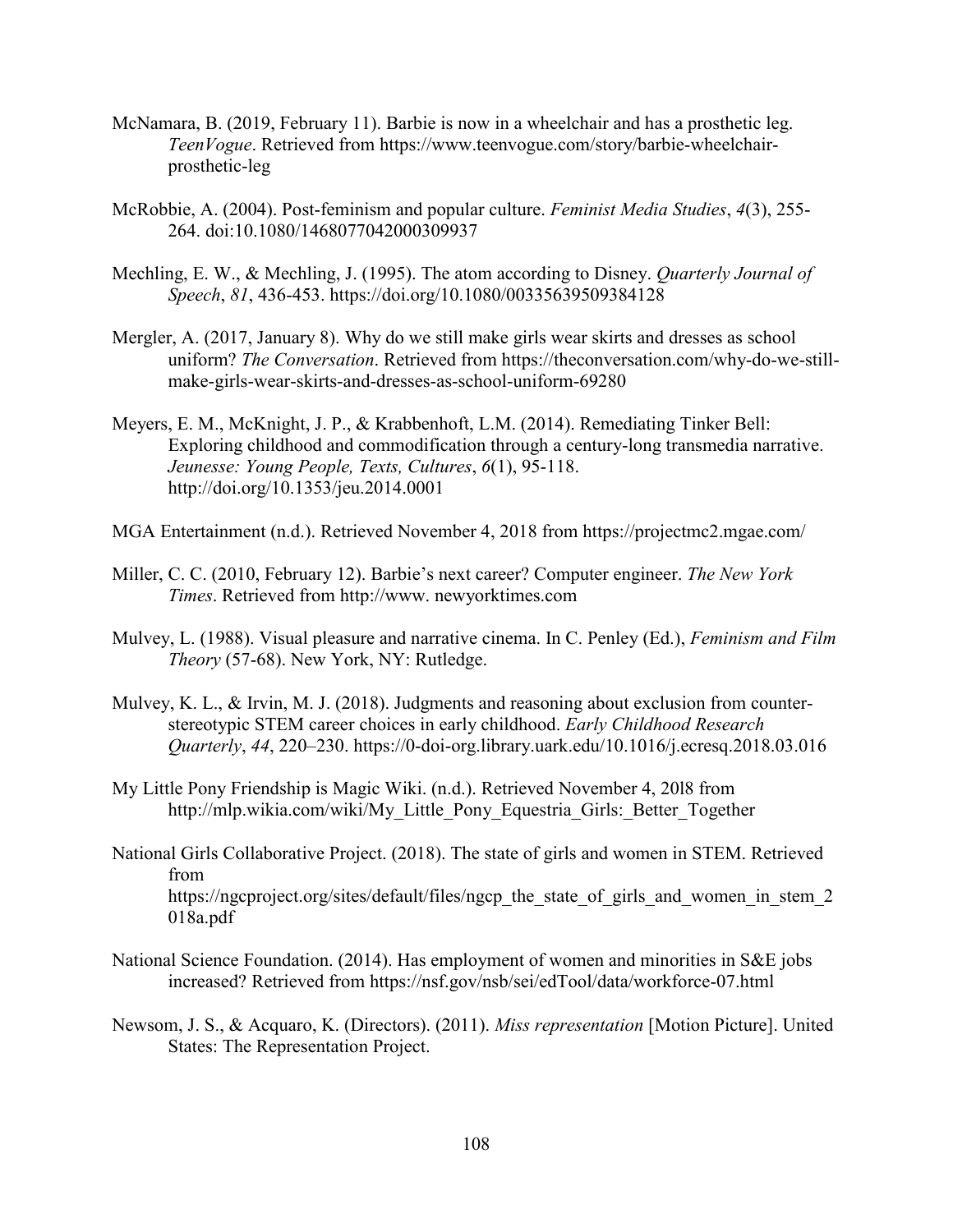- McNamara, B. (2019, February 11). Barbie is now in a wheelchair and has a prosthetic leg. *TeenVogue*. Retrieved from https://www.teenvogue.com/story/barbie-wheelchairprosthetic-leg
- McRobbie, A. (2004). Post-feminism and popular culture. *Feminist Media Studies*, *4*(3), 255- 264. doi:10.1080/1468077042000309937
- Mechling, E. W., & Mechling, J. (1995). The atom according to Disney. *Quarterly Journal of Speech*, *81*, 436-453. https://doi.org/10.1080/00335639509384128
- Mergler, A. (2017, January 8). Why do we still make girls wear skirts and dresses as school uniform? *The Conversation*. Retrieved from https://theconversation.com/why-do-we-stillmake-girls-wear-skirts-and-dresses-as-school-uniform-69280
- Meyers, E. M., McKnight, J. P., & Krabbenhoft, L.M. (2014). Remediating Tinker Bell: Exploring childhood and commodification through a century-long transmedia narrative. *Jeunesse: Young People, Texts, Cultures*, *6*(1), 95-118. http://doi.org/10.1353/jeu.2014.0001
- MGA Entertainment (n.d.). Retrieved November 4, 2018 from https://projectmc2.mgae.com/
- Miller, C. C. (2010, February 12). Barbie's next career? Computer engineer. *The New York Times*. Retrieved from http://www. newyorktimes.com
- Mulvey, L. (1988). Visual pleasure and narrative cinema. In C. Penley (Ed.), *Feminism and Film Theory* (57-68). New York, NY: Rutledge.
- Mulvey, K. L., & Irvin, M. J. (2018). Judgments and reasoning about exclusion from counterstereotypic STEM career choices in early childhood. *Early Childhood Research Quarterly*, *44*, 220–230. https://0-doi-org.library.uark.edu/10.1016/j.ecresq.2018.03.016
- My Little Pony Friendship is Magic Wiki. (n.d.). Retrieved November 4, 20l8 from http://mlp.wikia.com/wiki/My\_Little\_Pony\_Equestria\_Girls:\_Better\_Together
- National Girls Collaborative Project. (2018). The state of girls and women in STEM. Retrieved from https://ngcproject.org/sites/default/files/ngcp\_the\_state\_of\_girls\_and\_women\_in\_stem\_2 018a.pdf
- National Science Foundation. (2014). Has employment of women and minorities in S&E jobs increased? Retrieved from https://nsf.gov/nsb/sei/edTool/data/workforce-07.html
- Newsom, J. S., & Acquaro, K. (Directors). (2011). *Miss representation* [Motion Picture]. United States: The Representation Project.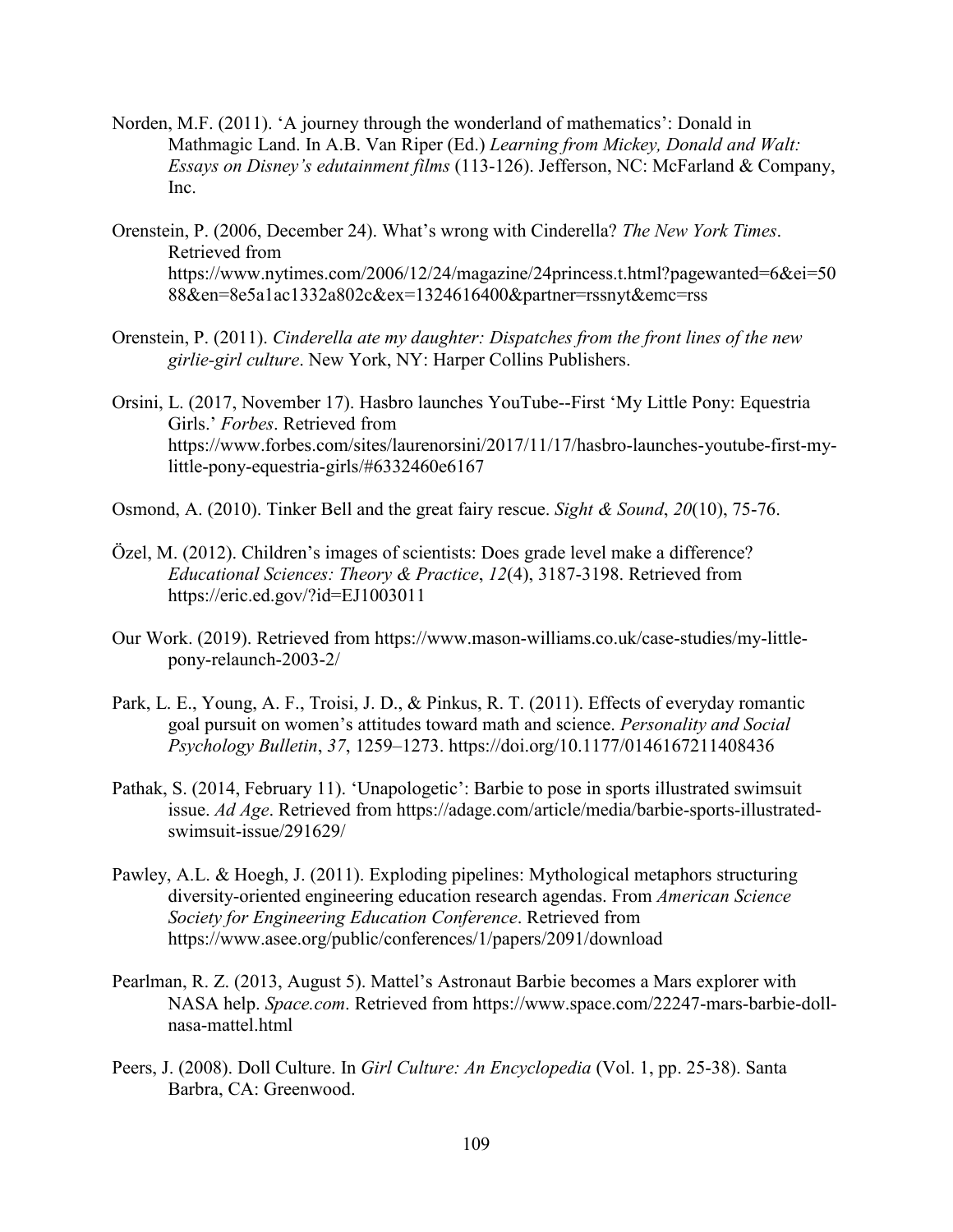- Norden, M.F. (2011). 'A journey through the wonderland of mathematics': Donald in Mathmagic Land. In A.B. Van Riper (Ed.) *Learning from Mickey, Donald and Walt: Essays on Disney's edutainment films* (113-126). Jefferson, NC: McFarland & Company, Inc.
- Orenstein, P. (2006, December 24). What's wrong with Cinderella? *The New York Times*. Retrieved from https://www.nytimes.com/2006/12/24/magazine/24princess.t.html?pagewanted=6&ei=50 88&en=8e5a1ac1332a802c&ex=1324616400&partner=rssnyt&emc=rss
- Orenstein, P. (2011). *Cinderella ate my daughter: Dispatches from the front lines of the new girlie-girl culture*. New York, NY: Harper Collins Publishers.
- Orsini, L. (2017, November 17). Hasbro launches YouTube--First 'My Little Pony: Equestria Girls.' *Forbes*. Retrieved from https://www.forbes.com/sites/laurenorsini/2017/11/17/hasbro-launches-youtube-first-mylittle-pony-equestria-girls/#6332460e6167
- Osmond, A. (2010). Tinker Bell and the great fairy rescue. *Sight & Sound*, *20*(10), 75-76.
- Özel, M. (2012). Children's images of scientists: Does grade level make a difference? *Educational Sciences: Theory & Practice*, *12*(4), 3187-3198. Retrieved from https://eric.ed.gov/?id=EJ1003011
- Our Work. (2019). Retrieved from https://www.mason-williams.co.uk/case-studies/my-littlepony-relaunch-2003-2/
- Park, L. E., Young, A. F., Troisi, J. D., & Pinkus, R. T. (2011). Effects of everyday romantic goal pursuit on women's attitudes toward math and science. *Personality and Social Psychology Bulletin*, *37*, 1259–1273. https://doi.org/10.1177/0146167211408436
- Pathak, S. (2014, February 11). 'Unapologetic': Barbie to pose in sports illustrated swimsuit issue. *Ad Age*. Retrieved from https://adage.com/article/media/barbie-sports-illustratedswimsuit-issue/291629/
- Pawley, A.L. & Hoegh, J. (2011). Exploding pipelines: Mythological metaphors structuring diversity-oriented engineering education research agendas. From *American Science Society for Engineering Education Conference*. Retrieved from https://www.asee.org/public/conferences/1/papers/2091/download
- Pearlman, R. Z. (2013, August 5). Mattel's Astronaut Barbie becomes a Mars explorer with NASA help. *Space.com*. Retrieved from https://www.space.com/22247-mars-barbie-dollnasa-mattel.html
- Peers, J. (2008). Doll Culture. In *Girl Culture: An Encyclopedia* (Vol. 1, pp. 25-38). Santa Barbra, CA: Greenwood.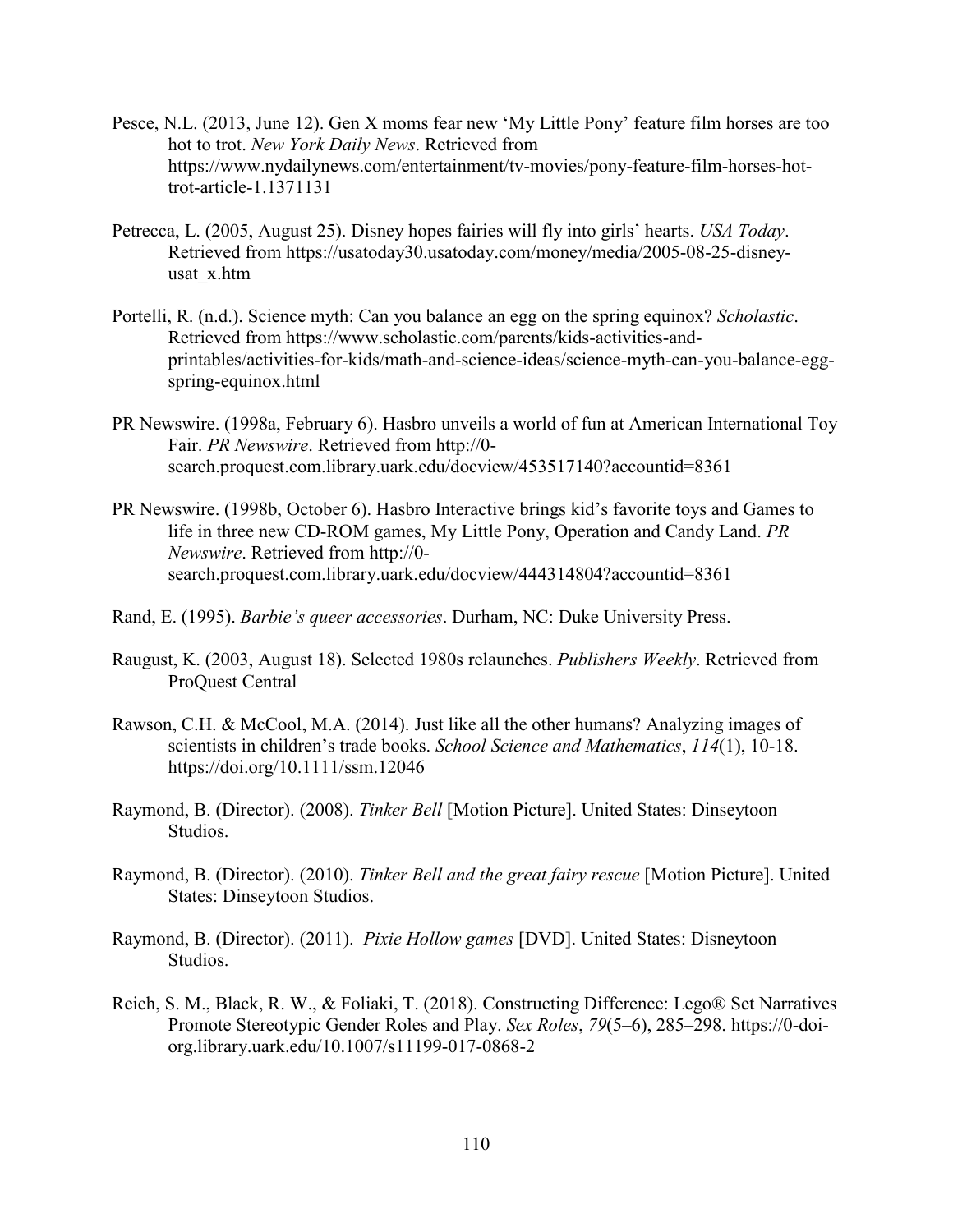- Pesce, N.L. (2013, June 12). Gen X moms fear new 'My Little Pony' feature film horses are too hot to trot. *New York Daily News*. Retrieved from https://www.nydailynews.com/entertainment/tv-movies/pony-feature-film-horses-hottrot-article-1.1371131
- Petrecca, L. (2005, August 25). Disney hopes fairies will fly into girls' hearts. *USA Today*. Retrieved from https://usatoday30.usatoday.com/money/media/2005-08-25-disneyusat\_x.htm
- Portelli, R. (n.d.). Science myth: Can you balance an egg on the spring equinox? *Scholastic*. Retrieved from https://www.scholastic.com/parents/kids-activities-andprintables/activities-for-kids/math-and-science-ideas/science-myth-can-you-balance-eggspring-equinox.html
- PR Newswire. (1998a, February 6). Hasbro unveils a world of fun at American International Toy Fair. *PR Newswire*. Retrieved from http://0 search.proquest.com.library.uark.edu/docview/453517140?accountid=8361
- PR Newswire. (1998b, October 6). Hasbro Interactive brings kid's favorite toys and Games to life in three new CD-ROM games, My Little Pony, Operation and Candy Land. *PR Newswire*. Retrieved from http://0 search.proquest.com.library.uark.edu/docview/444314804?accountid=8361
- Rand, E. (1995). *Barbie's queer accessories*. Durham, NC: Duke University Press.
- Raugust, K. (2003, August 18). Selected 1980s relaunches. *Publishers Weekly*. Retrieved from ProQuest Central
- Rawson, C.H. & McCool, M.A. (2014). Just like all the other humans? Analyzing images of scientists in children's trade books. *School Science and Mathematics*, *114*(1), 10-18. https://doi.org/10.1111/ssm.12046
- Raymond, B. (Director). (2008). *Tinker Bell* [Motion Picture]. United States: Dinseytoon Studios.
- Raymond, B. (Director). (2010). *Tinker Bell and the great fairy rescue* [Motion Picture]. United States: Dinseytoon Studios.
- Raymond, B. (Director). (2011). *Pixie Hollow games* [DVD]. United States: Disneytoon Studios.
- Reich, S. M., Black, R. W., & Foliaki, T. (2018). Constructing Difference: Lego® Set Narratives Promote Stereotypic Gender Roles and Play. *Sex Roles*, *79*(5–6), 285–298. https://0-doiorg.library.uark.edu/10.1007/s11199-017-0868-2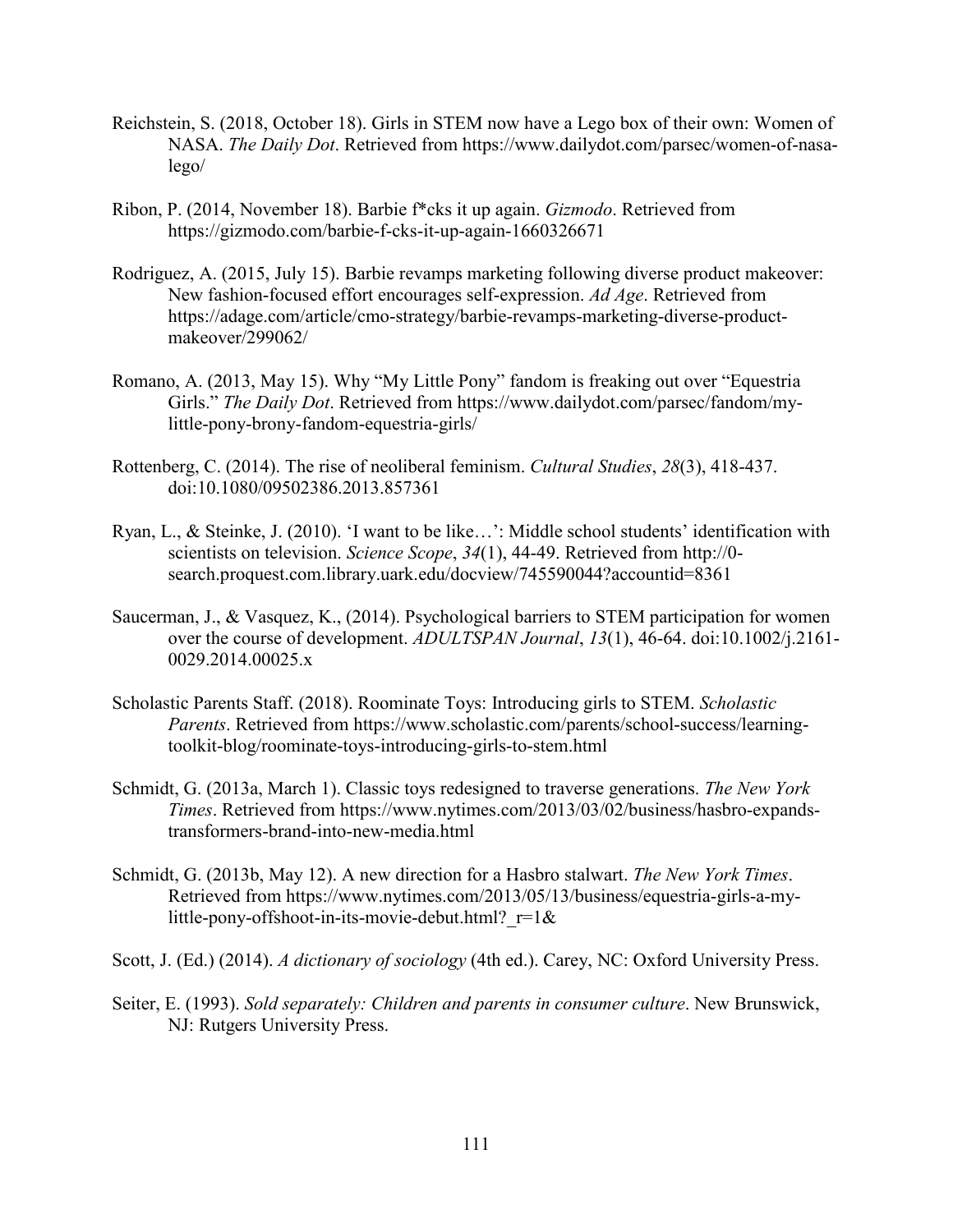- Reichstein, S. (2018, October 18). Girls in STEM now have a Lego box of their own: Women of NASA. *The Daily Dot*. Retrieved from https://www.dailydot.com/parsec/women-of-nasalego/
- Ribon, P. (2014, November 18). Barbie f\*cks it up again. *Gizmodo*. Retrieved from https://gizmodo.com/barbie-f-cks-it-up-again-1660326671
- Rodriguez, A. (2015, July 15). Barbie revamps marketing following diverse product makeover: New fashion-focused effort encourages self-expression. *Ad Age*. Retrieved from https://adage.com/article/cmo-strategy/barbie-revamps-marketing-diverse-productmakeover/299062/
- Romano, A. (2013, May 15). Why "My Little Pony" fandom is freaking out over "Equestria Girls." *The Daily Dot*. Retrieved from https://www.dailydot.com/parsec/fandom/mylittle-pony-brony-fandom-equestria-girls/
- Rottenberg, C. (2014). The rise of neoliberal feminism. *Cultural Studies*, *28*(3), 418-437. doi:10.1080/09502386.2013.857361
- Ryan, L., & Steinke, J. (2010). 'I want to be like…': Middle school students' identification with scientists on television. *Science Scope*, *34*(1), 44-49. Retrieved from http://0 search.proquest.com.library.uark.edu/docview/745590044?accountid=8361
- Saucerman, J., & Vasquez, K., (2014). Psychological barriers to STEM participation for women over the course of development. *ADULTSPAN Journal*, *13*(1), 46-64. doi:10.1002/j.2161- 0029.2014.00025.x
- Scholastic Parents Staff. (2018). Roominate Toys: Introducing girls to STEM. *Scholastic Parents*. Retrieved from https://www.scholastic.com/parents/school-success/learningtoolkit-blog/roominate-toys-introducing-girls-to-stem.html
- Schmidt, G. (2013a, March 1). Classic toys redesigned to traverse generations. *The New York Times*. Retrieved from https://www.nytimes.com/2013/03/02/business/hasbro-expandstransformers-brand-into-new-media.html
- Schmidt, G. (2013b, May 12). A new direction for a Hasbro stalwart. *The New York Times*. Retrieved from https://www.nytimes.com/2013/05/13/business/equestria-girls-a-mylittle-pony-offshoot-in-its-movie-debut.html?  $r=1&&$
- Scott, J. (Ed.) (2014). *A dictionary of sociology* (4th ed.). Carey, NC: Oxford University Press.
- Seiter, E. (1993). *Sold separately: Children and parents in consumer culture*. New Brunswick, NJ: Rutgers University Press.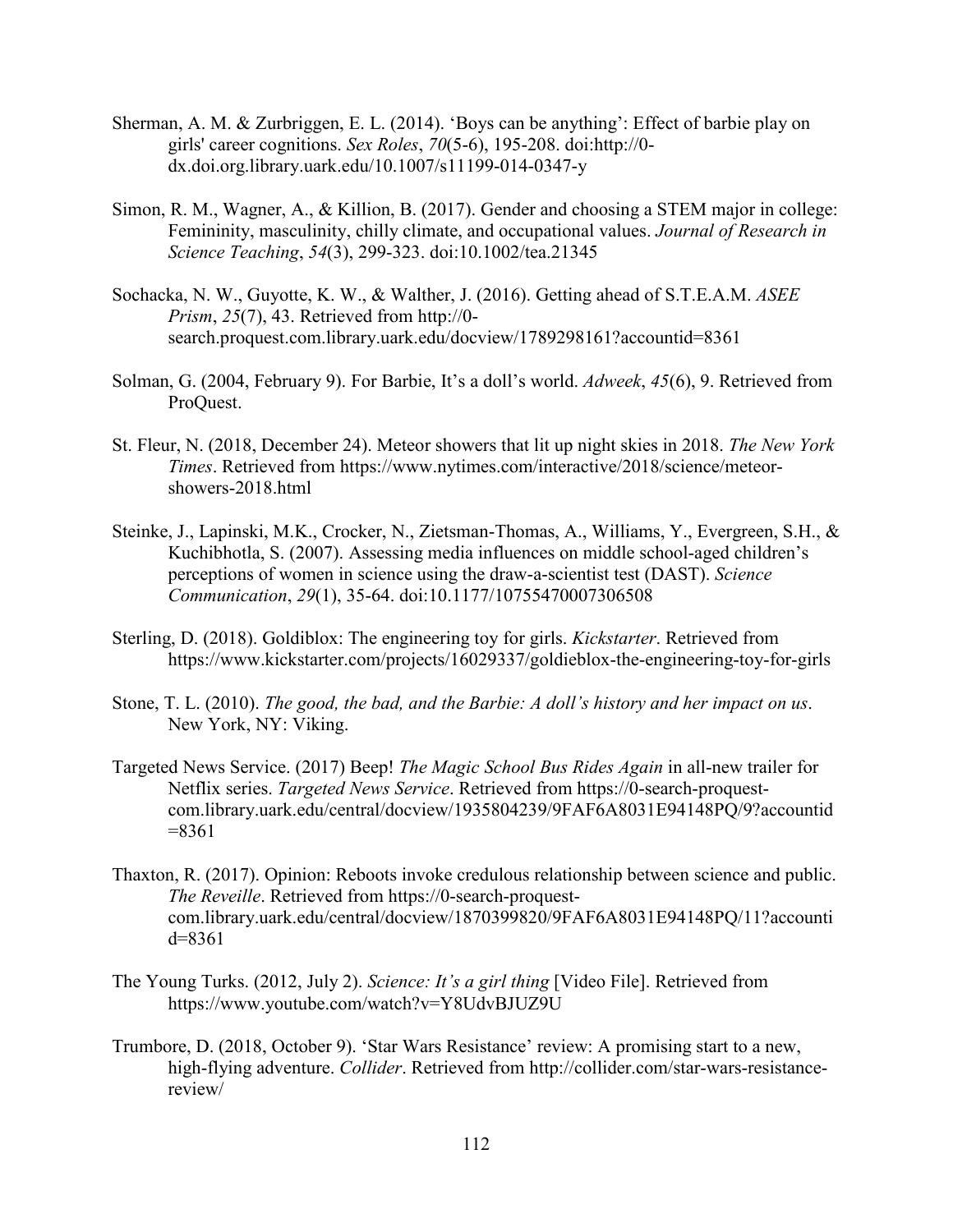- Sherman, A. M. & Zurbriggen, E. L. (2014). 'Boys can be anything': Effect of barbie play on girls' career cognitions. *Sex Roles*, *70*(5-6), 195-208. doi:http://0 dx.doi.org.library.uark.edu/10.1007/s11199-014-0347-y
- Simon, R. M., Wagner, A., & Killion, B. (2017). Gender and choosing a STEM major in college: Femininity, masculinity, chilly climate, and occupational values. *Journal of Research in Science Teaching*, *54*(3), 299-323. doi:10.1002/tea.21345
- Sochacka, N. W., Guyotte, K. W., & Walther, J. (2016). Getting ahead of S.T.E.A.M. *ASEE Prism*, *25*(7), 43. Retrieved from http://0 search.proquest.com.library.uark.edu/docview/1789298161?accountid=8361
- Solman, G. (2004, February 9). For Barbie, It's a doll's world. *Adweek*, *45*(6), 9. Retrieved from ProQuest.
- St. Fleur, N. (2018, December 24). Meteor showers that lit up night skies in 2018. *The New York Times*. Retrieved from https://www.nytimes.com/interactive/2018/science/meteorshowers-2018.html
- Steinke, J., Lapinski, M.K., Crocker, N., Zietsman-Thomas, A., Williams, Y., Evergreen, S.H., & Kuchibhotla, S. (2007). Assessing media influences on middle school-aged children's perceptions of women in science using the draw-a-scientist test (DAST). *Science Communication*, *29*(1), 35-64. doi:10.1177/10755470007306508
- Sterling, D. (2018). Goldiblox: The engineering toy for girls. *Kickstarter*. Retrieved from https://www.kickstarter.com/projects/16029337/goldieblox-the-engineering-toy-for-girls
- Stone, T. L. (2010). *The good, the bad, and the Barbie: A doll's history and her impact on us*. New York, NY: Viking.
- Targeted News Service. (2017) Beep! *The Magic School Bus Rides Again* in all-new trailer for Netflix series. *Targeted News Service*. Retrieved from https://0-search-proquestcom.library.uark.edu/central/docview/1935804239/9FAF6A8031E94148PQ/9?accountid  $=8361$
- Thaxton, R. (2017). Opinion: Reboots invoke credulous relationship between science and public. *The Reveille*. Retrieved from https://0-search-proquestcom.library.uark.edu/central/docview/1870399820/9FAF6A8031E94148PQ/11?accounti d=8361
- The Young Turks. (2012, July 2). *Science: It's a girl thing* [Video File]. Retrieved from https://www.youtube.com/watch?v=Y8UdvBJUZ9U
- Trumbore, D. (2018, October 9). 'Star Wars Resistance' review: A promising start to a new, high-flying adventure. *Collider*. Retrieved from http://collider.com/star-wars-resistancereview/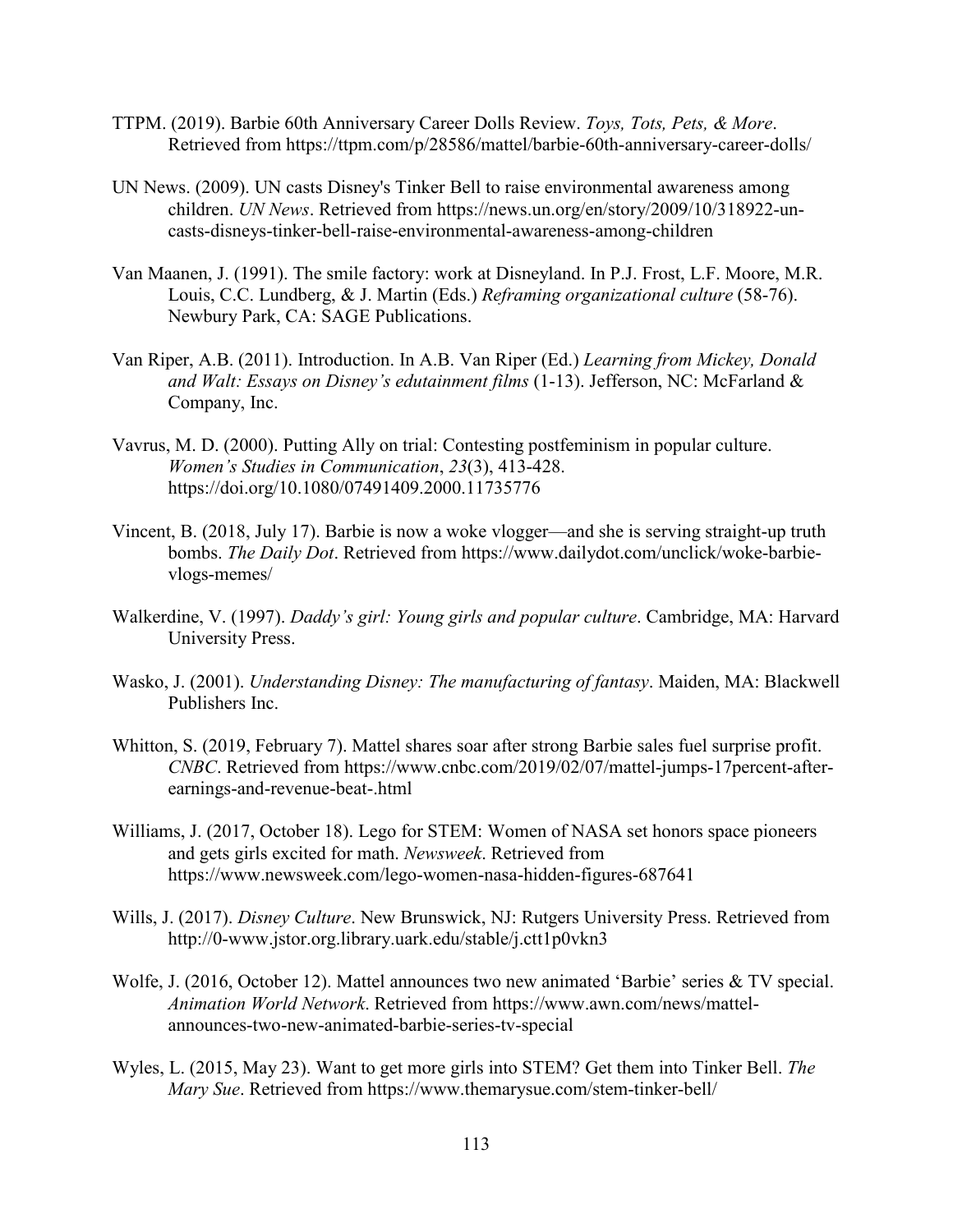- TTPM. (2019). Barbie 60th Anniversary Career Dolls Review. *Toys, Tots, Pets, & More*. Retrieved from https://ttpm.com/p/28586/mattel/barbie-60th-anniversary-career-dolls/
- UN News. (2009). UN casts Disney's Tinker Bell to raise environmental awareness among children. *UN News*. Retrieved from https://news.un.org/en/story/2009/10/318922-uncasts-disneys-tinker-bell-raise-environmental-awareness-among-children
- Van Maanen, J. (1991). The smile factory: work at Disneyland. In P.J. Frost, L.F. Moore, M.R. Louis, C.C. Lundberg, & J. Martin (Eds.) *Reframing organizational culture* (58-76). Newbury Park, CA: SAGE Publications.
- Van Riper, A.B. (2011). Introduction. In A.B. Van Riper (Ed.) *Learning from Mickey, Donald and Walt: Essays on Disney's edutainment films* (1-13). Jefferson, NC: McFarland & Company, Inc.
- Vavrus, M. D. (2000). Putting Ally on trial: Contesting postfeminism in popular culture. *Women's Studies in Communication*, *23*(3), 413-428. https://doi.org/10.1080/07491409.2000.11735776
- Vincent, B. (2018, July 17). Barbie is now a woke vlogger—and she is serving straight-up truth bombs. *The Daily Dot*. Retrieved from https://www.dailydot.com/unclick/woke-barbievlogs-memes/
- Walkerdine, V. (1997). *Daddy's girl: Young girls and popular culture*. Cambridge, MA: Harvard University Press.
- Wasko, J. (2001). *Understanding Disney: The manufacturing of fantasy*. Maiden, MA: Blackwell Publishers Inc.
- Whitton, S. (2019, February 7). Mattel shares soar after strong Barbie sales fuel surprise profit. *CNBC*. Retrieved from https://www.cnbc.com/2019/02/07/mattel-jumps-17percent-afterearnings-and-revenue-beat-.html
- Williams, J. (2017, October 18). Lego for STEM: Women of NASA set honors space pioneers and gets girls excited for math. *Newsweek*. Retrieved from https://www.newsweek.com/lego-women-nasa-hidden-figures-687641
- Wills, J. (2017). *Disney Culture*. New Brunswick, NJ: Rutgers University Press. Retrieved from http://0-www.jstor.org.library.uark.edu/stable/j.ctt1p0vkn3
- Wolfe, J. (2016, October 12). Mattel announces two new animated 'Barbie' series & TV special. *Animation World Network*. Retrieved from https://www.awn.com/news/mattelannounces-two-new-animated-barbie-series-tv-special
- Wyles, L. (2015, May 23). Want to get more girls into STEM? Get them into Tinker Bell. *The Mary Sue*. Retrieved from https://www.themarysue.com/stem-tinker-bell/